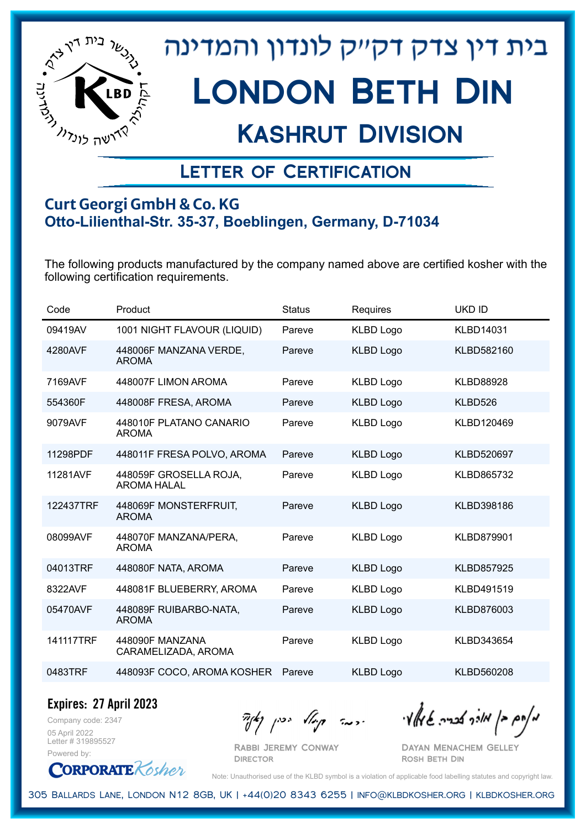

## Kashrut Division

### Letter of Certification

#### **Curt Georgi GmbH & Co. KG Otto-Lilienthal-Str. 35-37, Boeblingen, Germany, D-71034**

The following products manufactured by the company named above are certified kosher with the following certification requirements.

| Code      | Product                                      | <b>Status</b> | Requires         | <b>UKD ID</b>     |
|-----------|----------------------------------------------|---------------|------------------|-------------------|
| 09419AV   | 1001 NIGHT FLAVOUR (LIQUID)                  | Pareve        | <b>KLBD Logo</b> | <b>KLBD14031</b>  |
| 4280AVF   | 448006F MANZANA VERDE,<br><b>AROMA</b>       | Pareve        | <b>KLBD Logo</b> | KLBD582160        |
| 7169AVF   | 448007F LIMON AROMA                          | Pareve        | <b>KLBD Logo</b> | <b>KLBD88928</b>  |
| 554360F   | 448008F FRESA, AROMA                         | Pareve        | <b>KLBD Logo</b> | KLBD526           |
| 9079AVF   | 448010F PLATANO CANARIO<br><b>AROMA</b>      | Pareve        | <b>KLBD Logo</b> | KLBD120469        |
| 11298PDF  | 448011F FRESA POLVO, AROMA                   | Pareve        | <b>KLBD Logo</b> | <b>KLBD520697</b> |
| 11281AVF  | 448059F GROSELLA ROJA,<br><b>AROMA HALAL</b> | Pareve        | <b>KLBD Logo</b> | KLBD865732        |
| 122437TRF | 448069F MONSTERFRUIT,<br><b>AROMA</b>        | Pareve        | <b>KLBD Logo</b> | KLBD398186        |
| 08099AVF  | 448070F MANZANA/PERA,<br><b>AROMA</b>        | Pareve        | <b>KLBD Logo</b> | KLBD879901        |
| 04013TRF  | 448080F NATA, AROMA                          | Pareve        | <b>KLBD Logo</b> | <b>KLBD857925</b> |
| 8322AVF   | 448081F BLUEBERRY, AROMA                     | Pareve        | <b>KLBD Logo</b> | KLBD491519        |
| 05470AVF  | 448089F RUIBARBO-NATA,<br><b>AROMA</b>       | Pareve        | <b>KLBD Logo</b> | KLBD876003        |
| 141117TRF | 448090F MANZANA<br>CARAMELIZADA, AROMA       | Pareve        | <b>KLBD Logo</b> | KLBD343654        |
| 0483TRF   | 448093F COCO, AROMA KOSHER                   | Pareve        | <b>KLBD Logo</b> | KLBD560208        |

**Expires: 27 April 2023**

Company code: 2347 05 April 2022 Letter # 319895527 Powered by:

Rabbi Jeremy Conway

מאוס בן מוכך אבריה שמאלי היה קיילא יכין קאין

Dayan Menachem Gelley Rosh Beth Din



Note: Unauthorised use of the KLBD symbol is a violation of applicable food labelling statutes and copyright law.

305 Ballards Lane, London N12 8GB, UK | +44(0)20 8343 6255 | info@klbdkosher.org | klbdkosher.org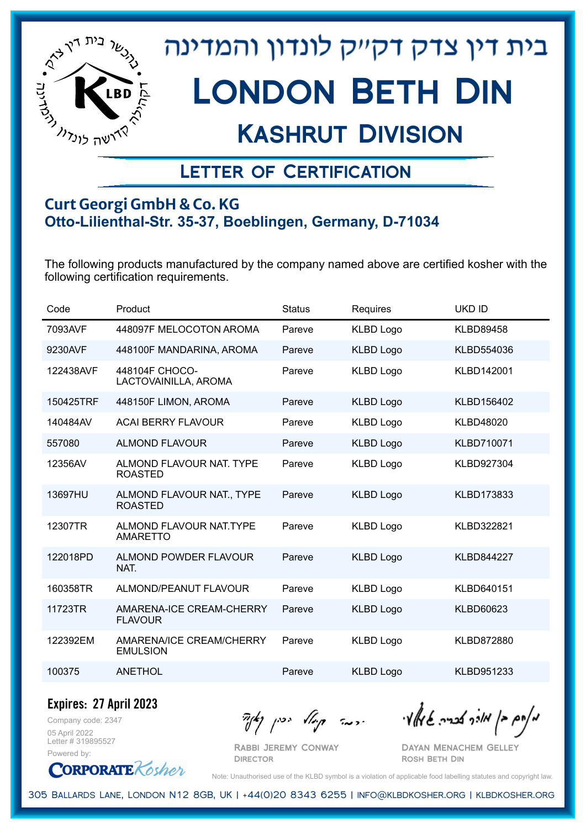

## Kashrut Division

### Letter of Certification

#### **Curt Georgi GmbH & Co. KG Otto-Lilienthal-Str. 35-37, Boeblingen, Germany, D-71034**

The following products manufactured by the company named above are certified kosher with the following certification requirements.

| Code      | Product                                     | <b>Status</b> | <b>Requires</b>  | <b>UKD ID</b>     |
|-----------|---------------------------------------------|---------------|------------------|-------------------|
| 7093AVF   | 448097F MELOCOTON AROMA                     | Pareve        | <b>KLBD Logo</b> | <b>KLBD89458</b>  |
| 9230AVF   | 448100F MANDARINA, AROMA                    | Pareve        | <b>KLBD Logo</b> | KLBD554036        |
| 122438AVF | 448104F CHOCO-<br>LACTOVAINILLA, AROMA      | Pareve        | <b>KLBD Logo</b> | KLBD142001        |
| 150425TRF | 448150F LIMON, AROMA                        | Pareve        | <b>KLBD Logo</b> | KLBD156402        |
| 140484AV  | <b>ACAI BERRY FLAVOUR</b>                   | Pareve        | <b>KLBD Logo</b> | <b>KLBD48020</b>  |
| 557080    | <b>ALMOND FLAVOUR</b>                       | Pareve        | <b>KLBD Logo</b> | KLBD710071        |
| 12356AV   | ALMOND FLAVOUR NAT. TYPE<br><b>ROASTED</b>  | Pareve        | <b>KLBD Logo</b> | KLBD927304        |
| 13697HU   | ALMOND FLAVOUR NAT., TYPE<br><b>ROASTED</b> | Pareve        | <b>KLBD Logo</b> | KLBD173833        |
| 12307TR   | ALMOND FLAVOUR NAT. TYPE<br><b>AMARETTO</b> | Pareve        | <b>KLBD Logo</b> | KLBD322821        |
| 122018PD  | <b>ALMOND POWDER FLAVOUR</b><br>NAT.        | Pareve        | <b>KLBD Logo</b> | <b>KLBD844227</b> |
| 160358TR  | ALMOND/PEANUT FLAVOUR                       | Pareve        | <b>KLBD Logo</b> | KLBD640151        |
| 11723TR   | AMARENA-ICE CREAM-CHERRY<br><b>FLAVOUR</b>  | Pareve        | <b>KLBD Logo</b> | <b>KLBD60623</b>  |
| 122392EM  | AMARENA/ICE CREAM/CHERRY<br><b>EMULSION</b> | Pareve        | <b>KLBD Logo</b> | KLBD872880        |
| 100375    | <b>ANETHOL</b>                              | Pareve        | <b>KLBD Logo</b> | KLBD951233        |

Company code: 2347 **Expires: 27 April 2023**

05 April 2022 Letter # 319895527 Powered by:

**CORPORATE** Kosher

 $\frac{1}{2}$   $\frac{1}{2}$   $\frac{1}{2}$   $\frac{1}{2}$   $\frac{1}{2}$   $\frac{1}{2}$   $\frac{1}{2}$   $\frac{1}{2}$   $\frac{1}{2}$   $\frac{1}{2}$   $\frac{1}{2}$   $\frac{1}{2}$   $\frac{1}{2}$   $\frac{1}{2}$   $\frac{1}{2}$   $\frac{1}{2}$   $\frac{1}{2}$   $\frac{1}{2}$   $\frac{1}{2}$   $\frac{1}{2}$   $\frac{1}{2}$   $\frac{1}{2}$ 

Rabbi Jeremy Conway **DIRECTOR** 

Dayan Menachem Gelley Rosh Beth Din

Note: Unauthorised use of the KLBD symbol is a violation of applicable food labelling statutes and copyright law.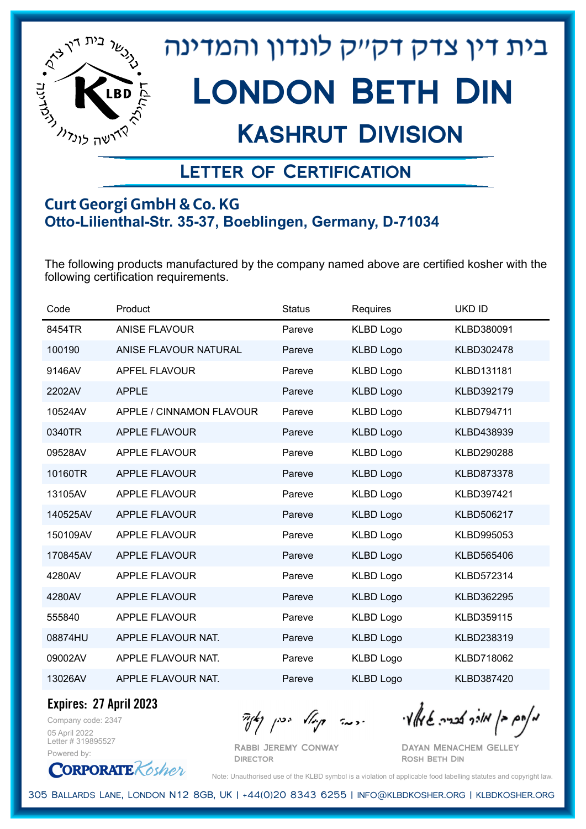

## Kashrut Division

### Letter of Certification

#### **Curt Georgi GmbH & Co. KG Otto-Lilienthal-Str. 35-37, Boeblingen, Germany, D-71034**

The following products manufactured by the company named above are certified kosher with the following certification requirements.

| Code     | Product                  | <b>Status</b> | Requires         | <b>UKD ID</b> |
|----------|--------------------------|---------------|------------------|---------------|
| 8454TR   | ANISE FLAVOUR            | Pareve        | <b>KLBD Logo</b> | KLBD380091    |
| 100190   | ANISE FLAVOUR NATURAL    | Pareve        | <b>KLBD Logo</b> | KLBD302478    |
| 9146AV   | <b>APFEL FLAVOUR</b>     | Pareve        | <b>KLBD Logo</b> | KLBD131181    |
| 2202AV   | <b>APPLE</b>             | Pareve        | <b>KLBD Logo</b> | KLBD392179    |
| 10524AV  | APPLE / CINNAMON FLAVOUR | Pareve        | <b>KLBD Logo</b> | KLBD794711    |
| 0340TR   | <b>APPLE FLAVOUR</b>     | Pareve        | <b>KLBD Logo</b> | KLBD438939    |
| 09528AV  | <b>APPLE FLAVOUR</b>     | Pareve        | <b>KLBD Logo</b> | KLBD290288    |
| 10160TR  | <b>APPLE FLAVOUR</b>     | Pareve        | <b>KLBD Logo</b> | KLBD873378    |
| 13105AV  | <b>APPLE FLAVOUR</b>     | Pareve        | <b>KLBD Logo</b> | KLBD397421    |
| 140525AV | <b>APPLE FLAVOUR</b>     | Pareve        | <b>KLBD Logo</b> | KLBD506217    |
| 150109AV | <b>APPLE FLAVOUR</b>     | Pareve        | <b>KLBD Logo</b> | KLBD995053    |
| 170845AV | <b>APPLE FLAVOUR</b>     | Pareve        | <b>KLBD Logo</b> | KLBD565406    |
| 4280AV   | <b>APPLE FLAVOUR</b>     | Pareve        | <b>KLBD Logo</b> | KLBD572314    |
| 4280AV   | <b>APPLE FLAVOUR</b>     | Pareve        | <b>KLBD Logo</b> | KLBD362295    |
| 555840   | <b>APPLE FLAVOUR</b>     | Pareve        | <b>KLBD Logo</b> | KLBD359115    |
| 08874HU  | APPLE FLAVOUR NAT.       | Pareve        | <b>KLBD Logo</b> | KLBD238319    |
| 09002AV  | APPLE FLAVOUR NAT.       | Pareve        | <b>KLBD Logo</b> | KLBD718062    |
| 13026AV  | APPLE FLAVOUR NAT.       | Pareve        | <b>KLBD Logo</b> | KLBD387420    |

**Expires: 27 April 2023**

Company code: 2347 05 April 2022 Letter # 319895527 Powered by:

**CORPORATE** Kosher

Rabbi Jeremy Conway **DIRECTOR** 

 $\mathcal{H}_{\mathcal{C}}$   $\mathcal{H}_{\mathcal{C}}$   $\mathcal{H}_{\mathcal{C}}$   $\mathcal{H}_{\mathcal{C}}$   $\mathcal{H}_{\mathcal{C}}$   $\mathcal{H}_{\mathcal{C}}$   $\mathcal{H}_{\mathcal{C}}$   $\mathcal{H}_{\mathcal{C}}$   $\mathcal{H}_{\mathcal{C}}$   $\mathcal{H}_{\mathcal{C}}$   $\mathcal{H}_{\mathcal{C}}$   $\mathcal{H}_{\mathcal{C}}$ 

Dayan Menachem Gelley Rosh Beth Din

Note: Unauthorised use of the KLBD symbol is a violation of applicable food labelling statutes and copyright law.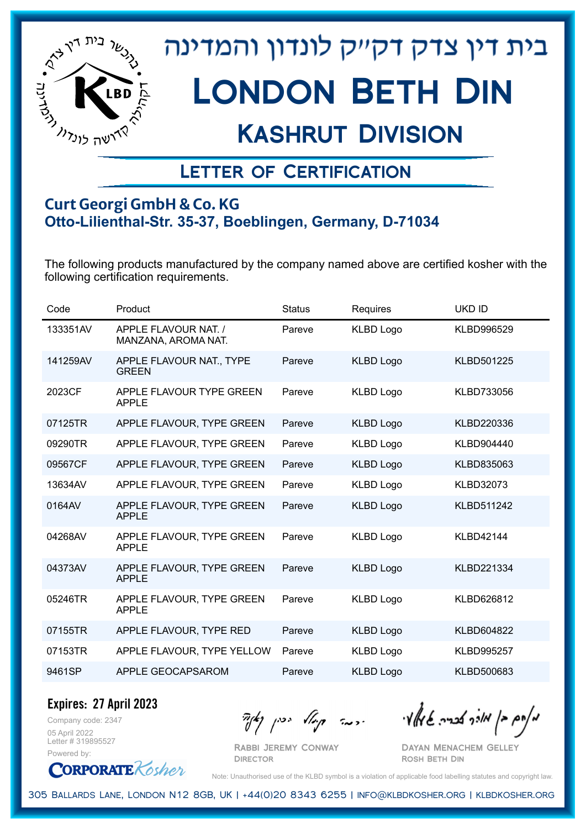

## Kashrut Division

### Letter of Certification

#### **Curt Georgi GmbH & Co. KG Otto-Lilienthal-Str. 35-37, Boeblingen, Germany, D-71034**

The following products manufactured by the company named above are certified kosher with the following certification requirements.

| Code     | Product                                     | <b>Status</b> | Requires         | <b>UKD ID</b>     |
|----------|---------------------------------------------|---------------|------------------|-------------------|
| 133351AV | APPLE FLAVOUR NAT. /<br>MANZANA, AROMA NAT. | Pareve        | <b>KLBD Logo</b> | KLBD996529        |
| 141259AV | APPLE FLAVOUR NAT., TYPE<br><b>GREEN</b>    | Pareve        | <b>KLBD Logo</b> | KLBD501225        |
| 2023CF   | APPLE FLAVOUR TYPE GREEN<br><b>APPLE</b>    | Pareve        | <b>KLBD Logo</b> | KLBD733056        |
| 07125TR  | APPLE FLAVOUR, TYPE GREEN                   | Pareve        | <b>KLBD Logo</b> | KLBD220336        |
| 09290TR  | APPLE FLAVOUR, TYPE GREEN                   | Pareve        | <b>KLBD Logo</b> | KLBD904440        |
| 09567CF  | APPLE FLAVOUR, TYPE GREEN                   | Pareve        | <b>KLBD Logo</b> | KLBD835063        |
| 13634AV  | APPLE FLAVOUR, TYPE GREEN                   | Pareve        | <b>KLBD Logo</b> | <b>KLBD32073</b>  |
| 0164AV   | APPLE FLAVOUR, TYPE GREEN<br><b>APPLE</b>   | Pareve        | <b>KLBD Logo</b> | <b>KLBD511242</b> |
| 04268AV  | APPLE FLAVOUR, TYPE GREEN<br><b>APPLE</b>   | Pareve        | <b>KLBD Logo</b> | <b>KLBD42144</b>  |
| 04373AV  | APPLE FLAVOUR, TYPE GREEN<br><b>APPLE</b>   | Pareve        | <b>KLBD Logo</b> | KLBD221334        |
| 05246TR  | APPLE FLAVOUR, TYPE GREEN<br><b>APPLE</b>   | Pareve        | <b>KLBD Logo</b> | KLBD626812        |
| 07155TR  | APPLE FLAVOUR, TYPE RED                     | Pareve        | <b>KLBD Logo</b> | KLBD604822        |
| 07153TR  | APPLE FLAVOUR, TYPE YELLOW                  | Pareve        | <b>KLBD Logo</b> | <b>KLBD995257</b> |
| 9461SP   | APPLE GEOCAPSAROM                           | Pareve        | <b>KLBD Logo</b> | KLBD500683        |
|          |                                             |               |                  |                   |

Company code: 2347 **Expires: 27 April 2023**

05 April 2022 Letter # 319895527 Powered by:

מאחם בן מורך אבריה שמאלי היה קיילא יכין קאין

Rabbi Jeremy Conway **DIRECTOR** 

Dayan Menachem Gelley Rosh Beth Din

**CORPORATE** Kosher Note: Unauthorised use of the KLBD symbol is a violation of applicable food labelling statutes and copyright law.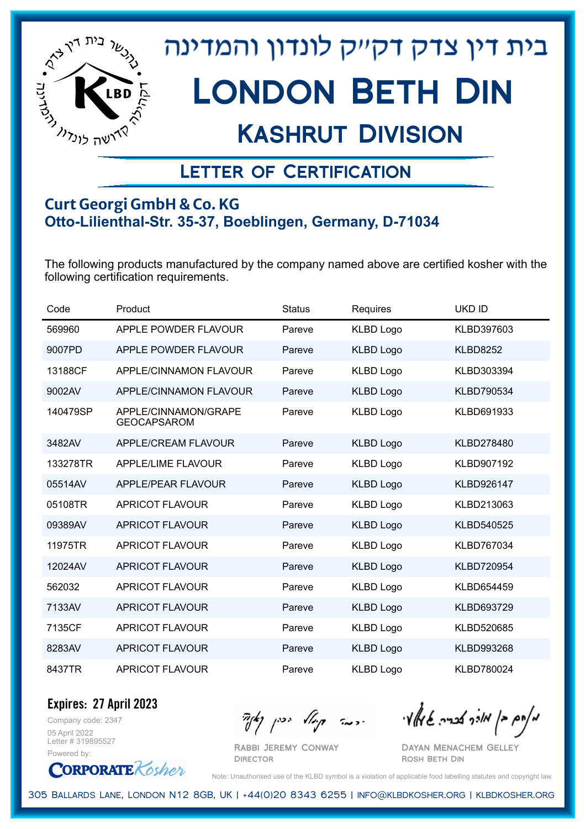

## Kashrut Division

### Letter of Certification

#### **Curt Georgi GmbH & Co. KG Otto-Lilienthal-Str. 35-37, Boeblingen, Germany, D-71034**

The following products manufactured by the company named above are certified kosher with the following certification requirements.

| Code     | Product                                    | <b>Status</b> | Requires         | <b>UKD ID</b>     |
|----------|--------------------------------------------|---------------|------------------|-------------------|
| 569960   | APPLE POWDER FLAVOUR                       | Pareve        | <b>KLBD Logo</b> | KLBD397603        |
| 9007PD   | APPLE POWDER FLAVOUR                       | Pareve        | <b>KLBD Logo</b> | <b>KLBD8252</b>   |
| 13188CF  | <b>APPLE/CINNAMON FLAVOUR</b>              | Pareve        | <b>KLBD Logo</b> | KLBD303394        |
| 9002AV   | APPLE/CINNAMON FLAVOUR                     | Pareve        | <b>KLBD Logo</b> | KLBD790534        |
| 140479SP | APPLE/CINNAMON/GRAPE<br><b>GEOCAPSAROM</b> | Pareve        | <b>KLBD Logo</b> | KLBD691933        |
| 3482AV   | APPLE/CREAM FLAVOUR                        | Pareve        | <b>KLBD Logo</b> | KLBD278480        |
| 133278TR | <b>APPLE/LIME FLAVOUR</b>                  | Pareve        | <b>KLBD Logo</b> | KLBD907192        |
| 05514AV  | APPLE/PEAR FLAVOUR                         | Pareve        | <b>KLBD Logo</b> | <b>KLBD926147</b> |
| 05108TR  | <b>APRICOT FLAVOUR</b>                     | Pareve        | <b>KLBD Logo</b> | KLBD213063        |
| 09389AV  | <b>APRICOT FLAVOUR</b>                     | Pareve        | <b>KLBD Logo</b> | KLBD540525        |
| 11975TR  | <b>APRICOT FLAVOUR</b>                     | Pareve        | <b>KLBD Logo</b> | KLBD767034        |
| 12024AV  | <b>APRICOT FLAVOUR</b>                     | Pareve        | <b>KLBD Logo</b> | <b>KLBD720954</b> |
| 562032   | <b>APRICOT FLAVOUR</b>                     | Pareve        | <b>KLBD Logo</b> | KLBD654459        |
| 7133AV   | <b>APRICOT FLAVOUR</b>                     | Pareve        | <b>KLBD Logo</b> | KLBD693729        |
| 7135CF   | <b>APRICOT FLAVOUR</b>                     | Pareve        | <b>KLBD Logo</b> | KLBD520685        |
| 8283AV   | <b>APRICOT FLAVOUR</b>                     | Pareve        | <b>KLBD Logo</b> | KLBD993268        |
| 8437TR   | APRICOT FLAVOUR                            | Pareve        | <b>KLBD Logo</b> | <b>KLBD780024</b> |

Company code: 2347 **Expires: 27 April 2023**

05 April 2022 Letter # 319895527 Powered by:

**CORPORATE** Kosher

Rabbi Jeremy Conway

**DIRECTOR** 

מאחם בן מורך אבריה שמאלי היה קיילא יכין קאין

Dayan Menachem Gelley Rosh Beth Din

Note: Unauthorised use of the KLBD symbol is a violation of applicable food labelling statutes and copyright law.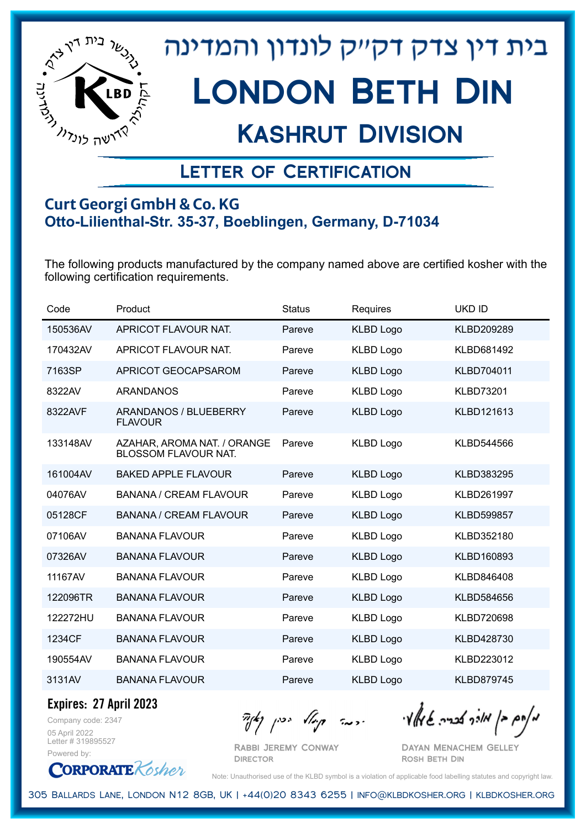

## Kashrut Division

### Letter of Certification

#### **Curt Georgi GmbH & Co. KG Otto-Lilienthal-Str. 35-37, Boeblingen, Germany, D-71034**

The following products manufactured by the company named above are certified kosher with the following certification requirements.

| Code     | Product                                                    | <b>Status</b> | Requires         | <b>UKD ID</b>     |
|----------|------------------------------------------------------------|---------------|------------------|-------------------|
| 150536AV | APRICOT FLAVOUR NAT.                                       | Pareve        | <b>KLBD Logo</b> | KLBD209289        |
| 170432AV | APRICOT FLAVOUR NAT.                                       | Pareve        | <b>KLBD Logo</b> | KLBD681492        |
| 7163SP   | APRICOT GEOCAPSAROM                                        | Pareve        | <b>KLBD Logo</b> | KLBD704011        |
| 8322AV   | <b>ARANDANOS</b>                                           | Pareve        | <b>KLBD Logo</b> | <b>KLBD73201</b>  |
| 8322AVF  | ARANDANOS / BLUEBERRY<br><b>FLAVOUR</b>                    | Pareve        | <b>KLBD Logo</b> | KLBD121613        |
| 133148AV | AZAHAR, AROMA NAT. / ORANGE<br><b>BLOSSOM FLAVOUR NAT.</b> | Pareve        | <b>KLBD Logo</b> | KLBD544566        |
| 161004AV | <b>BAKED APPLE FLAVOUR</b>                                 | Pareve        | <b>KLBD Logo</b> | KLBD383295        |
| 04076AV  | <b>BANANA / CREAM FLAVOUR</b>                              | Pareve        | <b>KLBD Logo</b> | KLBD261997        |
| 05128CF  | BANANA / CREAM FLAVOUR                                     | Pareve        | <b>KLBD Logo</b> | <b>KLBD599857</b> |
| 07106AV  | <b>BANANA FLAVOUR</b>                                      | Pareve        | <b>KLBD Logo</b> | KLBD352180        |
| 07326AV  | <b>BANANA FLAVOUR</b>                                      | Pareve        | <b>KLBD Logo</b> | KLBD160893        |
| 11167AV  | <b>BANANA FLAVOUR</b>                                      | Pareve        | <b>KLBD Logo</b> | KLBD846408        |
| 122096TR | <b>BANANA FLAVOUR</b>                                      | Pareve        | <b>KLBD Logo</b> | KLBD584656        |
| 122272HU | <b>BANANA FLAVOUR</b>                                      | Pareve        | <b>KLBD Logo</b> | <b>KLBD720698</b> |
| 1234CF   | <b>BANANA FLAVOUR</b>                                      | Pareve        | <b>KLBD Logo</b> | KLBD428730        |
| 190554AV | <b>BANANA FLAVOUR</b>                                      | Pareve        | <b>KLBD Logo</b> | KLBD223012        |
| 3131AV   | <b>BANANA FLAVOUR</b>                                      | Pareve        | <b>KLBD Logo</b> | <b>KLBD879745</b> |

**Expires: 27 April 2023**

Company code: 2347 05 April 2022 Letter # 319895527 Powered by:

**CORPORATE** Kosher

Rabbi Jeremy Conway **DIRECTOR** 

מאוס בן מוכך אבריה שמאלי היה קיילא יכין קאין

Dayan Menachem Gelley Rosh Beth Din

Note: Unauthorised use of the KLBD symbol is a violation of applicable food labelling statutes and copyright law.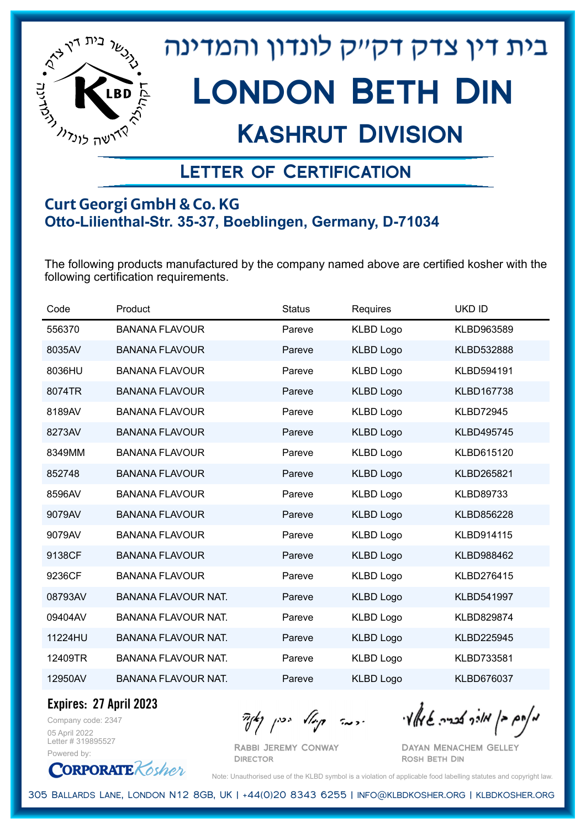

## Kashrut Division

### Letter of Certification

#### **Curt Georgi GmbH & Co. KG Otto-Lilienthal-Str. 35-37, Boeblingen, Germany, D-71034**

The following products manufactured by the company named above are certified kosher with the following certification requirements.

| Code    | Product                    | <b>Status</b> | Requires         | <b>UKD ID</b>     |
|---------|----------------------------|---------------|------------------|-------------------|
| 556370  | <b>BANANA FLAVOUR</b>      | Pareve        | <b>KLBD Logo</b> | KLBD963589        |
| 8035AV  | <b>BANANA FLAVOUR</b>      | Pareve        | <b>KLBD Logo</b> | KLBD532888        |
| 8036HU  | <b>BANANA FLAVOUR</b>      | Pareve        | <b>KLBD Logo</b> | KLBD594191        |
| 8074TR  | <b>BANANA FLAVOUR</b>      | Pareve        | <b>KLBD Logo</b> | <b>KLBD167738</b> |
| 8189AV  | <b>BANANA FLAVOUR</b>      | Pareve        | <b>KLBD Logo</b> | <b>KLBD72945</b>  |
| 8273AV  | <b>BANANA FLAVOUR</b>      | Pareve        | <b>KLBD Logo</b> | KLBD495745        |
| 8349MM  | <b>BANANA FLAVOUR</b>      | Pareve        | <b>KLBD Logo</b> | KLBD615120        |
| 852748  | <b>BANANA FLAVOUR</b>      | Pareve        | <b>KLBD Logo</b> | KLBD265821        |
| 8596AV  | <b>BANANA FLAVOUR</b>      | Pareve        | <b>KLBD Logo</b> | <b>KLBD89733</b>  |
| 9079AV  | <b>BANANA FLAVOUR</b>      | Pareve        | <b>KLBD Logo</b> | KLBD856228        |
| 9079AV  | <b>BANANA FLAVOUR</b>      | Pareve        | <b>KLBD Logo</b> | KLBD914115        |
| 9138CF  | <b>BANANA FLAVOUR</b>      | Pareve        | <b>KLBD Logo</b> | KLBD988462        |
| 9236CF  | <b>BANANA FLAVOUR</b>      | Pareve        | <b>KLBD Logo</b> | KLBD276415        |
| 08793AV | <b>BANANA FLAVOUR NAT.</b> | Pareve        | <b>KLBD Logo</b> | KLBD541997        |
| 09404AV | <b>BANANA FLAVOUR NAT.</b> | Pareve        | <b>KLBD Logo</b> | KLBD829874        |
| 11224HU | <b>BANANA FLAVOUR NAT.</b> | Pareve        | <b>KLBD Logo</b> | KLBD225945        |
| 12409TR | <b>BANANA FLAVOUR NAT.</b> | Pareve        | <b>KLBD Logo</b> | KLBD733581        |
| 12950AV | <b>BANANA FLAVOUR NAT.</b> | Pareve        | <b>KLBD Logo</b> | KLBD676037        |

**Expires: 27 April 2023**

Company code: 2347 05 April 2022 Letter # 319895527 Powered by:

**CORPORATE** Kosher

Rabbi Jeremy Conway **DIRECTOR** 

מאחם בן מורך אבריה שמאלי היה קיילא יכין קאין

Dayan Menachem Gelley Rosh Beth Din

Note: Unauthorised use of the KLBD symbol is a violation of applicable food labelling statutes and copyright law.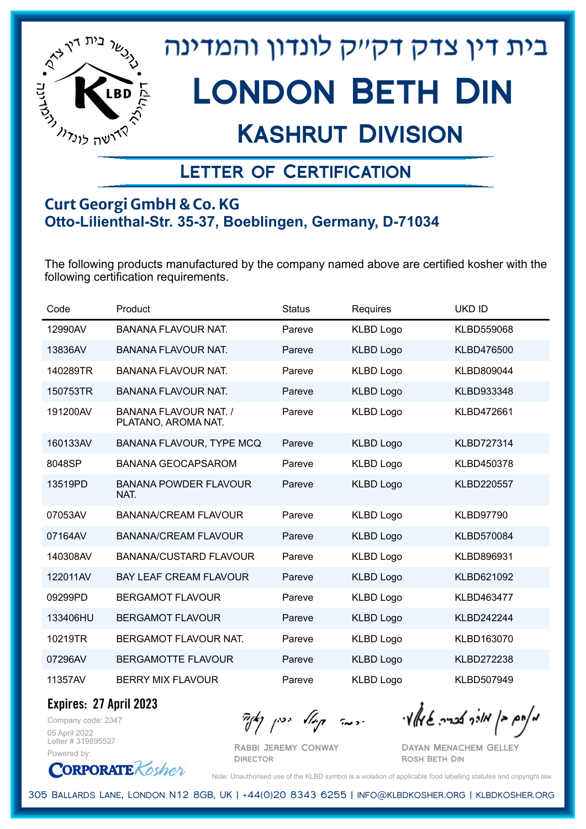

## Kashrut Division

### Letter of Certification

#### **Curt Georgi GmbH & Co. KG Otto-Lilienthal-Str. 35-37, Boeblingen, Germany, D-71034**

The following products manufactured by the company named above are certified kosher with the following certification requirements.

| Code     | Product                                             | <b>Status</b> | Requires         | <b>UKD ID</b>     |
|----------|-----------------------------------------------------|---------------|------------------|-------------------|
| 12990AV  | <b>BANANA FLAVOUR NAT.</b>                          | Pareve        | <b>KLBD Logo</b> | KLBD559068        |
| 13836AV  | <b>BANANA FLAVOUR NAT.</b>                          | Pareve        | <b>KLBD Logo</b> | KLBD476500        |
| 140289TR | <b>BANANA FLAVOUR NAT.</b>                          | Pareve        | <b>KLBD Logo</b> | KLBD809044        |
| 150753TR | <b>BANANA FLAVOUR NAT.</b>                          | Pareve        | <b>KLBD Logo</b> | KLBD933348        |
| 191200AV | <b>BANANA FLAVOUR NAT. /</b><br>PLATANO, AROMA NAT. | Pareve        | <b>KLBD Logo</b> | KLBD472661        |
| 160133AV | BANANA FLAVOUR, TYPE MCQ                            | Pareve        | <b>KLBD Logo</b> | <b>KLBD727314</b> |
| 8048SP   | <b>BANANA GEOCAPSAROM</b>                           | Pareve        | <b>KLBD Logo</b> | KLBD450378        |
| 13519PD  | <b>BANANA POWDER FLAVOUR</b><br>NAT.                | Pareve        | <b>KLBD Logo</b> | KLBD220557        |
| 07053AV  | <b>BANANA/CREAM FLAVOUR</b>                         | Pareve        | <b>KLBD Logo</b> | <b>KLBD97790</b>  |
| 07164AV  | <b>BANANA/CREAM FLAVOUR</b>                         | Pareve        | <b>KLBD Logo</b> | KLBD570084        |
| 140308AV | <b>BANANA/CUSTARD FLAVOUR</b>                       | Pareve        | <b>KLBD Logo</b> | KLBD896931        |
| 122011AV | <b>BAY LEAF CREAM FLAVOUR</b>                       | Pareve        | <b>KLBD Logo</b> | KLBD621092        |
| 09299PD  | <b>BERGAMOT FLAVOUR</b>                             | Pareve        | <b>KLBD Logo</b> | KLBD463477        |
| 133406HU | <b>BERGAMOT FLAVOUR</b>                             | Pareve        | <b>KLBD Logo</b> | KLBD242244        |
| 10219TR  | BERGAMOT FLAVOUR NAT.                               | Pareve        | <b>KLBD Logo</b> | KLBD163070        |
| 07296AV  | <b>BERGAMOTTE FLAVOUR</b>                           | Pareve        | <b>KLBD Logo</b> | <b>KLBD272238</b> |
| 11357AV  | <b>BERRY MIX FLAVOUR</b>                            | Pareve        | <b>KLBD Logo</b> | KLBD507949        |

**Expires: 27 April 2023**

Company code: 2347 05 April 2022 Letter # 319895527 Powered by:

**CORPORATE** Kosher

 $\mathcal{H}_{\mathcal{C}}$   $\mathcal{H}_{\mathcal{C}}$   $\mathcal{H}_{\mathcal{C}}$   $\mathcal{H}_{\mathcal{C}}$   $\mathcal{H}_{\mathcal{C}}$   $\mathcal{H}_{\mathcal{C}}$   $\mathcal{H}_{\mathcal{C}}$   $\mathcal{H}_{\mathcal{C}}$   $\mathcal{H}_{\mathcal{C}}$   $\mathcal{H}_{\mathcal{C}}$   $\mathcal{H}_{\mathcal{C}}$   $\mathcal{H}_{\mathcal{C}}$ 

Rabbi Jeremy Conway **DIRECTOR** 

Dayan Menachem Gelley Rosh Beth Din

Note: Unauthorised use of the KLBD symbol is a violation of applicable food labelling statutes and copyright law.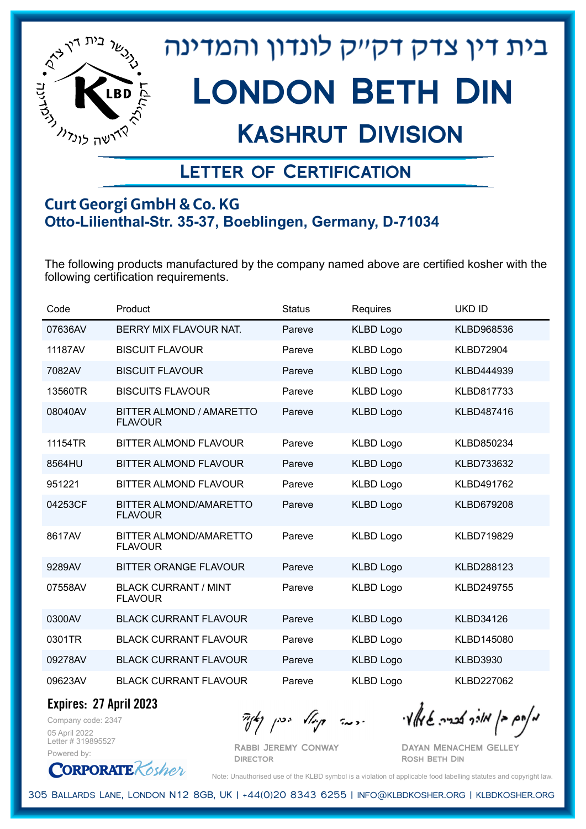

## Kashrut Division

### Letter of Certification

#### **Curt Georgi GmbH & Co. KG Otto-Lilienthal-Str. 35-37, Boeblingen, Germany, D-71034**

The following products manufactured by the company named above are certified kosher with the following certification requirements.

| Code    | Product                                         | <b>Status</b> | Requires         | <b>UKD ID</b>     |
|---------|-------------------------------------------------|---------------|------------------|-------------------|
| 07636AV | BERRY MIX FLAVOUR NAT.                          | Pareve        | <b>KLBD Logo</b> | KLBD968536        |
| 11187AV | <b>BISCUIT FLAVOUR</b>                          | Pareve        | <b>KLBD Logo</b> | <b>KLBD72904</b>  |
| 7082AV  | <b>BISCUIT FLAVOUR</b>                          | Pareve        | <b>KLBD Logo</b> | KLBD444939        |
| 13560TR | <b>BISCUITS FLAVOUR</b>                         | Pareve        | <b>KLBD Logo</b> | KLBD817733        |
| 08040AV | BITTER ALMOND / AMARETTO<br><b>FLAVOUR</b>      | Pareve        | <b>KLBD Logo</b> | KLBD487416        |
| 11154TR | <b>BITTER ALMOND FLAVOUR</b>                    | Pareve        | <b>KLBD Logo</b> | KLBD850234        |
| 8564HU  | <b>BITTER ALMOND FLAVOUR</b>                    | Pareve        | <b>KLBD Logo</b> | KLBD733632        |
| 951221  | <b>BITTER ALMOND FLAVOUR</b>                    | Pareve        | <b>KLBD Logo</b> | KLBD491762        |
| 04253CF | <b>BITTER ALMOND/AMARETTO</b><br><b>FLAVOUR</b> | Pareve        | <b>KLBD Logo</b> | <b>KLBD679208</b> |
| 8617AV  | BITTER ALMOND/AMARETTO<br><b>FLAVOUR</b>        | Pareve        | <b>KLBD Logo</b> | KLBD719829        |
| 9289AV  | <b>BITTER ORANGE FLAVOUR</b>                    | Pareve        | <b>KLBD Logo</b> | KLBD288123        |
| 07558AV | <b>BLACK CURRANT / MINT</b><br><b>FLAVOUR</b>   | Pareve        | <b>KLBD Logo</b> | <b>KLBD249755</b> |
| 0300AV  | <b>BLACK CURRANT FLAVOUR</b>                    | Pareve        | <b>KLBD Logo</b> | <b>KLBD34126</b>  |
| 0301TR  | <b>BLACK CURRANT FLAVOUR</b>                    | Pareve        | <b>KLBD Logo</b> | KLBD145080        |
| 09278AV | <b>BLACK CURRANT FLAVOUR</b>                    | Pareve        | <b>KLBD Logo</b> | <b>KLBD3930</b>   |
| 09623AV | <b>BLACK CURRANT FLAVOUR</b>                    | Pareve        | <b>KLBD Logo</b> | KLBD227062        |

**Expires: 27 April 2023**

**CORPORATE** Kosher

Company code: 2347 05 April 2022 Letter # 319895527 Powered by:

 $\mathcal{H}_{\mathcal{C}}$   $\mathcal{H}_{\mathcal{C}}$   $\mathcal{H}_{\mathcal{C}}$   $\mathcal{H}_{\mathcal{C}}$   $\mathcal{H}_{\mathcal{C}}$   $\mathcal{H}_{\mathcal{C}}$   $\mathcal{H}_{\mathcal{C}}$   $\mathcal{H}_{\mathcal{C}}$   $\mathcal{H}_{\mathcal{C}}$   $\mathcal{H}_{\mathcal{C}}$   $\mathcal{H}_{\mathcal{C}}$   $\mathcal{H}_{\mathcal{C}}$ 

Rabbi Jeremy Conway **DIRECTOR** 

Dayan Menachem Gelley Rosh Beth Din

Note: Unauthorised use of the KLBD symbol is a violation of applicable food labelling statutes and copyright law.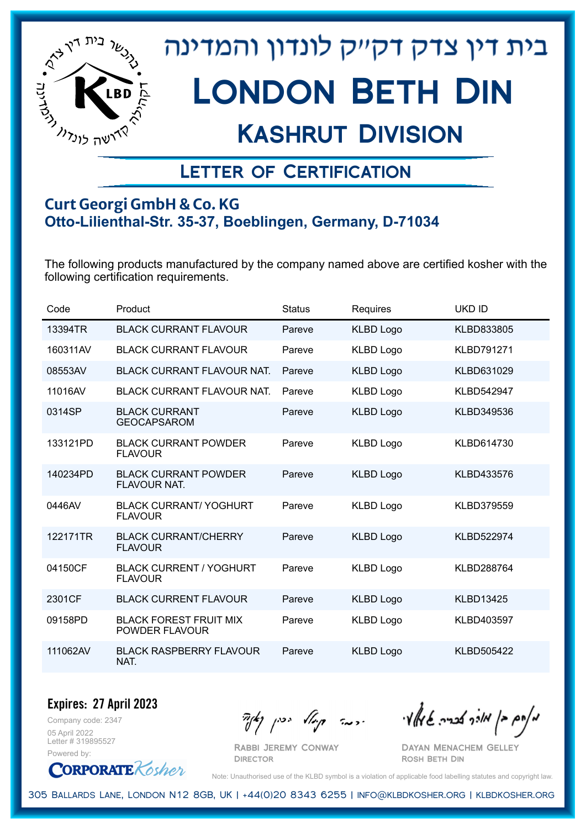

## Kashrut Division

### Letter of Certification

#### **Curt Georgi GmbH & Co. KG Otto-Lilienthal-Str. 35-37, Boeblingen, Germany, D-71034**

The following products manufactured by the company named above are certified kosher with the following certification requirements.

| Code     | Product                                          | <b>Status</b> | Requires         | <b>UKD ID</b>     |
|----------|--------------------------------------------------|---------------|------------------|-------------------|
| 13394TR  | <b>BLACK CURRANT FLAVOUR</b>                     | Pareve        | <b>KLBD Logo</b> | KLBD833805        |
| 160311AV | <b>BLACK CURRANT FLAVOUR</b>                     | Pareve        | <b>KLBD Logo</b> | <b>KLBD791271</b> |
| 08553AV  | <b>BLACK CURRANT FLAVOUR NAT.</b>                | Pareve        | <b>KLBD Logo</b> | KLBD631029        |
| 11016AV  | <b>BLACK CURRANT FLAVOUR NAT.</b>                | Pareve        | <b>KLBD Logo</b> | <b>KLBD542947</b> |
| 0314SP   | <b>BLACK CURRANT</b><br><b>GEOCAPSAROM</b>       | Pareve        | <b>KLBD Logo</b> | KLBD349536        |
| 133121PD | <b>BLACK CURRANT POWDER</b><br><b>FLAVOUR</b>    | Pareve        | <b>KLBD Logo</b> | KLBD614730        |
| 140234PD | <b>BLACK CURRANT POWDER</b><br>FLAVOUR NAT.      | Pareve        | <b>KLBD Logo</b> | KLBD433576        |
| 0446AV   | <b>BLACK CURRANT/ YOGHURT</b><br><b>FLAVOUR</b>  | Pareve        | <b>KLBD Logo</b> | KLBD379559        |
| 122171TR | <b>BLACK CURRANT/CHERRY</b><br><b>FLAVOUR</b>    | Pareve        | <b>KLBD Logo</b> | <b>KLBD522974</b> |
| 04150CF  | <b>BLACK CURRENT / YOGHURT</b><br><b>FLAVOUR</b> | Pareve        | <b>KLBD Logo</b> | <b>KLBD288764</b> |
| 2301CF   | <b>BLACK CURRENT FLAVOUR</b>                     | Pareve        | <b>KLBD Logo</b> | <b>KLBD13425</b>  |
| 09158PD  | <b>BLACK FOREST FRUIT MIX</b><br>POWDER FLAVOUR  | Pareve        | <b>KLBD Logo</b> | KLBD403597        |
| 111062AV | <b>BLACK RASPBERRY FLAVOUR</b><br>NAT.           | Pareve        | <b>KLBD Logo</b> | <b>KLBD505422</b> |

Company code: 2347 **Expires: 27 April 2023** 05 April 2022

Letter # 319895527 Powered by:



Rabbi Jeremy Conway

 $\mathcal{H}_{\mathcal{C}}$   $\mathcal{H}_{\mathcal{C}}$   $\mathcal{H}_{\mathcal{C}}$   $\mathcal{H}_{\mathcal{C}}$   $\mathcal{H}_{\mathcal{C}}$   $\mathcal{H}_{\mathcal{C}}$   $\mathcal{H}_{\mathcal{C}}$   $\mathcal{H}_{\mathcal{C}}$   $\mathcal{H}_{\mathcal{C}}$   $\mathcal{H}_{\mathcal{C}}$   $\mathcal{H}_{\mathcal{C}}$   $\mathcal{H}_{\mathcal{C}}$ 

Dayan Menachem Gelley Rosh Beth Din

Note: Unauthorised use of the KLBD symbol is a violation of applicable food labelling statutes and copyright law.

305 Ballards Lane, London N12 8GB, UK | +44(0)20 8343 6255 | info@klbdkosher.org | klbdkosher.org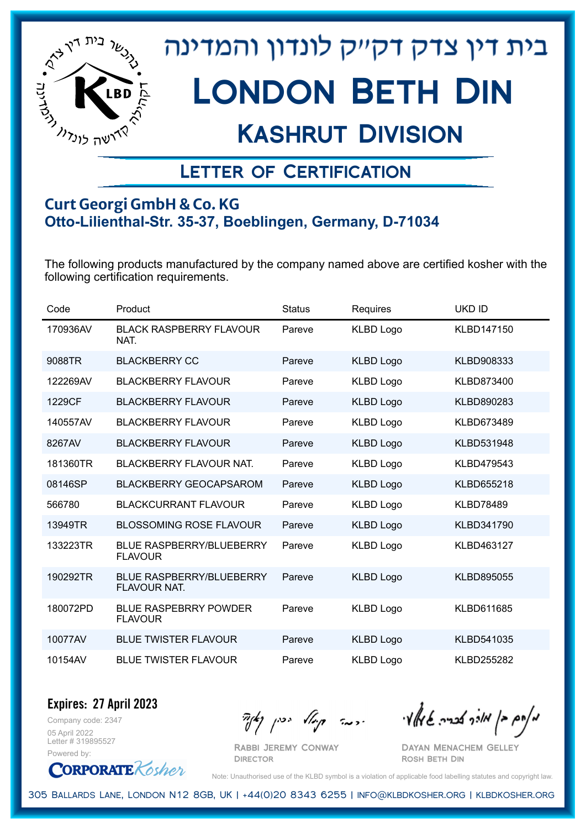

## Kashrut Division

### Letter of Certification

#### **Curt Georgi GmbH & Co. KG Otto-Lilienthal-Str. 35-37, Boeblingen, Germany, D-71034**

The following products manufactured by the company named above are certified kosher with the following certification requirements.

| Code     | Product                                           | <b>Status</b> | Requires         | <b>UKD ID</b>     |
|----------|---------------------------------------------------|---------------|------------------|-------------------|
| 170936AV | <b>BLACK RASPBERRY FLAVOUR</b><br>NAT.            | Pareve        | <b>KLBD Logo</b> | KLBD147150        |
| 9088TR   | <b>BLACKBERRY CC</b>                              | Pareve        | <b>KLBD Logo</b> | KLBD908333        |
| 122269AV | <b>BLACKBERRY FLAVOUR</b>                         | Pareve        | <b>KLBD Logo</b> | KLBD873400        |
| 1229CF   | <b>BLACKBERRY FLAVOUR</b>                         | Pareve        | <b>KLBD Logo</b> | KLBD890283        |
| 140557AV | <b>BLACKBERRY FLAVOUR</b>                         | Pareve        | <b>KLBD Logo</b> | KLBD673489        |
| 8267AV   | <b>BLACKBERRY FLAVOUR</b>                         | Pareve        | <b>KLBD Logo</b> | KLBD531948        |
| 181360TR | <b>BLACKBERRY FLAVOUR NAT.</b>                    | Pareve        | <b>KLBD Logo</b> | KLBD479543        |
| 08146SP  | <b>BLACKBERRY GEOCAPSAROM</b>                     | Pareve        | <b>KLBD Logo</b> | KLBD655218        |
| 566780   | <b>BLACKCURRANT FLAVOUR</b>                       | Pareve        | <b>KLBD Logo</b> | <b>KLBD78489</b>  |
| 13949TR  | <b>BLOSSOMING ROSE FLAVOUR</b>                    | Pareve        | <b>KLBD Logo</b> | KLBD341790        |
| 133223TR | <b>BLUE RASPBERRY/BLUEBERRY</b><br><b>FLAVOUR</b> | Pareve        | <b>KLBD Logo</b> | KLBD463127        |
| 190292TR | <b>BLUE RASPBERRY/BLUEBERRY</b><br>FLAVOUR NAT.   | Pareve        | <b>KLBD Logo</b> | KLBD895055        |
| 180072PD | <b>BLUE RASPEBRRY POWDER</b><br><b>FLAVOUR</b>    | Pareve        | <b>KLBD Logo</b> | KLBD611685        |
| 10077AV  | <b>BLUE TWISTER FLAVOUR</b>                       | Pareve        | <b>KLBD Logo</b> | KLBD541035        |
| 10154AV  | <b>BLUE TWISTER FLAVOUR</b>                       | Pareve        | <b>KLBD Logo</b> | <b>KLBD255282</b> |

Company code: 2347 **Expires: 27 April 2023** 05 April 2022 Letter # 319895527

Powered by: **CORPORATE** Kosher

Rabbi Jeremy Conway

מאחם בן מורך אבריה שמאלי היה קיילא יכין קאין

Dayan Menachem Gelley Rosh Beth Din

Note: Unauthorised use of the KLBD symbol is a violation of applicable food labelling statutes and copyright law.

305 Ballards Lane, London N12 8GB, UK | +44(0)20 8343 6255 | info@klbdkosher.org | klbdkosher.org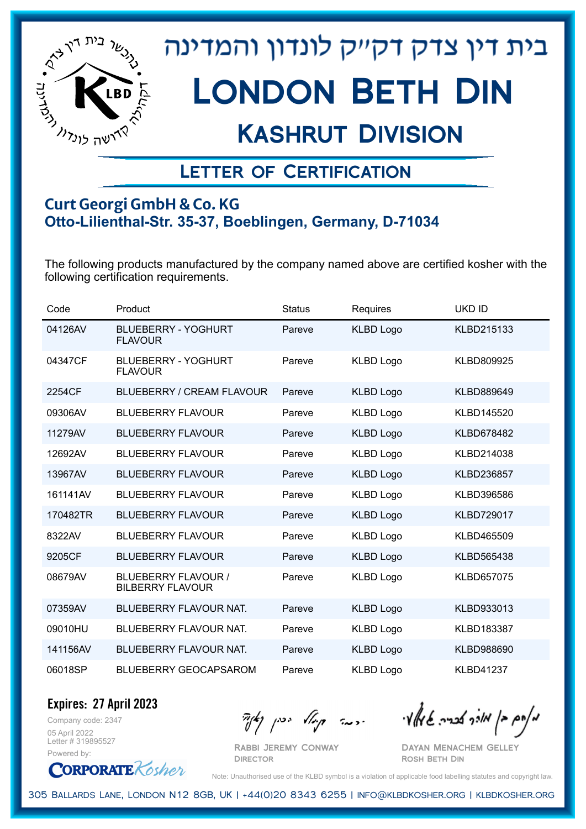

## Kashrut Division

### Letter of Certification

#### **Curt Georgi GmbH & Co. KG Otto-Lilienthal-Str. 35-37, Boeblingen, Germany, D-71034**

The following products manufactured by the company named above are certified kosher with the following certification requirements.

| Code     | Product                                        | <b>Status</b> | Requires         | <b>UKD ID</b>     |
|----------|------------------------------------------------|---------------|------------------|-------------------|
| 04126AV  | <b>BLUEBERRY - YOGHURT</b><br><b>FLAVOUR</b>   | Pareve        | <b>KLBD Logo</b> | KLBD215133        |
| 04347CF  | <b>BLUEBERRY - YOGHURT</b><br><b>FLAVOUR</b>   | Pareve        | <b>KLBD Logo</b> | KLBD809925        |
| 2254CF   | <b>BLUEBERRY / CREAM FLAVOUR</b>               | Pareve        | <b>KLBD Logo</b> | KLBD889649        |
| 09306AV  | <b>BLUEBERRY FLAVOUR</b>                       | Pareve        | <b>KLBD Logo</b> | KLBD145520        |
| 11279AV  | <b>BLUEBERRY FLAVOUR</b>                       | Pareve        | <b>KLBD Logo</b> | KLBD678482        |
| 12692AV  | <b>BLUEBERRY FLAVOUR</b>                       | Pareve        | <b>KLBD Logo</b> | KLBD214038        |
| 13967AV  | <b>BLUEBERRY FLAVOUR</b>                       | Pareve        | <b>KLBD Logo</b> | KLBD236857        |
| 161141AV | <b>BLUEBERRY FLAVOUR</b>                       | Pareve        | <b>KLBD Logo</b> | KLBD396586        |
| 170482TR | <b>BLUEBERRY FLAVOUR</b>                       | Pareve        | <b>KLBD Logo</b> | <b>KLBD729017</b> |
| 8322AV   | <b>BLUEBERRY FLAVOUR</b>                       | Pareve        | <b>KLBD Logo</b> | KLBD465509        |
| 9205CF   | <b>BLUEBERRY FLAVOUR</b>                       | Pareve        | <b>KLBD Logo</b> | KLBD565438        |
| 08679AV  | BLUEBERRY FLAVOUR /<br><b>BILBERRY FLAVOUR</b> | Pareve        | <b>KLBD Logo</b> | KLBD657075        |
| 07359AV  | BLUEBERRY FLAVOUR NAT.                         | Pareve        | <b>KLBD Logo</b> | KLBD933013        |
| 09010HU  | BLUEBERRY FLAVOUR NAT.                         | Pareve        | <b>KLBD Logo</b> | KLBD183387        |
| 141156AV | BLUEBERRY FLAVOUR NAT.                         | Pareve        | <b>KLBD Logo</b> | KLBD988690        |
| 06018SP  | <b>BLUEBERRY GEOCAPSAROM</b>                   | Pareve        | <b>KLBD Logo</b> | <b>KLBD41237</b>  |

Company code: 2347 **Expires: 27 April 2023**

05 April 2022 Letter # 319895527 Powered by:

**CORPORATE** Kosher

Rabbi Jeremy Conway

מאחם בן מורך אבריה שמאלי היה קיילא יכין קאין

Dayan Menachem Gelley Rosh Beth Din

Note: Unauthorised use of the KLBD symbol is a violation of applicable food labelling statutes and copyright law.

305 Ballards Lane, London N12 8GB, UK | +44(0)20 8343 6255 | info@klbdkosher.org | klbdkosher.org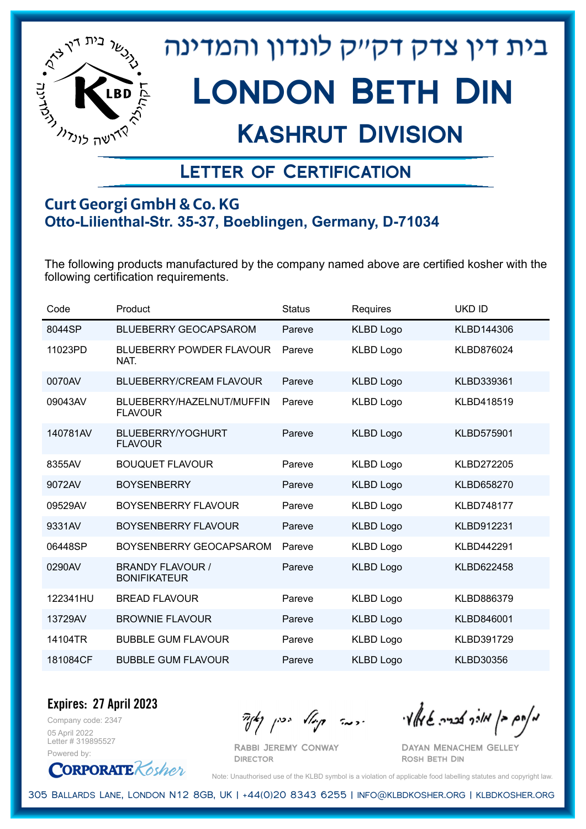

## Kashrut Division

### Letter of Certification

#### **Curt Georgi GmbH & Co. KG Otto-Lilienthal-Str. 35-37, Boeblingen, Germany, D-71034**

The following products manufactured by the company named above are certified kosher with the following certification requirements.

| Code     | Product                                        | <b>Status</b> | Requires         | <b>UKD ID</b>     |
|----------|------------------------------------------------|---------------|------------------|-------------------|
| 8044SP   | <b>BLUEBERRY GEOCAPSAROM</b>                   | Pareve        | <b>KLBD Logo</b> | KLBD144306        |
| 11023PD  | <b>BLUEBERRY POWDER FLAVOUR</b><br>NAT.        | Pareve        | <b>KLBD Logo</b> | KLBD876024        |
| 0070AV   | <b>BLUEBERRY/CREAM FLAVOUR</b>                 | Pareve        | <b>KLBD Logo</b> | KLBD339361        |
| 09043AV  | BLUEBERRY/HAZELNUT/MUFFIN<br><b>FLAVOUR</b>    | Pareve        | <b>KLBD Logo</b> | KLBD418519        |
| 140781AV | <b>BLUEBERRY/YOGHURT</b><br><b>FLAVOUR</b>     | Pareve        | <b>KLBD Logo</b> | <b>KLBD575901</b> |
| 8355AV   | <b>BOUQUET FLAVOUR</b>                         | Pareve        | <b>KLBD Logo</b> | <b>KLBD272205</b> |
| 9072AV   | <b>BOYSENBERRY</b>                             | Pareve        | <b>KLBD Logo</b> | <b>KLBD658270</b> |
| 09529AV  | <b>BOYSENBERRY FLAVOUR</b>                     | Pareve        | <b>KLBD Logo</b> | <b>KLBD748177</b> |
| 9331AV   | <b>BOYSENBERRY FLAVOUR</b>                     | Pareve        | <b>KLBD Logo</b> | KLBD912231        |
| 06448SP  | BOYSENBERRY GEOCAPSAROM                        | Pareve        | <b>KLBD Logo</b> | <b>KLBD442291</b> |
| 0290AV   | <b>BRANDY FLAVOUR /</b><br><b>BONIFIKATEUR</b> | Pareve        | <b>KLBD Logo</b> | KLBD622458        |
| 122341HU | <b>BREAD FLAVOUR</b>                           | Pareve        | <b>KLBD Logo</b> | KLBD886379        |
| 13729AV  | <b>BROWNIE FLAVOUR</b>                         | Pareve        | <b>KLBD Logo</b> | KLBD846001        |
| 14104TR  | <b>BUBBLE GUM FLAVOUR</b>                      | Pareve        | <b>KLBD Logo</b> | <b>KLBD391729</b> |
| 181084CF | <b>BUBBLE GUM FLAVOUR</b>                      | Pareve        | <b>KLBD Logo</b> | <b>KLBD30356</b>  |

Company code: 2347 **Expires: 27 April 2023**

05 April 2022 Letter # 319895527 Powered by:



מאוס בן מוכך אבריה שמאלי היה קיילא יכין קאין

Dayan Menachem Gelley Rosh Beth Din

Note: Unauthorised use of the KLBD symbol is a violation of applicable food labelling statutes and copyright law.

305 Ballards Lane, London N12 8GB, UK | +44(0)20 8343 6255 | info@klbdkosher.org | klbdkosher.org

Rabbi Jeremy Conway **DIRECTOR**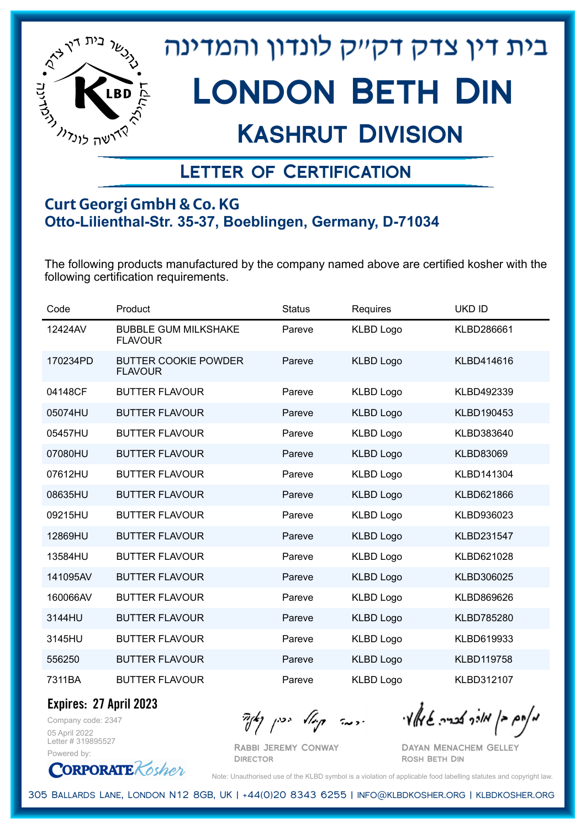

## Kashrut Division

### Letter of Certification

#### **Curt Georgi GmbH & Co. KG Otto-Lilienthal-Str. 35-37, Boeblingen, Germany, D-71034**

The following products manufactured by the company named above are certified kosher with the following certification requirements.

| Code     | Product                                       | <b>Status</b> | Requires         | <b>UKD ID</b>     |
|----------|-----------------------------------------------|---------------|------------------|-------------------|
| 12424AV  | <b>BUBBLE GUM MILKSHAKE</b><br><b>FLAVOUR</b> | Pareve        | <b>KLBD Logo</b> | KLBD286661        |
| 170234PD | <b>BUTTER COOKIE POWDER</b><br><b>FLAVOUR</b> | Pareve        | <b>KLBD Logo</b> | KLBD414616        |
| 04148CF  | <b>BUTTER FLAVOUR</b>                         | Pareve        | <b>KLBD Logo</b> | KLBD492339        |
| 05074HU  | <b>BUTTER FLAVOUR</b>                         | Pareve        | <b>KLBD Logo</b> | KLBD190453        |
| 05457HU  | <b>BUTTER FLAVOUR</b>                         | Pareve        | <b>KLBD Logo</b> | KLBD383640        |
| 07080HU  | <b>BUTTER FLAVOUR</b>                         | Pareve        | <b>KLBD Logo</b> | <b>KLBD83069</b>  |
| 07612HU  | <b>BUTTER FLAVOUR</b>                         | Pareve        | <b>KLBD Logo</b> | KLBD141304        |
| 08635HU  | <b>BUTTER FLAVOUR</b>                         | Pareve        | <b>KLBD Logo</b> | KLBD621866        |
| 09215HU  | <b>BUTTER FLAVOUR</b>                         | Pareve        | <b>KLBD Logo</b> | KLBD936023        |
| 12869HU  | <b>BUTTER FLAVOUR</b>                         | Pareve        | <b>KLBD Logo</b> | KLBD231547        |
| 13584HU  | <b>BUTTER FLAVOUR</b>                         | Pareve        | <b>KLBD Logo</b> | KLBD621028        |
| 141095AV | <b>BUTTER FLAVOUR</b>                         | Pareve        | <b>KLBD Logo</b> | KLBD306025        |
| 160066AV | <b>BUTTER FLAVOUR</b>                         | Pareve        | <b>KLBD Logo</b> | KLBD869626        |
| 3144HU   | <b>BUTTER FLAVOUR</b>                         | Pareve        | <b>KLBD Logo</b> | <b>KLBD785280</b> |
| 3145HU   | <b>BUTTER FLAVOUR</b>                         | Pareve        | <b>KLBD Logo</b> | KLBD619933        |
| 556250   | <b>BUTTER FLAVOUR</b>                         | Pareve        | <b>KLBD Logo</b> | <b>KLBD119758</b> |
| 7311BA   | <b>BUTTER FLAVOUR</b>                         | Pareve        | <b>KLBD Logo</b> | KLBD312107        |

**Expires: 27 April 2023**

Company code: 2347 05 April 2022 Letter # 319895527 Powered by:

**CORPORATE** Kosher

 $\mathcal{H}_{\mathcal{C}}$   $\mathcal{H}_{\mathcal{C}}$   $\mathcal{H}_{\mathcal{C}}$   $\mathcal{H}_{\mathcal{C}}$   $\mathcal{H}_{\mathcal{C}}$   $\mathcal{H}_{\mathcal{C}}$   $\mathcal{H}_{\mathcal{C}}$   $\mathcal{H}_{\mathcal{C}}$   $\mathcal{H}_{\mathcal{C}}$   $\mathcal{H}_{\mathcal{C}}$   $\mathcal{H}_{\mathcal{C}}$   $\mathcal{H}_{\mathcal{C}}$ 

Rabbi Jeremy Conway **DIRECTOR** 

Dayan Menachem Gelley Rosh Beth Din

Note: Unauthorised use of the KLBD symbol is a violation of applicable food labelling statutes and copyright law.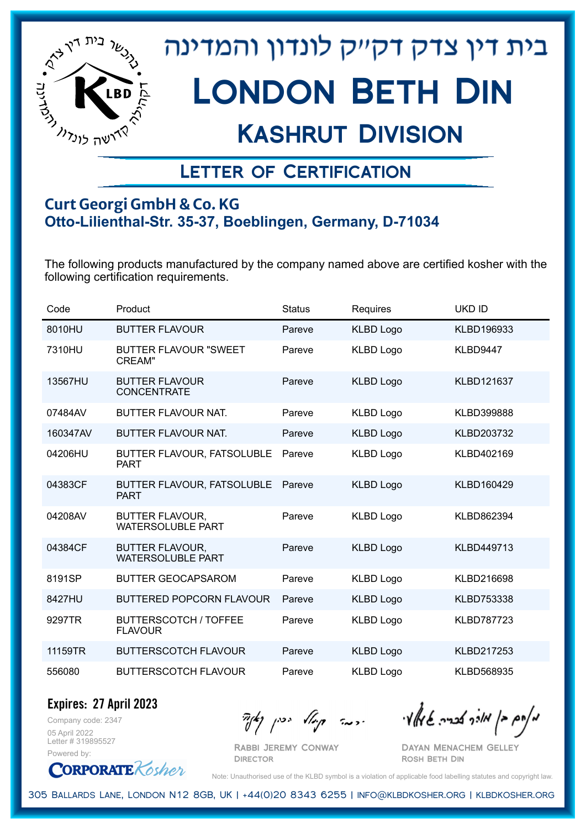

## Kashrut Division

### Letter of Certification

#### **Curt Georgi GmbH & Co. KG Otto-Lilienthal-Str. 35-37, Boeblingen, Germany, D-71034**

The following products manufactured by the company named above are certified kosher with the following certification requirements.

| Code     | Product                                            | <b>Status</b> | Requires         | <b>UKD ID</b>     |
|----------|----------------------------------------------------|---------------|------------------|-------------------|
| 8010HU   | <b>BUTTER FLAVOUR</b>                              | Pareve        | <b>KLBD Logo</b> | KLBD196933        |
| 7310HU   | <b>BUTTER FLAVOUR "SWEET</b><br>CREAM"             | Pareve        | <b>KLBD Logo</b> | KLBD9447          |
| 13567HU  | <b>BUTTER FLAVOUR</b><br><b>CONCENTRATE</b>        | Pareve        | <b>KLBD Logo</b> | KLBD121637        |
| 07484AV  | <b>BUTTER FLAVOUR NAT.</b>                         | Pareve        | <b>KLBD Logo</b> | <b>KLBD399888</b> |
| 160347AV | <b>BUTTER FLAVOUR NAT.</b>                         | Pareve        | <b>KLBD Logo</b> | KLBD203732        |
| 04206HU  | BUTTER FLAVOUR, FATSOLUBLE<br><b>PART</b>          | Pareve        | <b>KLBD Logo</b> | KLBD402169        |
| 04383CF  | BUTTER FLAVOUR, FATSOLUBLE<br><b>PART</b>          | Pareve        | <b>KLBD Logo</b> | KLBD160429        |
| 04208AV  | <b>BUTTER FLAVOUR,</b><br><b>WATERSOLUBLE PART</b> | Pareve        | <b>KLBD Logo</b> | KLBD862394        |
| 04384CF  | <b>BUTTER FLAVOUR,</b><br><b>WATERSOLUBLE PART</b> | Pareve        | <b>KLBD Logo</b> | KLBD449713        |
| 8191SP   | <b>BUTTER GEOCAPSAROM</b>                          | Pareve        | <b>KLBD Logo</b> | KLBD216698        |
| 8427HU   | <b>BUTTERED POPCORN FLAVOUR</b>                    | Pareve        | <b>KLBD Logo</b> | KLBD753338        |
| 9297TR   | <b>BUTTERSCOTCH / TOFFEE</b><br><b>FLAVOUR</b>     | Pareve        | <b>KLBD Logo</b> | <b>KLBD787723</b> |
| 11159TR  | <b>BUTTERSCOTCH FLAVOUR</b>                        | Pareve        | <b>KLBD Logo</b> | KLBD217253        |
| 556080   | <b>BUTTERSCOTCH FLAVOUR</b>                        | Pareve        | <b>KLBD Logo</b> | KLBD568935        |

Company code: 2347 **Expires: 27 April 2023**

05 April 2022 Letter # 319895527 Powered by:

Rabbi Jeremy Conway

מאחם בן מורך אבריה שמאלי היה קיילא יכין קאין

Dayan Menachem Gelley Rosh Beth Din

**CORPORATE** Kosher

Note: Unauthorised use of the KLBD symbol is a violation of applicable food labelling statutes and copyright law.

305 Ballards Lane, London N12 8GB, UK | +44(0)20 8343 6255 | info@klbdkosher.org | klbdkosher.org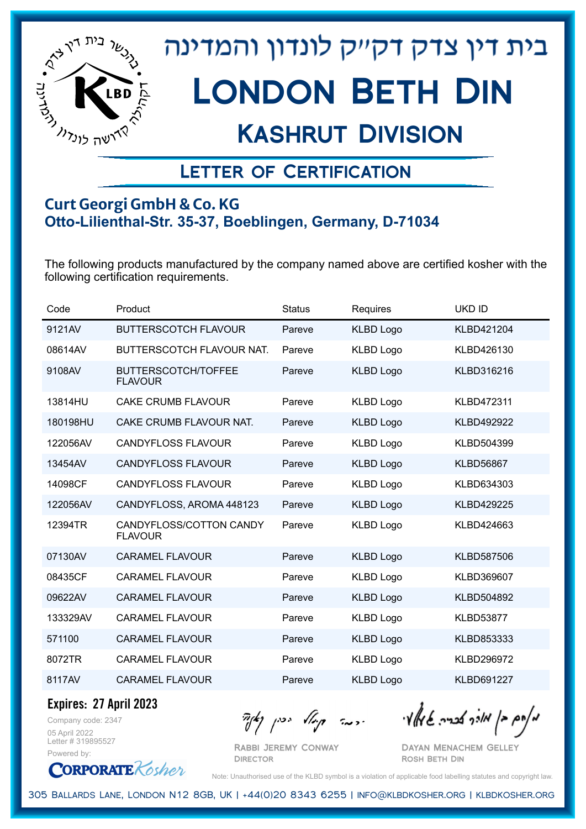

## Kashrut Division

### Letter of Certification

#### **Curt Georgi GmbH & Co. KG Otto-Lilienthal-Str. 35-37, Boeblingen, Germany, D-71034**

The following products manufactured by the company named above are certified kosher with the following certification requirements.

| Code     | Product                                      | <b>Status</b> | Requires         | <b>UKD ID</b>     |
|----------|----------------------------------------------|---------------|------------------|-------------------|
| 9121AV   | <b>BUTTERSCOTCH FLAVOUR</b>                  | Pareve        | <b>KLBD Logo</b> | KLBD421204        |
| 08614AV  | <b>BUTTERSCOTCH FLAVOUR NAT.</b>             | Pareve        | <b>KLBD Logo</b> | KLBD426130        |
| 9108AV   | <b>BUTTERSCOTCH/TOFFEE</b><br><b>FLAVOUR</b> | Pareve        | <b>KLBD Logo</b> | KLBD316216        |
| 13814HU  | <b>CAKE CRUMB FLAVOUR</b>                    | Pareve        | <b>KLBD Logo</b> | <b>KLBD472311</b> |
| 180198HU | CAKE CRUMB FLAVOUR NAT.                      | Pareve        | <b>KLBD Logo</b> | <b>KLBD492922</b> |
| 122056AV | <b>CANDYFLOSS FLAVOUR</b>                    | Pareve        | <b>KLBD Logo</b> | KLBD504399        |
| 13454AV  | <b>CANDYFLOSS FLAVOUR</b>                    | Pareve        | <b>KLBD Logo</b> | <b>KLBD56867</b>  |
| 14098CF  | <b>CANDYFLOSS FLAVOUR</b>                    | Pareve        | <b>KLBD Logo</b> | KLBD634303        |
| 122056AV | CANDYFLOSS, AROMA 448123                     | Pareve        | <b>KLBD Logo</b> | <b>KLBD429225</b> |
| 12394TR  | CANDYFLOSS/COTTON CANDY<br><b>FLAVOUR</b>    | Pareve        | <b>KLBD Logo</b> | KLBD424663        |
| 07130AV  | <b>CARAMEL FLAVOUR</b>                       | Pareve        | <b>KLBD Logo</b> | <b>KLBD587506</b> |
| 08435CF  | <b>CARAMEL FLAVOUR</b>                       | Pareve        | <b>KLBD Logo</b> | KLBD369607        |
| 09622AV  | <b>CARAMEL FLAVOUR</b>                       | Pareve        | <b>KLBD Logo</b> | KLBD504892        |
| 133329AV | <b>CARAMEL FLAVOUR</b>                       | Pareve        | <b>KLBD Logo</b> | <b>KLBD53877</b>  |
| 571100   | <b>CARAMEL FLAVOUR</b>                       | Pareve        | <b>KLBD Logo</b> | <b>KLBD853333</b> |
| 8072TR   | <b>CARAMEL FLAVOUR</b>                       | Pareve        | <b>KLBD Logo</b> | <b>KLBD296972</b> |
| 8117AV   | <b>CARAMEL FLAVOUR</b>                       | Pareve        | <b>KLBD Logo</b> | <b>KLBD691227</b> |

**Expires: 27 April 2023**

Company code: 2347 05 April 2022 Letter # 319895527 Powered by:

**CORPORATE** Kosher

Rabbi Jeremy Conway **DIRECTOR** 

מאוס בן מוכך אבריה שמאלי היה קיילא יכין קאין

Dayan Menachem Gelley Rosh Beth Din

Note: Unauthorised use of the KLBD symbol is a violation of applicable food labelling statutes and copyright law.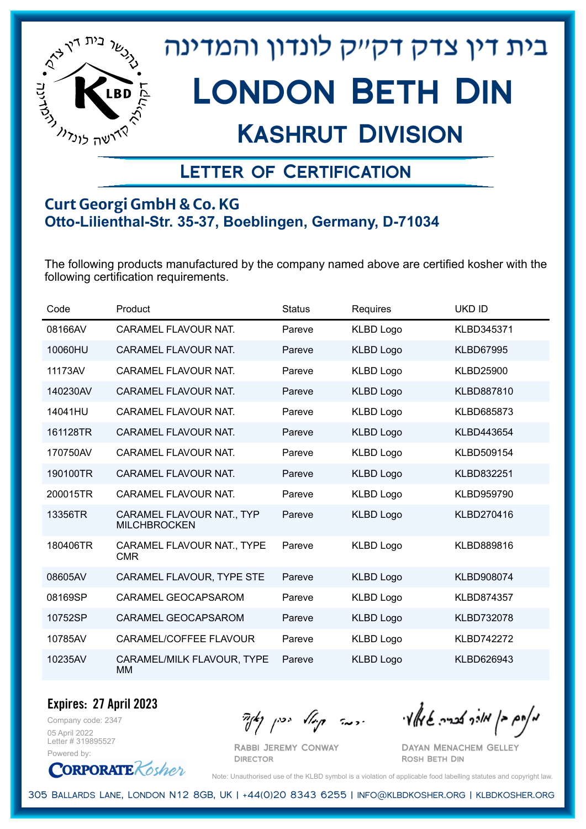

## Kashrut Division

### Letter of Certification

#### **Curt Georgi GmbH & Co. KG Otto-Lilienthal-Str. 35-37, Boeblingen, Germany, D-71034**

The following products manufactured by the company named above are certified kosher with the following certification requirements.

| Code     | Product                                          | <b>Status</b> | Requires         | <b>UKD ID</b>     |
|----------|--------------------------------------------------|---------------|------------------|-------------------|
| 08166AV  | CARAMEL FLAVOUR NAT.                             | Pareve        | <b>KLBD Logo</b> | KLBD345371        |
| 10060HU  | <b>CARAMEL FLAVOUR NAT.</b>                      | Pareve        | <b>KLBD Logo</b> | <b>KLBD67995</b>  |
| 11173AV  | CARAMEL FLAVOUR NAT.                             | Pareve        | <b>KLBD Logo</b> | <b>KLBD25900</b>  |
| 140230AV | CARAMEL FLAVOUR NAT.                             | Pareve        | <b>KLBD Logo</b> | KLBD887810        |
| 14041HU  | CARAMEL FLAVOUR NAT.                             | Pareve        | <b>KLBD Logo</b> | KLBD685873        |
| 161128TR | <b>CARAMEL FLAVOUR NAT.</b>                      | Pareve        | <b>KLBD Logo</b> | KLBD443654        |
| 170750AV | CARAMEL FLAVOUR NAT.                             | Pareve        | <b>KLBD Logo</b> | KLBD509154        |
| 190100TR | <b>CARAMEL FLAVOUR NAT.</b>                      | Pareve        | <b>KLBD Logo</b> | KLBD832251        |
| 200015TR | CARAMEL FLAVOUR NAT.                             | Pareve        | <b>KLBD Logo</b> | KLBD959790        |
| 13356TR  | CARAMEL FLAVOUR NAT., TYP<br><b>MILCHBROCKEN</b> | Pareve        | <b>KLBD Logo</b> | KLBD270416        |
| 180406TR | CARAMEL FLAVOUR NAT., TYPE<br><b>CMR</b>         | Pareve        | <b>KLBD Logo</b> | KLBD889816        |
| 08605AV  | CARAMEL FLAVOUR, TYPE STE                        | Pareve        | <b>KLBD Logo</b> | KLBD908074        |
| 08169SP  | CARAMEL GEOCAPSAROM                              | Pareve        | <b>KLBD Logo</b> | KLBD874357        |
| 10752SP  | CARAMEL GEOCAPSAROM                              | Pareve        | <b>KLBD Logo</b> | <b>KLBD732078</b> |
| 10785AV  | CARAMEL/COFFEE FLAVOUR                           | Pareve        | <b>KLBD Logo</b> | <b>KLBD742272</b> |
| 10235AV  | CARAMEL/MILK FLAVOUR, TYPE<br><b>MM</b>          | Pareve        | <b>KLBD Logo</b> | KLBD626943        |

Company code: 2347 **Expires: 27 April 2023** 05 April 2022

Letter # 319895527 Powered by:



Rabbi Jeremy Conway

 $\frac{1}{2}$ אלוק אולך לבריה שיואלי ויכה קיולא יכין קאיר

Dayan Menachem Gelley Rosh Beth Din

Note: Unauthorised use of the KLBD symbol is a violation of applicable food labelling statutes and copyright law.

305 Ballards Lane, London N12 8GB, UK | +44(0)20 8343 6255 | info@klbdkosher.org | klbdkosher.org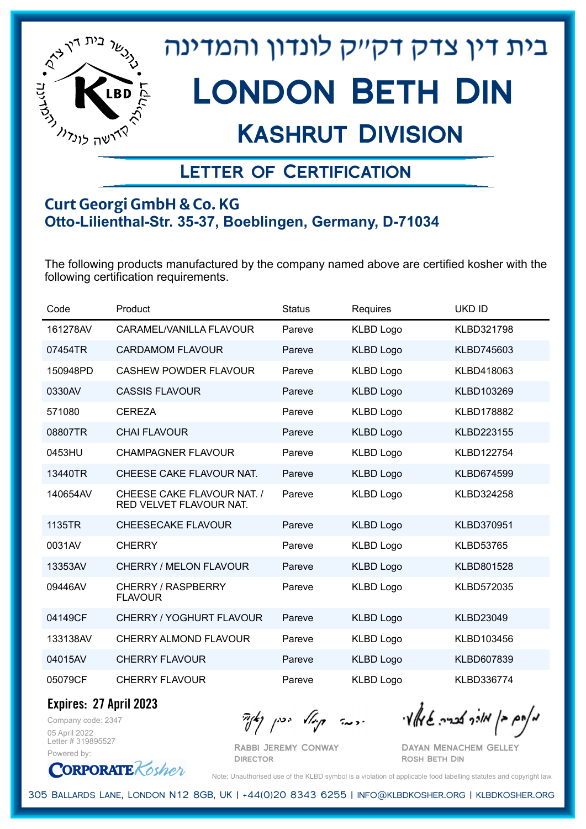

## Kashrut Division

### Letter of Certification

#### **Curt Georgi GmbH & Co. KG Otto-Lilienthal-Str. 35-37, Boeblingen, Germany, D-71034**

The following products manufactured by the company named above are certified kosher with the following certification requirements.

| Code     | Product                                               | <b>Status</b> | Requires         | <b>UKD ID</b>     |
|----------|-------------------------------------------------------|---------------|------------------|-------------------|
| 161278AV | CARAMEL/VANILLA FLAVOUR                               | Pareve        | <b>KLBD Logo</b> | KLBD321798        |
| 07454TR  | <b>CARDAMOM FLAVOUR</b>                               | Pareve        | <b>KLBD Logo</b> | KLBD745603        |
| 150948PD | <b>CASHEW POWDER FLAVOUR</b>                          | Pareve        | <b>KLBD Logo</b> | KLBD418063        |
| 0330AV   | <b>CASSIS FLAVOUR</b>                                 | Pareve        | <b>KLBD Logo</b> | KLBD103269        |
| 571080   | <b>CEREZA</b>                                         | Pareve        | <b>KLBD Logo</b> | <b>KLBD178882</b> |
| 08807TR  | <b>CHAI FLAVOUR</b>                                   | Pareve        | <b>KLBD Logo</b> | KLBD223155        |
| 0453HU   | <b>CHAMPAGNER FLAVOUR</b>                             | Pareve        | <b>KLBD Logo</b> | <b>KLBD122754</b> |
| 13440TR  | CHEESE CAKE FLAVOUR NAT.                              | Pareve        | <b>KLBD Logo</b> | <b>KLBD674599</b> |
| 140654AV | CHEESE CAKE FLAVOUR NAT. /<br>RED VELVET FLAVOUR NAT. | Pareve        | <b>KLBD Logo</b> | KLBD324258        |
| 1135TR   | <b>CHEESECAKE FLAVOUR</b>                             | Pareve        | <b>KLBD Logo</b> | <b>KLBD370951</b> |
| 0031AV   | <b>CHERRY</b>                                         | Pareve        | <b>KLBD Logo</b> | <b>KLBD53765</b>  |
| 13353AV  | <b>CHERRY / MELON FLAVOUR</b>                         | Pareve        | <b>KLBD Logo</b> | KLBD801528        |
| 09446AV  | CHERRY / RASPBERRY<br><b>FLAVOUR</b>                  | Pareve        | <b>KLBD Logo</b> | <b>KLBD572035</b> |
| 04149CF  | <b>CHERRY / YOGHURT FLAVOUR</b>                       | Pareve        | <b>KLBD Logo</b> | <b>KLBD23049</b>  |
| 133138AV | <b>CHERRY ALMOND FLAVOUR</b>                          | Pareve        | <b>KLBD Logo</b> | KLBD103456        |
| 04015AV  | <b>CHERRY FLAVOUR</b>                                 | Pareve        | <b>KLBD Logo</b> | KLBD607839        |
| 05079CF  | <b>CHERRY FLAVOUR</b>                                 | Pareve        | <b>KLBD Logo</b> | KLBD336774        |

**Expires: 27 April 2023**

**CORPORATE** Kosher

Company code: 2347 05 April 2022 Letter # 319895527 Powered by:

 $\mathcal{H}_{\mathcal{C}}$   $\mathcal{H}_{\mathcal{C}}$   $\mathcal{H}_{\mathcal{C}}$   $\mathcal{H}_{\mathcal{C}}$   $\mathcal{H}_{\mathcal{C}}$   $\mathcal{H}_{\mathcal{C}}$   $\mathcal{H}_{\mathcal{C}}$   $\mathcal{H}_{\mathcal{C}}$   $\mathcal{H}_{\mathcal{C}}$   $\mathcal{H}_{\mathcal{C}}$   $\mathcal{H}_{\mathcal{C}}$   $\mathcal{H}_{\mathcal{C}}$ 

Rabbi Jeremy Conway **DIRECTOR** 

Dayan Menachem Gelley Rosh Beth Din

Note: Unauthorised use of the KLBD symbol is a violation of applicable food labelling statutes and copyright law.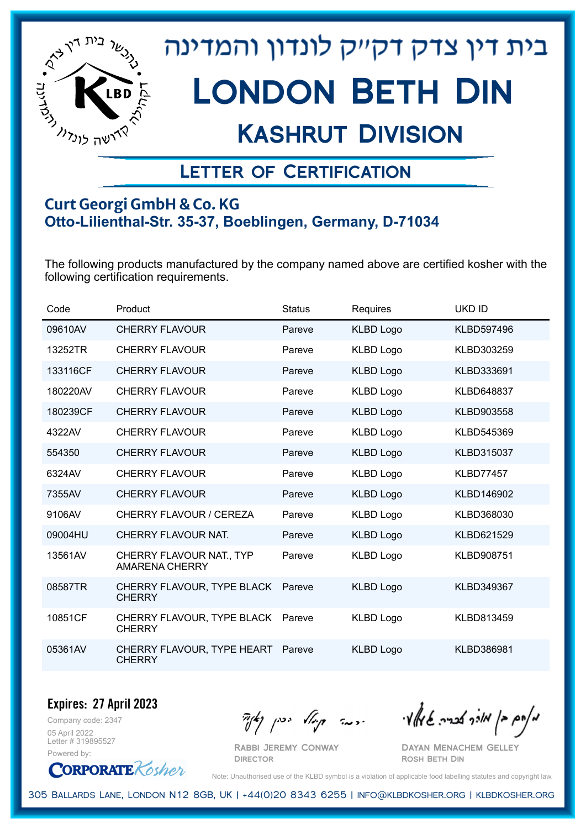

# בית דין צדק דקייק לונדון והמדינה LONDON BETH DIN

## Kashrut Division

### Letter of Certification

#### **Curt Georgi GmbH & Co. KG Otto-Lilienthal-Str. 35-37, Boeblingen, Germany, D-71034**

The following products manufactured by the company named above are certified kosher with the following certification requirements.

| Code     | Product                                           | <b>Status</b> | Requires         | <b>UKD ID</b>     |
|----------|---------------------------------------------------|---------------|------------------|-------------------|
| 09610AV  | CHERRY FLAVOUR                                    | Pareve        | <b>KLBD Logo</b> | <b>KLBD597496</b> |
| 13252TR  | CHERRY FLAVOUR                                    | Pareve        | <b>KLBD Logo</b> | KLBD303259        |
| 133116CF | <b>CHERRY FLAVOUR</b>                             | Pareve        | <b>KLBD Logo</b> | KLBD333691        |
| 180220AV | <b>CHERRY FLAVOUR</b>                             | Pareve        | <b>KLBD Logo</b> | <b>KLBD648837</b> |
| 180239CF | <b>CHERRY FLAVOUR</b>                             | Pareve        | <b>KLBD Logo</b> | KLBD903558        |
| 4322AV   | <b>CHERRY FLAVOUR</b>                             | Pareve        | <b>KLBD Logo</b> | KLBD545369        |
| 554350   | <b>CHERRY FLAVOUR</b>                             | Pareve        | <b>KLBD Logo</b> | KLBD315037        |
| 6324AV   | <b>CHERRY FLAVOUR</b>                             | Pareve        | <b>KLBD Logo</b> | <b>KLBD77457</b>  |
| 7355AV   | <b>CHERRY FLAVOUR</b>                             | Pareve        | <b>KLBD Logo</b> | KLBD146902        |
| 9106AV   | <b>CHERRY FLAVOUR / CEREZA</b>                    | Pareve        | <b>KLBD Logo</b> | KLBD368030        |
| 09004HU  | CHERRY FLAVOUR NAT.                               | Pareve        | <b>KLBD Logo</b> | KLBD621529        |
| 13561AV  | CHERRY FLAVOUR NAT., TYP<br><b>AMARENA CHERRY</b> | Pareve        | <b>KLBD Logo</b> | <b>KLBD908751</b> |
| 08587TR  | CHERRY FLAVOUR, TYPE BLACK<br><b>CHERRY</b>       | Pareve        | <b>KLBD Logo</b> | KLBD349367        |
| 10851CF  | CHERRY FLAVOUR, TYPE BLACK<br><b>CHERRY</b>       | Pareve        | <b>KLBD Logo</b> | KLBD813459        |
| 05361AV  | CHERRY FLAVOUR, TYPE HEART<br><b>CHERRY</b>       | Pareve        | <b>KLBD Logo</b> | KLBD386981        |

Company code: 2347 **Expires: 27 April 2023**

05 April 2022 Letter # 319895527 Powered by:

**CORPORATE** Kosher

Rabbi Jeremy Conway

 $\mathcal{H}_{\mathcal{C}}$   $\mathcal{H}_{\mathcal{C}}$   $\mathcal{H}_{\mathcal{C}}$   $\mathcal{H}_{\mathcal{C}}$   $\mathcal{H}_{\mathcal{C}}$   $\mathcal{H}_{\mathcal{C}}$   $\mathcal{H}_{\mathcal{C}}$   $\mathcal{H}_{\mathcal{C}}$   $\mathcal{H}_{\mathcal{C}}$   $\mathcal{H}_{\mathcal{C}}$   $\mathcal{H}_{\mathcal{C}}$   $\mathcal{H}_{\mathcal{C}}$ 

Dayan Menachem Gelley Rosh Beth Din

Note: Unauthorised use of the KLBD symbol is a violation of applicable food labelling statutes and copyright law.

305 Ballards Lane, London N12 8GB, UK | +44(0)20 8343 6255 | info@klbdkosher.org | klbdkosher.org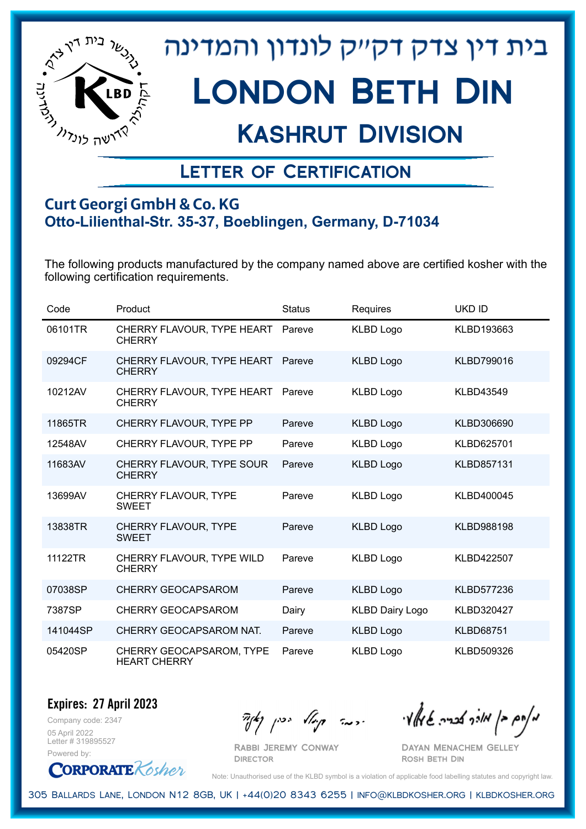

## Kashrut Division

### Letter of Certification

#### **Curt Georgi GmbH & Co. KG Otto-Lilienthal-Str. 35-37, Boeblingen, Germany, D-71034**

The following products manufactured by the company named above are certified kosher with the following certification requirements.

| Code     | Product                                         | <b>Status</b> | Requires               | <b>UKD ID</b>     |
|----------|-------------------------------------------------|---------------|------------------------|-------------------|
| 06101TR  | CHERRY FLAVOUR, TYPE HEART<br><b>CHERRY</b>     | Pareve        | <b>KLBD Logo</b>       | KLBD193663        |
| 09294CF  | CHERRY FLAVOUR, TYPE HEART<br><b>CHERRY</b>     | Pareve        | <b>KLBD Logo</b>       | KLBD799016        |
| 10212AV  | CHERRY FLAVOUR, TYPE HEART<br><b>CHERRY</b>     | Pareve        | <b>KLBD Logo</b>       | <b>KLBD43549</b>  |
| 11865TR  | CHERRY FLAVOUR, TYPE PP                         | Pareve        | <b>KLBD Logo</b>       | KLBD306690        |
| 12548AV  | CHERRY FLAVOUR, TYPE PP                         | Pareve        | <b>KLBD Logo</b>       | KLBD625701        |
| 11683AV  | CHERRY FLAVOUR, TYPE SOUR<br><b>CHERRY</b>      | Pareve        | <b>KLBD Logo</b>       | <b>KLBD857131</b> |
| 13699AV  | CHERRY FLAVOUR, TYPE<br><b>SWEET</b>            | Pareve        | <b>KLBD Logo</b>       | KLBD400045        |
| 13838TR  | CHERRY FLAVOUR, TYPE<br><b>SWEET</b>            | Pareve        | <b>KLBD Logo</b>       | KLBD988198        |
| 11122TR  | CHERRY FLAVOUR, TYPE WILD<br><b>CHERRY</b>      | Pareve        | <b>KLBD Logo</b>       | <b>KLBD422507</b> |
| 07038SP  | <b>CHERRY GEOCAPSAROM</b>                       | Pareve        | <b>KLBD Logo</b>       | KLBD577236        |
| 7387SP   | CHERRY GEOCAPSAROM                              | Dairy         | <b>KLBD Dairy Logo</b> | KLBD320427        |
| 141044SP | CHERRY GEOCAPSAROM NAT.                         | Pareve        | <b>KLBD Logo</b>       | <b>KLBD68751</b>  |
| 05420SP  | CHERRY GEOCAPSAROM, TYPE<br><b>HEART CHERRY</b> | Pareve        | <b>KLBD Logo</b>       | KLBD509326        |

Company code: 2347 **Expires: 27 April 2023**

05 April 2022 Letter # 319895527 Powered by:

**CORPORATE** Kosher

Rabbi Jeremy Conway

מאחם בן מורך אבריה שמאלי היה קיילא יכין קאין

Dayan Menachem Gelley Rosh Beth Din

Note: Unauthorised use of the KLBD symbol is a violation of applicable food labelling statutes and copyright law.

305 Ballards Lane, London N12 8GB, UK | +44(0)20 8343 6255 | info@klbdkosher.org | klbdkosher.org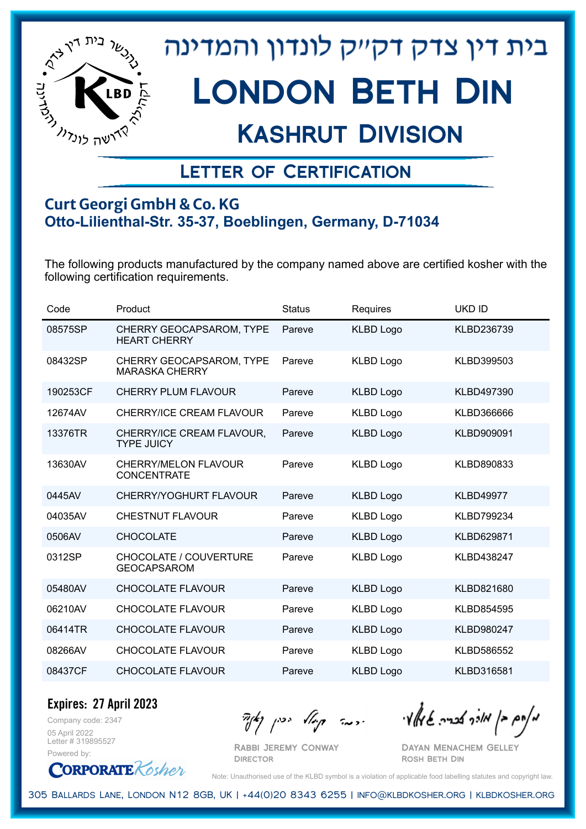

## Kashrut Division

### Letter of Certification

#### **Curt Georgi GmbH & Co. KG Otto-Lilienthal-Str. 35-37, Boeblingen, Germany, D-71034**

The following products manufactured by the company named above are certified kosher with the following certification requirements.

| Code     | Product                                             | <b>Status</b> | Requires         | <b>UKD ID</b>     |
|----------|-----------------------------------------------------|---------------|------------------|-------------------|
| 08575SP  | CHERRY GEOCAPSAROM, TYPE<br><b>HEART CHERRY</b>     | Pareve        | <b>KLBD Logo</b> | KLBD236739        |
| 08432SP  | CHERRY GEOCAPSAROM, TYPE<br><b>MARASKA CHERRY</b>   | Pareve        | <b>KLBD Logo</b> | KLBD399503        |
| 190253CF | <b>CHERRY PLUM FLAVOUR</b>                          | Pareve        | <b>KLBD Logo</b> | KLBD497390        |
| 12674AV  | CHERRY/ICE CREAM FLAVOUR                            | Pareve        | <b>KLBD Logo</b> | KLBD366666        |
| 13376TR  | CHERRY/ICE CREAM FLAVOUR,<br><b>TYPE JUICY</b>      | Pareve        | <b>KLBD Logo</b> | KLBD909091        |
| 13630AV  | <b>CHERRY/MELON FLAVOUR</b><br><b>CONCENTRATE</b>   | Pareve        | <b>KLBD Logo</b> | KLBD890833        |
| 0445AV   | CHERRY/YOGHURT FLAVOUR                              | Pareve        | <b>KLBD Logo</b> | <b>KLBD49977</b>  |
| 04035AV  | <b>CHESTNUT FLAVOUR</b>                             | Pareve        | <b>KLBD Logo</b> | KLBD799234        |
| 0506AV   | <b>CHOCOLATE</b>                                    | Pareve        | <b>KLBD Logo</b> | KLBD629871        |
| 0312SP   | <b>CHOCOLATE / COUVERTURE</b><br><b>GEOCAPSAROM</b> | Pareve        | <b>KLBD Logo</b> | KLBD438247        |
| 05480AV  | <b>CHOCOLATE FLAVOUR</b>                            | Pareve        | <b>KLBD Logo</b> | KLBD821680        |
| 06210AV  | <b>CHOCOLATE FLAVOUR</b>                            | Pareve        | <b>KLBD Logo</b> | KLBD854595        |
| 06414TR  | <b>CHOCOLATE FLAVOUR</b>                            | Pareve        | <b>KLBD Logo</b> | <b>KLBD980247</b> |
| 08266AV  | <b>CHOCOLATE FLAVOUR</b>                            | Pareve        | <b>KLBD Logo</b> | KLBD586552        |
| 08437CF  | <b>CHOCOLATE FLAVOUR</b>                            | Pareve        | <b>KLBD Logo</b> | KLBD316581        |

**Expires: 27 April 2023**

Company code: 2347 05 April 2022 Letter # 319895527 Powered by:

**CORPORATE** Kosher

Rabbi Jeremy Conway

מאוס בן מוכך אבריה שמאלי היה קיילא יכין קאין

Dayan Menachem Gelley Rosh Beth Din

Note: Unauthorised use of the KLBD symbol is a violation of applicable food labelling statutes and copyright law.

305 Ballards Lane, London N12 8GB, UK | +44(0)20 8343 6255 | info@klbdkosher.org | klbdkosher.org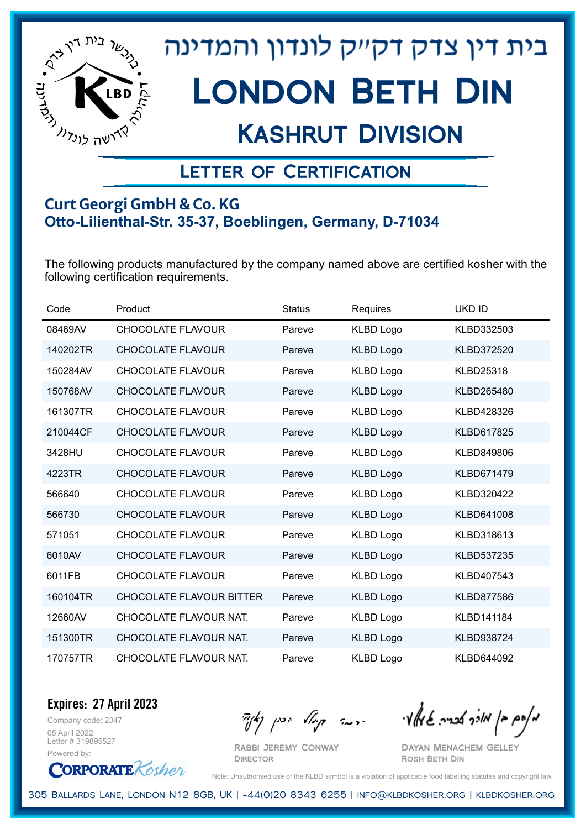

## Kashrut Division

### Letter of Certification

#### **Curt Georgi GmbH & Co. KG Otto-Lilienthal-Str. 35-37, Boeblingen, Germany, D-71034**

The following products manufactured by the company named above are certified kosher with the following certification requirements.

| Code     | Product                         | <b>Status</b> | Requires         | <b>UKD ID</b>     |
|----------|---------------------------------|---------------|------------------|-------------------|
| 08469AV  | <b>CHOCOLATE FLAVOUR</b>        | Pareve        | <b>KLBD Logo</b> | KLBD332503        |
| 140202TR | <b>CHOCOLATE FLAVOUR</b>        | Pareve        | <b>KLBD Logo</b> | KLBD372520        |
| 150284AV | <b>CHOCOLATE FLAVOUR</b>        | Pareve        | <b>KLBD Logo</b> | <b>KLBD25318</b>  |
| 150768AV | <b>CHOCOLATE FLAVOUR</b>        | Pareve        | <b>KLBD Logo</b> | KLBD265480        |
| 161307TR | <b>CHOCOLATE FLAVOUR</b>        | Pareve        | <b>KLBD Logo</b> | KLBD428326        |
| 210044CF | <b>CHOCOLATE FLAVOUR</b>        | Pareve        | <b>KLBD Logo</b> | KLBD617825        |
| 3428HU   | <b>CHOCOLATE FLAVOUR</b>        | Pareve        | <b>KLBD Logo</b> | KLBD849806        |
| 4223TR   | <b>CHOCOLATE FLAVOUR</b>        | Pareve        | <b>KLBD Logo</b> | KLBD671479        |
| 566640   | <b>CHOCOLATE FLAVOUR</b>        | Pareve        | <b>KLBD Logo</b> | KLBD320422        |
| 566730   | <b>CHOCOLATE FLAVOUR</b>        | Pareve        | <b>KLBD Logo</b> | KLBD641008        |
| 571051   | <b>CHOCOLATE FLAVOUR</b>        | Pareve        | <b>KLBD Logo</b> | KLBD318613        |
| 6010AV   | <b>CHOCOLATE FLAVOUR</b>        | Pareve        | <b>KLBD Logo</b> | KLBD537235        |
| 6011FB   | <b>CHOCOLATE FLAVOUR</b>        | Pareve        | <b>KLBD Logo</b> | KLBD407543        |
| 160104TR | <b>CHOCOLATE FLAVOUR BITTER</b> | Pareve        | <b>KLBD Logo</b> | <b>KLBD877586</b> |
| 12660AV  | CHOCOLATE FLAVOUR NAT.          | Pareve        | <b>KLBD Logo</b> | KLBD141184        |
| 151300TR | CHOCOLATE FLAVOUR NAT.          | Pareve        | <b>KLBD Logo</b> | KLBD938724        |
| 170757TR | CHOCOLATE FLAVOUR NAT.          | Pareve        | <b>KLBD Logo</b> | KLBD644092        |

Company code: 2347 **Expires: 27 April 2023**

05 April 2022 Letter # 319895527 Powered by:



Rabbi Jeremy Conway

מאחם בן מורך אבריה שמאלי היה קיילא יכין קאין

Dayan Menachem Gelley Rosh Beth Din

Note: Unauthorised use of the KLBD symbol is a violation of applicable food labelling statutes and copyright law.

305 Ballards Lane, London N12 8GB, UK | +44(0)20 8343 6255 | info@klbdkosher.org | klbdkosher.org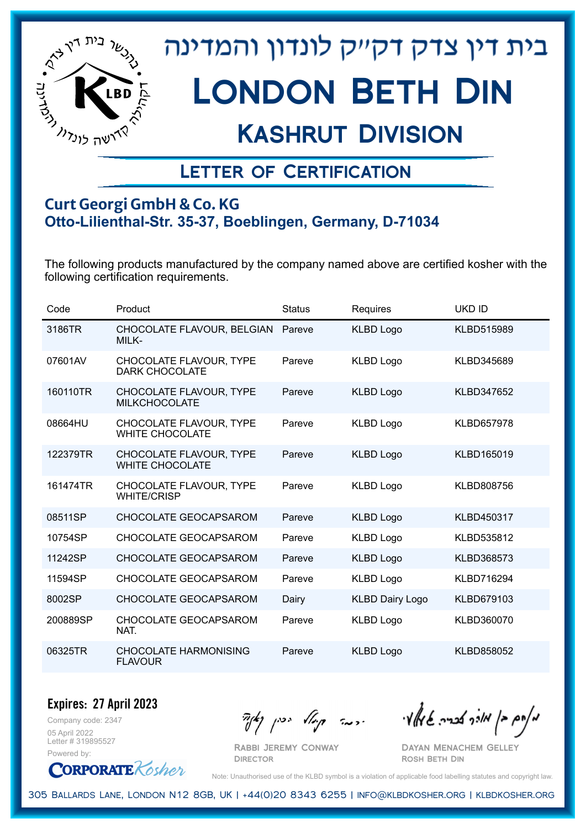

## Kashrut Division

### Letter of Certification

#### **Curt Georgi GmbH & Co. KG Otto-Lilienthal-Str. 35-37, Boeblingen, Germany, D-71034**

The following products manufactured by the company named above are certified kosher with the following certification requirements.

| Code     | Product                                           | <b>Status</b> | Requires               | <b>UKD ID</b>     |
|----------|---------------------------------------------------|---------------|------------------------|-------------------|
| 3186TR   | CHOCOLATE FLAVOUR, BELGIAN<br>MILK-               | Pareve        | <b>KLBD Logo</b>       | KLBD515989        |
| 07601AV  | CHOCOLATE FLAVOUR, TYPE<br><b>DARK CHOCOLATE</b>  | Pareve        | <b>KLBD Logo</b>       | KLBD345689        |
| 160110TR | CHOCOLATE FLAVOUR, TYPE<br><b>MILKCHOCOLATE</b>   | Pareve        | <b>KLBD Logo</b>       | KLBD347652        |
| 08664HU  | CHOCOLATE FLAVOUR, TYPE<br><b>WHITE CHOCOLATE</b> | Pareve        | <b>KLBD Logo</b>       | <b>KLBD657978</b> |
| 122379TR | CHOCOLATE FLAVOUR, TYPE<br><b>WHITE CHOCOLATE</b> | Pareve        | <b>KLBD Logo</b>       | KLBD165019        |
| 161474TR | CHOCOLATE FLAVOUR, TYPE<br><b>WHITE/CRISP</b>     | Pareve        | <b>KLBD Logo</b>       | KLBD808756        |
| 08511SP  | CHOCOLATE GEOCAPSAROM                             | Pareve        | <b>KLBD Logo</b>       | KLBD450317        |
| 10754SP  | CHOCOLATE GEOCAPSAROM                             | Pareve        | <b>KLBD Logo</b>       | KLBD535812        |
| 11242SP  | CHOCOLATE GEOCAPSAROM                             | Pareve        | <b>KLBD Logo</b>       | KLBD368573        |
| 11594SP  | CHOCOLATE GEOCAPSAROM                             | Pareve        | <b>KLBD Logo</b>       | KLBD716294        |
| 8002SP   | CHOCOLATE GEOCAPSAROM                             | Dairy         | <b>KLBD Dairy Logo</b> | <b>KLBD679103</b> |
| 200889SP | CHOCOLATE GEOCAPSAROM<br>NAT.                     | Pareve        | <b>KLBD Logo</b>       | KLBD360070        |
| 06325TR  | <b>CHOCOLATE HARMONISING</b><br><b>FLAVOUR</b>    | Pareve        | <b>KLBD Logo</b>       | KLBD858052        |

Company code: 2347 **Expires: 27 April 2023** 05 April 2022

Letter # 319895527 Powered by:



Rabbi Jeremy Conway

 $\mathcal{H}_{\mathcal{C}}$   $\mathcal{H}_{\mathcal{C}}$   $\mathcal{H}_{\mathcal{C}}$   $\mathcal{H}_{\mathcal{C}}$   $\mathcal{H}_{\mathcal{C}}$   $\mathcal{H}_{\mathcal{C}}$   $\mathcal{H}_{\mathcal{C}}$   $\mathcal{H}_{\mathcal{C}}$   $\mathcal{H}_{\mathcal{C}}$   $\mathcal{H}_{\mathcal{C}}$   $\mathcal{H}_{\mathcal{C}}$   $\mathcal{H}_{\mathcal{C}}$ 

Dayan Menachem Gelley Rosh Beth Din

Note: Unauthorised use of the KLBD symbol is a violation of applicable food labelling statutes and copyright law.

305 Ballards Lane, London N12 8GB, UK | +44(0)20 8343 6255 | info@klbdkosher.org | klbdkosher.org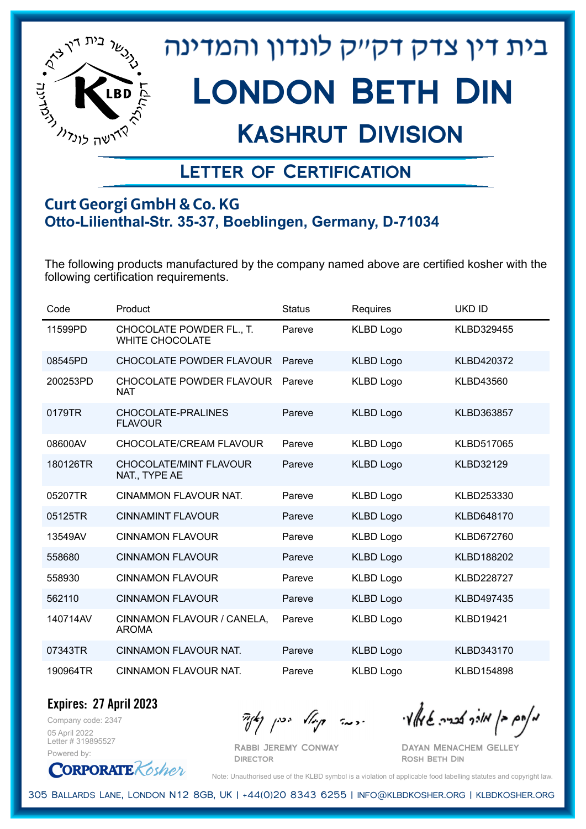

## Kashrut Division

### Letter of Certification

#### **Curt Georgi GmbH & Co. KG Otto-Lilienthal-Str. 35-37, Boeblingen, Germany, D-71034**

The following products manufactured by the company named above are certified kosher with the following certification requirements.

| Code     | Product                                            | <b>Status</b> | Requires         | <b>UKD ID</b>     |
|----------|----------------------------------------------------|---------------|------------------|-------------------|
| 11599PD  | CHOCOLATE POWDER FL., T.<br><b>WHITE CHOCOLATE</b> | Pareve        | <b>KLBD Logo</b> | KLBD329455        |
| 08545PD  | <b>CHOCOLATE POWDER FLAVOUR</b>                    | Pareve        | <b>KLBD Logo</b> | KLBD420372        |
| 200253PD | <b>CHOCOLATE POWDER FLAVOUR</b><br><b>NAT</b>      | Pareve        | <b>KLBD Logo</b> | <b>KLBD43560</b>  |
| 0179TR   | CHOCOLATE-PRALINES<br><b>FLAVOUR</b>               | Pareve        | <b>KLBD Logo</b> | KLBD363857        |
| 08600AV  | CHOCOLATE/CREAM FLAVOUR                            | Pareve        | <b>KLBD Logo</b> | KLBD517065        |
| 180126TR | <b>CHOCOLATE/MINT FLAVOUR</b><br>NAT., TYPE AE     | Pareve        | <b>KLBD Logo</b> | <b>KLBD32129</b>  |
| 05207TR  | <b>CINAMMON FLAVOUR NAT.</b>                       | Pareve        | <b>KLBD Logo</b> | KLBD253330        |
| 05125TR  | <b>CINNAMINT FLAVOUR</b>                           | Pareve        | <b>KLBD Logo</b> | KLBD648170        |
| 13549AV  | <b>CINNAMON FLAVOUR</b>                            | Pareve        | <b>KLBD Logo</b> | KLBD672760        |
| 558680   | <b>CINNAMON FLAVOUR</b>                            | Pareve        | <b>KLBD Logo</b> | KLBD188202        |
| 558930   | <b>CINNAMON FLAVOUR</b>                            | Pareve        | <b>KLBD Logo</b> | <b>KLBD228727</b> |
| 562110   | <b>CINNAMON FLAVOUR</b>                            | Pareve        | <b>KLBD Logo</b> | KLBD497435        |
| 140714AV | CINNAMON FLAVOUR / CANELA,<br><b>AROMA</b>         | Pareve        | <b>KLBD Logo</b> | <b>KLBD19421</b>  |
| 07343TR  | <b>CINNAMON FLAVOUR NAT.</b>                       | Pareve        | <b>KLBD Logo</b> | KLBD343170        |
| 190964TR | CINNAMON FLAVOUR NAT.                              | Pareve        | <b>KLBD Logo</b> | <b>KLBD154898</b> |

Company code: 2347 **Expires: 27 April 2023**

05 April 2022 Letter # 319895527 Powered by:

Rabbi Jeremy Conway

**DIRECTOR** 

מאחם בן מורך אבריה שמאלי היה קיילא יכין קאין

Dayan Menachem Gelley Rosh Beth Din



Note: Unauthorised use of the KLBD symbol is a violation of applicable food labelling statutes and copyright law.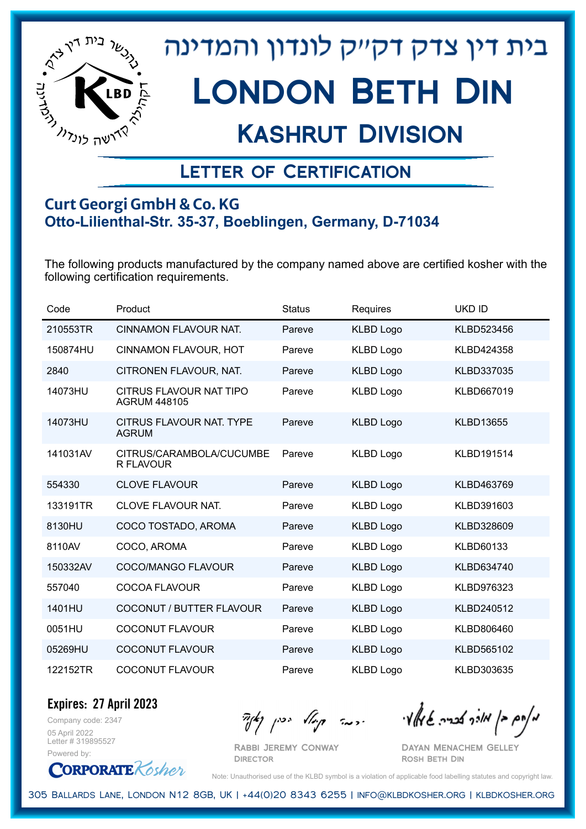

## Kashrut Division

### Letter of Certification

#### **Curt Georgi GmbH & Co. KG Otto-Lilienthal-Str. 35-37, Boeblingen, Germany, D-71034**

The following products manufactured by the company named above are certified kosher with the following certification requirements.

| Code     | Product                                        | <b>Status</b> | Requires         | <b>UKD ID</b>    |
|----------|------------------------------------------------|---------------|------------------|------------------|
| 210553TR | CINNAMON FLAVOUR NAT.                          | Pareve        | <b>KLBD Logo</b> | KLBD523456       |
| 150874HU | <b>CINNAMON FLAVOUR, HOT</b>                   | Pareve        | <b>KLBD Logo</b> | KLBD424358       |
| 2840     | CITRONEN FLAVOUR, NAT.                         | Pareve        | <b>KLBD Logo</b> | KLBD337035       |
| 14073HU  | CITRUS FLAVOUR NAT TIPO<br><b>AGRUM 448105</b> | Pareve        | <b>KLBD Logo</b> | KLBD667019       |
| 14073HU  | CITRUS FLAVOUR NAT. TYPE<br><b>AGRUM</b>       | Pareve        | <b>KLBD Logo</b> | <b>KLBD13655</b> |
| 141031AV | CITRUS/CARAMBOLA/CUCUMBE<br>R FLAVOUR          | Pareve        | <b>KLBD Logo</b> | KLBD191514       |
| 554330   | <b>CLOVE FLAVOUR</b>                           | Pareve        | <b>KLBD Logo</b> | KLBD463769       |
| 133191TR | <b>CLOVE FLAVOUR NAT.</b>                      | Pareve        | <b>KLBD Logo</b> | KLBD391603       |
| 8130HU   | COCO TOSTADO, AROMA                            | Pareve        | <b>KLBD Logo</b> | KLBD328609       |
| 8110AV   | COCO, AROMA                                    | Pareve        | <b>KLBD Logo</b> | <b>KLBD60133</b> |
| 150332AV | COCO/MANGO FLAVOUR                             | Pareve        | <b>KLBD Logo</b> | KLBD634740       |
| 557040   | <b>COCOA FLAVOUR</b>                           | Pareve        | <b>KLBD Logo</b> | KLBD976323       |
| 1401HU   | <b>COCONUT / BUTTER FLAVOUR</b>                | Pareve        | <b>KLBD Logo</b> | KLBD240512       |
| 0051HU   | <b>COCONUT FLAVOUR</b>                         | Pareve        | <b>KLBD Logo</b> | KLBD806460       |
| 05269HU  | <b>COCONUT FLAVOUR</b>                         | Pareve        | <b>KLBD Logo</b> | KLBD565102       |
| 122152TR | <b>COCONUT FLAVOUR</b>                         | Pareve        | <b>KLBD Logo</b> | KLBD303635       |

Company code: 2347 **Expires: 27 April 2023**

05 April 2022 Letter # 319895527 Powered by:

**CORPORATE** Kosher

Rabbi Jeremy Conway

מאחם בן מורך אבריה שמאלי היה קיילא יכין קאין

Dayan Menachem Gelley Rosh Beth Din

Note: Unauthorised use of the KLBD symbol is a violation of applicable food labelling statutes and copyright law.

305 Ballards Lane, London N12 8GB, UK | +44(0)20 8343 6255 | info@klbdkosher.org | klbdkosher.org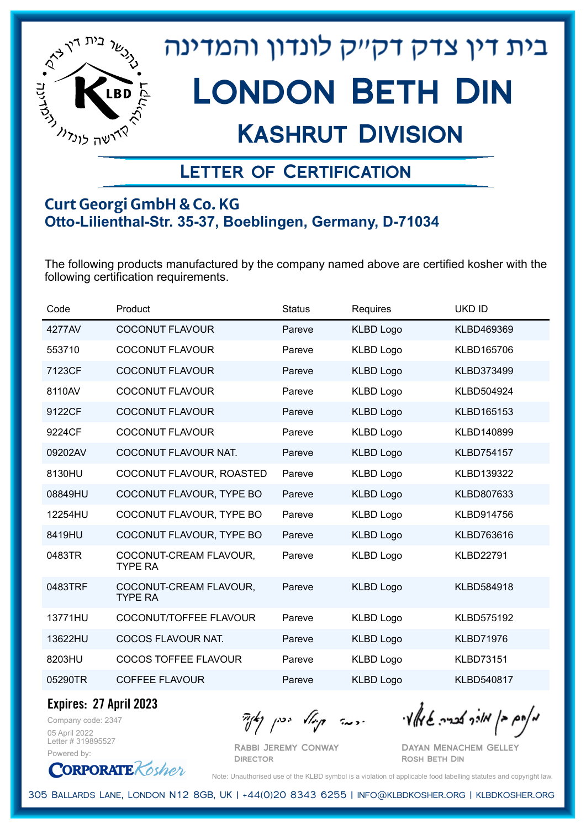

## Kashrut Division

### Letter of Certification

#### **Curt Georgi GmbH & Co. KG Otto-Lilienthal-Str. 35-37, Boeblingen, Germany, D-71034**

The following products manufactured by the company named above are certified kosher with the following certification requirements.

| Code    | Product                                  | <b>Status</b> | Requires         | <b>UKD ID</b>     |
|---------|------------------------------------------|---------------|------------------|-------------------|
| 4277AV  | <b>COCONUT FLAVOUR</b>                   | Pareve        | <b>KLBD Logo</b> | KLBD469369        |
| 553710  | <b>COCONUT FLAVOUR</b>                   | Pareve        | <b>KLBD Logo</b> | KLBD165706        |
| 7123CF  | <b>COCONUT FLAVOUR</b>                   | Pareve        | <b>KLBD Logo</b> | KLBD373499        |
| 8110AV  | <b>COCONUT FLAVOUR</b>                   | Pareve        | <b>KLBD Logo</b> | KLBD504924        |
| 9122CF  | <b>COCONUT FLAVOUR</b>                   | Pareve        | <b>KLBD Logo</b> | KLBD165153        |
| 9224CF  | <b>COCONUT FLAVOUR</b>                   | Pareve        | <b>KLBD Logo</b> | KLBD140899        |
| 09202AV | COCONUT FLAVOUR NAT.                     | Pareve        | <b>KLBD Logo</b> | <b>KLBD754157</b> |
| 8130HU  | COCONUT FLAVOUR, ROASTED                 | Pareve        | <b>KLBD Logo</b> | KLBD139322        |
| 08849HU | COCONUT FLAVOUR, TYPE BO                 | Pareve        | <b>KLBD Logo</b> | KLBD807633        |
| 12254HU | COCONUT FLAVOUR, TYPE BO                 | Pareve        | <b>KLBD Logo</b> | KLBD914756        |
| 8419HU  | COCONUT FLAVOUR, TYPE BO                 | Pareve        | <b>KLBD Logo</b> | KLBD763616        |
| 0483TR  | COCONUT-CREAM FLAVOUR,<br><b>TYPE RA</b> | Pareve        | <b>KLBD Logo</b> | <b>KLBD22791</b>  |
| 0483TRF | COCONUT-CREAM FLAVOUR,<br><b>TYPE RA</b> | Pareve        | <b>KLBD Logo</b> | KLBD584918        |
| 13771HU | COCONUT/TOFFEE FLAVOUR                   | Pareve        | <b>KLBD Logo</b> | <b>KLBD575192</b> |
| 13622HU | COCOS FLAVOUR NAT.                       | Pareve        | <b>KLBD Logo</b> | <b>KLBD71976</b>  |
| 8203HU  | <b>COCOS TOFFEE FLAVOUR</b>              | Pareve        | <b>KLBD Logo</b> | <b>KLBD73151</b>  |
| 05290TR | COFFEE FLAVOUR                           | Pareve        | <b>KLBD Logo</b> | KLBD540817        |

**Expires: 27 April 2023**

Company code: 2347 05 April 2022 Letter # 319895527 Powered by:

 $\mathcal{H}_{\mathcal{C}}$   $\mathcal{H}_{\mathcal{C}}$   $\mathcal{H}_{\mathcal{C}}$   $\mathcal{H}_{\mathcal{C}}$   $\mathcal{H}_{\mathcal{C}}$   $\mathcal{H}_{\mathcal{C}}$   $\mathcal{H}_{\mathcal{C}}$   $\mathcal{H}_{\mathcal{C}}$   $\mathcal{H}_{\mathcal{C}}$   $\mathcal{H}_{\mathcal{C}}$   $\mathcal{H}_{\mathcal{C}}$   $\mathcal{H}_{\mathcal{C}}$ 

Rabbi Jeremy Conway **DIRECTOR** 

Dayan Menachem Gelley Rosh Beth Din

**CORPORATE** Kosher Note: Unauthorised use of the KLBD symbol is a violation of applicable food labelling statutes and copyright law.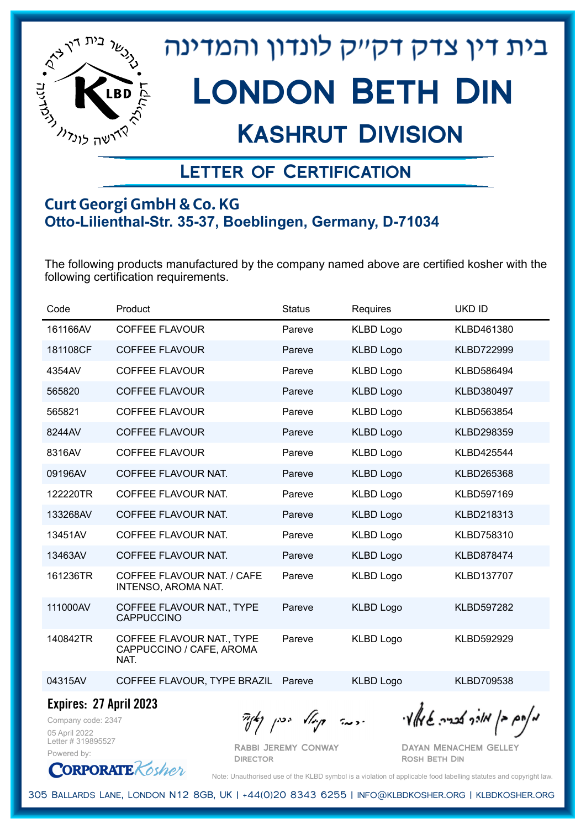

## Kashrut Division

### Letter of Certification

#### **Curt Georgi GmbH & Co. KG Otto-Lilienthal-Str. 35-37, Boeblingen, Germany, D-71034**

The following products manufactured by the company named above are certified kosher with the following certification requirements.

| Code     | Product                                                       | <b>Status</b> | Requires         | <b>UKD ID</b>     |
|----------|---------------------------------------------------------------|---------------|------------------|-------------------|
| 161166AV | <b>COFFEE FLAVOUR</b>                                         | Pareve        | <b>KLBD Logo</b> | KLBD461380        |
| 181108CF | <b>COFFEE FLAVOUR</b>                                         | Pareve        | <b>KLBD Logo</b> | KLBD722999        |
| 4354AV   | <b>COFFEE FLAVOUR</b>                                         | Pareve        | <b>KLBD Logo</b> | KLBD586494        |
| 565820   | <b>COFFEE FLAVOUR</b>                                         | Pareve        | <b>KLBD Logo</b> | KLBD380497        |
| 565821   | <b>COFFEE FLAVOUR</b>                                         | Pareve        | <b>KLBD Logo</b> | KLBD563854        |
| 8244AV   | <b>COFFEE FLAVOUR</b>                                         | Pareve        | <b>KLBD Logo</b> | KLBD298359        |
| 8316AV   | <b>COFFEE FLAVOUR</b>                                         | Pareve        | <b>KLBD Logo</b> | KLBD425544        |
| 09196AV  | COFFEE FLAVOUR NAT.                                           | Pareve        | <b>KLBD Logo</b> | KLBD265368        |
| 122220TR | COFFEE FLAVOUR NAT.                                           | Pareve        | <b>KLBD Logo</b> | KLBD597169        |
| 133268AV | COFFEE FLAVOUR NAT.                                           | Pareve        | <b>KLBD Logo</b> | KLBD218313        |
| 13451AV  | COFFEE FLAVOUR NAT.                                           | Pareve        | <b>KLBD Logo</b> | KLBD758310        |
| 13463AV  | COFFEE FLAVOUR NAT.                                           | Pareve        | <b>KLBD Logo</b> | <b>KLBD878474</b> |
| 161236TR | COFFEE FLAVOUR NAT. / CAFE<br><b>INTENSO, AROMA NAT.</b>      | Pareve        | <b>KLBD Logo</b> | KLBD137707        |
| 111000AV | COFFEE FLAVOUR NAT., TYPE<br><b>CAPPUCCINO</b>                | Pareve        | <b>KLBD Logo</b> | <b>KLBD597282</b> |
| 140842TR | COFFEE FLAVOUR NAT., TYPE<br>CAPPUCCINO / CAFE, AROMA<br>NAT. | Pareve        | <b>KLBD Logo</b> | KLBD592929        |
| 04315AV  | COFFEE FLAVOUR, TYPE BRAZIL                                   | Pareve        | <b>KLBD Logo</b> | KLBD709538        |
|          |                                                               |               |                  |                   |

**Expires: 27 April 2023**

Company code: 2347 05 April 2022 Letter # 319895527 Powered by:

Rabbi Jeremy Conway

**DIRECTOR** 

מאחם בן מורך אבריה שמאלי היה קיילא יכין קאין

Dayan Menachem Gelley Rosh Beth Din



Note: Unauthorised use of the KLBD symbol is a violation of applicable food labelling statutes and copyright law.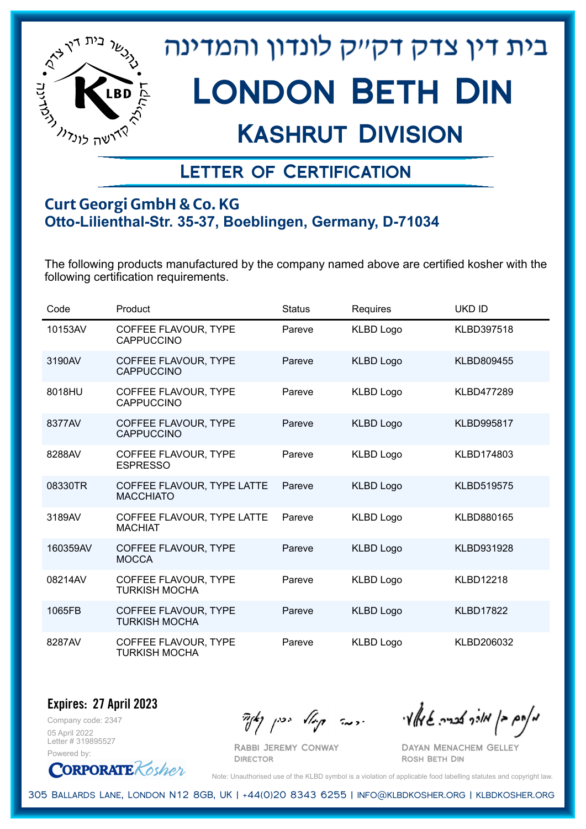

## Kashrut Division

### Letter of Certification

#### **Curt Georgi GmbH & Co. KG Otto-Lilienthal-Str. 35-37, Boeblingen, Germany, D-71034**

The following products manufactured by the company named above are certified kosher with the following certification requirements.

| Code     | Product                                        | <b>Status</b> | Requires         | <b>UKD ID</b>     |
|----------|------------------------------------------------|---------------|------------------|-------------------|
| 10153AV  | COFFEE FLAVOUR, TYPE<br><b>CAPPUCCINO</b>      | Pareve        | <b>KLBD Logo</b> | <b>KLBD397518</b> |
| 3190AV   | COFFEE FLAVOUR, TYPE<br><b>CAPPUCCINO</b>      | Pareve        | <b>KLBD Logo</b> | <b>KLBD809455</b> |
| 8018HU   | COFFEE FLAVOUR, TYPE<br><b>CAPPUCCINO</b>      | Pareve        | <b>KLBD Logo</b> | <b>KLBD477289</b> |
| 8377AV   | COFFEE FLAVOUR, TYPE<br><b>CAPPUCCINO</b>      | Pareve        | <b>KLBD Logo</b> | <b>KLBD995817</b> |
| 8288AV   | COFFEE FLAVOUR, TYPE<br><b>ESPRESSO</b>        | Pareve        | <b>KLBD Logo</b> | KLBD174803        |
| 08330TR  | COFFEE FLAVOUR, TYPE LATTE<br><b>MACCHIATO</b> | Pareve        | <b>KLBD Logo</b> | <b>KLBD519575</b> |
| 3189AV   | COFFEE FLAVOUR, TYPE LATTE<br><b>MACHIAT</b>   | Pareve        | <b>KLBD Logo</b> | KLBD880165        |
| 160359AV | COFFEE FLAVOUR, TYPE<br><b>MOCCA</b>           | Pareve        | <b>KLBD Logo</b> | KLBD931928        |
| 08214AV  | COFFEE FLAVOUR, TYPE<br><b>TURKISH MOCHA</b>   | Pareve        | <b>KLBD Logo</b> | <b>KLBD12218</b>  |
| 1065FB   | COFFEE FLAVOUR, TYPE<br><b>TURKISH MOCHA</b>   | Pareve        | <b>KLBD Logo</b> | <b>KLBD17822</b>  |
| 8287AV   | COFFEE FLAVOUR, TYPE<br><b>TURKISH MOCHA</b>   | Pareve        | <b>KLBD Logo</b> | KLBD206032        |

Company code: 2347 **Expires: 27 April 2023**

05 April 2022 Letter # 319895527 Powered by:

**CORPORATE** Kosher

Rabbi Jeremy Conway

 $\mathcal{H}_{\mathcal{C}}$   $\mathcal{H}_{\mathcal{C}}$   $\mathcal{H}_{\mathcal{C}}$   $\mathcal{H}_{\mathcal{C}}$   $\mathcal{H}_{\mathcal{C}}$   $\mathcal{H}_{\mathcal{C}}$   $\mathcal{H}_{\mathcal{C}}$   $\mathcal{H}_{\mathcal{C}}$   $\mathcal{H}_{\mathcal{C}}$   $\mathcal{H}_{\mathcal{C}}$   $\mathcal{H}_{\mathcal{C}}$   $\mathcal{H}_{\mathcal{C}}$ 

Dayan Menachem Gelley Rosh Beth Din

Note: Unauthorised use of the KLBD symbol is a violation of applicable food labelling statutes and copyright law.

305 Ballards Lane, London N12 8GB, UK | +44(0)20 8343 6255 | info@klbdkosher.org | klbdkosher.org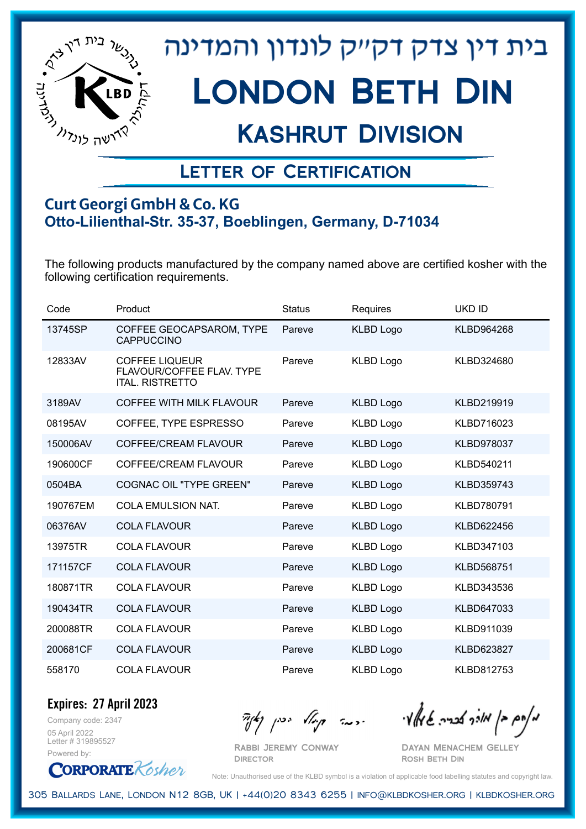

## Kashrut Division

### Letter of Certification

#### **Curt Georgi GmbH & Co. KG Otto-Lilienthal-Str. 35-37, Boeblingen, Germany, D-71034**

The following products manufactured by the company named above are certified kosher with the following certification requirements.

| Code     | Product                                                                      | <b>Status</b> | Requires         | <b>UKD ID</b>     |
|----------|------------------------------------------------------------------------------|---------------|------------------|-------------------|
| 13745SP  | COFFEE GEOCAPSAROM, TYPE<br><b>CAPPUCCINO</b>                                | Pareve        | <b>KLBD Logo</b> | KLBD964268        |
| 12833AV  | <b>COFFEE LIQUEUR</b><br>FLAVOUR/COFFEE FLAV. TYPE<br><b>ITAL, RISTRETTO</b> | Pareve        | <b>KLBD Logo</b> | KLBD324680        |
| 3189AV   | COFFEE WITH MILK FLAVOUR                                                     | Pareve        | <b>KLBD Logo</b> | KLBD219919        |
| 08195AV  | COFFEE, TYPE ESPRESSO                                                        | Pareve        | <b>KLBD Logo</b> | KLBD716023        |
| 150006AV | COFFEE/CREAM FLAVOUR                                                         | Pareve        | <b>KLBD Logo</b> | <b>KLBD978037</b> |
| 190600CF | COFFEE/CREAM FLAVOUR                                                         | Pareve        | <b>KLBD Logo</b> | KLBD540211        |
| 0504BA   | <b>COGNAC OIL "TYPE GREEN"</b>                                               | Pareve        | <b>KLBD Logo</b> | KLBD359743        |
| 190767EM | COLA EMULSION NAT.                                                           | Pareve        | <b>KLBD Logo</b> | KLBD780791        |
| 06376AV  | <b>COLA FLAVOUR</b>                                                          | Pareve        | <b>KLBD Logo</b> | KLBD622456        |
| 13975TR  | <b>COLA FLAVOUR</b>                                                          | Pareve        | <b>KLBD Logo</b> | KLBD347103        |
| 171157CF | <b>COLA FLAVOUR</b>                                                          | Pareve        | <b>KLBD Logo</b> | <b>KLBD568751</b> |
| 180871TR | <b>COLA FLAVOUR</b>                                                          | Pareve        | <b>KLBD Logo</b> | KLBD343536        |
| 190434TR | <b>COLA FLAVOUR</b>                                                          | Pareve        | <b>KLBD Logo</b> | KLBD647033        |
| 200088TR | <b>COLA FLAVOUR</b>                                                          | Pareve        | <b>KLBD Logo</b> | KLBD911039        |
| 200681CF | <b>COLA FLAVOUR</b>                                                          | Pareve        | <b>KLBD Logo</b> | KLBD623827        |
| 558170   | <b>COLA FLAVOUR</b>                                                          | Pareve        | <b>KLBD Logo</b> | KLBD812753        |

Company code: 2347 **Expires: 27 April 2023**

05 April 2022 Letter # 319895527 Powered by:

**CORPORATE** Kosher

מאחם בן מורך אבריה שמאלי היה קיילא יכין קאין

Rabbi Jeremy Conway **DIRECTOR** 

Dayan Menachem Gelley Rosh Beth Din

Note: Unauthorised use of the KLBD symbol is a violation of applicable food labelling statutes and copyright law.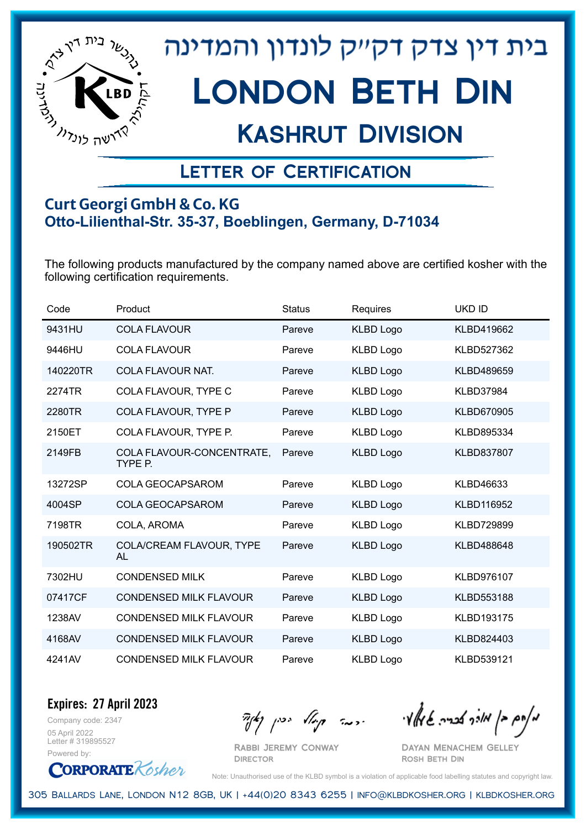

## Kashrut Division

### Letter of Certification

#### **Curt Georgi GmbH & Co. KG Otto-Lilienthal-Str. 35-37, Boeblingen, Germany, D-71034**

The following products manufactured by the company named above are certified kosher with the following certification requirements.

| Code     | Product                              | <b>Status</b> | <b>Requires</b>  | <b>UKD ID</b>     |
|----------|--------------------------------------|---------------|------------------|-------------------|
| 9431HU   | <b>COLA FLAVOUR</b>                  | Pareve        | <b>KLBD Logo</b> | KLBD419662        |
| 9446HU   | <b>COLA FLAVOUR</b>                  | Pareve        | <b>KLBD Logo</b> | KLBD527362        |
| 140220TR | COLA FLAVOUR NAT.                    | Pareve        | <b>KLBD Logo</b> | KLBD489659        |
| 2274TR   | COLA FLAVOUR, TYPE C                 | Pareve        | <b>KLBD Logo</b> | <b>KLBD37984</b>  |
| 2280TR   | COLA FLAVOUR, TYPE P                 | Pareve        | <b>KLBD Logo</b> | KLBD670905        |
| 2150ET   | COLA FLAVOUR, TYPE P.                | Pareve        | <b>KLBD Logo</b> | KLBD895334        |
| 2149FB   | COLA FLAVOUR-CONCENTRATE,<br>TYPE P. | Pareve        | <b>KLBD Logo</b> | <b>KLBD837807</b> |
| 13272SP  | <b>COLA GEOCAPSAROM</b>              | Pareve        | <b>KLBD Logo</b> | KLBD46633         |
| 4004SP   | <b>COLA GEOCAPSAROM</b>              | Pareve        | <b>KLBD Logo</b> | <b>KLBD116952</b> |
| 7198TR   | COLA, AROMA                          | Pareve        | <b>KLBD Logo</b> | <b>KLBD729899</b> |
| 190502TR | COLA/CREAM FLAVOUR, TYPE<br>AL       | Pareve        | <b>KLBD Logo</b> | KLBD488648        |
| 7302HU   | <b>CONDENSED MILK</b>                | Pareve        | <b>KLBD Logo</b> | KLBD976107        |
| 07417CF  | <b>CONDENSED MILK FLAVOUR</b>        | Pareve        | <b>KLBD Logo</b> | KLBD553188        |
| 1238AV   | <b>CONDENSED MILK FLAVOUR</b>        | Pareve        | <b>KLBD Logo</b> | KLBD193175        |
| 4168AV   | <b>CONDENSED MILK FLAVOUR</b>        | Pareve        | <b>KLBD Logo</b> | KLBD824403        |
| 4241AV   | <b>CONDENSED MILK FLAVOUR</b>        | Pareve        | <b>KLBD Logo</b> | KLBD539121        |

Company code: 2347 **Expires: 27 April 2023**

05 April 2022 Letter # 319895527 Powered by:

**CORPORATE** Kosher

Rabbi Jeremy Conway

**DIRECTOR** 

מאחם בן מורך אבריה שמאלי היה קיילא יכין קאין

Dayan Menachem Gelley Rosh Beth Din

Note: Unauthorised use of the KLBD symbol is a violation of applicable food labelling statutes and copyright law.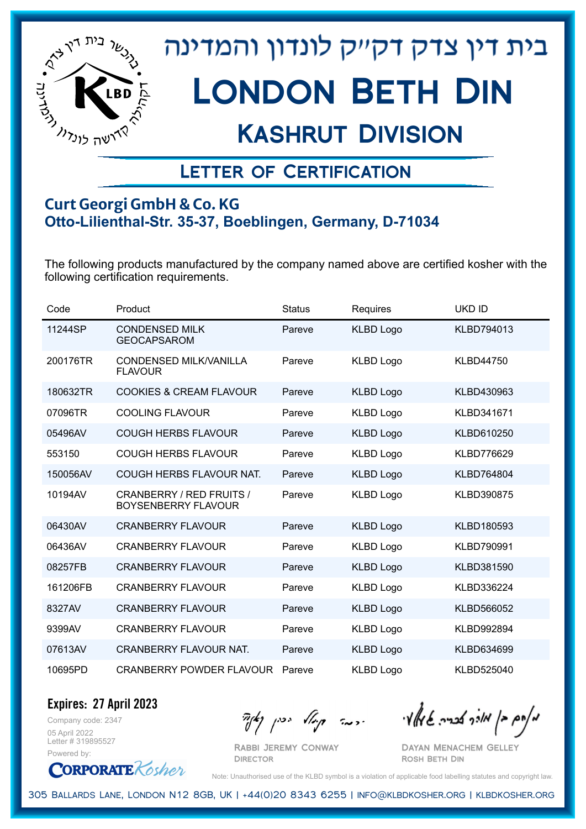

## Kashrut Division

### Letter of Certification

#### **Curt Georgi GmbH & Co. KG Otto-Lilienthal-Str. 35-37, Boeblingen, Germany, D-71034**

The following products manufactured by the company named above are certified kosher with the following certification requirements.

| Code     | Product                                                | <b>Status</b> | Requires         | <b>UKD ID</b>     |
|----------|--------------------------------------------------------|---------------|------------------|-------------------|
| 11244SP  | <b>CONDENSED MILK</b><br><b>GEOCAPSAROM</b>            | Pareve        | <b>KLBD Logo</b> | KLBD794013        |
| 200176TR | <b>CONDENSED MILK/VANILLA</b><br><b>FLAVOUR</b>        | Pareve        | <b>KLBD Logo</b> | <b>KLBD44750</b>  |
| 180632TR | <b>COOKIES &amp; CREAM FLAVOUR</b>                     | Pareve        | <b>KLBD Logo</b> | KLBD430963        |
| 07096TR  | <b>COOLING FLAVOUR</b>                                 | Pareve        | <b>KLBD Logo</b> | KLBD341671        |
| 05496AV  | <b>COUGH HERBS FLAVOUR</b>                             | Pareve        | <b>KLBD Logo</b> | KLBD610250        |
| 553150   | <b>COUGH HERBS FLAVOUR</b>                             | Pareve        | <b>KLBD Logo</b> | <b>KLBD776629</b> |
| 150056AV | COUGH HERBS FLAVOUR NAT.                               | Pareve        | <b>KLBD Logo</b> | <b>KLBD764804</b> |
| 10194AV  | CRANBERRY / RED FRUITS /<br><b>BOYSENBERRY FLAVOUR</b> | Pareve        | <b>KLBD Logo</b> | <b>KLBD390875</b> |
| 06430AV  | <b>CRANBERRY FLAVOUR</b>                               | Pareve        | <b>KLBD Logo</b> | KLBD180593        |
| 06436AV  | <b>CRANBERRY FLAVOUR</b>                               | Pareve        | <b>KLBD Logo</b> | KLBD790991        |
| 08257FB  | <b>CRANBERRY FLAVOUR</b>                               | Pareve        | <b>KLBD Logo</b> | KLBD381590        |
| 161206FB | <b>CRANBERRY FLAVOUR</b>                               | Pareve        | <b>KLBD Logo</b> | KLBD336224        |
| 8327AV   | <b>CRANBERRY FLAVOUR</b>                               | Pareve        | <b>KLBD Logo</b> | KLBD566052        |
| 9399AV   | <b>CRANBERRY FLAVOUR</b>                               | Pareve        | <b>KLBD Logo</b> | KLBD992894        |
| 07613AV  | CRANBERRY FLAVOUR NAT.                                 | Pareve        | <b>KLBD Logo</b> | KLBD634699        |
| 10695PD  | <b>CRANBERRY POWDER FLAVOUR</b>                        | Pareve        | <b>KLBD Logo</b> | KLBD525040        |

**Expires: 27 April 2023**

Company code: 2347 05 April 2022 Letter # 319895527 Powered by:

**CORPORATE** Kosher

Rabbi Jeremy Conway

מאחם בן מורך אבריה שמאלי היה קיילא יכין קאין

Dayan Menachem Gelley Rosh Beth Din

Note: Unauthorised use of the KLBD symbol is a violation of applicable food labelling statutes and copyright law.

305 Ballards Lane, London N12 8GB, UK | +44(0)20 8343 6255 | info@klbdkosher.org | klbdkosher.org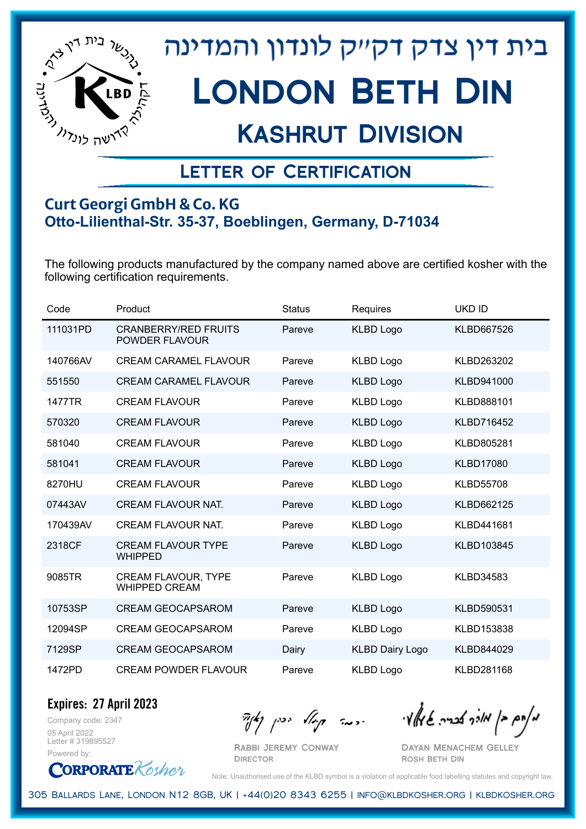

## Kashrut Division

### Letter of Certification

#### **Curt Georgi GmbH & Co. KG Otto-Lilienthal-Str. 35-37, Boeblingen, Germany, D-71034**

The following products manufactured by the company named above are certified kosher with the following certification requirements.

| Code     | Product                                            | <b>Status</b> | Requires               | <b>UKD ID</b>     |
|----------|----------------------------------------------------|---------------|------------------------|-------------------|
| 111031PD | <b>CRANBERRY/RED FRUITS</b><br>POWDER FLAVOUR      | Pareve        | <b>KLBD Logo</b>       | KLBD667526        |
| 140766AV | <b>CREAM CARAMEL FLAVOUR</b>                       | Pareve        | <b>KLBD Logo</b>       | KLBD263202        |
| 551550   | <b>CREAM CARAMEL FLAVOUR</b>                       | Pareve        | <b>KLBD Logo</b>       | KLBD941000        |
| 1477TR   | <b>CREAM FLAVOUR</b>                               | Pareve        | <b>KLBD Logo</b>       | KLBD888101        |
| 570320   | <b>CREAM FLAVOUR</b>                               | Pareve        | <b>KLBD Logo</b>       | KLBD716452        |
| 581040   | <b>CREAM FLAVOUR</b>                               | Pareve        | <b>KLBD Logo</b>       | KLBD805281        |
| 581041   | <b>CREAM FLAVOUR</b>                               | Pareve        | <b>KLBD Logo</b>       | <b>KLBD17080</b>  |
| 8270HU   | <b>CREAM FLAVOUR</b>                               | Pareve        | <b>KLBD Logo</b>       | <b>KLBD55708</b>  |
| 07443AV  | <b>CREAM FLAVOUR NAT.</b>                          | Pareve        | <b>KLBD Logo</b>       | KLBD662125        |
| 170439AV | <b>CREAM FLAVOUR NAT.</b>                          | Pareve        | <b>KLBD Logo</b>       | KLBD441681        |
| 2318CF   | <b>CREAM FLAVOUR TYPE</b><br><b>WHIPPED</b>        | Pareve        | <b>KLBD Logo</b>       | KLBD103845        |
| 9085TR   | <b>CREAM FLAVOUR, TYPE</b><br><b>WHIPPED CREAM</b> | Pareve        | <b>KLBD Logo</b>       | <b>KLBD34583</b>  |
| 10753SP  | <b>CREAM GEOCAPSAROM</b>                           | Pareve        | <b>KLBD Logo</b>       | KLBD590531        |
| 12094SP  | <b>CREAM GEOCAPSAROM</b>                           | Pareve        | <b>KLBD Logo</b>       | KLBD153838        |
| 7129SP   | <b>CREAM GEOCAPSAROM</b>                           | Dairy         | <b>KLBD Dairy Logo</b> | KLBD844029        |
| 1472PD   | <b>CREAM POWDER FLAVOUR</b>                        | Pareve        | <b>KLBD Logo</b>       | <b>KLBD281168</b> |

Company code: 2347 **Expires: 27 April 2023**

05 April 2022 Letter # 319895527 Powered by:

**CORPORATE** Kosher

Rabbi Jeremy Conway

מאחם בן מורך אבריה שמאלי היה קיילא יכין קאין

Dayan Menachem Gelley Rosh Beth Din

Note: Unauthorised use of the KLBD symbol is a violation of applicable food labelling statutes and copyright law.

305 Ballards Lane, London N12 8GB, UK | +44(0)20 8343 6255 | info@klbdkosher.org | klbdkosher.org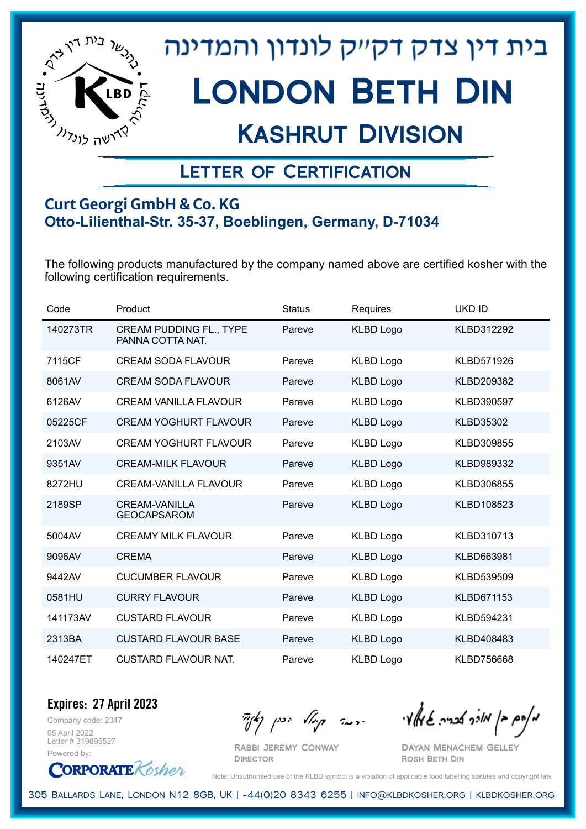

## Kashrut Division

### Letter of Certification

#### **Curt Georgi GmbH & Co. KG Otto-Lilienthal-Str. 35-37, Boeblingen, Germany, D-71034**

The following products manufactured by the company named above are certified kosher with the following certification requirements.

| Code     | Product                                            | <b>Status</b> | Requires         | <b>UKD ID</b>    |
|----------|----------------------------------------------------|---------------|------------------|------------------|
| 140273TR | <b>CREAM PUDDING FL., TYPE</b><br>PANNA COTTA NAT. | Pareve        | <b>KLBD Logo</b> | KLBD312292       |
| 7115CF   | <b>CREAM SODA FLAVOUR</b>                          | Pareve        | <b>KLBD Logo</b> | KLBD571926       |
| 8061AV   | <b>CREAM SODA FLAVOUR</b>                          | Pareve        | <b>KLBD Logo</b> | KLBD209382       |
| 6126AV   | <b>CREAM VANILLA FLAVOUR</b>                       | Pareve        | <b>KLBD Logo</b> | KLBD390597       |
| 05225CF  | <b>CREAM YOGHURT FLAVOUR</b>                       | Pareve        | <b>KLBD Logo</b> | <b>KLBD35302</b> |
| 2103AV   | <b>CREAM YOGHURT FLAVOUR</b>                       | Pareve        | <b>KLBD Logo</b> | KLBD309855       |
| 9351AV   | <b>CREAM-MILK FLAVOUR</b>                          | Pareve        | <b>KLBD Logo</b> | KLBD989332       |
| 8272HU   | CREAM-VANILLA FLAVOUR                              | Pareve        | <b>KLBD Logo</b> | KLBD306855       |
| 2189SP   | <b>CREAM-VANILLA</b><br><b>GEOCAPSAROM</b>         | Pareve        | <b>KLBD Logo</b> | KLBD108523       |
| 5004AV   | <b>CREAMY MILK FLAVOUR</b>                         | Pareve        | <b>KLBD Logo</b> | KLBD310713       |
| 9096AV   | <b>CREMA</b>                                       | Pareve        | <b>KLBD Logo</b> | KLBD663981       |
| 9442AV   | <b>CUCUMBER FLAVOUR</b>                            | Pareve        | <b>KLBD Logo</b> | KLBD539509       |
| 0581HU   | <b>CURRY FLAVOUR</b>                               | Pareve        | <b>KLBD Logo</b> | KLBD671153       |
| 141173AV | <b>CUSTARD FLAVOUR</b>                             | Pareve        | <b>KLBD Logo</b> | KLBD594231       |
| 2313BA   | <b>CUSTARD FLAVOUR BASE</b>                        | Pareve        | <b>KLBD Logo</b> | KLBD408483       |
| 140247ET | <b>CUSTARD FLAVOUR NAT.</b>                        | Pareve        | <b>KLBD Logo</b> | KLBD756668       |

Company code: 2347 **Expires: 27 April 2023**

05 April 2022 Letter # 319895527 Powered by:



Rabbi Jeremy Conway

מאחם בן מורך אבריה שמאלי היה קיילא יכין קאין

Dayan Menachem Gelley Rosh Beth Din

Note: Unauthorised use of the KLBD symbol is a violation of applicable food labelling statutes and copyright law.

305 Ballards Lane, London N12 8GB, UK | +44(0)20 8343 6255 | info@klbdkosher.org | klbdkosher.org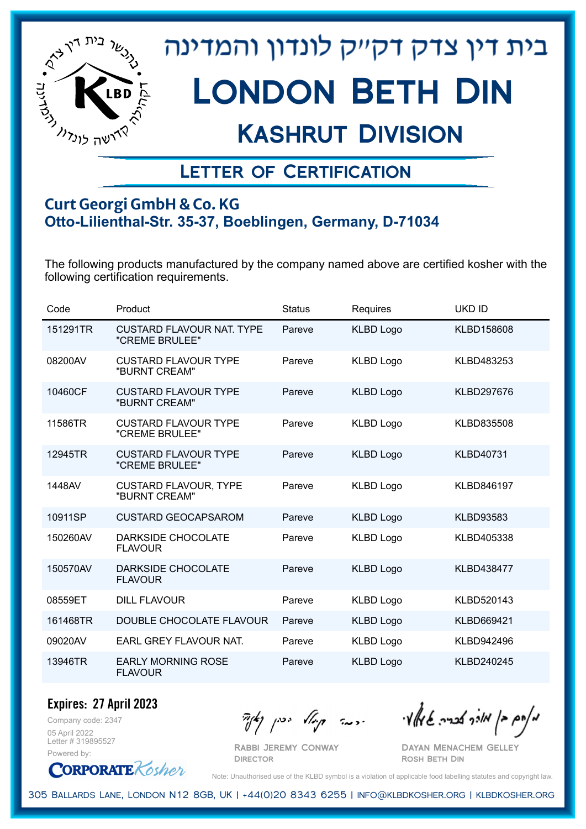

## Kashrut Division

### Letter of Certification

#### **Curt Georgi GmbH & Co. KG Otto-Lilienthal-Str. 35-37, Boeblingen, Germany, D-71034**

The following products manufactured by the company named above are certified kosher with the following certification requirements.

| Code     | Product                                            | <b>Status</b> | Requires         | <b>UKD ID</b>     |
|----------|----------------------------------------------------|---------------|------------------|-------------------|
| 151291TR | <b>CUSTARD FLAVOUR NAT. TYPE</b><br>"CREME BRULEE" | Pareve        | <b>KLBD Logo</b> | KLBD158608        |
| 08200AV  | <b>CUSTARD FLAVOUR TYPE</b><br>"BURNT CREAM"       | Pareve        | <b>KLBD Logo</b> | KLBD483253        |
| 10460CF  | <b>CUSTARD FLAVOUR TYPE</b><br>"BURNT CREAM"       | Pareve        | <b>KLBD Logo</b> | KLBD297676        |
| 11586TR  | <b>CUSTARD FLAVOUR TYPE</b><br>"CREME BRULEE"      | Pareve        | <b>KLBD Logo</b> | KLBD835508        |
| 12945TR  | <b>CUSTARD FLAVOUR TYPE</b><br>"CREME BRULEE"      | Pareve        | <b>KLBD Logo</b> | <b>KLBD40731</b>  |
| 1448AV   | <b>CUSTARD FLAVOUR, TYPE</b><br>"BURNT CREAM"      | Pareve        | <b>KLBD Logo</b> | KLBD846197        |
| 10911SP  | <b>CUSTARD GEOCAPSAROM</b>                         | Pareve        | <b>KLBD Logo</b> | <b>KLBD93583</b>  |
| 150260AV | DARKSIDE CHOCOLATE<br><b>FLAVOUR</b>               | Pareve        | <b>KLBD Logo</b> | KLBD405338        |
| 150570AV | <b>DARKSIDE CHOCOLATE</b><br><b>FLAVOUR</b>        | Pareve        | <b>KLBD Logo</b> | <b>KLBD438477</b> |
| 08559ET  | <b>DILL FLAVOUR</b>                                | Pareve        | <b>KLBD Logo</b> | KLBD520143        |
| 161468TR | DOUBLE CHOCOLATE FLAVOUR                           | Pareve        | <b>KLBD Logo</b> | KLBD669421        |
| 09020AV  | EARL GREY FLAVOUR NAT.                             | Pareve        | <b>KLBD Logo</b> | KLBD942496        |
| 13946TR  | <b>EARLY MORNING ROSE</b><br><b>FLAVOUR</b>        | Pareve        | <b>KLBD Logo</b> | KLBD240245        |

Company code: 2347 **Expires: 27 April 2023**

05 April 2022 Letter # 319895527 Powered by:



מאוס בן מוכך אבריה שמאלי היה קיילא יכין קאין

Rabbi Jeremy Conway Dayan Menachem Gelley Rosh Beth Din

Note: Unauthorised use of the KLBD symbol is a violation of applicable food labelling statutes and copyright law.

305 Ballards Lane, London N12 8GB, UK | +44(0)20 8343 6255 | info@klbdkosher.org | klbdkosher.org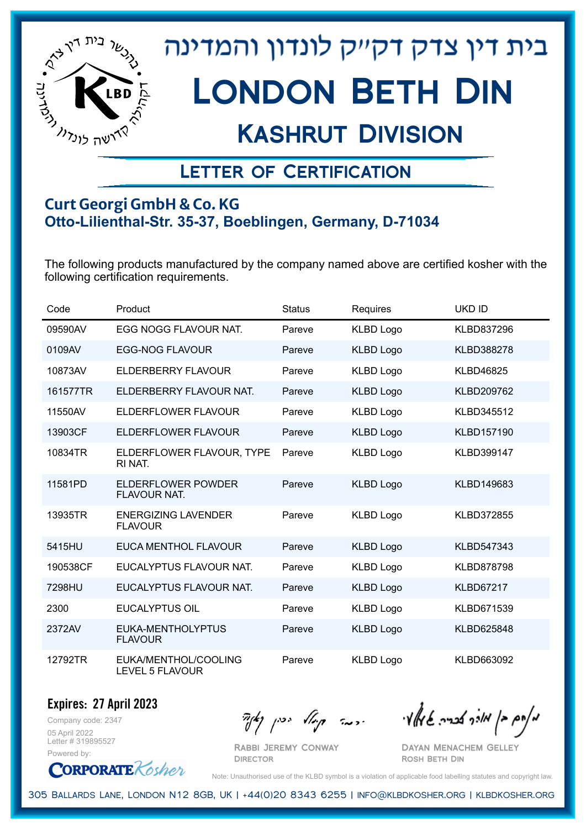

## Kashrut Division

### Letter of Certification

#### **Curt Georgi GmbH & Co. KG Otto-Lilienthal-Str. 35-37, Boeblingen, Germany, D-71034**

The following products manufactured by the company named above are certified kosher with the following certification requirements.

| Code     | Product                                      | <b>Status</b> | Requires         | <b>UKD ID</b>     |
|----------|----------------------------------------------|---------------|------------------|-------------------|
| 09590AV  | EGG NOGG FLAVOUR NAT.                        | Pareve        | <b>KLBD Logo</b> | KLBD837296        |
| 0109AV   | <b>EGG-NOG FLAVOUR</b>                       | Pareve        | <b>KLBD Logo</b> | <b>KLBD388278</b> |
| 10873AV  | ELDERBERRY FLAVOUR                           | Pareve        | <b>KLBD Logo</b> | <b>KLBD46825</b>  |
| 161577TR | ELDERBERRY FLAVOUR NAT.                      | Pareve        | <b>KLBD Logo</b> | KLBD209762        |
| 11550AV  | ELDERFLOWER FLAVOUR                          | Pareve        | <b>KLBD Logo</b> | KLBD345512        |
| 13903CF  | ELDERFLOWER FLAVOUR                          | Pareve        | <b>KLBD Logo</b> | KLBD157190        |
| 10834TR  | ELDERFLOWER FLAVOUR, TYPE<br>RI NAT.         | Pareve        | <b>KLBD Logo</b> | KLBD399147        |
| 11581PD  | <b>ELDERFLOWER POWDER</b><br>FLAVOUR NAT.    | Pareve        | <b>KLBD Logo</b> | KLBD149683        |
| 13935TR  | <b>ENERGIZING LAVENDER</b><br><b>FLAVOUR</b> | Pareve        | <b>KLBD Logo</b> | KLBD372855        |
| 5415HU   | EUCA MENTHOL FLAVOUR                         | Pareve        | <b>KLBD Logo</b> | KLBD547343        |
| 190538CF | EUCALYPTUS FLAVOUR NAT.                      | Pareve        | <b>KLBD Logo</b> | <b>KLBD878798</b> |
| 7298HU   | EUCALYPTUS FLAVOUR NAT.                      | Pareve        | <b>KLBD Logo</b> | <b>KLBD67217</b>  |
| 2300     | <b>EUCALYPTUS OIL</b>                        | Pareve        | <b>KLBD Logo</b> | KLBD671539        |
| 2372AV   | EUKA-MENTHOLYPTUS<br><b>FLAVOUR</b>          | Pareve        | <b>KLBD Logo</b> | KLBD625848        |
| 12792TR  | EUKA/MENTHOL/COOLING<br>LEVEL 5 FLAVOUR      | Pareve        | <b>KLBD Logo</b> | KLBD663092        |

**Expires: 27 April 2023**

Company code: 2347 05 April 2022 Letter # 319895527 Powered by:

Rabbi Jeremy Conway

**DIRECTOR** 

מאחם בן מורך אבריה שמאלי היה קיילא יכין קאין

Dayan Menachem Gelley Rosh Beth Din



Note: Unauthorised use of the KLBD symbol is a violation of applicable food labelling statutes and copyright law.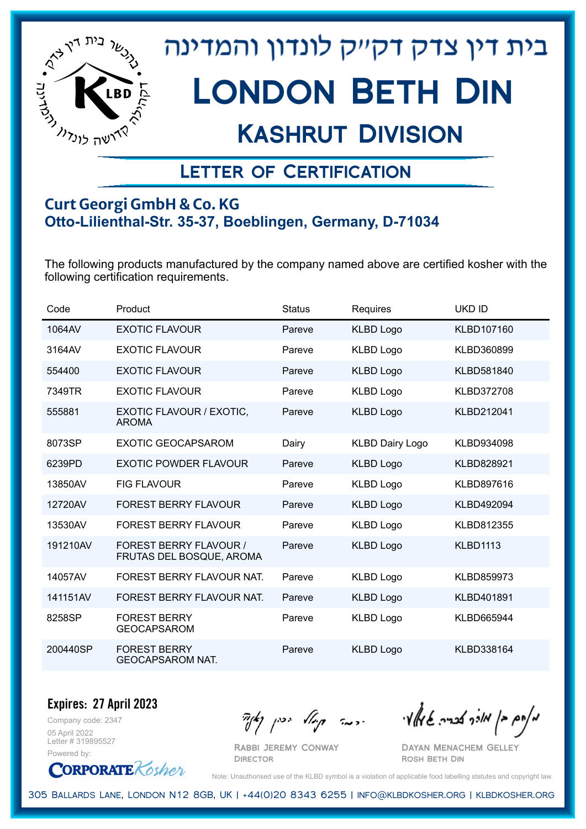

## Kashrut Division

### Letter of Certification

#### **Curt Georgi GmbH & Co. KG Otto-Lilienthal-Str. 35-37, Boeblingen, Germany, D-71034**

The following products manufactured by the company named above are certified kosher with the following certification requirements.

| Code     | Product                                                   | <b>Status</b> | Requires               | <b>UKD ID</b>     |
|----------|-----------------------------------------------------------|---------------|------------------------|-------------------|
| 1064AV   | <b>EXOTIC FLAVOUR</b>                                     | Pareve        | <b>KLBD Logo</b>       | KLBD107160        |
| 3164AV   | <b>EXOTIC FLAVOUR</b>                                     | Pareve        | <b>KLBD Logo</b>       | KLBD360899        |
| 554400   | <b>EXOTIC FLAVOUR</b>                                     | Pareve        | <b>KLBD Logo</b>       | KLBD581840        |
| 7349TR   | <b>EXOTIC FLAVOUR</b>                                     | Pareve        | <b>KLBD Logo</b>       | <b>KLBD372708</b> |
| 555881   | EXOTIC FLAVOUR / EXOTIC,<br><b>AROMA</b>                  | Pareve        | <b>KLBD Logo</b>       | KLBD212041        |
| 8073SP   | <b>EXOTIC GEOCAPSAROM</b>                                 | Dairy         | <b>KLBD Dairy Logo</b> | KLBD934098        |
| 6239PD   | <b>EXOTIC POWDER FLAVOUR</b>                              | Pareve        | <b>KLBD Logo</b>       | <b>KLBD828921</b> |
| 13850AV  | <b>FIG FLAVOUR</b>                                        | Pareve        | <b>KLBD Logo</b>       | KLBD897616        |
| 12720AV  | <b>FOREST BERRY FLAVOUR</b>                               | Pareve        | <b>KLBD Logo</b>       | KLBD492094        |
| 13530AV  | <b>FOREST BERRY FLAVOUR</b>                               | Pareve        | <b>KLBD Logo</b>       | KLBD812355        |
| 191210AV | <b>FOREST BERRY FLAVOUR /</b><br>FRUTAS DEL BOSQUE, AROMA | Pareve        | <b>KLBD Logo</b>       | <b>KLBD1113</b>   |
| 14057AV  | FOREST BERRY FLAVOUR NAT.                                 | Pareve        | <b>KLBD Logo</b>       | KLBD859973        |
| 141151AV | FOREST BERRY FLAVOUR NAT.                                 | Pareve        | <b>KLBD Logo</b>       | KLBD401891        |
| 8258SP   | <b>FOREST BERRY</b><br><b>GEOCAPSAROM</b>                 | Pareve        | <b>KLBD Logo</b>       | KLBD665944        |
| 200440SP | <b>FOREST BERRY</b><br><b>GEOCAPSAROM NAT.</b>            | Pareve        | <b>KLBD Logo</b>       | KLBD338164        |

Company code: 2347 **Expires: 27 April 2023**

05 April 2022 Letter # 319895527 Powered by:

**CORPORATE** Kosher

Rabbi Jeremy Conway

מאוס בן מוכך אבריה שמאלי היה קיילא יכין קאין

Dayan Menachem Gelley Rosh Beth Din

Note: Unauthorised use of the KLBD symbol is a violation of applicable food labelling statutes and copyright law.

305 Ballards Lane, London N12 8GB, UK | +44(0)20 8343 6255 | info@klbdkosher.org | klbdkosher.org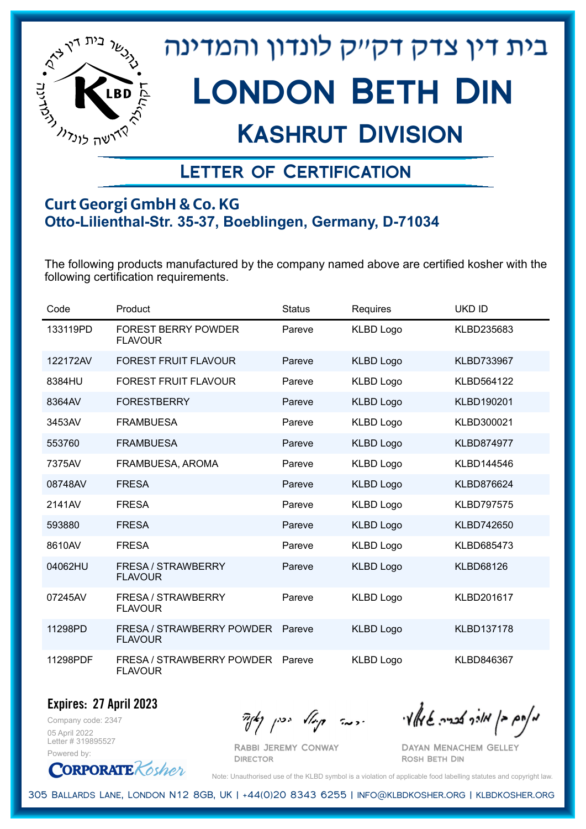

## Kashrut Division

### Letter of Certification

#### **Curt Georgi GmbH & Co. KG Otto-Lilienthal-Str. 35-37, Boeblingen, Germany, D-71034**

The following products manufactured by the company named above are certified kosher with the following certification requirements.

| Code     | Product                                            | <b>Status</b> | Requires         | <b>UKD ID</b>     |
|----------|----------------------------------------------------|---------------|------------------|-------------------|
| 133119PD | <b>FOREST BERRY POWDER</b><br><b>FLAVOUR</b>       | Pareve        | <b>KLBD Logo</b> | KLBD235683        |
| 122172AV | <b>FOREST FRUIT FLAVOUR</b>                        | Pareve        | <b>KLBD Logo</b> | <b>KLBD733967</b> |
| 8384HU   | <b>FOREST FRUIT FLAVOUR</b>                        | Pareve        | <b>KLBD Logo</b> | KLBD564122        |
| 8364AV   | <b>FORESTBERRY</b>                                 | Pareve        | <b>KLBD Logo</b> | KLBD190201        |
| 3453AV   | <b>FRAMBUESA</b>                                   | Pareve        | <b>KLBD Logo</b> | KLBD300021        |
| 553760   | <b>FRAMBUESA</b>                                   | Pareve        | <b>KLBD Logo</b> | <b>KLBD874977</b> |
| 7375AV   | FRAMBUESA, AROMA                                   | Pareve        | <b>KLBD Logo</b> | KLBD144546        |
| 08748AV  | <b>FRESA</b>                                       | Pareve        | <b>KLBD Logo</b> | KLBD876624        |
| 2141AV   | <b>FRESA</b>                                       | Pareve        | <b>KLBD Logo</b> | <b>KLBD797575</b> |
| 593880   | <b>FRESA</b>                                       | Pareve        | <b>KLBD Logo</b> | KLBD742650        |
| 8610AV   | <b>FRESA</b>                                       | Pareve        | <b>KLBD Logo</b> | KLBD685473        |
| 04062HU  | FRESA / STRAWBERRY<br><b>FLAVOUR</b>               | Pareve        | <b>KLBD Logo</b> | <b>KLBD68126</b>  |
| 07245AV  | FRESA / STRAWBERRY<br><b>FLAVOUR</b>               | Pareve        | <b>KLBD Logo</b> | KLBD201617        |
| 11298PD  | <b>FRESA / STRAWBERRY POWDER</b><br><b>FLAVOUR</b> | Pareve        | <b>KLBD Logo</b> | <b>KLBD137178</b> |
| 11298PDF | FRESA / STRAWBERRY POWDER<br><b>FLAVOUR</b>        | Pareve        | <b>KLBD Logo</b> | KLBD846367        |

Company code: 2347 **Expires: 27 April 2023**

05 April 2022 Letter # 319895527 Powered by:

**CORPORATE** Kosher

Rabbi Jeremy Conway **DIRECTOR** 

מאחם בן מורך אבריה שמאלי היה קיילא יכין קאין

Dayan Menachem Gelley Rosh Beth Din

Note: Unauthorised use of the KLBD symbol is a violation of applicable food labelling statutes and copyright law.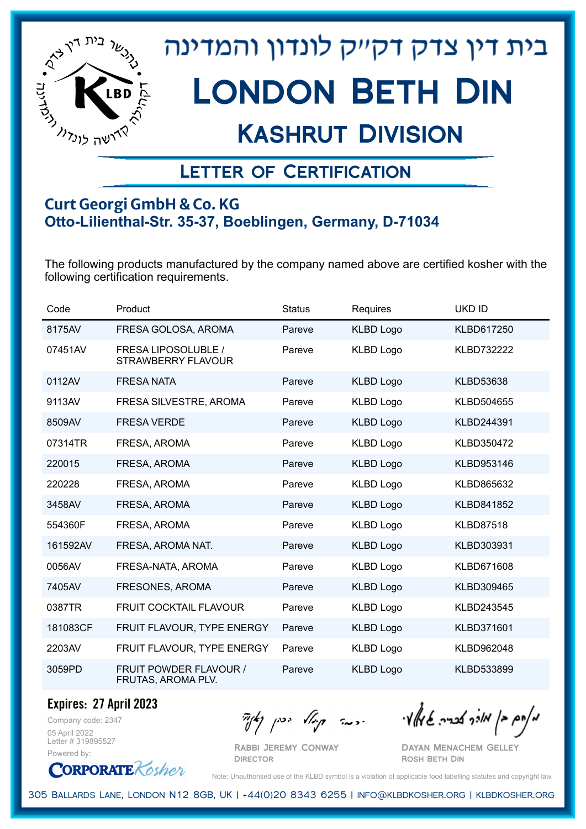

## Kashrut Division

### Letter of Certification

#### **Curt Georgi GmbH & Co. KG Otto-Lilienthal-Str. 35-37, Boeblingen, Germany, D-71034**

The following products manufactured by the company named above are certified kosher with the following certification requirements.

| Code     | Product                                             | <b>Status</b> | Requires         | <b>UKD ID</b>     |
|----------|-----------------------------------------------------|---------------|------------------|-------------------|
| 8175AV   | FRESA GOLOSA, AROMA                                 | Pareve        | <b>KLBD Logo</b> | KLBD617250        |
| 07451AV  | FRESA LIPOSOLUBLE /<br>STRAWBERRY FLAVOUR           | Pareve        | <b>KLBD Logo</b> | <b>KLBD732222</b> |
| 0112AV   | <b>FRESA NATA</b>                                   | Pareve        | <b>KLBD Logo</b> | <b>KLBD53638</b>  |
| 9113AV   | FRESA SILVESTRE, AROMA                              | Pareve        | <b>KLBD Logo</b> | KLBD504655        |
| 8509AV   | <b>FRESA VERDE</b>                                  | Pareve        | <b>KLBD Logo</b> | KLBD244391        |
| 07314TR  | FRESA, AROMA                                        | Pareve        | <b>KLBD Logo</b> | KLBD350472        |
| 220015   | FRESA, AROMA                                        | Pareve        | <b>KLBD Logo</b> | KLBD953146        |
| 220228   | FRESA, AROMA                                        | Pareve        | <b>KLBD Logo</b> | KLBD865632        |
| 3458AV   | FRESA, AROMA                                        | Pareve        | <b>KLBD Logo</b> | KLBD841852        |
| 554360F  | FRESA, AROMA                                        | Pareve        | <b>KLBD Logo</b> | <b>KLBD87518</b>  |
| 161592AV | FRESA, AROMA NAT.                                   | Pareve        | <b>KLBD Logo</b> | KLBD303931        |
| 0056AV   | FRESA-NATA, AROMA                                   | Pareve        | <b>KLBD Logo</b> | KLBD671608        |
| 7405AV   | FRESONES, AROMA                                     | Pareve        | <b>KLBD Logo</b> | KLBD309465        |
| 0387TR   | FRUIT COCKTAIL FLAVOUR                              | Pareve        | <b>KLBD Logo</b> | KLBD243545        |
| 181083CF | FRUIT FLAVOUR, TYPE ENERGY                          | Pareve        | <b>KLBD Logo</b> | KLBD371601        |
| 2203AV   | FRUIT FLAVOUR, TYPE ENERGY                          | Pareve        | <b>KLBD Logo</b> | KLBD962048        |
| 3059PD   | <b>FRUIT POWDER FLAVOUR /</b><br>FRUTAS, AROMA PLV. | Pareve        | <b>KLBD Logo</b> | KLBD533899        |

**Expires: 27 April 2023**

Company code: 2347 05 April 2022 Letter # 319895527 Powered by:

מאוס בן מוכך אבריה שמאלי היה קיילא יכין קאין

Rabbi Jeremy Conway

Dayan Menachem Gelley Rosh Beth Din



Note: Unauthorised use of the KLBD symbol is a violation of applicable food labelling statutes and copyright law.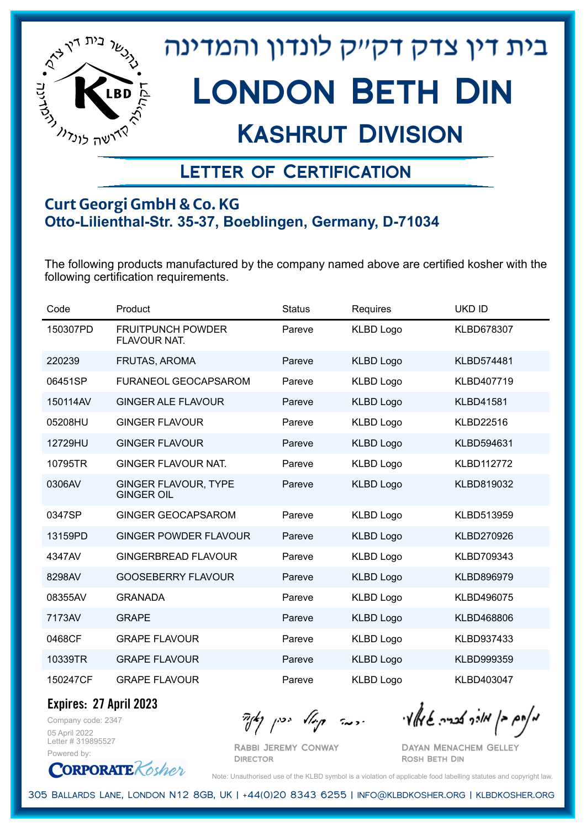

## Kashrut Division

### Letter of Certification

#### **Curt Georgi GmbH & Co. KG Otto-Lilienthal-Str. 35-37, Boeblingen, Germany, D-71034**

The following products manufactured by the company named above are certified kosher with the following certification requirements.

| Code     | Product                                          | <b>Status</b> | Requires         | <b>UKD ID</b>     |
|----------|--------------------------------------------------|---------------|------------------|-------------------|
| 150307PD | <b>FRUITPUNCH POWDER</b><br>FLAVOUR NAT.         | Pareve        | <b>KLBD Logo</b> | KLBD678307        |
| 220239   | <b>FRUTAS, AROMA</b>                             | Pareve        | <b>KLBD Logo</b> | <b>KLBD574481</b> |
| 06451SP  | <b>FURANEOL GEOCAPSAROM</b>                      | Pareve        | <b>KLBD Logo</b> | KLBD407719        |
| 150114AV | <b>GINGER ALE FLAVOUR</b>                        | Pareve        | <b>KLBD Logo</b> | <b>KLBD41581</b>  |
| 05208HU  | <b>GINGER FLAVOUR</b>                            | Pareve        | <b>KLBD Logo</b> | <b>KLBD22516</b>  |
| 12729HU  | <b>GINGER FLAVOUR</b>                            | Pareve        | <b>KLBD Logo</b> | KLBD594631        |
| 10795TR  | <b>GINGER FLAVOUR NAT.</b>                       | Pareve        | <b>KLBD Logo</b> | <b>KLBD112772</b> |
| 0306AV   | <b>GINGER FLAVOUR, TYPE</b><br><b>GINGER OIL</b> | Pareve        | <b>KLBD Logo</b> | KLBD819032        |
| 0347SP   | <b>GINGER GEOCAPSAROM</b>                        | Pareve        | <b>KLBD Logo</b> | KLBD513959        |
| 13159PD  | GINGER POWDER FLAVOUR                            | Pareve        | <b>KLBD Logo</b> | KLBD270926        |
| 4347AV   | <b>GINGERBREAD FLAVOUR</b>                       | Pareve        | <b>KLBD Logo</b> | KLBD709343        |
| 8298AV   | <b>GOOSEBERRY FLAVOUR</b>                        | Pareve        | <b>KLBD Logo</b> | KLBD896979        |
| 08355AV  | <b>GRANADA</b>                                   | Pareve        | <b>KLBD Logo</b> | KLBD496075        |
| 7173AV   | <b>GRAPE</b>                                     | Pareve        | <b>KLBD Logo</b> | KLBD468806        |
| 0468CF   | <b>GRAPE FLAVOUR</b>                             | Pareve        | <b>KLBD Logo</b> | KLBD937433        |
| 10339TR  | <b>GRAPE FLAVOUR</b>                             | Pareve        | <b>KLBD Logo</b> | KLBD999359        |
| 150247CF | <b>GRAPE FLAVOUR</b>                             | Pareve        | <b>KLBD Logo</b> | KLBD403047        |

**Expires: 27 April 2023**

Company code: 2347 05 April 2022 Letter # 319895527 Powered by:

**CORPORATE** Kosher

 $\mathcal{H}_{\mathcal{C}}$   $\mathcal{H}_{\mathcal{C}}$   $\mathcal{H}_{\mathcal{C}}$   $\mathcal{H}_{\mathcal{C}}$   $\mathcal{H}_{\mathcal{C}}$   $\mathcal{H}_{\mathcal{C}}$   $\mathcal{H}_{\mathcal{C}}$   $\mathcal{H}_{\mathcal{C}}$   $\mathcal{H}_{\mathcal{C}}$   $\mathcal{H}_{\mathcal{C}}$   $\mathcal{H}_{\mathcal{C}}$   $\mathcal{H}_{\mathcal{C}}$ 

Rabbi Jeremy Conway **DIRECTOR** 

Dayan Menachem Gelley Rosh Beth Din

Note: Unauthorised use of the KLBD symbol is a violation of applicable food labelling statutes and copyright law.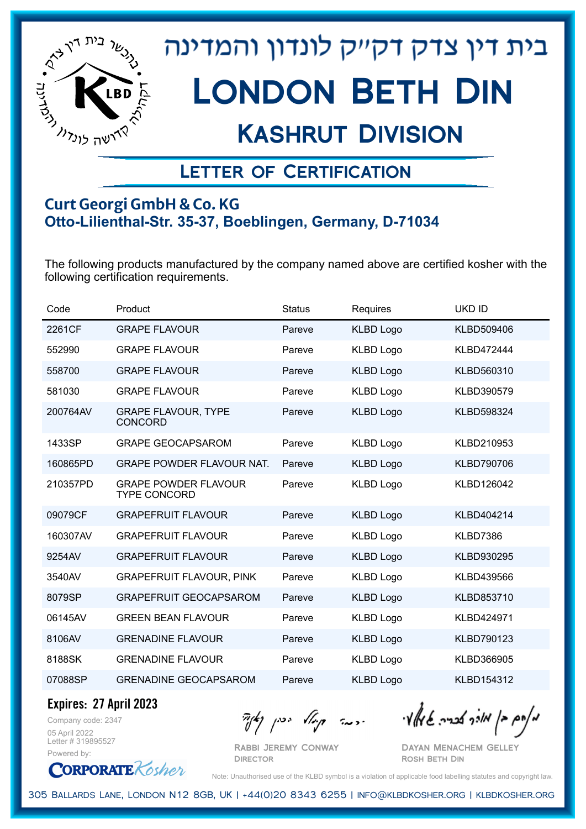

## Kashrut Division

### Letter of Certification

#### **Curt Georgi GmbH & Co. KG Otto-Lilienthal-Str. 35-37, Boeblingen, Germany, D-71034**

The following products manufactured by the company named above are certified kosher with the following certification requirements.

| Code     | Product                                            | <b>Status</b> | Requires         | <b>UKD ID</b>     |
|----------|----------------------------------------------------|---------------|------------------|-------------------|
| 2261CF   | <b>GRAPE FLAVOUR</b>                               | Pareve        | <b>KLBD Logo</b> | KLBD509406        |
| 552990   | <b>GRAPE FLAVOUR</b>                               | Pareve        | <b>KLBD Logo</b> | <b>KLBD472444</b> |
| 558700   | <b>GRAPE FLAVOUR</b>                               | Pareve        | <b>KLBD Logo</b> | KLBD560310        |
| 581030   | <b>GRAPE FLAVOUR</b>                               | Pareve        | <b>KLBD Logo</b> | KLBD390579        |
| 200764AV | <b>GRAPE FLAVOUR, TYPE</b><br><b>CONCORD</b>       | Pareve        | <b>KLBD Logo</b> | KLBD598324        |
| 1433SP   | <b>GRAPE GEOCAPSAROM</b>                           | Pareve        | <b>KLBD Logo</b> | KLBD210953        |
| 160865PD | <b>GRAPE POWDER FLAVOUR NAT.</b>                   | Pareve        | <b>KLBD Logo</b> | <b>KLBD790706</b> |
| 210357PD | <b>GRAPE POWDER FLAVOUR</b><br><b>TYPE CONCORD</b> | Pareve        | <b>KLBD Logo</b> | KLBD126042        |
| 09079CF  | <b>GRAPEFRUIT FLAVOUR</b>                          | Pareve        | <b>KLBD Logo</b> | KLBD404214        |
| 160307AV | <b>GRAPEFRUIT FLAVOUR</b>                          | Pareve        | <b>KLBD Logo</b> | KLBD7386          |
| 9254AV   | <b>GRAPEFRUIT FLAVOUR</b>                          | Pareve        | <b>KLBD Logo</b> | KLBD930295        |
| 3540AV   | <b>GRAPEFRUIT FLAVOUR, PINK</b>                    | Pareve        | <b>KLBD Logo</b> | KLBD439566        |
| 8079SP   | <b>GRAPEFRUIT GEOCAPSAROM</b>                      | Pareve        | <b>KLBD Logo</b> | KLBD853710        |
| 06145AV  | <b>GREEN BEAN FLAVOUR</b>                          | Pareve        | <b>KLBD Logo</b> | KLBD424971        |
| 8106AV   | <b>GRENADINE FLAVOUR</b>                           | Pareve        | <b>KLBD Logo</b> | KLBD790123        |
| 8188SK   | <b>GRENADINE FLAVOUR</b>                           | Pareve        | <b>KLBD Logo</b> | KLBD366905        |
| 07088SP  | <b>GRENADINE GEOCAPSAROM</b>                       | Pareve        | <b>KLBD Logo</b> | KLBD154312        |

**Expires: 27 April 2023**

Company code: 2347 05 April 2022 Letter # 319895527 Powered by:

 $\mathcal{H}_{\mathcal{C}}$   $\mathcal{H}_{\mathcal{C}}$   $\mathcal{H}_{\mathcal{C}}$   $\mathcal{H}_{\mathcal{C}}$   $\mathcal{H}_{\mathcal{C}}$   $\mathcal{H}_{\mathcal{C}}$   $\mathcal{H}_{\mathcal{C}}$   $\mathcal{H}_{\mathcal{C}}$   $\mathcal{H}_{\mathcal{C}}$   $\mathcal{H}_{\mathcal{C}}$   $\mathcal{H}_{\mathcal{C}}$   $\mathcal{H}_{\mathcal{C}}$ 

Rabbi Jeremy Conway **DIRECTOR** 

Dayan Menachem Gelley Rosh Beth Din

**CORPORATE** Kosher Note: Unauthorised use of the KLBD symbol is a violation of applicable food labelling statutes and copyright law.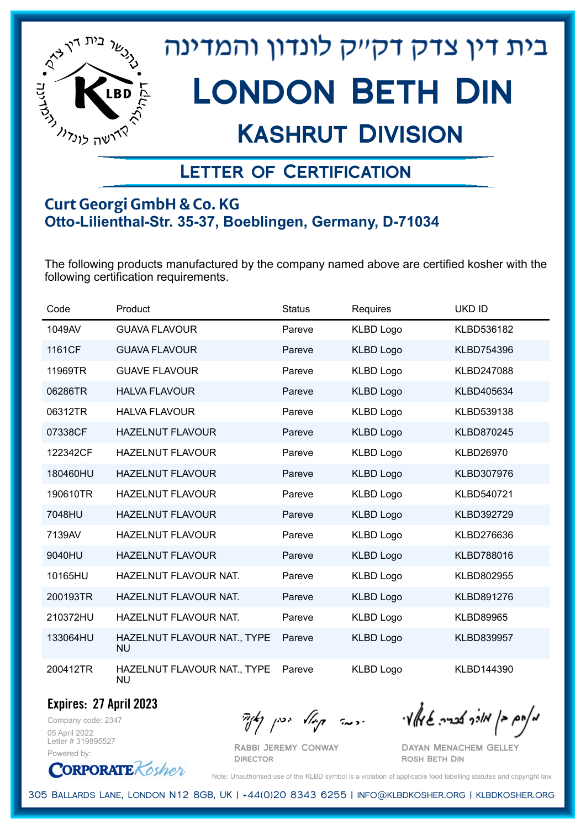

## Kashrut Division

### Letter of Certification

#### **Curt Georgi GmbH & Co. KG Otto-Lilienthal-Str. 35-37, Boeblingen, Germany, D-71034**

The following products manufactured by the company named above are certified kosher with the following certification requirements.

| Code     | Product                                  | <b>Status</b> | Requires         | <b>UKD ID</b>     |
|----------|------------------------------------------|---------------|------------------|-------------------|
| 1049AV   | <b>GUAVA FLAVOUR</b>                     | Pareve        | <b>KLBD Logo</b> | KLBD536182        |
| 1161CF   | <b>GUAVA FLAVOUR</b>                     | Pareve        | <b>KLBD Logo</b> | <b>KLBD754396</b> |
| 11969TR  | <b>GUAVE FLAVOUR</b>                     | Pareve        | <b>KLBD Logo</b> | KLBD247088        |
| 06286TR  | <b>HALVA FLAVOUR</b>                     | Pareve        | <b>KLBD Logo</b> | KLBD405634        |
| 06312TR  | <b>HALVA FLAVOUR</b>                     | Pareve        | <b>KLBD Logo</b> | KLBD539138        |
| 07338CF  | <b>HAZELNUT FLAVOUR</b>                  | Pareve        | <b>KLBD Logo</b> | KLBD870245        |
| 122342CF | <b>HAZELNUT FLAVOUR</b>                  | Pareve        | <b>KLBD Logo</b> | <b>KLBD26970</b>  |
| 180460HU | <b>HAZELNUT FLAVOUR</b>                  | Pareve        | <b>KLBD Logo</b> | KLBD307976        |
| 190610TR | <b>HAZELNUT FLAVOUR</b>                  | Pareve        | <b>KLBD Logo</b> | KLBD540721        |
| 7048HU   | <b>HAZELNUT FLAVOUR</b>                  | Pareve        | <b>KLBD Logo</b> | KLBD392729        |
| 7139AV   | <b>HAZELNUT FLAVOUR</b>                  | Pareve        | <b>KLBD Logo</b> | KLBD276636        |
| 9040HU   | <b>HAZELNUT FLAVOUR</b>                  | Pareve        | <b>KLBD Logo</b> | KLBD788016        |
| 10165HU  | HAZELNUT FLAVOUR NAT.                    | Pareve        | <b>KLBD Logo</b> | KLBD802955        |
| 200193TR | HAZELNUT FLAVOUR NAT.                    | Pareve        | <b>KLBD Logo</b> | KLBD891276        |
| 210372HU | HAZELNUT FLAVOUR NAT.                    | Pareve        | <b>KLBD Logo</b> | <b>KLBD89965</b>  |
| 133064HU | HAZELNUT FLAVOUR NAT., TYPE<br><b>NU</b> | Pareve        | <b>KLBD Logo</b> | KLBD839957        |
| 200412TR | HAZELNUT FLAVOUR NAT., TYPE<br>NU        | Pareve        | <b>KLBD Logo</b> | KLBD144390        |

Company code: 2347 **Expires: 27 April 2023**

05 April 2022 Letter # 319895527 Powered by:

מאחם בן מורך אבריה שמאלי היה קיילא יכין קאין

Rabbi Jeremy Conway Dayan Menachem Gelley Rosh Beth Din

**CORPORATE** Kosher

Note: Unauthorised use of the KLBD symbol is a violation of applicable food labelling statutes and copyright law.

305 Ballards Lane, London N12 8GB, UK | +44(0)20 8343 6255 | info@klbdkosher.org | klbdkosher.org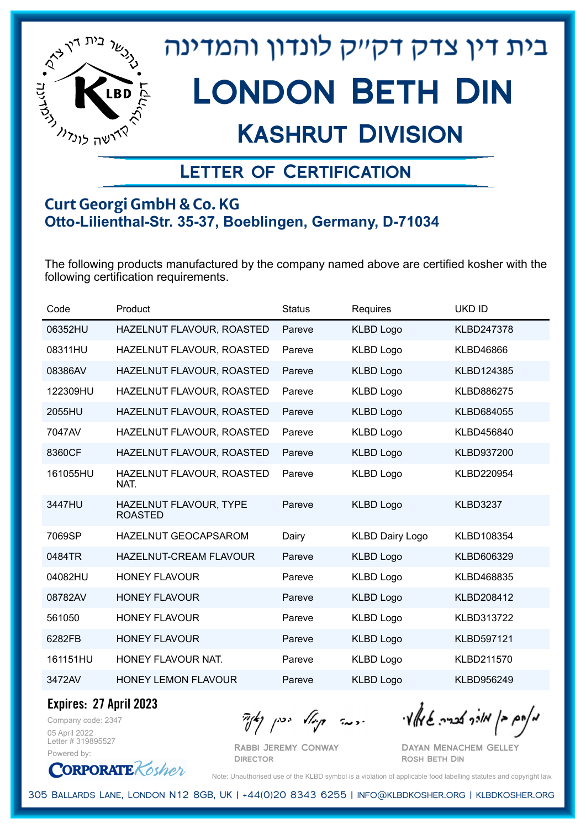

## Kashrut Division

### Letter of Certification

#### **Curt Georgi GmbH & Co. KG Otto-Lilienthal-Str. 35-37, Boeblingen, Germany, D-71034**

The following products manufactured by the company named above are certified kosher with the following certification requirements.

| Code     | Product                                  | <b>Status</b> | Requires               | UKD ID          |
|----------|------------------------------------------|---------------|------------------------|-----------------|
| 06352HU  | HAZELNUT FLAVOUR, ROASTED                | Pareve        | <b>KLBD Logo</b>       | KLBD247378      |
| 08311HU  | HAZELNUT FLAVOUR, ROASTED                | Pareve        | <b>KLBD Logo</b>       | KLBD46866       |
| 08386AV  | HAZELNUT FLAVOUR, ROASTED                | Pareve        | <b>KLBD Logo</b>       | KLBD124385      |
| 122309HU | HAZELNUT FLAVOUR, ROASTED                | Pareve        | <b>KLBD Logo</b>       | KLBD886275      |
| 2055HU   | HAZELNUT FLAVOUR, ROASTED                | Pareve        | <b>KLBD Logo</b>       | KLBD684055      |
| 7047AV   | HAZELNUT FLAVOUR, ROASTED                | Pareve        | <b>KLBD Logo</b>       | KLBD456840      |
| 8360CF   | HAZELNUT FLAVOUR, ROASTED                | Pareve        | <b>KLBD Logo</b>       | KLBD937200      |
| 161055HU | HAZELNUT FLAVOUR, ROASTED<br>NAT.        | Pareve        | <b>KLBD Logo</b>       | KLBD220954      |
| 3447HU   | HAZELNUT FLAVOUR, TYPE<br><b>ROASTED</b> | Pareve        | <b>KLBD Logo</b>       | <b>KLBD3237</b> |
| 7069SP   | <b>HAZELNUT GEOCAPSAROM</b>              | Dairy         | <b>KLBD Dairy Logo</b> | KLBD108354      |
| 0484TR   | <b>HAZELNUT-CREAM FLAVOUR</b>            | Pareve        | <b>KLBD Logo</b>       | KLBD606329      |
| 04082HU  | <b>HONEY FLAVOUR</b>                     | Pareve        | <b>KLBD Logo</b>       | KLBD468835      |
| 08782AV  | <b>HONEY FLAVOUR</b>                     | Pareve        | <b>KLBD Logo</b>       | KLBD208412      |
| 561050   | <b>HONEY FLAVOUR</b>                     | Pareve        | <b>KLBD Logo</b>       | KLBD313722      |
| 6282FB   | <b>HONEY FLAVOUR</b>                     | Pareve        | <b>KLBD Logo</b>       | KLBD597121      |
| 161151HU | HONEY FLAVOUR NAT.                       | Pareve        | <b>KLBD Logo</b>       | KLBD211570      |
| 3472AV   | <b>HONEY LEMON FLAVOUR</b>               | Pareve        | <b>KLBD Logo</b>       | KLBD956249      |

**Expires: 27 April 2023**

Company code: 2347 05 April 2022 Letter # 319895527 Powered by:

**CORPORATE** Kosher

Rabbi Jeremy Conway **DIRECTOR** 

מאוס בן מוכך אבריה שמאלי היה קיילא יכין קאין

Dayan Menachem Gelley Rosh Beth Din

Note: Unauthorised use of the KLBD symbol is a violation of applicable food labelling statutes and copyright law.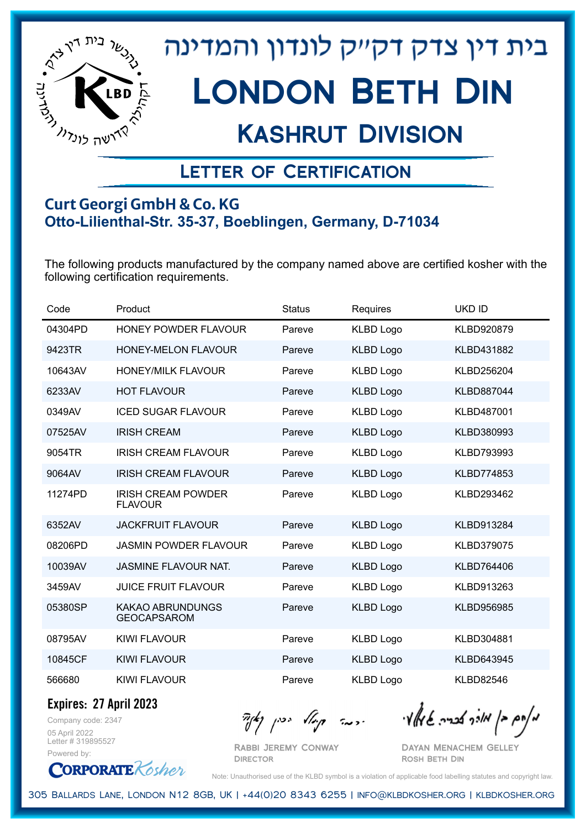

## Kashrut Division

### Letter of Certification

#### **Curt Georgi GmbH & Co. KG Otto-Lilienthal-Str. 35-37, Boeblingen, Germany, D-71034**

The following products manufactured by the company named above are certified kosher with the following certification requirements.

| Code    | Product                                       | <b>Status</b> | Requires         | <b>UKD ID</b>     |
|---------|-----------------------------------------------|---------------|------------------|-------------------|
| 04304PD | <b>HONEY POWDER FLAVOUR</b>                   | Pareve        | <b>KLBD Logo</b> | KLBD920879        |
| 9423TR  | <b>HONEY-MELON FLAVOUR</b>                    | Pareve        | <b>KLBD Logo</b> | KLBD431882        |
| 10643AV | <b>HONEY/MILK FLAVOUR</b>                     | Pareve        | <b>KLBD Logo</b> | KLBD256204        |
| 6233AV  | <b>HOT FLAVOUR</b>                            | Pareve        | <b>KLBD Logo</b> | KLBD887044        |
| 0349AV  | <b>ICED SUGAR FLAVOUR</b>                     | Pareve        | <b>KLBD Logo</b> | KLBD487001        |
| 07525AV | <b>IRISH CREAM</b>                            | Pareve        | <b>KLBD Logo</b> | KLBD380993        |
| 9054TR  | <b>IRISH CREAM FLAVOUR</b>                    | Pareve        | <b>KLBD Logo</b> | KLBD793993        |
| 9064AV  | <b>IRISH CREAM FLAVOUR</b>                    | Pareve        | <b>KLBD Logo</b> | <b>KLBD774853</b> |
| 11274PD | <b>IRISH CREAM POWDER</b><br><b>FLAVOUR</b>   | Pareve        | <b>KLBD Logo</b> | KLBD293462        |
| 6352AV  | <b>JACKFRUIT FLAVOUR</b>                      | Pareve        | <b>KLBD Logo</b> | KLBD913284        |
| 08206PD | <b>JASMIN POWDER FLAVOUR</b>                  | Pareve        | <b>KLBD Logo</b> | KLBD379075        |
| 10039AV | <b>JASMINE FLAVOUR NAT.</b>                   | Pareve        | <b>KLBD Logo</b> | KLBD764406        |
| 3459AV  | <b>JUICE FRUIT FLAVOUR</b>                    | Pareve        | <b>KLBD Logo</b> | KLBD913263        |
| 05380SP | <b>KAKAO ABRUNDUNGS</b><br><b>GEOCAPSAROM</b> | Pareve        | <b>KLBD Logo</b> | <b>KLBD956985</b> |
| 08795AV | <b>KIWI FLAVOUR</b>                           | Pareve        | <b>KLBD Logo</b> | KLBD304881        |
| 10845CF | KIWI FLAVOUR                                  | Pareve        | <b>KLBD Logo</b> | KLBD643945        |
| 566680  | KIWI FLAVOUR                                  | Pareve        | <b>KLBD Logo</b> | <b>KLBD82546</b>  |

**Expires: 27 April 2023**

Company code: 2347 05 April 2022 Letter # 319895527 Powered by:

**CORPORATE** Kosher

Rabbi Jeremy Conway

 $\mathcal{H}_{\mathcal{C}}$   $\mathcal{H}_{\mathcal{C}}$   $\mathcal{H}_{\mathcal{C}}$   $\mathcal{H}_{\mathcal{C}}$   $\mathcal{H}_{\mathcal{C}}$   $\mathcal{H}_{\mathcal{C}}$   $\mathcal{H}_{\mathcal{C}}$   $\mathcal{H}_{\mathcal{C}}$   $\mathcal{H}_{\mathcal{C}}$   $\mathcal{H}_{\mathcal{C}}$   $\mathcal{H}_{\mathcal{C}}$   $\mathcal{H}_{\mathcal{C}}$ 

**DIRECTOR** 

Dayan Menachem Gelley Rosh Beth Din

Note: Unauthorised use of the KLBD symbol is a violation of applicable food labelling statutes and copyright law.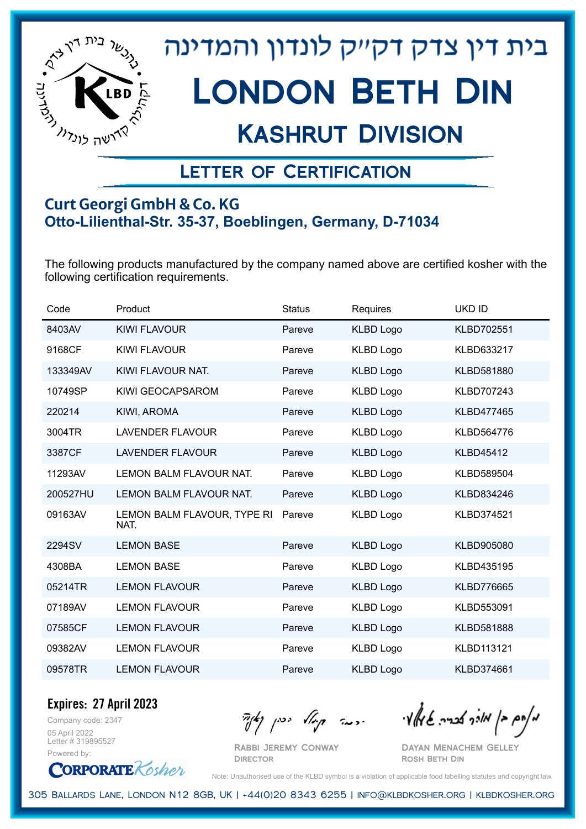

## Kashrut Division

### Letter of Certification

#### **Curt Georgi GmbH & Co. KG Otto-Lilienthal-Str. 35-37, Boeblingen, Germany, D-71034**

The following products manufactured by the company named above are certified kosher with the following certification requirements.

| Code     | Product                             | <b>Status</b> | Requires         | <b>UKD ID</b>     |
|----------|-------------------------------------|---------------|------------------|-------------------|
| 8403AV   | KIWI FLAVOUR                        | Pareve        | <b>KLBD Logo</b> | KLBD702551        |
| 9168CF   | <b>KIWI FLAVOUR</b>                 | Pareve        | <b>KLBD Logo</b> | KLBD633217        |
| 133349AV | KIWI FLAVOUR NAT.                   | Pareve        | <b>KLBD Logo</b> | KLBD581880        |
| 10749SP  | KIWI GEOCAPSAROM                    | Pareve        | <b>KLBD Logo</b> | KLBD707243        |
| 220214   | KIWI, AROMA                         | Pareve        | <b>KLBD Logo</b> | KLBD477465        |
| 3004TR   | <b>LAVENDER FLAVOUR</b>             | Pareve        | <b>KLBD Logo</b> | KLBD564776        |
| 3387CF   | <b>LAVENDER FLAVOUR</b>             | Pareve        | <b>KLBD Logo</b> | <b>KLBD45412</b>  |
| 11293AV  | LEMON BALM FLAVOUR NAT.             | Pareve        | <b>KLBD Logo</b> | KLBD589504        |
| 200527HU | LEMON BALM FLAVOUR NAT.             | Pareve        | <b>KLBD Logo</b> | KLBD834246        |
| 09163AV  | LEMON BALM FLAVOUR, TYPE RI<br>NAT. | Pareve        | <b>KLBD Logo</b> | KLBD374521        |
| 2294SV   | <b>LEMON BASE</b>                   | Pareve        | <b>KLBD Logo</b> | KLBD905080        |
| 4308BA   | <b>LEMON BASE</b>                   | Pareve        | KLBD Logo        | KLBD435195        |
| 05214TR  | <b>LEMON FLAVOUR</b>                | Pareve        | <b>KLBD Logo</b> | <b>KLBD776665</b> |
| 07189AV  | <b>LEMON FLAVOUR</b>                | Pareve        | <b>KLBD Logo</b> | KLBD553091        |
| 07585CF  | <b>LEMON FLAVOUR</b>                | Pareve        | <b>KLBD Logo</b> | KLBD581888        |
| 09382AV  | <b>LEMON FLAVOUR</b>                | Pareve        | <b>KLBD Logo</b> | KLBD113121        |
| 09578TR  | <b>LEMON FLAVOUR</b>                | Pareve        | <b>KLBD Logo</b> | KLBD374661        |

Company code: 2347 **Expires: 27 April 2023**

05 April 2022 Letter # 319895527 Powered by:

**CORPORATE** Kosher

 $\frac{1}{2}$ אולך אברה שיאלי ווינה קייל יכין קאיר

Rabbi Jeremy Conway **DIRECTOR** 

Dayan Menachem Gelley Rosh Beth Din

Note: Unauthorised use of the KLBD symbol is a violation of applicable food labelling statutes and copyright law.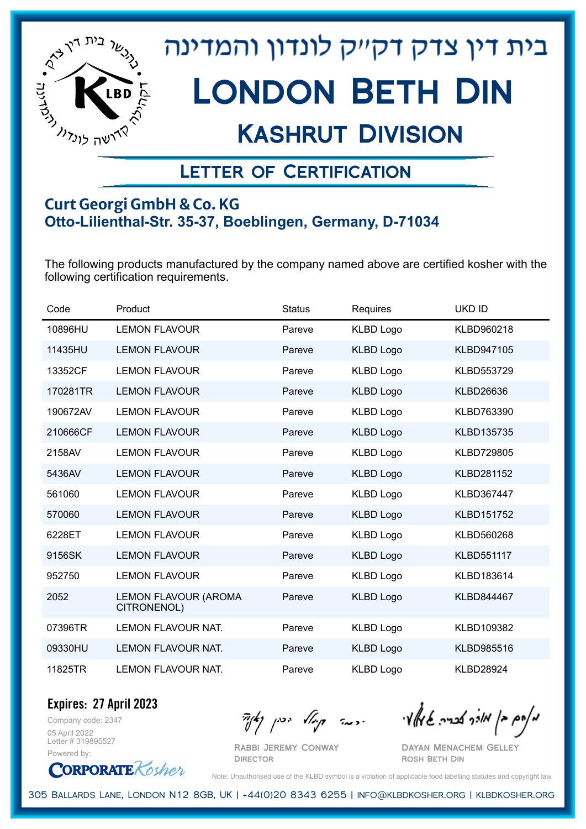

## Kashrut Division

### Letter of Certification

#### **Curt Georgi GmbH & Co. KG Otto-Lilienthal-Str. 35-37, Boeblingen, Germany, D-71034**

The following products manufactured by the company named above are certified kosher with the following certification requirements.

| Code     | Product                                    | <b>Status</b> | Requires         | <b>UKD ID</b>     |
|----------|--------------------------------------------|---------------|------------------|-------------------|
| 10896HU  | <b>LEMON FLAVOUR</b>                       | Pareve        | <b>KLBD Logo</b> | KLBD960218        |
| 11435HU  | <b>LEMON FLAVOUR</b>                       | Pareve        | <b>KLBD Logo</b> | KLBD947105        |
| 13352CF  | <b>LEMON FLAVOUR</b>                       | Pareve        | <b>KLBD Logo</b> | KLBD553729        |
| 170281TR | <b>LEMON FLAVOUR</b>                       | Pareve        | <b>KLBD Logo</b> | <b>KLBD26636</b>  |
| 190672AV | <b>LEMON FLAVOUR</b>                       | Pareve        | <b>KLBD Logo</b> | KLBD763390        |
| 210666CF | <b>LEMON FLAVOUR</b>                       | Pareve        | <b>KLBD Logo</b> | KLBD135735        |
| 2158AV   | <b>LEMON FLAVOUR</b>                       | Pareve        | <b>KLBD Logo</b> | <b>KLBD729805</b> |
| 5436AV   | <b>LEMON FLAVOUR</b>                       | Pareve        | <b>KLBD Logo</b> | KLBD281152        |
| 561060   | <b>LEMON FLAVOUR</b>                       | Pareve        | <b>KLBD Logo</b> | KLBD367447        |
| 570060   | <b>LEMON FLAVOUR</b>                       | Pareve        | <b>KLBD Logo</b> | KLBD151752        |
| 6228ET   | <b>LEMON FLAVOUR</b>                       | Pareve        | <b>KLBD Logo</b> | KLBD560268        |
| 9156SK   | <b>LEMON FLAVOUR</b>                       | Pareve        | <b>KLBD Logo</b> | KLBD551117        |
| 952750   | <b>LEMON FLAVOUR</b>                       | Pareve        | <b>KLBD Logo</b> | KLBD183614        |
| 2052     | <b>LEMON FLAVOUR (AROMA</b><br>CITRONENOL) | Pareve        | <b>KLBD Logo</b> | KLBD844467        |
| 07396TR  | <b>LEMON FLAVOUR NAT.</b>                  | Pareve        | <b>KLBD Logo</b> | KLBD109382        |
| 09330HU  | LEMON FLAVOUR NAT.                         | Pareve        | <b>KLBD Logo</b> | KLBD985516        |
| 11825TR  | <b>LEMON FLAVOUR NAT.</b>                  | Pareve        | <b>KLBD Logo</b> | <b>KLBD28924</b>  |

Company code: 2347 **Expires: 27 April 2023**

05 April 2022 Letter # 319895527 Powered by:

**CORPORATE** Kosher

Rabbi Jeremy Conway

מאחם בן מורך אבריה שמאלי היה קיילא יכין קאין

Dayan Menachem Gelley Rosh Beth Din

Note: Unauthorised use of the KLBD symbol is a violation of applicable food labelling statutes and copyright law.

305 Ballards Lane, London N12 8GB, UK | +44(0)20 8343 6255 | info@klbdkosher.org | klbdkosher.org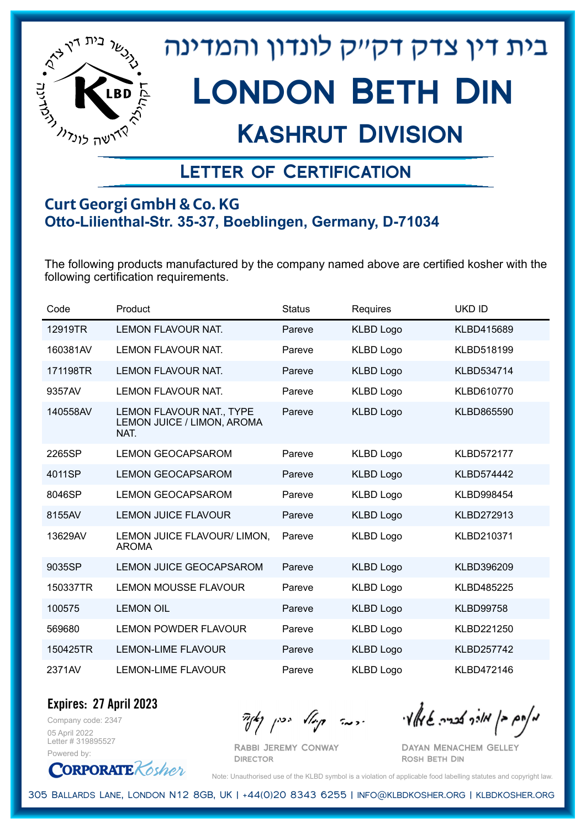

## Kashrut Division

### Letter of Certification

#### **Curt Georgi GmbH & Co. KG Otto-Lilienthal-Str. 35-37, Boeblingen, Germany, D-71034**

The following products manufactured by the company named above are certified kosher with the following certification requirements.

| Code     | Product                                                               | <b>Status</b> | Requires         | <b>UKD ID</b>     |
|----------|-----------------------------------------------------------------------|---------------|------------------|-------------------|
| 12919TR  | <b>LEMON FLAVOUR NAT.</b>                                             | Pareve        | <b>KLBD Logo</b> | KLBD415689        |
| 160381AV | <b>LEMON FLAVOUR NAT.</b>                                             | Pareve        | <b>KLBD Logo</b> | KLBD518199        |
| 171198TR | LEMON FLAVOUR NAT.                                                    | Pareve        | <b>KLBD Logo</b> | KLBD534714        |
| 9357AV   | LEMON FLAVOUR NAT.                                                    | Pareve        | <b>KLBD Logo</b> | KLBD610770        |
| 140558AV | <b>LEMON FLAVOUR NAT., TYPE</b><br>LEMON JUICE / LIMON, AROMA<br>NAT. | Pareve        | <b>KLBD Logo</b> | KLBD865590        |
| 2265SP   | <b>LEMON GEOCAPSAROM</b>                                              | Pareve        | <b>KLBD Logo</b> | <b>KLBD572177</b> |
| 4011SP   | <b>LEMON GEOCAPSAROM</b>                                              | Pareve        | <b>KLBD Logo</b> | <b>KLBD574442</b> |
| 8046SP   | <b>LEMON GEOCAPSAROM</b>                                              | Pareve        | <b>KLBD Logo</b> | <b>KLBD998454</b> |
| 8155AV   | <b>LEMON JUICE FLAVOUR</b>                                            | Pareve        | <b>KLBD Logo</b> | <b>KLBD272913</b> |
| 13629AV  | LEMON JUICE FLAVOUR/ LIMON,<br><b>AROMA</b>                           | Pareve        | <b>KLBD Logo</b> | KLBD210371        |
| 9035SP   | <b>LEMON JUICE GEOCAPSAROM</b>                                        | Pareve        | <b>KLBD Logo</b> | KLBD396209        |
| 150337TR | <b>LEMON MOUSSE FLAVOUR</b>                                           | Pareve        | <b>KLBD Logo</b> | <b>KLBD485225</b> |
| 100575   | <b>LEMON OIL</b>                                                      | Pareve        | <b>KLBD Logo</b> | <b>KLBD99758</b>  |
| 569680   | <b>LEMON POWDER FLAVOUR</b>                                           | Pareve        | <b>KLBD Logo</b> | KLBD221250        |
| 150425TR | <b>LEMON-LIME FLAVOUR</b>                                             | Pareve        | <b>KLBD Logo</b> | <b>KLBD257742</b> |
| 2371AV   | <b>LEMON-LIME FLAVOUR</b>                                             | Pareve        | <b>KLBD Logo</b> | KLBD472146        |

Company code: 2347 **Expires: 27 April 2023**

05 April 2022 Letter # 319895527 Powered by:

**CORPORATE** Kosher

Rabbi Jeremy Conway

מאחם בן מורך אבריה שמאלי היה קיילא יכין קאין

Dayan Menachem Gelley Rosh Beth Din

Note: Unauthorised use of the KLBD symbol is a violation of applicable food labelling statutes and copyright law.

305 Ballards Lane, London N12 8GB, UK | +44(0)20 8343 6255 | info@klbdkosher.org | klbdkosher.org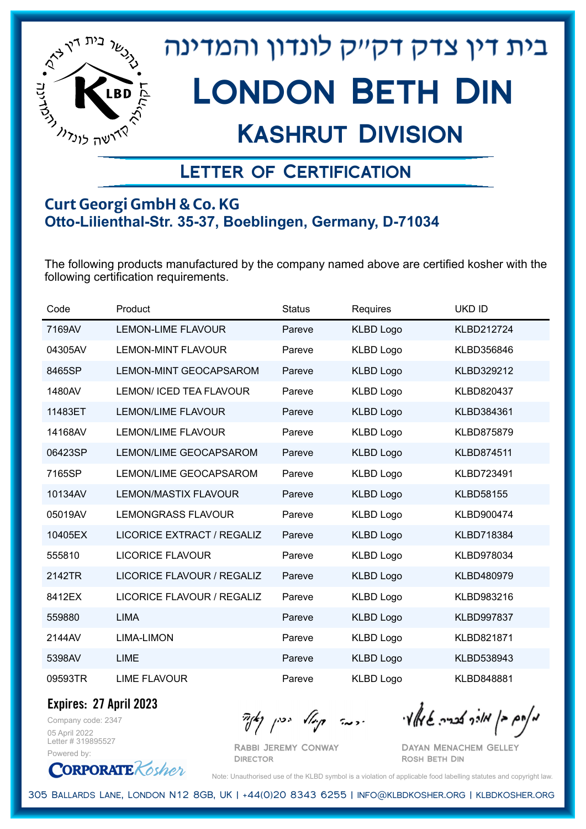

## Kashrut Division

### Letter of Certification

#### **Curt Georgi GmbH & Co. KG Otto-Lilienthal-Str. 35-37, Boeblingen, Germany, D-71034**

The following products manufactured by the company named above are certified kosher with the following certification requirements.

| Code    | Product                        | <b>Status</b> | Requires         | <b>UKD ID</b>     |
|---------|--------------------------------|---------------|------------------|-------------------|
| 7169AV  | <b>LEMON-LIME FLAVOUR</b>      | Pareve        | <b>KLBD Logo</b> | KLBD212724        |
| 04305AV | <b>LEMON-MINT FLAVOUR</b>      | Pareve        | <b>KLBD Logo</b> | KLBD356846        |
| 8465SP  | <b>LEMON-MINT GEOCAPSAROM</b>  | Pareve        | <b>KLBD Logo</b> | KLBD329212        |
| 1480AV  | <b>LEMON/ ICED TEA FLAVOUR</b> | Pareve        | <b>KLBD Logo</b> | KLBD820437        |
| 11483ET | <b>LEMON/LIME FLAVOUR</b>      | Pareve        | <b>KLBD Logo</b> | KLBD384361        |
| 14168AV | <b>LEMON/LIME FLAVOUR</b>      | Pareve        | <b>KLBD Logo</b> | <b>KLBD875879</b> |
| 06423SP | LEMON/LIME GEOCAPSAROM         | Pareve        | <b>KLBD Logo</b> | <b>KLBD874511</b> |
| 7165SP  | LEMON/LIME GEOCAPSAROM         | Pareve        | <b>KLBD Logo</b> | KLBD723491        |
| 10134AV | <b>LEMON/MASTIX FLAVOUR</b>    | Pareve        | <b>KLBD Logo</b> | <b>KLBD58155</b>  |
| 05019AV | <b>LEMONGRASS FLAVOUR</b>      | Pareve        | <b>KLBD Logo</b> | KLBD900474        |
| 10405EX | LICORICE EXTRACT / REGALIZ     | Pareve        | <b>KLBD Logo</b> | <b>KLBD718384</b> |
| 555810  | <b>LICORICE FLAVOUR</b>        | Pareve        | <b>KLBD Logo</b> | KLBD978034        |
| 2142TR  | LICORICE FLAVOUR / REGALIZ     | Pareve        | <b>KLBD Logo</b> | KLBD480979        |
| 8412EX  | LICORICE FLAVOUR / REGALIZ     | Pareve        | <b>KLBD Logo</b> | KLBD983216        |
| 559880  | <b>LIMA</b>                    | Pareve        | <b>KLBD Logo</b> | <b>KLBD997837</b> |
| 2144AV  | <b>LIMA-LIMON</b>              | Pareve        | <b>KLBD Logo</b> | KLBD821871        |
| 5398AV  | <b>LIME</b>                    | Pareve        | <b>KLBD Logo</b> | KLBD538943        |
| 09593TR | <b>LIME FLAVOUR</b>            | Pareve        | <b>KLBD Logo</b> | <b>KLBD848881</b> |

**Expires: 27 April 2023**

Company code: 2347 05 April 2022 Letter # 319895527 Powered by:

**CORPORATE** Kosher

מאחם בן מורך אבריה שמאלי היה קיילא יכין קאין

Rabbi Jeremy Conway **DIRECTOR** 

Dayan Menachem Gelley Rosh Beth Din

Note: Unauthorised use of the KLBD symbol is a violation of applicable food labelling statutes and copyright law.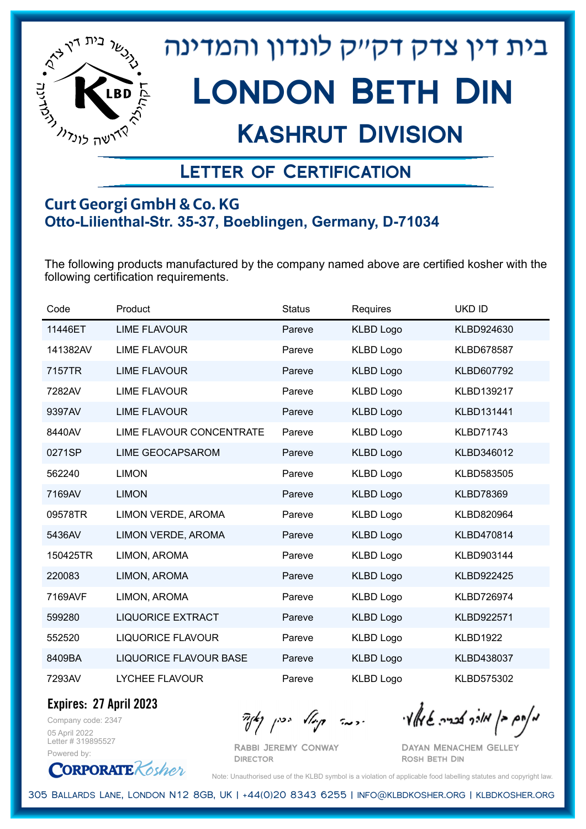

## Kashrut Division

### Letter of Certification

#### **Curt Georgi GmbH & Co. KG Otto-Lilienthal-Str. 35-37, Boeblingen, Germany, D-71034**

The following products manufactured by the company named above are certified kosher with the following certification requirements.

| Code     | Product                       | <b>Status</b> | Requires         | UKD ID            |
|----------|-------------------------------|---------------|------------------|-------------------|
| 11446ET  | <b>LIME FLAVOUR</b>           | Pareve        | <b>KLBD Logo</b> | KLBD924630        |
| 141382AV | <b>LIME FLAVOUR</b>           | Pareve        | <b>KLBD Logo</b> | <b>KLBD678587</b> |
| 7157TR   | <b>LIME FLAVOUR</b>           | Pareve        | <b>KLBD Logo</b> | KLBD607792        |
| 7282AV   | <b>LIME FLAVOUR</b>           | Pareve        | <b>KLBD Logo</b> | KLBD139217        |
| 9397AV   | <b>LIME FLAVOUR</b>           | Pareve        | <b>KLBD Logo</b> | KLBD131441        |
| 8440AV   | LIME FLAVOUR CONCENTRATE      | Pareve        | <b>KLBD Logo</b> | <b>KLBD71743</b>  |
| 0271SP   | <b>LIME GEOCAPSAROM</b>       | Pareve        | <b>KLBD Logo</b> | KLBD346012        |
| 562240   | <b>LIMON</b>                  | Pareve        | <b>KLBD Logo</b> | KLBD583505        |
| 7169AV   | <b>LIMON</b>                  | Pareve        | <b>KLBD Logo</b> | <b>KLBD78369</b>  |
| 09578TR  | LIMON VERDE, AROMA            | Pareve        | <b>KLBD Logo</b> | KLBD820964        |
| 5436AV   | LIMON VERDE, AROMA            | Pareve        | <b>KLBD Logo</b> | KLBD470814        |
| 150425TR | LIMON, AROMA                  | Pareve        | <b>KLBD Logo</b> | KLBD903144        |
| 220083   | LIMON, AROMA                  | Pareve        | <b>KLBD Logo</b> | KLBD922425        |
| 7169AVF  | LIMON, AROMA                  | Pareve        | <b>KLBD Logo</b> | KLBD726974        |
| 599280   | <b>LIQUORICE EXTRACT</b>      | Pareve        | <b>KLBD Logo</b> | KLBD922571        |
| 552520   | <b>LIQUORICE FLAVOUR</b>      | Pareve        | <b>KLBD Logo</b> | <b>KLBD1922</b>   |
| 8409BA   | <b>LIQUORICE FLAVOUR BASE</b> | Pareve        | <b>KLBD Logo</b> | KLBD438037        |
| 7293AV   | <b>LYCHEE FLAVOUR</b>         | Pareve        | <b>KLBD Logo</b> | KLBD575302        |

**Expires: 27 April 2023**

**CORPORATE** Kosher

Company code: 2347 05 April 2022 Letter # 319895527 Powered by:

 $\mathcal{H}_{\mathcal{C}}$   $\mathcal{H}_{\mathcal{C}}$   $\mathcal{H}_{\mathcal{C}}$   $\mathcal{H}_{\mathcal{C}}$   $\mathcal{H}_{\mathcal{C}}$   $\mathcal{H}_{\mathcal{C}}$   $\mathcal{H}_{\mathcal{C}}$   $\mathcal{H}_{\mathcal{C}}$   $\mathcal{H}_{\mathcal{C}}$   $\mathcal{H}_{\mathcal{C}}$   $\mathcal{H}_{\mathcal{C}}$   $\mathcal{H}_{\mathcal{C}}$ 

Rabbi Jeremy Conway **DIRECTOR** 

Dayan Menachem Gelley Rosh Beth Din

Note: Unauthorised use of the KLBD symbol is a violation of applicable food labelling statutes and copyright law.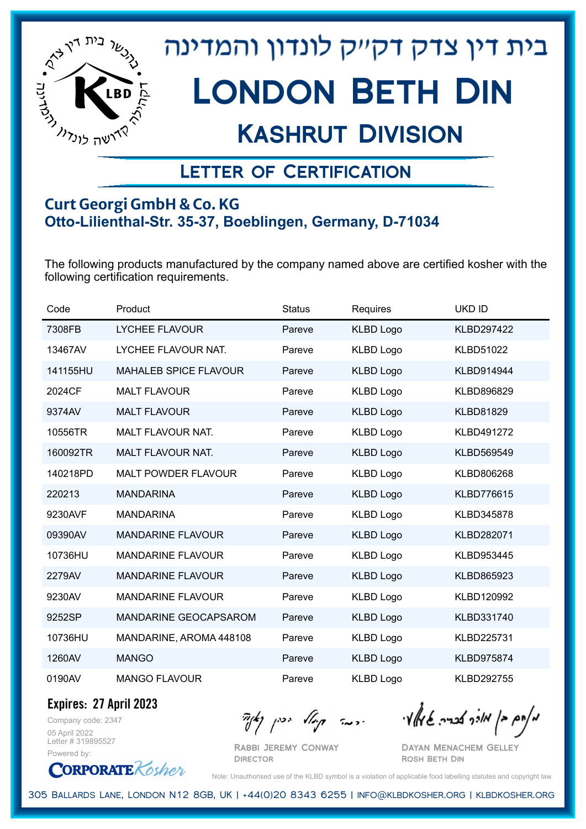

## Kashrut Division

### Letter of Certification

#### **Curt Georgi GmbH & Co. KG Otto-Lilienthal-Str. 35-37, Boeblingen, Germany, D-71034**

The following products manufactured by the company named above are certified kosher with the following certification requirements.

| Code     | Product                      | <b>Status</b> | Requires         | <b>UKD ID</b>     |
|----------|------------------------------|---------------|------------------|-------------------|
| 7308FB   | <b>LYCHEE FLAVOUR</b>        | Pareve        | <b>KLBD Logo</b> | <b>KLBD297422</b> |
| 13467AV  | LYCHEE FLAVOUR NAT.          | Pareve        | <b>KLBD Logo</b> | <b>KLBD51022</b>  |
| 141155HU | <b>MAHALEB SPICE FLAVOUR</b> | Pareve        | <b>KLBD Logo</b> | KLBD914944        |
| 2024CF   | <b>MALT FLAVOUR</b>          | Pareve        | <b>KLBD Logo</b> | KLBD896829        |
| 9374AV   | <b>MALT FLAVOUR</b>          | Pareve        | <b>KLBD Logo</b> | <b>KLBD81829</b>  |
| 10556TR  | <b>MALT FLAVOUR NAT.</b>     | Pareve        | <b>KLBD Logo</b> | KLBD491272        |
| 160092TR | MALT FLAVOUR NAT.            | Pareve        | <b>KLBD Logo</b> | KLBD569549        |
| 140218PD | <b>MALT POWDER FLAVOUR</b>   | Pareve        | <b>KLBD Logo</b> | KLBD806268        |
| 220213   | <b>MANDARINA</b>             | Pareve        | <b>KLBD Logo</b> | <b>KLBD776615</b> |
| 9230AVF  | <b>MANDARINA</b>             | Pareve        | <b>KLBD Logo</b> | KLBD345878        |
| 09390AV  | <b>MANDARINE FLAVOUR</b>     | Pareve        | <b>KLBD Logo</b> | KLBD282071        |
| 10736HU  | <b>MANDARINE FLAVOUR</b>     | Pareve        | <b>KLBD Logo</b> | KLBD953445        |
| 2279AV   | <b>MANDARINE FLAVOUR</b>     | Pareve        | <b>KLBD Logo</b> | KLBD865923        |
| 9230AV   | <b>MANDARINE FLAVOUR</b>     | Pareve        | <b>KLBD Logo</b> | KLBD120992        |
| 9252SP   | MANDARINE GEOCAPSAROM        | Pareve        | <b>KLBD Logo</b> | KLBD331740        |
| 10736HU  | MANDARINE, AROMA 448108      | Pareve        | <b>KLBD Logo</b> | KLBD225731        |
| 1260AV   | <b>MANGO</b>                 | Pareve        | <b>KLBD Logo</b> | <b>KLBD975874</b> |
| 0190AV   | <b>MANGO FLAVOUR</b>         | Pareve        | <b>KLBD Logo</b> | <b>KLBD292755</b> |

Company code: 2347 **Expires: 27 April 2023**

05 April 2022 Letter # 319895527 Powered by:

 $\mathcal{H}_{\mathcal{C}}$   $\mathcal{H}_{\mathcal{C}}$   $\mathcal{H}_{\mathcal{C}}$   $\mathcal{H}_{\mathcal{C}}$   $\mathcal{H}_{\mathcal{C}}$   $\mathcal{H}_{\mathcal{C}}$   $\mathcal{H}_{\mathcal{C}}$   $\mathcal{H}_{\mathcal{C}}$   $\mathcal{H}_{\mathcal{C}}$   $\mathcal{H}_{\mathcal{C}}$   $\mathcal{H}_{\mathcal{C}}$   $\mathcal{H}_{\mathcal{C}}$ 

Rabbi Jeremy Conway **DIRECTOR** 

Dayan Menachem Gelley Rosh Beth Din

**CORPORATE** Kosher Note: Unauthorised use of the KLBD symbol is a violation of applicable food labelling statutes and copyright law.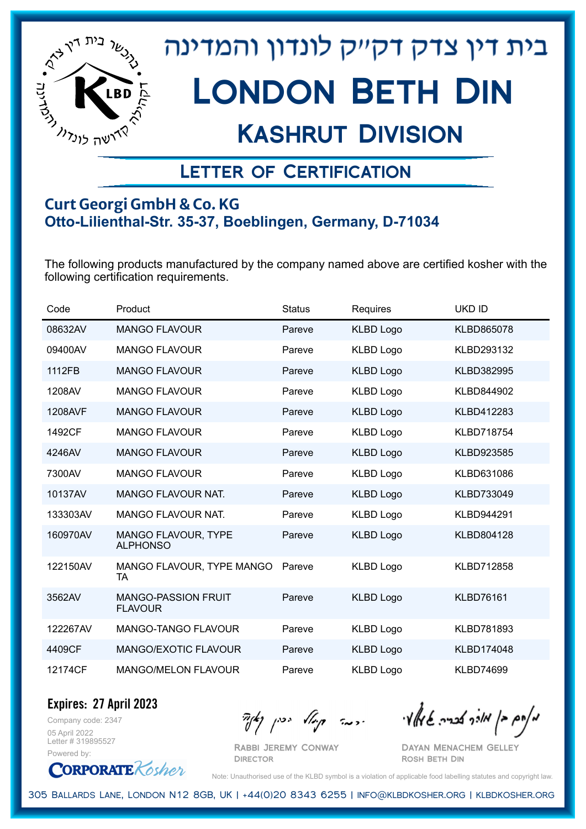

## Kashrut Division

### Letter of Certification

#### **Curt Georgi GmbH & Co. KG Otto-Lilienthal-Str. 35-37, Boeblingen, Germany, D-71034**

The following products manufactured by the company named above are certified kosher with the following certification requirements.

| Code     | Product                                       | <b>Status</b> | Requires         | UKD ID            |
|----------|-----------------------------------------------|---------------|------------------|-------------------|
| 08632AV  | <b>MANGO FLAVOUR</b>                          | Pareve        | <b>KLBD Logo</b> | KLBD865078        |
| 09400AV  | <b>MANGO FLAVOUR</b>                          | Pareve        | <b>KLBD Logo</b> | KLBD293132        |
| 1112FB   | <b>MANGO FLAVOUR</b>                          | Pareve        | <b>KLBD Logo</b> | KLBD382995        |
| 1208AV   | <b>MANGO FLAVOUR</b>                          | Pareve        | <b>KLBD Logo</b> | KLBD844902        |
| 1208AVF  | <b>MANGO FLAVOUR</b>                          | Pareve        | <b>KLBD Logo</b> | KLBD412283        |
| 1492CF   | <b>MANGO FLAVOUR</b>                          | Pareve        | <b>KLBD Logo</b> | <b>KLBD718754</b> |
| 4246AV   | <b>MANGO FLAVOUR</b>                          | Pareve        | <b>KLBD Logo</b> | KLBD923585        |
| 7300AV   | <b>MANGO FLAVOUR</b>                          | Pareve        | <b>KLBD Logo</b> | KLBD631086        |
| 10137AV  | <b>MANGO FLAVOUR NAT.</b>                     | Pareve        | <b>KLBD Logo</b> | KLBD733049        |
| 133303AV | <b>MANGO FLAVOUR NAT.</b>                     | Pareve        | <b>KLBD Logo</b> | KLBD944291        |
| 160970AV | <b>MANGO FLAVOUR, TYPE</b><br><b>ALPHONSO</b> | Pareve        | <b>KLBD Logo</b> | KLBD804128        |
| 122150AV | MANGO FLAVOUR, TYPE MANGO<br>TA               | Pareve        | <b>KLBD Logo</b> | KLBD712858        |
| 3562AV   | <b>MANGO-PASSION FRUIT</b><br><b>FLAVOUR</b>  | Pareve        | <b>KLBD Logo</b> | <b>KLBD76161</b>  |
| 122267AV | <b>MANGO-TANGO FLAVOUR</b>                    | Pareve        | <b>KLBD Logo</b> | KLBD781893        |
| 4409CF   | MANGO/EXOTIC FLAVOUR                          | Pareve        | <b>KLBD Logo</b> | KLBD174048        |
| 12174CF  | <b>MANGO/MELON FLAVOUR</b>                    | Pareve        | <b>KLBD Logo</b> | <b>KLBD74699</b>  |

Company code: 2347 **Expires: 27 April 2023**

05 April 2022 Letter # 319895527 Powered by:

Rabbi Jeremy Conway

**DIRECTOR** 

 $\mathcal{H}_{\mathcal{C}}$   $\mathcal{H}_{\mathcal{C}}$   $\mathcal{H}_{\mathcal{C}}$   $\mathcal{H}_{\mathcal{C}}$   $\mathcal{H}_{\mathcal{C}}$   $\mathcal{H}_{\mathcal{C}}$   $\mathcal{H}_{\mathcal{C}}$   $\mathcal{H}_{\mathcal{C}}$   $\mathcal{H}_{\mathcal{C}}$   $\mathcal{H}_{\mathcal{C}}$   $\mathcal{H}_{\mathcal{C}}$   $\mathcal{H}_{\mathcal{C}}$ 

Dayan Menachem Gelley Rosh Beth Din

**CORPORATE** Kosher

Note: Unauthorised use of the KLBD symbol is a violation of applicable food labelling statutes and copyright law.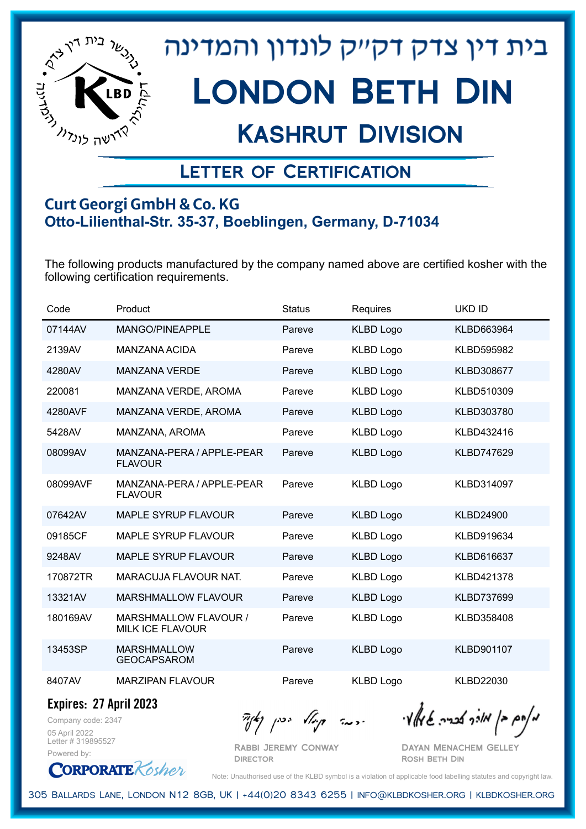

## Kashrut Division

### Letter of Certification

#### **Curt Georgi GmbH & Co. KG Otto-Lilienthal-Str. 35-37, Boeblingen, Germany, D-71034**

The following products manufactured by the company named above are certified kosher with the following certification requirements.

| Code     | Product                                     | <b>Status</b> | Requires         | <b>UKD ID</b>     |
|----------|---------------------------------------------|---------------|------------------|-------------------|
| 07144AV  | MANGO/PINEAPPLE                             | Pareve        | <b>KLBD Logo</b> | KLBD663964        |
| 2139AV   | MANZANA ACIDA                               | Pareve        | <b>KLBD Logo</b> | <b>KLBD595982</b> |
| 4280AV   | <b>MANZANA VERDE</b>                        | Pareve        | <b>KLBD Logo</b> | <b>KLBD308677</b> |
| 220081   | MANZANA VERDE, AROMA                        | Pareve        | <b>KLBD Logo</b> | KLBD510309        |
| 4280AVF  | MANZANA VERDE, AROMA                        | Pareve        | <b>KLBD Logo</b> | KLBD303780        |
| 5428AV   | MANZANA, AROMA                              | Pareve        | <b>KLBD Logo</b> | KLBD432416        |
| 08099AV  | MANZANA-PERA / APPLE-PEAR<br><b>FLAVOUR</b> | Pareve        | <b>KLBD Logo</b> | <b>KLBD747629</b> |
| 08099AVF | MANZANA-PERA / APPLE-PEAR<br><b>FLAVOUR</b> | Pareve        | <b>KLBD Logo</b> | KLBD314097        |
| 07642AV  | <b>MAPLE SYRUP FLAVOUR</b>                  | Pareve        | <b>KLBD Logo</b> | <b>KLBD24900</b>  |
| 09185CF  | <b>MAPLE SYRUP FLAVOUR</b>                  | Pareve        | <b>KLBD Logo</b> | KLBD919634        |
| 9248AV   | <b>MAPLE SYRUP FLAVOUR</b>                  | Pareve        | <b>KLBD Logo</b> | KLBD616637        |
| 170872TR | MARACUJA FLAVOUR NAT.                       | Pareve        | <b>KLBD Logo</b> | KLBD421378        |
| 13321AV  | MARSHMALLOW FLAVOUR                         | Pareve        | <b>KLBD Logo</b> | <b>KLBD737699</b> |
| 180169AV | MARSHMALLOW FLAVOUR /<br>MILK ICE FLAVOUR   | Pareve        | <b>KLBD Logo</b> | KLBD358408        |
| 13453SP  | <b>MARSHMALLOW</b><br><b>GEOCAPSAROM</b>    | Pareve        | <b>KLBD Logo</b> | KLBD901107        |
| 8407AV   | <b>MARZIPAN FLAVOUR</b>                     | Pareve        | <b>KLBD Logo</b> | <b>KLBD22030</b>  |

**Expires: 27 April 2023**

Company code: 2347 05 April 2022 Letter # 319895527 Powered by:

 $\mathcal{H}_{\mathcal{C}}$   $\mathcal{H}_{\mathcal{C}}$   $\mathcal{H}_{\mathcal{C}}$   $\mathcal{H}_{\mathcal{C}}$   $\mathcal{H}_{\mathcal{C}}$   $\mathcal{H}_{\mathcal{C}}$   $\mathcal{H}_{\mathcal{C}}$   $\mathcal{H}_{\mathcal{C}}$   $\mathcal{H}_{\mathcal{C}}$   $\mathcal{H}_{\mathcal{C}}$   $\mathcal{H}_{\mathcal{C}}$   $\mathcal{H}_{\mathcal{C}}$ 

Rabbi Jeremy Conway **DIRECTOR** 

Dayan Menachem Gelley Rosh Beth Din

**CORPORATE** Kosher Note: Unauthorised use of the KLBD symbol is a violation of applicable food labelling statutes and copyright law.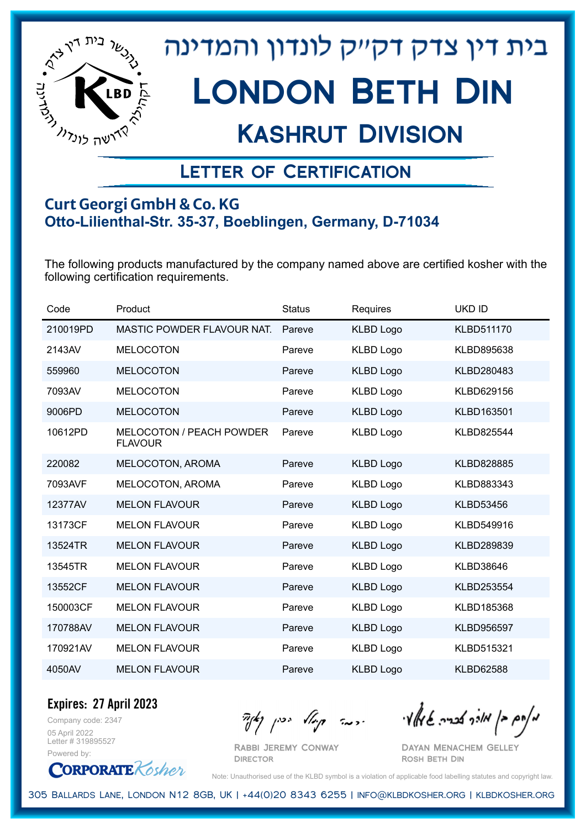

## Kashrut Division

### Letter of Certification

#### **Curt Georgi GmbH & Co. KG Otto-Lilienthal-Str. 35-37, Boeblingen, Germany, D-71034**

The following products manufactured by the company named above are certified kosher with the following certification requirements.

| Code     | Product                                           | <b>Status</b> | Requires         | <b>UKD ID</b>     |
|----------|---------------------------------------------------|---------------|------------------|-------------------|
| 210019PD | <b>MASTIC POWDER FLAVOUR NAT.</b>                 | Pareve        | <b>KLBD Logo</b> | <b>KLBD511170</b> |
| 2143AV   | <b>MELOCOTON</b>                                  | Pareve        | <b>KLBD Logo</b> | KLBD895638        |
| 559960   | <b>MELOCOTON</b>                                  | Pareve        | <b>KLBD Logo</b> | KLBD280483        |
| 7093AV   | <b>MELOCOTON</b>                                  | Pareve        | <b>KLBD Logo</b> | KLBD629156        |
| 9006PD   | <b>MELOCOTON</b>                                  | Pareve        | <b>KLBD Logo</b> | KLBD163501        |
| 10612PD  | <b>MELOCOTON / PEACH POWDER</b><br><b>FLAVOUR</b> | Pareve        | <b>KLBD Logo</b> | KLBD825544        |
| 220082   | MELOCOTON, AROMA                                  | Pareve        | <b>KLBD Logo</b> | <b>KLBD828885</b> |
| 7093AVF  | MELOCOTON, AROMA                                  | Pareve        | <b>KLBD Logo</b> | KLBD883343        |
| 12377AV  | <b>MELON FLAVOUR</b>                              | Pareve        | <b>KLBD Logo</b> | <b>KLBD53456</b>  |
| 13173CF  | <b>MELON FLAVOUR</b>                              | Pareve        | <b>KLBD Logo</b> | KLBD549916        |
| 13524TR  | <b>MELON FLAVOUR</b>                              | Pareve        | <b>KLBD Logo</b> | KLBD289839        |
| 13545TR  | <b>MELON FLAVOUR</b>                              | Pareve        | <b>KLBD Logo</b> | <b>KLBD38646</b>  |
| 13552CF  | <b>MELON FLAVOUR</b>                              | Pareve        | <b>KLBD Logo</b> | KLBD253554        |
| 150003CF | <b>MELON FLAVOUR</b>                              | Pareve        | <b>KLBD Logo</b> | KLBD185368        |
| 170788AV | <b>MELON FLAVOUR</b>                              | Pareve        | <b>KLBD Logo</b> | <b>KLBD956597</b> |
| 170921AV | <b>MELON FLAVOUR</b>                              | Pareve        | <b>KLBD Logo</b> | KLBD515321        |
| 4050AV   | <b>MELON FLAVOUR</b>                              | Pareve        | <b>KLBD Logo</b> | <b>KLBD62588</b>  |

Company code: 2347 **Expires: 27 April 2023**

05 April 2022 Letter # 319895527 Powered by:

**CORPORATE** Kosher

Rabbi Jeremy Conway

**DIRECTOR** 

 $\frac{1}{2}$ אולך אברה שיאלי ווינה קייל יכין קאיר

Dayan Menachem Gelley Rosh Beth Din

Note: Unauthorised use of the KLBD symbol is a violation of applicable food labelling statutes and copyright law.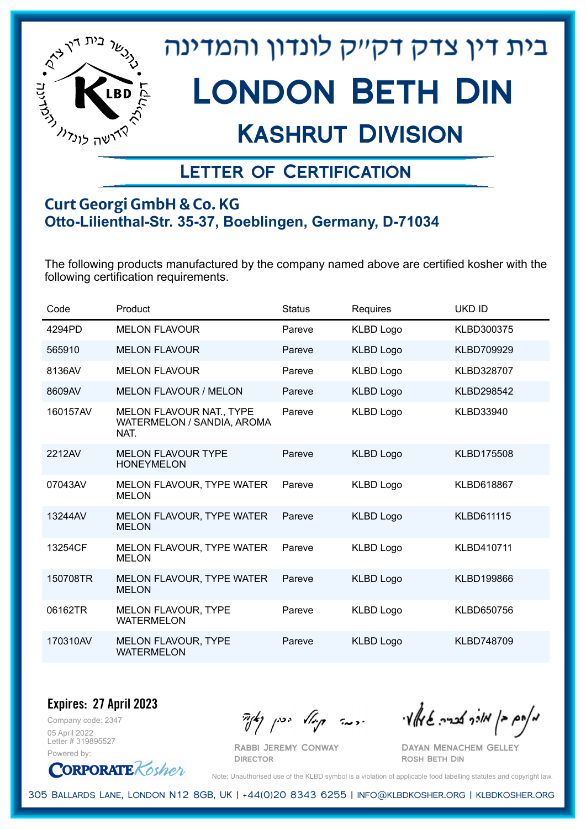

## Kashrut Division

### Letter of Certification

#### **Curt Georgi GmbH & Co. KG Otto-Lilienthal-Str. 35-37, Boeblingen, Germany, D-71034**

The following products manufactured by the company named above are certified kosher with the following certification requirements.

| Code     | Product                                                        | <b>Status</b> | Requires         | <b>UKD ID</b>     |
|----------|----------------------------------------------------------------|---------------|------------------|-------------------|
| 4294PD   | <b>MELON FLAVOUR</b>                                           | Pareve        | <b>KLBD Logo</b> | KLBD300375        |
| 565910   | <b>MELON FLAVOUR</b>                                           | Pareve        | <b>KLBD Logo</b> | KLBD709929        |
| 8136AV   | <b>MELON FLAVOUR</b>                                           | Pareve        | <b>KLBD Logo</b> | KLBD328707        |
| 8609AV   | <b>MELON FLAVOUR / MELON</b>                                   | Pareve        | <b>KLBD Logo</b> | KLBD298542        |
| 160157AV | MELON FLAVOUR NAT., TYPE<br>WATERMELON / SANDIA, AROMA<br>NAT. | Pareve        | <b>KLBD Logo</b> | KLBD33940         |
| 2212AV   | <b>MELON FLAVOUR TYPE</b><br><b>HONEYMELON</b>                 | Pareve        | <b>KLBD Logo</b> | <b>KLBD175508</b> |
| 07043AV  | MELON FLAVOUR, TYPE WATER<br><b>MELON</b>                      | Pareve        | <b>KLBD Logo</b> | KLBD618867        |
| 13244AV  | MELON FLAVOUR, TYPE WATER<br><b>MELON</b>                      | Pareve        | <b>KLBD Logo</b> | <b>KLBD611115</b> |
| 13254CF  | MELON FLAVOUR, TYPE WATER<br><b>MELON</b>                      | Pareve        | <b>KLBD Logo</b> | KLBD410711        |
| 150708TR | MELON FLAVOUR, TYPE WATER<br><b>MELON</b>                      | Pareve        | <b>KLBD Logo</b> | KLBD199866        |
| 06162TR  | <b>MELON FLAVOUR, TYPE</b><br><b>WATERMELON</b>                | Pareve        | <b>KLBD Logo</b> | KLBD650756        |
| 170310AV | <b>MELON FLAVOUR, TYPE</b><br><b>WATERMELON</b>                | Pareve        | <b>KLBD Logo</b> | KLBD748709        |

Company code: 2347 **Expires: 27 April 2023**

05 April 2022 Letter # 319895527 Powered by:

**CORPORATE** Kosher

Rabbi Jeremy Conway

מאוס בן מוכך אבריה שמאלי היה קיילא יכין קאין

Dayan Menachem Gelley Rosh Beth Din

Note: Unauthorised use of the KLBD symbol is a violation of applicable food labelling statutes and copyright law.

305 Ballards Lane, London N12 8GB, UK | +44(0)20 8343 6255 | info@klbdkosher.org | klbdkosher.org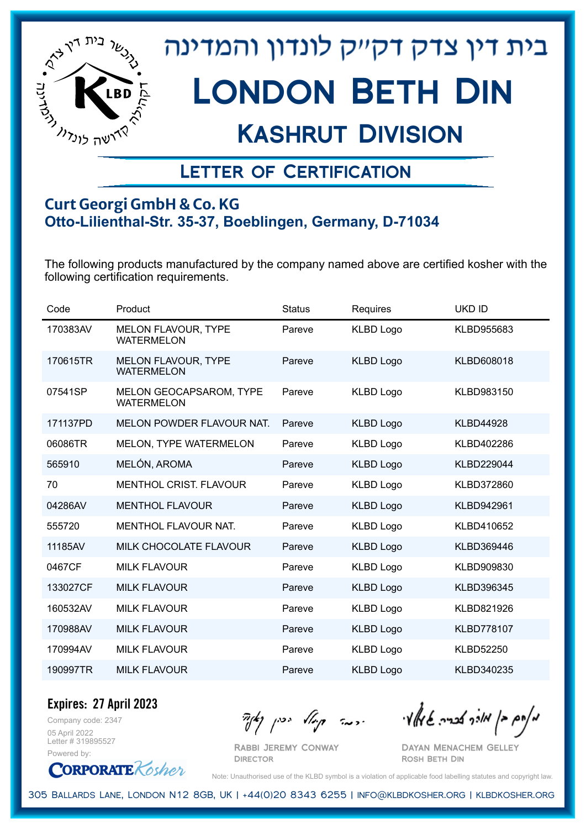

## Kashrut Division

### Letter of Certification

#### **Curt Georgi GmbH & Co. KG Otto-Lilienthal-Str. 35-37, Boeblingen, Germany, D-71034**

The following products manufactured by the company named above are certified kosher with the following certification requirements.

| Code     | Product                                             | <b>Status</b> | Requires         | <b>UKD ID</b>     |
|----------|-----------------------------------------------------|---------------|------------------|-------------------|
| 170383AV | <b>MELON FLAVOUR, TYPE</b><br><b>WATERMELON</b>     | Pareve        | <b>KLBD Logo</b> | KLBD955683        |
| 170615TR | <b>MELON FLAVOUR, TYPE</b><br><b>WATERMELON</b>     | Pareve        | <b>KLBD Logo</b> | <b>KLBD608018</b> |
| 07541SP  | <b>MELON GEOCAPSAROM, TYPE</b><br><b>WATERMELON</b> | Pareve        | <b>KLBD Logo</b> | KLBD983150        |
| 171137PD | <b>MELON POWDER FLAVOUR NAT.</b>                    | Pareve        | <b>KLBD Logo</b> | <b>KLBD44928</b>  |
| 06086TR  | MELON, TYPE WATERMELON                              | Pareve        | <b>KLBD Logo</b> | KLBD402286        |
| 565910   | MELÓN, AROMA                                        | Pareve        | <b>KLBD Logo</b> | <b>KLBD229044</b> |
| 70       | <b>MENTHOL CRIST, FLAVOUR</b>                       | Pareve        | <b>KLBD Logo</b> | KLBD372860        |
| 04286AV  | <b>MENTHOL FLAVOUR</b>                              | Pareve        | <b>KLBD Logo</b> | <b>KLBD942961</b> |
| 555720   | <b>MENTHOL FLAVOUR NAT.</b>                         | Pareve        | <b>KLBD Logo</b> | KLBD410652        |
| 11185AV  | MILK CHOCOLATE FLAVOUR                              | Pareve        | <b>KLBD Logo</b> | KLBD369446        |
| 0467CF   | <b>MILK FLAVOUR</b>                                 | Pareve        | <b>KLBD Logo</b> | KLBD909830        |
| 133027CF | <b>MILK FLAVOUR</b>                                 | Pareve        | <b>KLBD Logo</b> | KLBD396345        |
| 160532AV | <b>MILK FLAVOUR</b>                                 | Pareve        | <b>KLBD Logo</b> | KLBD821926        |
| 170988AV | <b>MILK FLAVOUR</b>                                 | Pareve        | <b>KLBD Logo</b> | <b>KLBD778107</b> |
| 170994AV | <b>MILK FLAVOUR</b>                                 | Pareve        | <b>KLBD Logo</b> | <b>KLBD52250</b>  |
| 190997TR | <b>MILK FLAVOUR</b>                                 | Pareve        | <b>KLBD Logo</b> | KLBD340235        |

Company code: 2347 **Expires: 27 April 2023** 05 April 2022

Letter # 319895527 Powered by:

**CORPORATE** Kosher

Rabbi Jeremy Conway

מאוס בן מוכך אבריה שמאלי היה קיילא יכין קאין

Dayan Menachem Gelley Rosh Beth Din

Note: Unauthorised use of the KLBD symbol is a violation of applicable food labelling statutes and copyright law.

305 Ballards Lane, London N12 8GB, UK | +44(0)20 8343 6255 | info@klbdkosher.org | klbdkosher.org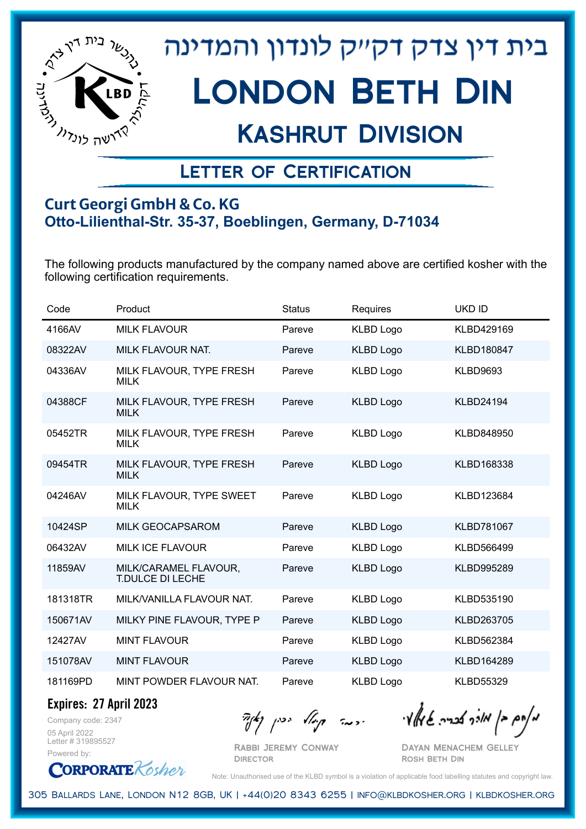

## Kashrut Division

### Letter of Certification

#### **Curt Georgi GmbH & Co. KG Otto-Lilienthal-Str. 35-37, Boeblingen, Germany, D-71034**

The following products manufactured by the company named above are certified kosher with the following certification requirements.

| Code     | Product                                   | <b>Status</b> | Requires         | <b>UKD ID</b>     |
|----------|-------------------------------------------|---------------|------------------|-------------------|
| 4166AV   | <b>MILK FLAVOUR</b>                       | Pareve        | <b>KLBD Logo</b> | KLBD429169        |
| 08322AV  | <b>MILK FLAVOUR NAT.</b>                  | Pareve        | <b>KLBD Logo</b> | <b>KLBD180847</b> |
| 04336AV  | MILK FLAVOUR, TYPE FRESH<br><b>MILK</b>   | Pareve        | <b>KLBD Logo</b> | <b>KLBD9693</b>   |
| 04388CF  | MILK FLAVOUR, TYPE FRESH<br><b>MILK</b>   | Pareve        | <b>KLBD Logo</b> | <b>KLBD24194</b>  |
| 05452TR  | MILK FLAVOUR, TYPE FRESH<br><b>MILK</b>   | Pareve        | <b>KLBD Logo</b> | KLBD848950        |
| 09454TR  | MILK FLAVOUR, TYPE FRESH<br><b>MILK</b>   | Pareve        | <b>KLBD Logo</b> | KLBD168338        |
| 04246AV  | MILK FLAVOUR, TYPE SWEET<br><b>MILK</b>   | Pareve        | <b>KLBD Logo</b> | KLBD123684        |
| 10424SP  | <b>MILK GEOCAPSAROM</b>                   | Pareve        | <b>KLBD Logo</b> | <b>KLBD781067</b> |
| 06432AV  | <b>MILK ICE FLAVOUR</b>                   | Pareve        | <b>KLBD Logo</b> | KLBD566499        |
| 11859AV  | MILK/CARAMEL FLAVOUR,<br>T.DULCE DI LECHE | Pareve        | <b>KLBD Logo</b> | KLBD995289        |
| 181318TR | MILK/VANILLA FLAVOUR NAT.                 | Pareve        | <b>KLBD Logo</b> | KLBD535190        |
| 150671AV | MILKY PINE FLAVOUR, TYPE P                | Pareve        | <b>KLBD Logo</b> | KLBD263705        |
| 12427AV  | <b>MINT FLAVOUR</b>                       | Pareve        | <b>KLBD Logo</b> | KLBD562384        |
| 151078AV | <b>MINT FLAVOUR</b>                       | Pareve        | <b>KLBD Logo</b> | KLBD164289        |
| 181169PD | MINT POWDER FLAVOUR NAT.                  | Pareve        | <b>KLBD Logo</b> | <b>KLBD55329</b>  |

**Expires: 27 April 2023**

Company code: 2347 05 April 2022 Letter # 319895527 Powered by:

מאוס בן מוכך אבריה שמאלי היה קיילא יכין קאין

Rabbi Jeremy Conway **DIRECTOR** 

Dayan Menachem Gelley Rosh Beth Din

**CORPORATE** Kosher Note: Unauthorised use of the KLBD symbol is a violation of applicable food labelling statutes and copyright law.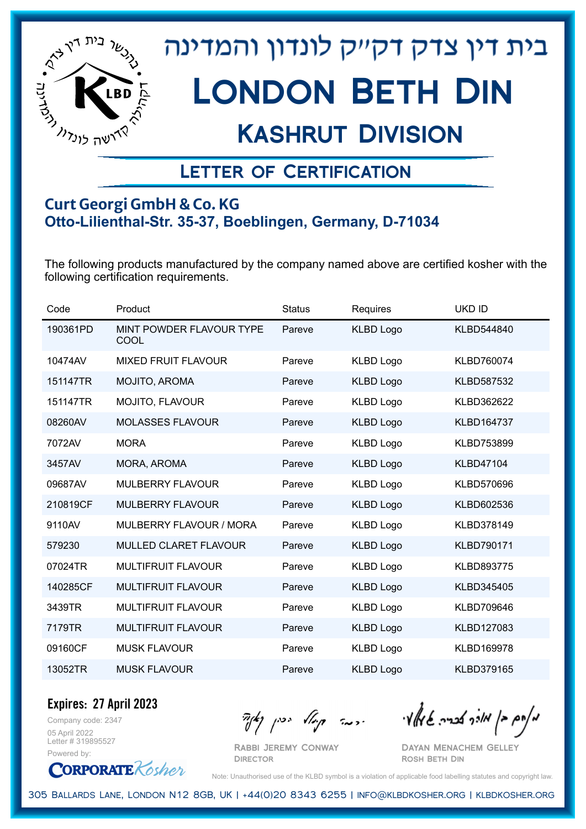

## Kashrut Division

### Letter of Certification

#### **Curt Georgi GmbH & Co. KG Otto-Lilienthal-Str. 35-37, Boeblingen, Germany, D-71034**

The following products manufactured by the company named above are certified kosher with the following certification requirements.

| Code     | Product                          | <b>Status</b> | Requires         | <b>UKD ID</b>     |
|----------|----------------------------------|---------------|------------------|-------------------|
| 190361PD | MINT POWDER FLAVOUR TYPE<br>COOL | Pareve        | <b>KLBD Logo</b> | KLBD544840        |
| 10474AV  | <b>MIXED FRUIT FLAVOUR</b>       | Pareve        | <b>KLBD Logo</b> | KLBD760074        |
| 151147TR | MOJITO, AROMA                    | Pareve        | <b>KLBD Logo</b> | KLBD587532        |
| 151147TR | MOJITO, FLAVOUR                  | Pareve        | <b>KLBD Logo</b> | KLBD362622        |
| 08260AV  | <b>MOLASSES FLAVOUR</b>          | Pareve        | <b>KLBD Logo</b> | <b>KLBD164737</b> |
| 7072AV   | <b>MORA</b>                      | Pareve        | <b>KLBD Logo</b> | KLBD753899        |
| 3457AV   | <b>MORA, AROMA</b>               | Pareve        | <b>KLBD Logo</b> | <b>KLBD47104</b>  |
| 09687AV  | <b>MULBERRY FLAVOUR</b>          | Pareve        | <b>KLBD Logo</b> | KLBD570696        |
| 210819CF | <b>MULBERRY FLAVOUR</b>          | Pareve        | <b>KLBD Logo</b> | KLBD602536        |
| 9110AV   | MULBERRY FLAVOUR / MORA          | Pareve        | <b>KLBD Logo</b> | KLBD378149        |
| 579230   | MULLED CLARET FLAVOUR            | Pareve        | <b>KLBD Logo</b> | KLBD790171        |
| 07024TR  | <b>MULTIFRUIT FLAVOUR</b>        | Pareve        | <b>KLBD Logo</b> | KLBD893775        |
| 140285CF | <b>MULTIFRUIT FLAVOUR</b>        | Pareve        | <b>KLBD Logo</b> | KLBD345405        |
| 3439TR   | <b>MULTIFRUIT FLAVOUR</b>        | Pareve        | <b>KLBD Logo</b> | KLBD709646        |
| 7179TR   | <b>MULTIFRUIT FLAVOUR</b>        | Pareve        | <b>KLBD Logo</b> | KLBD127083        |
| 09160CF  | <b>MUSK FLAVOUR</b>              | Pareve        | <b>KLBD Logo</b> | KLBD169978        |
| 13052TR  | <b>MUSK FLAVOUR</b>              | Pareve        | <b>KLBD Logo</b> | KLBD379165        |

Company code: 2347 **Expires: 27 April 2023**

05 April 2022 Letter # 319895527 Powered by:

**CORPORATE** Kosher

Rabbi Jeremy Conway

**DIRECTOR** 

 $\frac{1}{2}$   $\frac{1}{2}$   $\frac{1}{2}$   $\frac{1}{2}$   $\frac{1}{2}$   $\frac{1}{2}$   $\frac{1}{2}$   $\frac{1}{2}$   $\frac{1}{2}$   $\frac{1}{2}$   $\frac{1}{2}$   $\frac{1}{2}$   $\frac{1}{2}$   $\frac{1}{2}$   $\frac{1}{2}$   $\frac{1}{2}$   $\frac{1}{2}$   $\frac{1}{2}$   $\frac{1}{2}$   $\frac{1}{2}$   $\frac{1}{2}$   $\frac{1}{2}$ 

Dayan Menachem Gelley Rosh Beth Din

Note: Unauthorised use of the KLBD symbol is a violation of applicable food labelling statutes and copyright law.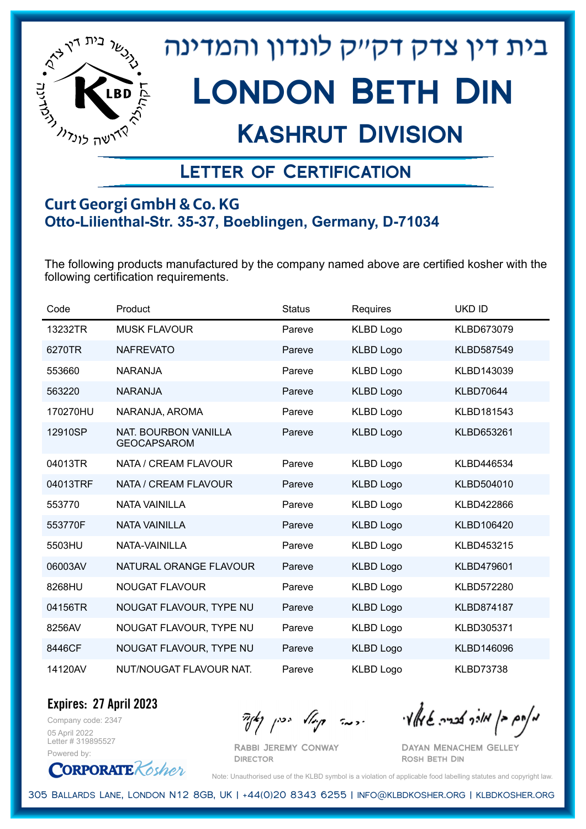

## Kashrut Division

### Letter of Certification

#### **Curt Georgi GmbH & Co. KG Otto-Lilienthal-Str. 35-37, Boeblingen, Germany, D-71034**

The following products manufactured by the company named above are certified kosher with the following certification requirements.

| Code     | Product                                    | <b>Status</b> | Requires         | <b>UKD ID</b>     |
|----------|--------------------------------------------|---------------|------------------|-------------------|
| 13232TR  | <b>MUSK FLAVOUR</b>                        | Pareve        | <b>KLBD Logo</b> | KLBD673079        |
| 6270TR   | <b>NAFREVATO</b>                           | Pareve        | <b>KLBD Logo</b> | KLBD587549        |
| 553660   | <b>NARANJA</b>                             | Pareve        | <b>KLBD Logo</b> | KLBD143039        |
| 563220   | <b>NARANJA</b>                             | Pareve        | <b>KLBD Logo</b> | <b>KLBD70644</b>  |
| 170270HU | NARANJA, AROMA                             | Pareve        | <b>KLBD Logo</b> | KLBD181543        |
| 12910SP  | NAT. BOURBON VANILLA<br><b>GEOCAPSAROM</b> | Pareve        | <b>KLBD Logo</b> | KLBD653261        |
| 04013TR  | NATA / CREAM FLAVOUR                       | Pareve        | <b>KLBD Logo</b> | KLBD446534        |
| 04013TRF | NATA / CREAM FLAVOUR                       | Pareve        | <b>KLBD Logo</b> | KLBD504010        |
| 553770   | <b>NATA VAINILLA</b>                       | Pareve        | <b>KLBD Logo</b> | KLBD422866        |
| 553770F  | <b>NATA VAINILLA</b>                       | Pareve        | <b>KLBD Logo</b> | KLBD106420        |
| 5503HU   | NATA-VAINILLA                              | Pareve        | <b>KLBD Logo</b> | KLBD453215        |
| 06003AV  | NATURAL ORANGE FLAVOUR                     | Pareve        | <b>KLBD Logo</b> | KLBD479601        |
| 8268HU   | <b>NOUGAT FLAVOUR</b>                      | Pareve        | <b>KLBD Logo</b> | KLBD572280        |
| 04156TR  | NOUGAT FLAVOUR, TYPE NU                    | Pareve        | <b>KLBD Logo</b> | <b>KLBD874187</b> |
| 8256AV   | NOUGAT FLAVOUR, TYPE NU                    | Pareve        | <b>KLBD Logo</b> | KLBD305371        |
| 8446CF   | NOUGAT FLAVOUR, TYPE NU                    | Pareve        | <b>KLBD Logo</b> | KLBD146096        |
| 14120AV  | NUT/NOUGAT FLAVOUR NAT.                    | Pareve        | <b>KLBD Logo</b> | <b>KLBD73738</b>  |

**Expires: 27 April 2023**

Company code: 2347 05 April 2022 Letter # 319895527 Powered by:

**CORPORATE** Kosher

Rabbi Jeremy Conway

**DIRECTOR** 

מאחם בן מורך אבריה שמאלי היה קיילא יכין קאין

Dayan Menachem Gelley Rosh Beth Din

Note: Unauthorised use of the KLBD symbol is a violation of applicable food labelling statutes and copyright law.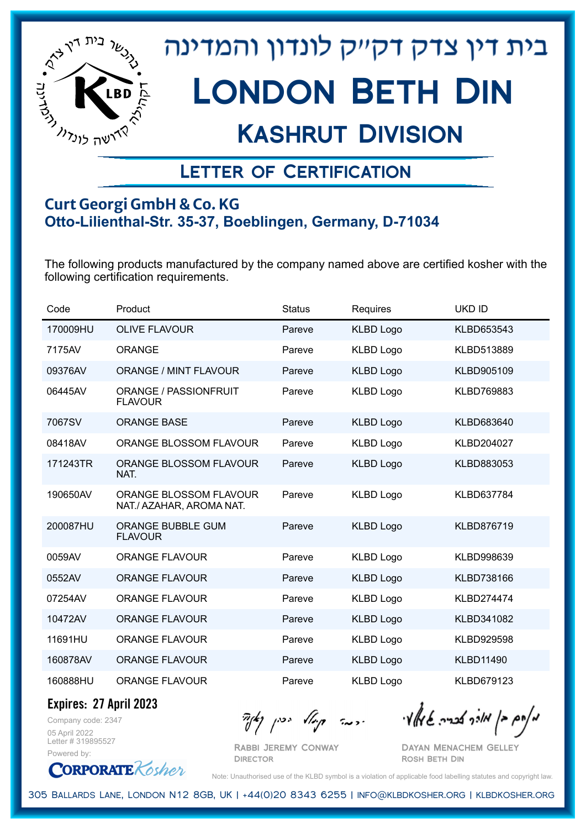

## Kashrut Division

### Letter of Certification

#### **Curt Georgi GmbH & Co. KG Otto-Lilienthal-Str. 35-37, Boeblingen, Germany, D-71034**

The following products manufactured by the company named above are certified kosher with the following certification requirements.

| Code     | Product                                                   | <b>Status</b> | Requires         | <b>UKD ID</b>     |
|----------|-----------------------------------------------------------|---------------|------------------|-------------------|
| 170009HU | <b>OLIVE FLAVOUR</b>                                      | Pareve        | <b>KLBD Logo</b> | KLBD653543        |
| 7175AV   | <b>ORANGE</b>                                             | Pareve        | <b>KLBD Logo</b> | KLBD513889        |
| 09376AV  | <b>ORANGE / MINT FLAVOUR</b>                              | Pareve        | <b>KLBD Logo</b> | KLBD905109        |
| 06445AV  | ORANGE / PASSIONFRUIT<br><b>FLAVOUR</b>                   | Pareve        | <b>KLBD Logo</b> | KLBD769883        |
| 7067SV   | <b>ORANGE BASE</b>                                        | Pareve        | <b>KLBD Logo</b> | KLBD683640        |
| 08418AV  | <b>ORANGE BLOSSOM FLAVOUR</b>                             | Pareve        | <b>KLBD Logo</b> | KLBD204027        |
| 171243TR | ORANGE BLOSSOM FLAVOUR<br>NAT.                            | Pareve        | <b>KLBD Logo</b> | KLBD883053        |
| 190650AV | <b>ORANGE BLOSSOM FLAVOUR</b><br>NAT./ AZAHAR, AROMA NAT. | Pareve        | <b>KLBD Logo</b> | KLBD637784        |
| 200087HU | <b>ORANGE BUBBLE GUM</b><br><b>FLAVOUR</b>                | Pareve        | <b>KLBD Logo</b> | KLBD876719        |
| 0059AV   | <b>ORANGE FLAVOUR</b>                                     | Pareve        | <b>KLBD Logo</b> | KLBD998639        |
| 0552AV   | <b>ORANGE FLAVOUR</b>                                     | Pareve        | <b>KLBD Logo</b> | KLBD738166        |
| 07254AV  | <b>ORANGE FLAVOUR</b>                                     | Pareve        | <b>KLBD Logo</b> | <b>KLBD274474</b> |
| 10472AV  | <b>ORANGE FLAVOUR</b>                                     | Pareve        | <b>KLBD Logo</b> | KLBD341082        |
| 11691HU  | <b>ORANGE FLAVOUR</b>                                     | Pareve        | <b>KLBD Logo</b> | KLBD929598        |
| 160878AV | <b>ORANGE FLAVOUR</b>                                     | Pareve        | <b>KLBD Logo</b> | <b>KLBD11490</b>  |
| 160888HU | <b>ORANGE FLAVOUR</b>                                     | Pareve        | <b>KLBD Logo</b> | KLBD679123        |

**Expires: 27 April 2023**

Company code: 2347 05 April 2022 Letter # 319895527 Powered by:

**CORPORATE** Kosher

Rabbi Jeremy Conway **DIRECTOR** 

מאחם בן מורך אבריה שמאלי היה קיילא יכין קאין

Dayan Menachem Gelley Rosh Beth Din

Note: Unauthorised use of the KLBD symbol is a violation of applicable food labelling statutes and copyright law.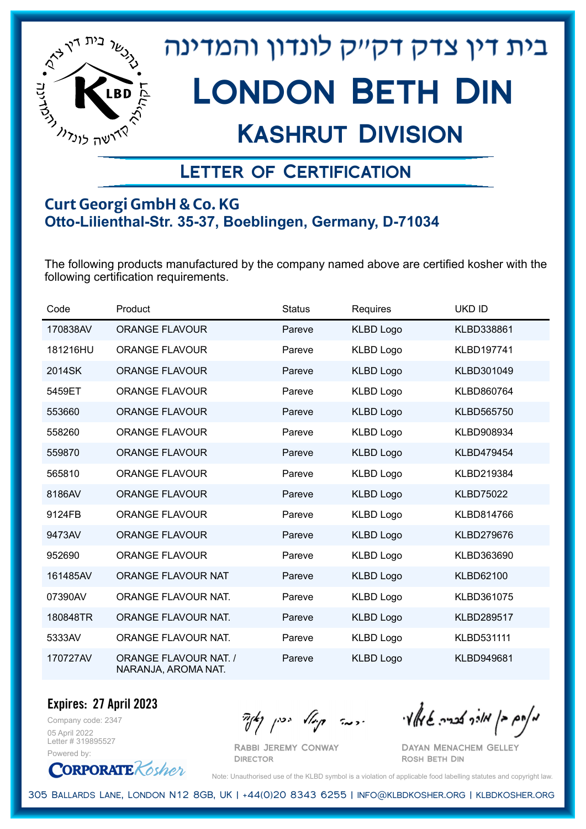

## Kashrut Division

### Letter of Certification

#### **Curt Georgi GmbH & Co. KG Otto-Lilienthal-Str. 35-37, Boeblingen, Germany, D-71034**

The following products manufactured by the company named above are certified kosher with the following certification requirements.

| Code     | Product                                             | <b>Status</b> | Requires         | <b>UKD ID</b>     |
|----------|-----------------------------------------------------|---------------|------------------|-------------------|
| 170838AV | <b>ORANGE FLAVOUR</b>                               | Pareve        | <b>KLBD Logo</b> | KLBD338861        |
| 181216HU | <b>ORANGE FLAVOUR</b>                               | Pareve        | <b>KLBD Logo</b> | <b>KLBD197741</b> |
| 2014SK   | <b>ORANGE FLAVOUR</b>                               | Pareve        | <b>KLBD Logo</b> | KLBD301049        |
| 5459ET   | <b>ORANGE FLAVOUR</b>                               | Pareve        | <b>KLBD Logo</b> | KLBD860764        |
| 553660   | <b>ORANGE FLAVOUR</b>                               | Pareve        | <b>KLBD Logo</b> | KLBD565750        |
| 558260   | <b>ORANGE FLAVOUR</b>                               | Pareve        | <b>KLBD Logo</b> | KLBD908934        |
| 559870   | <b>ORANGE FLAVOUR</b>                               | Pareve        | <b>KLBD Logo</b> | <b>KLBD479454</b> |
| 565810   | <b>ORANGE FLAVOUR</b>                               | Pareve        | <b>KLBD Logo</b> | KLBD219384        |
| 8186AV   | <b>ORANGE FLAVOUR</b>                               | Pareve        | <b>KLBD Logo</b> | <b>KLBD75022</b>  |
| 9124FB   | <b>ORANGE FLAVOUR</b>                               | Pareve        | <b>KLBD Logo</b> | KLBD814766        |
| 9473AV   | <b>ORANGE FLAVOUR</b>                               | Pareve        | <b>KLBD Logo</b> | KLBD279676        |
| 952690   | <b>ORANGE FLAVOUR</b>                               | Pareve        | <b>KLBD Logo</b> | KLBD363690        |
| 161485AV | ORANGE FLAVOUR NAT                                  | Pareve        | <b>KLBD Logo</b> | <b>KLBD62100</b>  |
| 07390AV  | ORANGE FLAVOUR NAT.                                 | Pareve        | <b>KLBD Logo</b> | KLBD361075        |
| 180848TR | ORANGE FLAVOUR NAT.                                 | Pareve        | <b>KLBD Logo</b> | <b>KLBD289517</b> |
| 5333AV   | ORANGE FLAVOUR NAT.                                 | Pareve        | <b>KLBD Logo</b> | KLBD531111        |
| 170727AV | <b>ORANGE FLAVOUR NAT. /</b><br>NARANJA, AROMA NAT. | Pareve        | <b>KLBD Logo</b> | KLBD949681        |

**Expires: 27 April 2023**

Company code: 2347 05 April 2022 Letter # 319895527 Powered by:



Rabbi Jeremy Conway

 $\frac{1}{2}$ אלוק אולך לבריה שיואלי ויכה קיולא יכין קאיר

Dayan Menachem Gelley Rosh Beth Din

Note: Unauthorised use of the KLBD symbol is a violation of applicable food labelling statutes and copyright law.

305 Ballards Lane, London N12 8GB, UK | +44(0)20 8343 6255 | info@klbdkosher.org | klbdkosher.org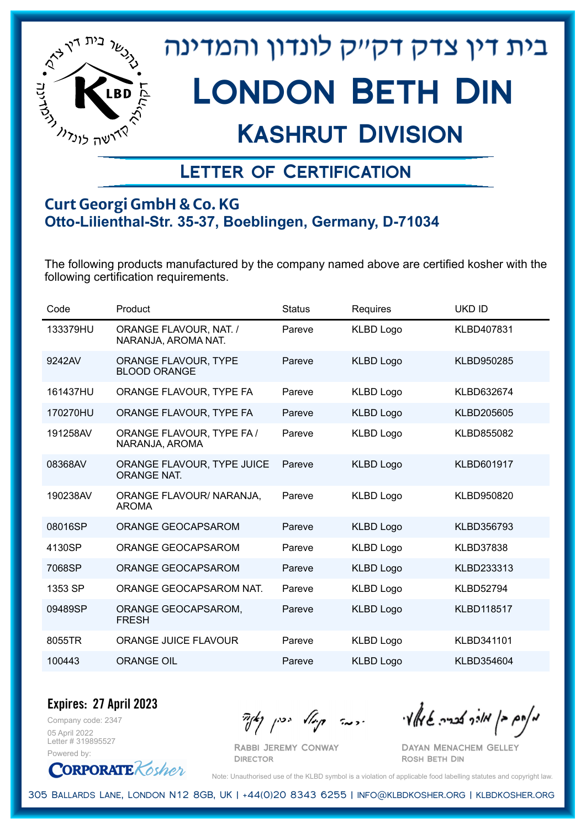

## Kashrut Division

### Letter of Certification

#### **Curt Georgi GmbH & Co. KG Otto-Lilienthal-Str. 35-37, Boeblingen, Germany, D-71034**

The following products manufactured by the company named above are certified kosher with the following certification requirements.

| Code     | Product                                       | <b>Status</b> | Requires         | <b>UKD ID</b>     |
|----------|-----------------------------------------------|---------------|------------------|-------------------|
| 133379HU | ORANGE FLAVOUR, NAT. /<br>NARANJA, AROMA NAT. | Pareve        | <b>KLBD Logo</b> | KLBD407831        |
| 9242AV   | ORANGE FLAVOUR, TYPE<br><b>BLOOD ORANGE</b>   | Pareve        | <b>KLBD Logo</b> | KLBD950285        |
| 161437HU | ORANGE FLAVOUR, TYPE FA                       | Pareve        | <b>KLBD Logo</b> | KLBD632674        |
| 170270HU | ORANGE FLAVOUR, TYPE FA                       | Pareve        | <b>KLBD Logo</b> | KLBD205605        |
| 191258AV | ORANGE FLAVOUR, TYPE FA /<br>NARANJA, AROMA   | Pareve        | <b>KLBD Logo</b> | KLBD855082        |
| 08368AV  | ORANGE FLAVOUR, TYPE JUICE<br>ORANGE NAT.     | Pareve        | <b>KLBD Logo</b> | KLBD601917        |
| 190238AV | ORANGE FLAVOUR/ NARANJA,<br><b>AROMA</b>      | Pareve        | <b>KLBD Logo</b> | KLBD950820        |
| 08016SP  | ORANGE GEOCAPSAROM                            | Pareve        | <b>KLBD Logo</b> | KLBD356793        |
| 4130SP   | ORANGE GEOCAPSAROM                            | Pareve        | <b>KLBD Logo</b> | <b>KLBD37838</b>  |
| 7068SP   | ORANGE GEOCAPSAROM                            | Pareve        | <b>KLBD Logo</b> | KLBD233313        |
| 1353 SP  | ORANGE GEOCAPSAROM NAT.                       | Pareve        | <b>KLBD Logo</b> | <b>KLBD52794</b>  |
| 09489SP  | ORANGE GEOCAPSAROM,<br><b>FRESH</b>           | Pareve        | <b>KLBD Logo</b> | <b>KLBD118517</b> |
| 8055TR   | <b>ORANGE JUICE FLAVOUR</b>                   | Pareve        | <b>KLBD Logo</b> | KLBD341101        |
| 100443   | <b>ORANGE OIL</b>                             | Pareve        | <b>KLBD Logo</b> | KLBD354604        |

Company code: 2347 **Expires: 27 April 2023**

05 April 2022 Letter # 319895527 Powered by:

**CORPORATE** Kosher

Rabbi Jeremy Conway

מאוס בן מוכך אבריה שמאלי היה קיילא יכין קאין

Dayan Menachem Gelley Rosh Beth Din

Note: Unauthorised use of the KLBD symbol is a violation of applicable food labelling statutes and copyright law.

305 Ballards Lane, London N12 8GB, UK | +44(0)20 8343 6255 | info@klbdkosher.org | klbdkosher.org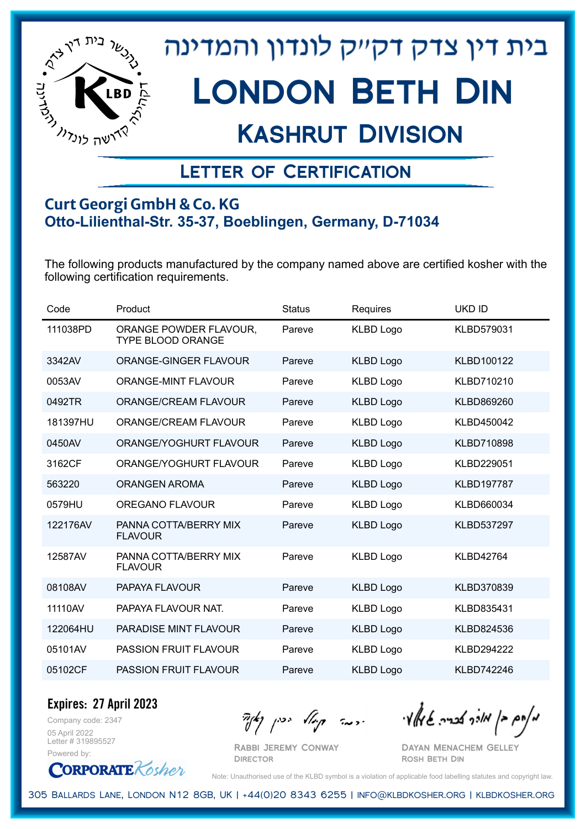

## Kashrut Division

### Letter of Certification

#### **Curt Georgi GmbH & Co. KG Otto-Lilienthal-Str. 35-37, Boeblingen, Germany, D-71034**

The following products manufactured by the company named above are certified kosher with the following certification requirements.

| Code     | Product                                     | <b>Status</b> | Requires         | <b>UKD ID</b>     |
|----------|---------------------------------------------|---------------|------------------|-------------------|
| 111038PD | ORANGE POWDER FLAVOUR,<br>TYPE BLOOD ORANGE | Pareve        | <b>KLBD Logo</b> | KLBD579031        |
| 3342AV   | ORANGE-GINGER FLAVOUR                       | Pareve        | <b>KLBD Logo</b> | KLBD100122        |
| 0053AV   | <b>ORANGE-MINT FLAVOUR</b>                  | Pareve        | <b>KLBD Logo</b> | KLBD710210        |
| 0492TR   | <b>ORANGE/CREAM FLAVOUR</b>                 | Pareve        | <b>KLBD Logo</b> | KLBD869260        |
| 181397HU | <b>ORANGE/CREAM FLAVOUR</b>                 | Pareve        | <b>KLBD Logo</b> | KLBD450042        |
| 0450AV   | ORANGE/YOGHURT FLAVOUR                      | Pareve        | <b>KLBD Logo</b> | KLBD710898        |
| 3162CF   | ORANGE/YOGHURT FLAVOUR                      | Pareve        | <b>KLBD Logo</b> | KLBD229051        |
| 563220   | <b>ORANGEN AROMA</b>                        | Pareve        | <b>KLBD Logo</b> | <b>KLBD197787</b> |
| 0579HU   | OREGANO FLAVOUR                             | Pareve        | <b>KLBD Logo</b> | KLBD660034        |
| 122176AV | PANNA COTTA/BERRY MIX<br><b>FLAVOUR</b>     | Pareve        | <b>KLBD Logo</b> | KLBD537297        |
| 12587AV  | PANNA COTTA/BERRY MIX<br><b>FLAVOUR</b>     | Pareve        | <b>KLBD Logo</b> | <b>KLBD42764</b>  |
| 08108AV  | PAPAYA FLAVOUR                              | Pareve        | <b>KLBD Logo</b> | KLBD370839        |
| 11110AV  | PAPAYA FLAVOUR NAT.                         | Pareve        | <b>KLBD Logo</b> | KLBD835431        |
| 122064HU | <b>PARADISE MINT FLAVOUR</b>                | Pareve        | <b>KLBD Logo</b> | KLBD824536        |
| 05101AV  | <b>PASSION FRUIT FLAVOUR</b>                | Pareve        | <b>KLBD Logo</b> | KLBD294222        |
| 05102CF  | <b>PASSION FRUIT FLAVOUR</b>                | Pareve        | <b>KLBD Logo</b> | KLBD742246        |

Company code: 2347 **Expires: 27 April 2023**

05 April 2022 Letter # 319895527 Powered by:

**CORPORATE** Kosher

Rabbi Jeremy Conway

**DIRECTOR** 

 $\frac{1}{2}$ אלה אברה שיאלי ווינדי שיאלי וואדו בין קיצו

Dayan Menachem Gelley Rosh Beth Din

Note: Unauthorised use of the KLBD symbol is a violation of applicable food labelling statutes and copyright law.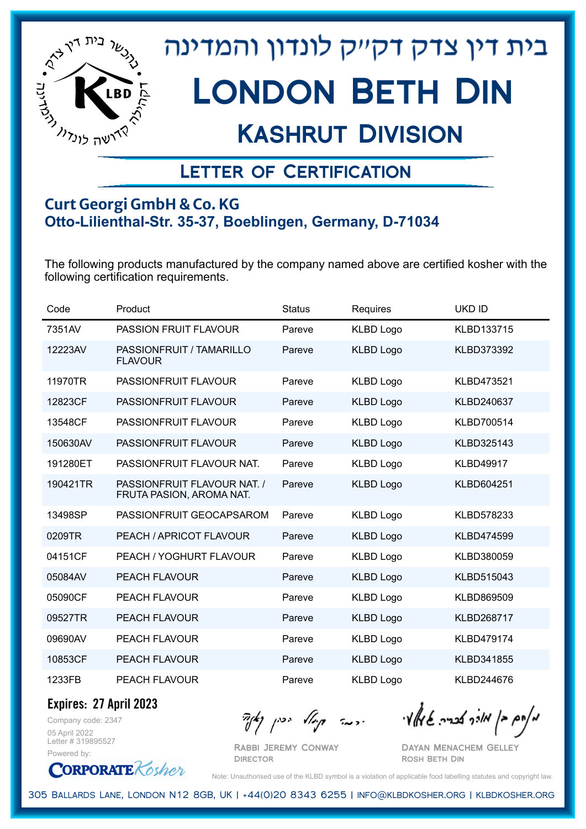

## Kashrut Division

### Letter of Certification

#### **Curt Georgi GmbH & Co. KG Otto-Lilienthal-Str. 35-37, Boeblingen, Germany, D-71034**

The following products manufactured by the company named above are certified kosher with the following certification requirements.

| Code     | Product                                                 | <b>Status</b> | Requires         | <b>UKD ID</b>     |
|----------|---------------------------------------------------------|---------------|------------------|-------------------|
| 7351AV   | <b>PASSION FRUIT FLAVOUR</b>                            | Pareve        | <b>KLBD Logo</b> | KLBD133715        |
| 12223AV  | PASSIONFRUIT / TAMARILLO<br><b>FLAVOUR</b>              | Pareve        | <b>KLBD Logo</b> | KLBD373392        |
| 11970TR  | PASSIONFRUIT FLAVOUR                                    | Pareve        | <b>KLBD Logo</b> | KLBD473521        |
| 12823CF  | PASSIONFRUIT FLAVOUR                                    | Pareve        | <b>KLBD Logo</b> | KLBD240637        |
| 13548CF  | PASSIONFRUIT FLAVOUR                                    | Pareve        | <b>KLBD Logo</b> | KLBD700514        |
| 150630AV | PASSIONFRUIT FLAVOUR                                    | Pareve        | <b>KLBD Logo</b> | KLBD325143        |
| 191280ET | PASSIONFRUIT FLAVOUR NAT.                               | Pareve        | <b>KLBD Logo</b> | <b>KLBD49917</b>  |
| 190421TR | PASSIONFRUIT FLAVOUR NAT. /<br>FRUTA PASION, AROMA NAT. | Pareve        | <b>KLBD Logo</b> | KLBD604251        |
| 13498SP  | PASSIONFRUIT GEOCAPSAROM                                | Pareve        | <b>KLBD Logo</b> | KLBD578233        |
| 0209TR   | PEACH / APRICOT FLAVOUR                                 | Pareve        | <b>KLBD Logo</b> | <b>KLBD474599</b> |
| 04151CF  | PEACH / YOGHURT FLAVOUR                                 | Pareve        | <b>KLBD Logo</b> | KLBD380059        |
| 05084AV  | <b>PEACH FLAVOUR</b>                                    | Pareve        | <b>KLBD Logo</b> | KLBD515043        |
| 05090CF  | <b>PEACH FLAVOUR</b>                                    | Pareve        | <b>KLBD Logo</b> | KLBD869509        |
| 09527TR  | <b>PEACH FLAVOUR</b>                                    | Pareve        | <b>KLBD Logo</b> | <b>KLBD268717</b> |
| 09690AV  | <b>PEACH FLAVOUR</b>                                    | Pareve        | <b>KLBD Logo</b> | <b>KLBD479174</b> |
| 10853CF  | <b>PEACH FLAVOUR</b>                                    | Pareve        | <b>KLBD Logo</b> | KLBD341855        |
| 1233FB   | <b>PEACH FLAVOUR</b>                                    | Pareve        | <b>KLBD Logo</b> | KLBD244676        |

**Expires: 27 April 2023**

Company code: 2347 05 April 2022 Letter # 319895527 Powered by:

**CORPORATE** Kosher

 $\mathcal{H}_{\mathcal{C}}$   $\mathcal{H}_{\mathcal{C}}$   $\mathcal{H}_{\mathcal{C}}$   $\mathcal{H}_{\mathcal{C}}$   $\mathcal{H}_{\mathcal{C}}$   $\mathcal{H}_{\mathcal{C}}$   $\mathcal{H}_{\mathcal{C}}$   $\mathcal{H}_{\mathcal{C}}$   $\mathcal{H}_{\mathcal{C}}$   $\mathcal{H}_{\mathcal{C}}$   $\mathcal{H}_{\mathcal{C}}$   $\mathcal{H}_{\mathcal{C}}$ 

Rabbi Jeremy Conway **DIRECTOR** 

Dayan Menachem Gelley Rosh Beth Din

Note: Unauthorised use of the KLBD symbol is a violation of applicable food labelling statutes and copyright law.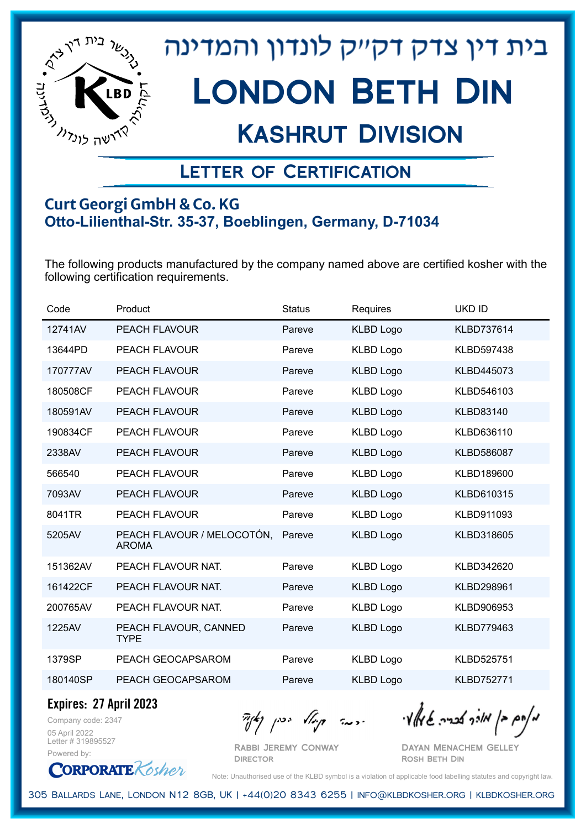

## Kashrut Division

### Letter of Certification

#### **Curt Georgi GmbH & Co. KG Otto-Lilienthal-Str. 35-37, Boeblingen, Germany, D-71034**

The following products manufactured by the company named above are certified kosher with the following certification requirements.

| Code     | Product                                    | <b>Status</b> | Requires         | <b>UKD ID</b>     |
|----------|--------------------------------------------|---------------|------------------|-------------------|
| 12741AV  | <b>PEACH FLAVOUR</b>                       | Pareve        | <b>KLBD Logo</b> | <b>KLBD737614</b> |
| 13644PD  | PEACH FLAVOUR                              | Pareve        | <b>KLBD Logo</b> | <b>KLBD597438</b> |
| 170777AV | <b>PEACH FLAVOUR</b>                       | Pareve        | <b>KLBD Logo</b> | KLBD445073        |
| 180508CF | <b>PEACH FLAVOUR</b>                       | Pareve        | <b>KLBD Logo</b> | KLBD546103        |
| 180591AV | <b>PEACH FLAVOUR</b>                       | Pareve        | <b>KLBD Logo</b> | <b>KLBD83140</b>  |
| 190834CF | <b>PEACH FLAVOUR</b>                       | Pareve        | <b>KLBD Logo</b> | KLBD636110        |
| 2338AV   | <b>PEACH FLAVOUR</b>                       | Pareve        | <b>KLBD Logo</b> | <b>KLBD586087</b> |
| 566540   | PEACH FLAVOUR                              | Pareve        | <b>KLBD Logo</b> | KLBD189600        |
| 7093AV   | <b>PEACH FLAVOUR</b>                       | Pareve        | <b>KLBD Logo</b> | KLBD610315        |
| 8041TR   | <b>PEACH FLAVOUR</b>                       | Pareve        | <b>KLBD Logo</b> | KLBD911093        |
| 5205AV   | PEACH FLAVOUR / MELOCOTÓN,<br><b>AROMA</b> | Pareve        | <b>KLBD Logo</b> | KLBD318605        |
| 151362AV | PEACH FLAVOUR NAT.                         | Pareve        | <b>KLBD Logo</b> | KLBD342620        |
| 161422CF | PEACH FLAVOUR NAT.                         | Pareve        | <b>KLBD Logo</b> | KLBD298961        |
| 200765AV | PEACH FLAVOUR NAT.                         | Pareve        | <b>KLBD Logo</b> | KLBD906953        |
| 1225AV   | PEACH FLAVOUR, CANNED<br><b>TYPE</b>       | Pareve        | <b>KLBD Logo</b> | KLBD779463        |
| 1379SP   | PEACH GEOCAPSAROM                          | Pareve        | <b>KLBD Logo</b> | KLBD525751        |
| 180140SP | PEACH GEOCAPSAROM                          | Pareve        | <b>KLBD Logo</b> | <b>KLBD752771</b> |

**Expires: 27 April 2023**

Company code: 2347 05 April 2022 Letter # 319895527 Powered by:

 $\mathcal{H}_{\mathcal{C}}$   $\mathcal{H}_{\mathcal{C}}$   $\mathcal{H}_{\mathcal{C}}$   $\mathcal{H}_{\mathcal{C}}$   $\mathcal{H}_{\mathcal{C}}$   $\mathcal{H}_{\mathcal{C}}$   $\mathcal{H}_{\mathcal{C}}$   $\mathcal{H}_{\mathcal{C}}$   $\mathcal{H}_{\mathcal{C}}$   $\mathcal{H}_{\mathcal{C}}$   $\mathcal{H}_{\mathcal{C}}$   $\mathcal{H}_{\mathcal{C}}$ 

Rabbi Jeremy Conway **DIRECTOR** 

Dayan Menachem Gelley Rosh Beth Din

**CORPORATE** Kosher Note: Unauthorised use of the KLBD symbol is a violation of applicable food labelling statutes and copyright law.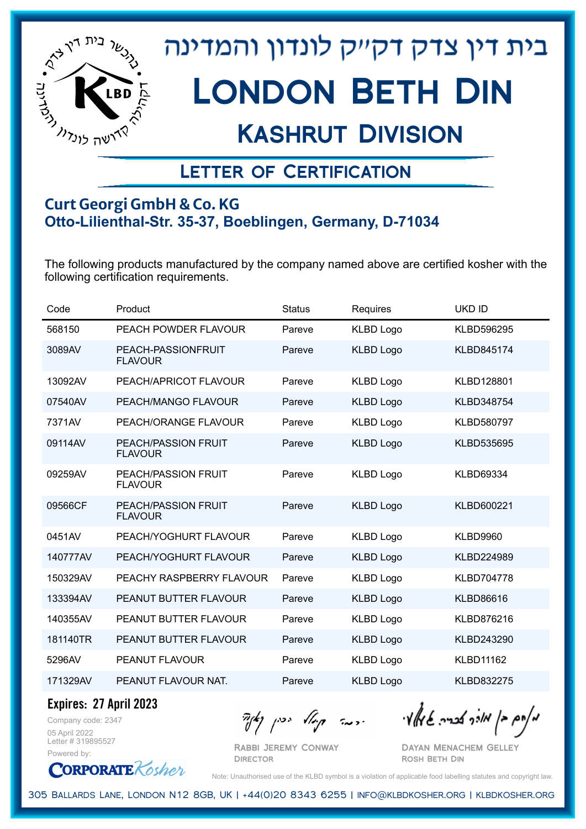

## Kashrut Division

### Letter of Certification

#### **Curt Georgi GmbH & Co. KG Otto-Lilienthal-Str. 35-37, Boeblingen, Germany, D-71034**

The following products manufactured by the company named above are certified kosher with the following certification requirements.

| Code     | Product                                      | <b>Status</b> | Requires         | <b>UKD ID</b>     |
|----------|----------------------------------------------|---------------|------------------|-------------------|
| 568150   | PEACH POWDER FLAVOUR                         | Pareve        | <b>KLBD Logo</b> | KLBD596295        |
| 3089AV   | PEACH-PASSIONFRUIT<br><b>FLAVOUR</b>         | Pareve        | <b>KLBD Logo</b> | KLBD845174        |
| 13092AV  | PEACH/APRICOT FLAVOUR                        | Pareve        | <b>KLBD Logo</b> | KLBD128801        |
| 07540AV  | PEACH/MANGO FLAVOUR                          | Pareve        | <b>KLBD Logo</b> | KLBD348754        |
| 7371AV   | PEACH/ORANGE FLAVOUR                         | Pareve        | <b>KLBD Logo</b> | <b>KLBD580797</b> |
| 09114AV  | <b>PEACH/PASSION FRUIT</b><br><b>FLAVOUR</b> | Pareve        | <b>KLBD Logo</b> | KLBD535695        |
| 09259AV  | <b>PEACH/PASSION FRUIT</b><br><b>FLAVOUR</b> | Pareve        | <b>KLBD Logo</b> | <b>KLBD69334</b>  |
| 09566CF  | <b>PEACH/PASSION FRUIT</b><br><b>FLAVOUR</b> | Pareve        | <b>KLBD Logo</b> | KLBD600221        |
| 0451AV   | PEACH/YOGHURT FLAVOUR                        | Pareve        | <b>KLBD Logo</b> | <b>KLBD9960</b>   |
| 140777AV | PEACH/YOGHURT FLAVOUR                        | Pareve        | <b>KLBD Logo</b> | KLBD224989        |
| 150329AV | PEACHY RASPBERRY FLAVOUR                     | Pareve        | <b>KLBD Logo</b> | <b>KLBD704778</b> |
| 133394AV | PEANUT BUTTER FLAVOUR                        | Pareve        | <b>KLBD Logo</b> | <b>KLBD86616</b>  |
| 140355AV | PEANUT BUTTER FLAVOUR                        | Pareve        | <b>KLBD Logo</b> | KLBD876216        |
| 181140TR | PEANUT BUTTER FLAVOUR                        | Pareve        | <b>KLBD Logo</b> | KLBD243290        |
| 5296AV   | PEANUT FLAVOUR                               | Pareve        | <b>KLBD Logo</b> | <b>KLBD11162</b>  |
| 171329AV | PEANUT FLAVOUR NAT.                          | Pareve        | <b>KLBD Logo</b> | <b>KLBD832275</b> |

**Expires: 27 April 2023**

Company code: 2347 05 April 2022 Letter # 319895527 Powered by:

מאוס בן מוכך אבריה שמאלי היה קיילא יכין קאין

Rabbi Jeremy Conway **DIRECTOR** 

Dayan Menachem Gelley Rosh Beth Din



Note: Unauthorised use of the KLBD symbol is a violation of applicable food labelling statutes and copyright law.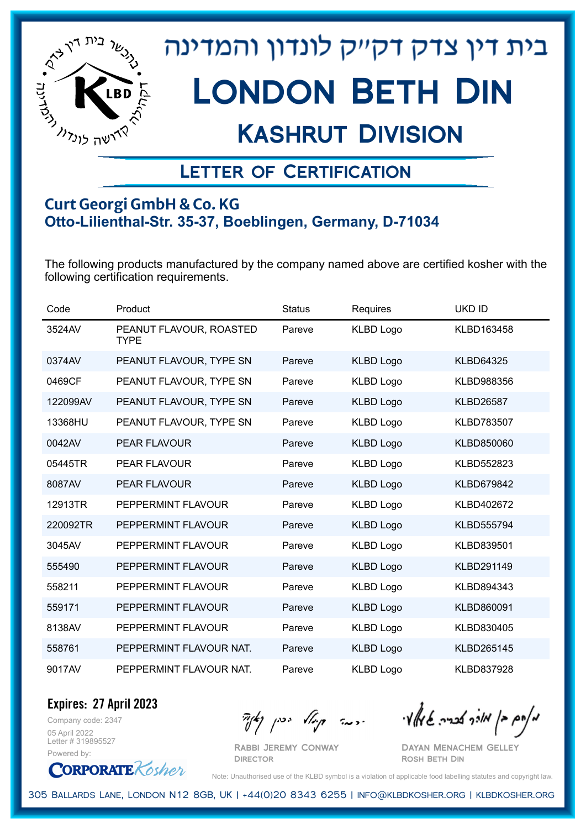

## Kashrut Division

### Letter of Certification

#### **Curt Georgi GmbH & Co. KG Otto-Lilienthal-Str. 35-37, Boeblingen, Germany, D-71034**

The following products manufactured by the company named above are certified kosher with the following certification requirements.

| Code     | Product                                | <b>Status</b> | Requires         | <b>UKD ID</b>     |
|----------|----------------------------------------|---------------|------------------|-------------------|
| 3524AV   | PEANUT FLAVOUR, ROASTED<br><b>TYPE</b> | Pareve        | <b>KLBD Logo</b> | KLBD163458        |
| 0374AV   | PEANUT FLAVOUR, TYPE SN                | Pareve        | <b>KLBD Logo</b> | <b>KLBD64325</b>  |
| 0469CF   | PEANUT FLAVOUR, TYPE SN                | Pareve        | <b>KLBD Logo</b> | KLBD988356        |
| 122099AV | PEANUT FLAVOUR, TYPE SN                | Pareve        | <b>KLBD Logo</b> | <b>KLBD26587</b>  |
| 13368HU  | PEANUT FLAVOUR, TYPE SN                | Pareve        | <b>KLBD Logo</b> | KLBD783507        |
| 0042AV   | PEAR FLAVOUR                           | Pareve        | <b>KLBD Logo</b> | KLBD850060        |
| 05445TR  | <b>PEAR FLAVOUR</b>                    | Pareve        | <b>KLBD Logo</b> | KLBD552823        |
| 8087AV   | PEAR FLAVOUR                           | Pareve        | <b>KLBD Logo</b> | KLBD679842        |
| 12913TR  | PEPPERMINT FLAVOUR                     | Pareve        | <b>KLBD Logo</b> | KLBD402672        |
| 220092TR | PEPPERMINT FLAVOUR                     | Pareve        | <b>KLBD Logo</b> | <b>KLBD555794</b> |
| 3045AV   | PEPPERMINT FLAVOUR                     | Pareve        | <b>KLBD Logo</b> | KLBD839501        |
| 555490   | PEPPERMINT FLAVOUR                     | Pareve        | <b>KLBD Logo</b> | KLBD291149        |
| 558211   | PEPPERMINT FLAVOUR                     | Pareve        | <b>KLBD Logo</b> | KLBD894343        |
| 559171   | PEPPERMINT FLAVOUR                     | Pareve        | <b>KLBD Logo</b> | KLBD860091        |
| 8138AV   | PEPPERMINT FLAVOUR                     | Pareve        | <b>KLBD Logo</b> | KLBD830405        |
| 558761   | PEPPERMINT FLAVOUR NAT.                | Pareve        | <b>KLBD Logo</b> | KLBD265145        |
| 9017AV   | PEPPERMINT FLAVOUR NAT.                | Pareve        | <b>KLBD Logo</b> | KLBD837928        |

**Expires: 27 April 2023**

Company code: 2347 05 April 2022 Letter # 319895527 Powered by:

**CORPORATE** Kosher

Rabbi Jeremy Conway

מאחם בן מורך אבריה שמאלי היה קיילא יכין קאין

Dayan Menachem Gelley Rosh Beth Din

Note: Unauthorised use of the KLBD symbol is a violation of applicable food labelling statutes and copyright law.

305 Ballards Lane, London N12 8GB, UK | +44(0)20 8343 6255 | info@klbdkosher.org | klbdkosher.org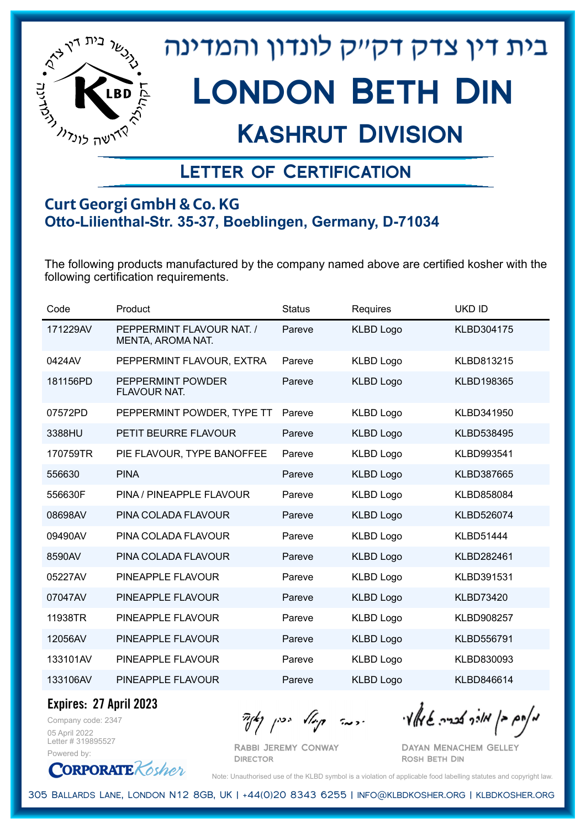

## Kashrut Division

### Letter of Certification

#### **Curt Georgi GmbH & Co. KG Otto-Lilienthal-Str. 35-37, Boeblingen, Germany, D-71034**

The following products manufactured by the company named above are certified kosher with the following certification requirements.

| Code     | Product                                        | <b>Status</b> | Requires         | <b>UKD ID</b>     |
|----------|------------------------------------------------|---------------|------------------|-------------------|
| 171229AV | PEPPERMINT FLAVOUR NAT. /<br>MENTA, AROMA NAT. | Pareve        | <b>KLBD Logo</b> | KLBD304175        |
| 0424AV   | PEPPERMINT FLAVOUR, EXTRA                      | Pareve        | <b>KLBD Logo</b> | KLBD813215        |
| 181156PD | PEPPERMINT POWDER<br>FLAVOUR NAT.              | Pareve        | <b>KLBD Logo</b> | KLBD198365        |
| 07572PD  | PEPPERMINT POWDER, TYPE TT                     | Pareve        | <b>KLBD Logo</b> | KLBD341950        |
| 3388HU   | PETIT BEURRE FLAVOUR                           | Pareve        | <b>KLBD Logo</b> | KLBD538495        |
| 170759TR | PIE FLAVOUR, TYPE BANOFFEE                     | Pareve        | <b>KLBD Logo</b> | KLBD993541        |
| 556630   | <b>PINA</b>                                    | Pareve        | <b>KLBD Logo</b> | KLBD387665        |
| 556630F  | PINA / PINEAPPLE FLAVOUR                       | Pareve        | <b>KLBD Logo</b> | KLBD858084        |
| 08698AV  | PINA COLADA FLAVOUR                            | Pareve        | <b>KLBD Logo</b> | KLBD526074        |
| 09490AV  | PINA COLADA FLAVOUR                            | Pareve        | <b>KLBD Logo</b> | <b>KLBD51444</b>  |
| 8590AV   | PINA COLADA FLAVOUR                            | Pareve        | <b>KLBD Logo</b> | KLBD282461        |
| 05227AV  | PINEAPPLE FLAVOUR                              | Pareve        | <b>KLBD Logo</b> | KLBD391531        |
| 07047AV  | PINEAPPLE FLAVOUR                              | Pareve        | <b>KLBD Logo</b> | <b>KLBD73420</b>  |
| 11938TR  | PINEAPPLE FLAVOUR                              | Pareve        | <b>KLBD Logo</b> | <b>KLBD908257</b> |
| 12056AV  | PINEAPPLE FLAVOUR                              | Pareve        | <b>KLBD Logo</b> | KLBD556791        |
| 133101AV | PINEAPPLE FLAVOUR                              | Pareve        | <b>KLBD Logo</b> | KLBD830093        |
| 133106AV | PINEAPPLE FLAVOUR                              | Pareve        | <b>KLBD Logo</b> | KLBD846614        |

**Expires: 27 April 2023**

Company code: 2347 05 April 2022 Letter # 319895527 Powered by:

**CORPORATE** Kosher

Rabbi Jeremy Conway **DIRECTOR** 

מאחם בן מורך אבריה שמאלי היה קיילא יכין קאין

Dayan Menachem Gelley Rosh Beth Din

Note: Unauthorised use of the KLBD symbol is a violation of applicable food labelling statutes and copyright law.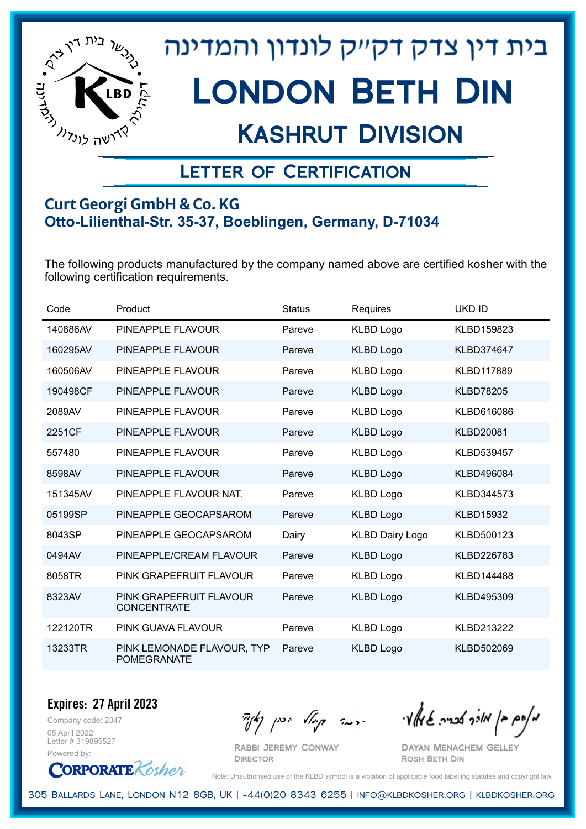

## Kashrut Division

### Letter of Certification

#### **Curt Georgi GmbH & Co. KG Otto-Lilienthal-Str. 35-37, Boeblingen, Germany, D-71034**

The following products manufactured by the company named above are certified kosher with the following certification requirements.

| Code     | Product                                          | <b>Status</b> | Requires               | <b>UKD ID</b>     |
|----------|--------------------------------------------------|---------------|------------------------|-------------------|
| 140886AV | PINEAPPLE FLAVOUR                                | Pareve        | <b>KLBD Logo</b>       | KLBD159823        |
| 160295AV | PINEAPPLE FLAVOUR                                | Pareve        | <b>KLBD Logo</b>       | KLBD374647        |
| 160506AV | PINEAPPLE FLAVOUR                                | Pareve        | <b>KLBD Logo</b>       | <b>KLBD117889</b> |
| 190498CF | PINEAPPLE FLAVOUR                                | Pareve        | <b>KLBD Logo</b>       | <b>KLBD78205</b>  |
| 2089AV   | PINEAPPLE FLAVOUR                                | Pareve        | <b>KLBD Logo</b>       | KLBD616086        |
| 2251CF   | PINEAPPLE FLAVOUR                                | Pareve        | <b>KLBD Logo</b>       | <b>KLBD20081</b>  |
| 557480   | PINEAPPLE FLAVOUR                                | Pareve        | <b>KLBD Logo</b>       | KLBD539457        |
| 8598AV   | PINEAPPLE FLAVOUR                                | Pareve        | <b>KLBD Logo</b>       | KLBD496084        |
| 151345AV | PINEAPPLE FLAVOUR NAT.                           | Pareve        | <b>KLBD Logo</b>       | KLBD344573        |
| 05199SP  | PINEAPPLE GEOCAPSAROM                            | Pareve        | <b>KLBD Logo</b>       | <b>KLBD15932</b>  |
| 8043SP   | PINEAPPLE GEOCAPSAROM                            | Dairy         | <b>KLBD Dairy Logo</b> | KLBD500123        |
| 0494AV   | PINEAPPLE/CREAM FLAVOUR                          | Pareve        | <b>KLBD Logo</b>       | KLBD226783        |
| 8058TR   | PINK GRAPEFRUIT FLAVOUR                          | Pareve        | <b>KLBD Logo</b>       | KLBD144488        |
| 8323AV   | PINK GRAPEFRUIT FLAVOUR<br><b>CONCENTRATE</b>    | Pareve        | <b>KLBD Logo</b>       | KLBD495309        |
| 122120TR | PINK GUAVA FLAVOUR                               | Pareve        | <b>KLBD Logo</b>       | KLBD213222        |
| 13233TR  | PINK LEMONADE FLAVOUR, TYP<br><b>POMEGRANATE</b> | Pareve        | <b>KLBD Logo</b>       | KLBD502069        |

Company code: 2347 **Expires: 27 April 2023**

05 April 2022 Letter # 319895527 Powered by:

**CORPORATE** Kosher

Rabbi Jeremy Conway

 $\mathcal{H}_{\mathcal{C}}$   $\mathcal{H}_{\mathcal{C}}$   $\mathcal{H}_{\mathcal{C}}$   $\mathcal{H}_{\mathcal{C}}$   $\mathcal{H}_{\mathcal{C}}$   $\mathcal{H}_{\mathcal{C}}$   $\mathcal{H}_{\mathcal{C}}$   $\mathcal{H}_{\mathcal{C}}$   $\mathcal{H}_{\mathcal{C}}$   $\mathcal{H}_{\mathcal{C}}$   $\mathcal{H}_{\mathcal{C}}$   $\mathcal{H}_{\mathcal{C}}$ 

Dayan Menachem Gelley Rosh Beth Din

Note: Unauthorised use of the KLBD symbol is a violation of applicable food labelling statutes and copyright law.

305 Ballards Lane, London N12 8GB, UK | +44(0)20 8343 6255 | info@klbdkosher.org | klbdkosher.org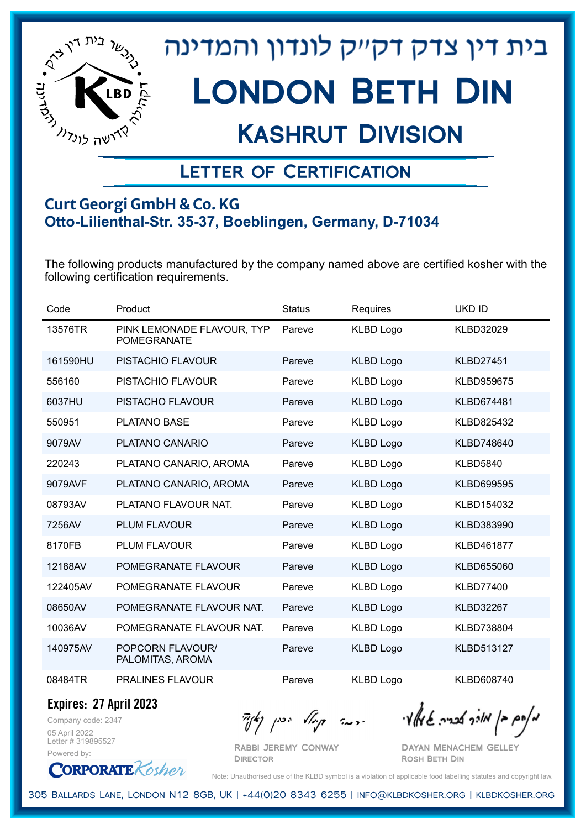

## Kashrut Division

### Letter of Certification

#### **Curt Georgi GmbH & Co. KG Otto-Lilienthal-Str. 35-37, Boeblingen, Germany, D-71034**

The following products manufactured by the company named above are certified kosher with the following certification requirements.

| Code     | Product                                          | <b>Status</b> | Requires         | <b>UKD ID</b>     |
|----------|--------------------------------------------------|---------------|------------------|-------------------|
| 13576TR  | PINK LEMONADE FLAVOUR, TYP<br><b>POMEGRANATE</b> | Pareve        | <b>KLBD Logo</b> | <b>KLBD32029</b>  |
| 161590HU | PISTACHIO FLAVOUR                                | Pareve        | <b>KLBD Logo</b> | <b>KLBD27451</b>  |
| 556160   | PISTACHIO FLAVOUR                                | Pareve        | <b>KLBD Logo</b> | KLBD959675        |
| 6037HU   | <b>PISTACHO FLAVOUR</b>                          | Pareve        | <b>KLBD Logo</b> | KLBD674481        |
| 550951   | PLATANO BASE                                     | Pareve        | <b>KLBD Logo</b> | KLBD825432        |
| 9079AV   | PLATANO CANARIO                                  | Pareve        | <b>KLBD Logo</b> | KLBD748640        |
| 220243   | PLATANO CANARIO, AROMA                           | Pareve        | <b>KLBD Logo</b> | <b>KLBD5840</b>   |
| 9079AVF  | PLATANO CANARIO, AROMA                           | Pareve        | <b>KLBD Logo</b> | KLBD699595        |
| 08793AV  | PLATANO FLAVOUR NAT.                             | Pareve        | <b>KLBD Logo</b> | KLBD154032        |
| 7256AV   | PLUM FLAVOUR                                     | Pareve        | <b>KLBD Logo</b> | KLBD383990        |
| 8170FB   | <b>PLUM FLAVOUR</b>                              | Pareve        | <b>KLBD Logo</b> | <b>KLBD461877</b> |
| 12188AV  | POMEGRANATE FLAVOUR                              | Pareve        | <b>KLBD Logo</b> | KLBD655060        |
| 122405AV | POMEGRANATE FLAVOUR                              | Pareve        | <b>KLBD Logo</b> | <b>KLBD77400</b>  |
| 08650AV  | POMEGRANATE FLAVOUR NAT.                         | Pareve        | <b>KLBD Logo</b> | <b>KLBD32267</b>  |
| 10036AV  | POMEGRANATE FLAVOUR NAT.                         | Pareve        | <b>KLBD Logo</b> | KLBD738804        |
| 140975AV | POPCORN FLAVOUR/<br>PALOMITAS, AROMA             | Pareve        | <b>KLBD Logo</b> | KLBD513127        |
| 08484TR  | <b>PRALINES FLAVOUR</b>                          | Pareve        | <b>KLBD Logo</b> | KLBD608740        |

**Expires: 27 April 2023**

**CORPORATE** Kosher

Company code: 2347 05 April 2022 Letter # 319895527 Powered by:

מאחם בן מורך אבריה שמאלי היה קיילא יכין קאין

Rabbi Jeremy Conway **DIRECTOR** 

Dayan Menachem Gelley Rosh Beth Din

Note: Unauthorised use of the KLBD symbol is a violation of applicable food labelling statutes and copyright law.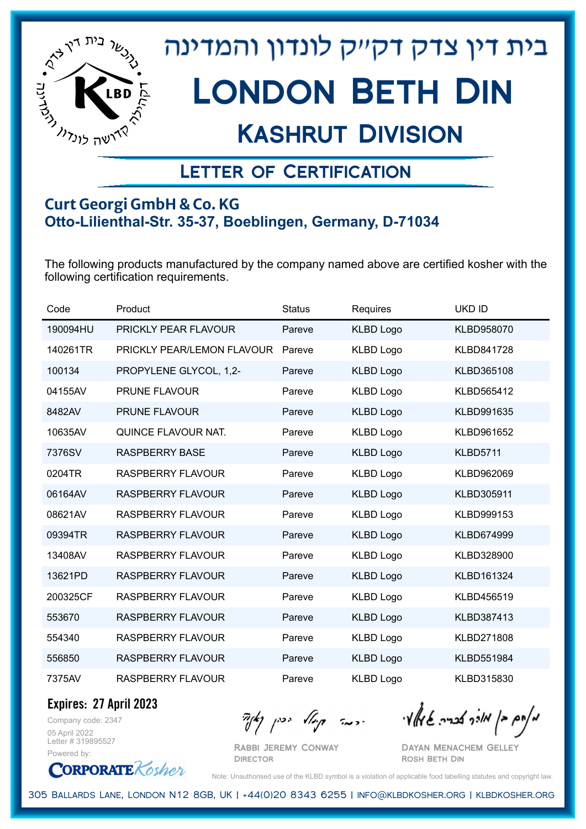

## Kashrut Division

### Letter of Certification

#### **Curt Georgi GmbH & Co. KG Otto-Lilienthal-Str. 35-37, Boeblingen, Germany, D-71034**

The following products manufactured by the company named above are certified kosher with the following certification requirements.

| Code     | Product                    | <b>Status</b> | Requires         | <b>UKD ID</b>     |
|----------|----------------------------|---------------|------------------|-------------------|
| 190094HU | PRICKLY PEAR FLAVOUR       | Pareve        | <b>KLBD Logo</b> | KLBD958070        |
| 140261TR | PRICKLY PEAR/LEMON FLAVOUR | Pareve        | <b>KLBD Logo</b> | <b>KLBD841728</b> |
| 100134   | PROPYLENE GLYCOL, 1,2-     | Pareve        | <b>KLBD Logo</b> | KLBD365108        |
| 04155AV  | <b>PRUNE FLAVOUR</b>       | Pareve        | <b>KLBD Logo</b> | KLBD565412        |
| 8482AV   | PRUNE FLAVOUR              | Pareve        | <b>KLBD Logo</b> | KLBD991635        |
| 10635AV  | QUINCE FLAVOUR NAT.        | Pareve        | <b>KLBD Logo</b> | KLBD961652        |
| 7376SV   | <b>RASPBERRY BASE</b>      | Pareve        | <b>KLBD Logo</b> | <b>KLBD5711</b>   |
| 0204TR   | <b>RASPBERRY FLAVOUR</b>   | Pareve        | <b>KLBD Logo</b> | KLBD962069        |
| 06164AV  | <b>RASPBERRY FLAVOUR</b>   | Pareve        | <b>KLBD Logo</b> | KLBD305911        |
| 08621AV  | <b>RASPBERRY FLAVOUR</b>   | Pareve        | <b>KLBD Logo</b> | KLBD999153        |
| 09394TR  | <b>RASPBERRY FLAVOUR</b>   | Pareve        | <b>KLBD Logo</b> | KLBD674999        |
| 13408AV  | <b>RASPBERRY FLAVOUR</b>   | Pareve        | <b>KLBD Logo</b> | KLBD328900        |
| 13621PD  | <b>RASPBERRY FLAVOUR</b>   | Pareve        | <b>KLBD Logo</b> | KLBD161324        |
| 200325CF | <b>RASPBERRY FLAVOUR</b>   | Pareve        | <b>KLBD Logo</b> | KLBD456519        |
| 553670   | <b>RASPBERRY FLAVOUR</b>   | Pareve        | <b>KLBD Logo</b> | KLBD387413        |
| 554340   | <b>RASPBERRY FLAVOUR</b>   | Pareve        | <b>KLBD Logo</b> | KLBD271808        |
| 556850   | <b>RASPBERRY FLAVOUR</b>   | Pareve        | <b>KLBD Logo</b> | <b>KLBD551984</b> |
| 7375AV   | RASPBERRY FLAVOUR          | Pareve        | <b>KLBD Logo</b> | KLBD315830        |

**Expires: 27 April 2023**

Company code: 2347 05 April 2022 Letter # 319895527 Powered by:

**CORPORATE** Kosher

 $\mathcal{H}_{\mathcal{C}}$   $\mathcal{H}_{\mathcal{C}}$   $\mathcal{H}_{\mathcal{C}}$   $\mathcal{H}_{\mathcal{C}}$   $\mathcal{H}_{\mathcal{C}}$   $\mathcal{H}_{\mathcal{C}}$   $\mathcal{H}_{\mathcal{C}}$   $\mathcal{H}_{\mathcal{C}}$   $\mathcal{H}_{\mathcal{C}}$   $\mathcal{H}_{\mathcal{C}}$   $\mathcal{H}_{\mathcal{C}}$   $\mathcal{H}_{\mathcal{C}}$ 

Rabbi Jeremy Conway **DIRECTOR** 

Dayan Menachem Gelley Rosh Beth Din

Note: Unauthorised use of the KLBD symbol is a violation of applicable food labelling statutes and copyright law.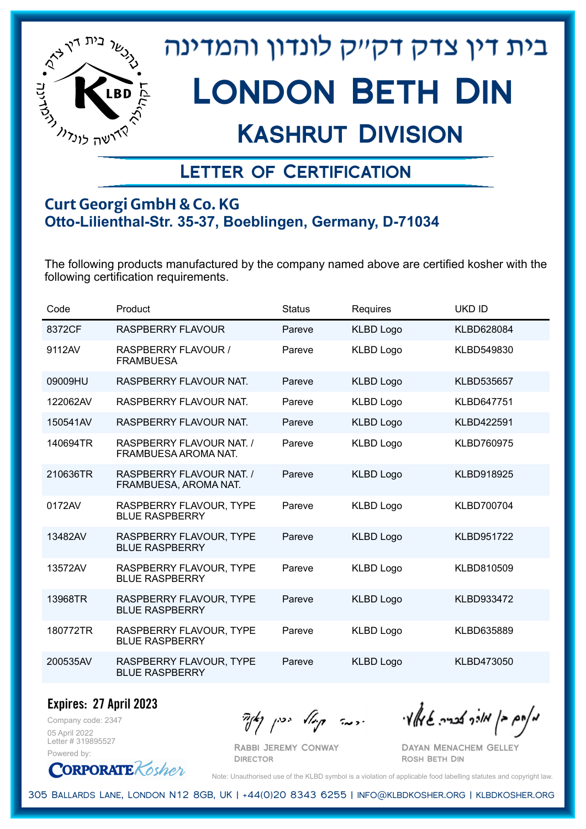

## Kashrut Division

### Letter of Certification

#### **Curt Georgi GmbH & Co. KG Otto-Lilienthal-Str. 35-37, Boeblingen, Germany, D-71034**

The following products manufactured by the company named above are certified kosher with the following certification requirements.

| Code     | Product                                           | <b>Status</b> | Requires         | <b>UKD ID</b>     |
|----------|---------------------------------------------------|---------------|------------------|-------------------|
| 8372CF   | <b>RASPBERRY FLAVOUR</b>                          | Pareve        | <b>KLBD Logo</b> | <b>KLBD628084</b> |
| 9112AV   | <b>RASPBERRY FLAVOUR /</b><br><b>FRAMBUESA</b>    | Pareve        | <b>KLBD Logo</b> | KLBD549830        |
| 09009HU  | RASPBERRY FLAVOUR NAT.                            | Pareve        | <b>KLBD Logo</b> | <b>KLBD535657</b> |
| 122062AV | RASPBERRY FLAVOUR NAT.                            | Pareve        | <b>KLBD Logo</b> | <b>KLBD647751</b> |
| 150541AV | RASPBERRY FLAVOUR NAT.                            | Pareve        | <b>KLBD Logo</b> | <b>KLBD422591</b> |
| 140694TR | RASPBERRY FLAVOUR NAT. /<br>FRAMBUESA AROMA NAT.  | Pareve        | <b>KLBD Logo</b> | <b>KLBD760975</b> |
| 210636TR | RASPBERRY FLAVOUR NAT. /<br>FRAMBUESA, AROMA NAT. | Pareve        | <b>KLBD Logo</b> | KLBD918925        |
| 0172AV   | RASPBERRY FLAVOUR, TYPE<br><b>BLUE RASPBERRY</b>  | Pareve        | <b>KLBD Logo</b> | <b>KLBD700704</b> |
| 13482AV  | RASPBERRY FLAVOUR, TYPE<br><b>BLUE RASPBERRY</b>  | Pareve        | <b>KLBD Logo</b> | <b>KLBD951722</b> |
| 13572AV  | RASPBERRY FLAVOUR, TYPE<br><b>BLUE RASPBERRY</b>  | Pareve        | <b>KLBD Logo</b> | KLBD810509        |
| 13968TR  | RASPBERRY FLAVOUR, TYPE<br><b>BLUE RASPBERRY</b>  | Pareve        | <b>KLBD Logo</b> | KLBD933472        |
| 180772TR | RASPBERRY FLAVOUR, TYPE<br><b>BLUE RASPBERRY</b>  | Pareve        | <b>KLBD Logo</b> | KLBD635889        |
| 200535AV | RASPBERRY FLAVOUR, TYPE<br><b>BLUE RASPBERRY</b>  | Pareve        | <b>KLBD Logo</b> | KLBD473050        |

**Expires: 27 April 2023**

Company code: 2347 05 April 2022 Letter # 319895527 Powered by:

Rabbi Jeremy Conway

מאוס בן מוכך אבריה שמאלי היה קיילא יכין קאין

Dayan Menachem Gelley Rosh Beth Din

**CORPORATE** Kosher

Note: Unauthorised use of the KLBD symbol is a violation of applicable food labelling statutes and copyright law.

305 Ballards Lane, London N12 8GB, UK | +44(0)20 8343 6255 | info@klbdkosher.org | klbdkosher.org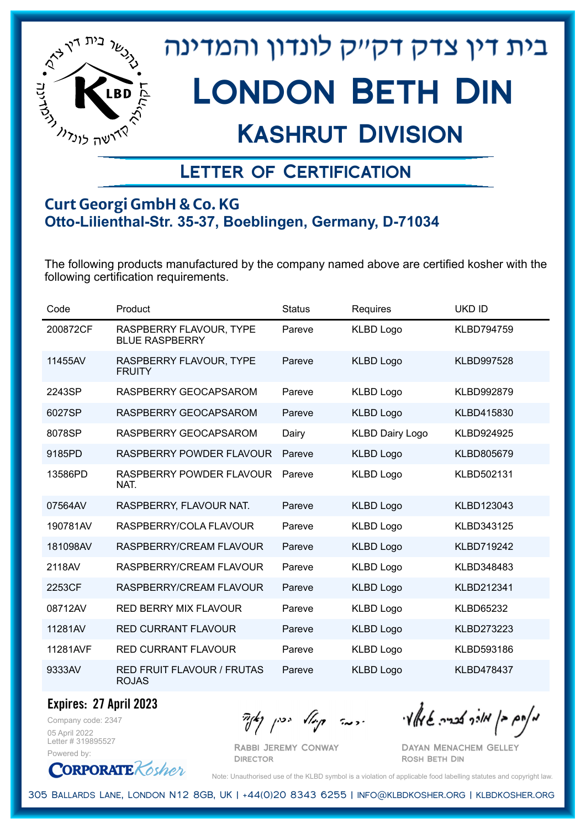

## Kashrut Division

### Letter of Certification

#### **Curt Georgi GmbH & Co. KG Otto-Lilienthal-Str. 35-37, Boeblingen, Germany, D-71034**

The following products manufactured by the company named above are certified kosher with the following certification requirements.

| Code     | Product                                          | <b>Status</b> | Requires               | <b>UKD ID</b>     |
|----------|--------------------------------------------------|---------------|------------------------|-------------------|
| 200872CF | RASPBERRY FLAVOUR, TYPE<br><b>BLUE RASPBERRY</b> | Pareve        | <b>KLBD Logo</b>       | <b>KLBD794759</b> |
| 11455AV  | RASPBERRY FLAVOUR, TYPE<br><b>FRUITY</b>         | Pareve        | <b>KLBD Logo</b>       | <b>KLBD997528</b> |
| 2243SP   | RASPBERRY GEOCAPSAROM                            | Pareve        | <b>KLBD Logo</b>       | <b>KLBD992879</b> |
| 6027SP   | RASPBERRY GEOCAPSAROM                            | Pareve        | <b>KLBD Logo</b>       | KLBD415830        |
| 8078SP   | RASPBERRY GEOCAPSAROM                            | Dairy         | <b>KLBD Dairy Logo</b> | KLBD924925        |
| 9185PD   | RASPBERRY POWDER FLAVOUR                         | Pareve        | <b>KLBD Logo</b>       | KLBD805679        |
| 13586PD  | RASPBERRY POWDER FLAVOUR<br>NAT.                 | Pareve        | <b>KLBD Logo</b>       | KLBD502131        |
| 07564AV  | RASPBERRY, FLAVOUR NAT.                          | Pareve        | <b>KLBD Logo</b>       | KLBD123043        |
| 190781AV | RASPBERRY/COLA FLAVOUR                           | Pareve        | <b>KLBD Logo</b>       | KLBD343125        |
| 181098AV | RASPBERRY/CREAM FLAVOUR                          | Pareve        | <b>KLBD Logo</b>       | <b>KLBD719242</b> |
| 2118AV   | RASPBERRY/CREAM FLAVOUR                          | Pareve        | <b>KLBD Logo</b>       | KLBD348483        |
| 2253CF   | RASPBERRY/CREAM FLAVOUR                          | Pareve        | <b>KLBD Logo</b>       | KLBD212341        |
| 08712AV  | RED BERRY MIX FLAVOUR                            | Pareve        | <b>KLBD Logo</b>       | <b>KLBD65232</b>  |
| 11281AV  | <b>RED CURRANT FLAVOUR</b>                       | Pareve        | <b>KLBD Logo</b>       | KLBD273223        |
| 11281AVF | <b>RED CURRANT FLAVOUR</b>                       | Pareve        | <b>KLBD Logo</b>       | KLBD593186        |
| 9333AV   | RED FRUIT FLAVOUR / FRUTAS<br><b>ROJAS</b>       | Pareve        | <b>KLBD Logo</b>       | KLBD478437        |

**Expires: 27 April 2023**

Company code: 2347 05 April 2022 Letter # 319895527 Powered by:

**CORPORATE** Kosher

Rabbi Jeremy Conway **DIRECTOR** 

מאוס בן מוכך אבריה שמאלי היה קיילא יכין קאין

Dayan Menachem Gelley Rosh Beth Din

Note: Unauthorised use of the KLBD symbol is a violation of applicable food labelling statutes and copyright law.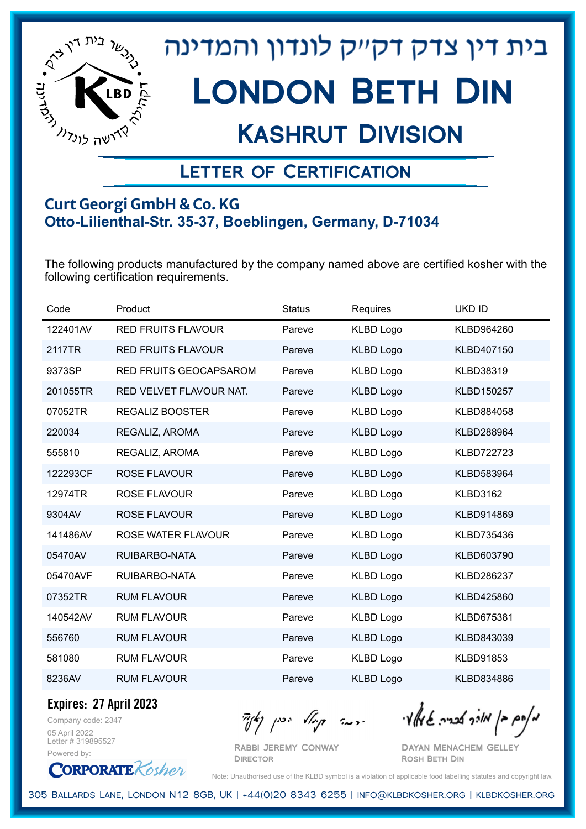

## Kashrut Division

### Letter of Certification

#### **Curt Georgi GmbH & Co. KG Otto-Lilienthal-Str. 35-37, Boeblingen, Germany, D-71034**

The following products manufactured by the company named above are certified kosher with the following certification requirements.

| Code     | Product                       | <b>Status</b> | Requires         | <b>UKD ID</b>     |
|----------|-------------------------------|---------------|------------------|-------------------|
| 122401AV | <b>RED FRUITS FLAVOUR</b>     | Pareve        | <b>KLBD Logo</b> | KLBD964260        |
| 2117TR   | <b>RED FRUITS FLAVOUR</b>     | Pareve        | <b>KLBD Logo</b> | KLBD407150        |
| 9373SP   | <b>RED FRUITS GEOCAPSAROM</b> | Pareve        | <b>KLBD Logo</b> | <b>KLBD38319</b>  |
| 201055TR | RED VELVET FLAVOUR NAT.       | Pareve        | <b>KLBD Logo</b> | KLBD150257        |
| 07052TR  | <b>REGALIZ BOOSTER</b>        | Pareve        | <b>KLBD Logo</b> | KLBD884058        |
| 220034   | REGALIZ, AROMA                | Pareve        | <b>KLBD Logo</b> | KLBD288964        |
| 555810   | REGALIZ, AROMA                | Pareve        | <b>KLBD Logo</b> | <b>KLBD722723</b> |
| 122293CF | <b>ROSE FLAVOUR</b>           | Pareve        | <b>KLBD Logo</b> | KLBD583964        |
| 12974TR  | <b>ROSE FLAVOUR</b>           | Pareve        | <b>KLBD Logo</b> | <b>KLBD3162</b>   |
| 9304AV   | <b>ROSE FLAVOUR</b>           | Pareve        | <b>KLBD Logo</b> | KLBD914869        |
| 141486AV | <b>ROSE WATER FLAVOUR</b>     | Pareve        | <b>KLBD Logo</b> | KLBD735436        |
| 05470AV  | RUIBARBO-NATA                 | Pareve        | <b>KLBD Logo</b> | KLBD603790        |
| 05470AVF | RUIBARBO-NATA                 | Pareve        | <b>KLBD Logo</b> | KLBD286237        |
| 07352TR  | <b>RUM FLAVOUR</b>            | Pareve        | <b>KLBD Logo</b> | KLBD425860        |
| 140542AV | <b>RUM FLAVOUR</b>            | Pareve        | <b>KLBD Logo</b> | KLBD675381        |
| 556760   | <b>RUM FLAVOUR</b>            | Pareve        | <b>KLBD Logo</b> | KLBD843039        |
| 581080   | <b>RUM FLAVOUR</b>            | Pareve        | <b>KLBD Logo</b> | KLBD91853         |
| 8236AV   | <b>RUM FLAVOUR</b>            | Pareve        | <b>KLBD Logo</b> | KLBD834886        |

**Expires: 27 April 2023**

Company code: 2347 05 April 2022 Letter # 319895527 Powered by:

**CORPORATE** Kosher

מאוס בן מוכך אבריה שמאלי היה קיילא יכין קאין

Rabbi Jeremy Conway **DIRECTOR** 

Dayan Menachem Gelley Rosh Beth Din

Note: Unauthorised use of the KLBD symbol is a violation of applicable food labelling statutes and copyright law.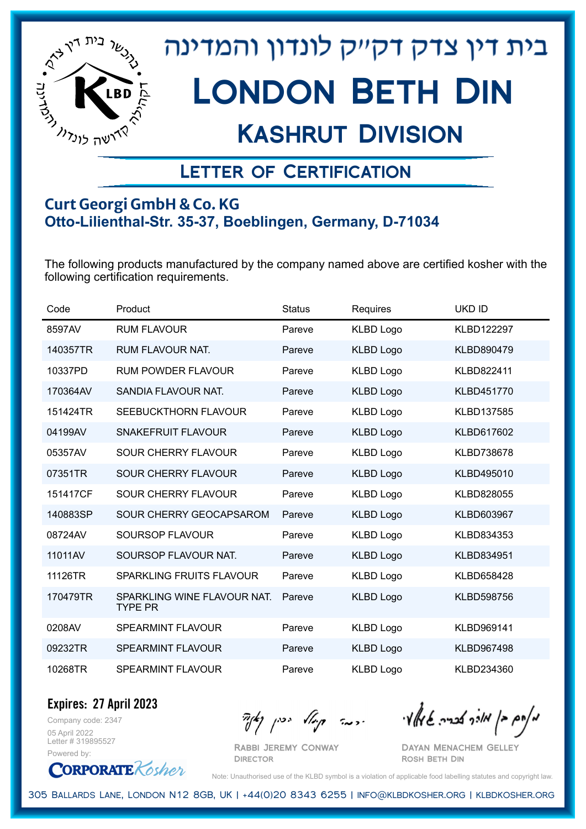

## Kashrut Division

### Letter of Certification

#### **Curt Georgi GmbH & Co. KG Otto-Lilienthal-Str. 35-37, Boeblingen, Germany, D-71034**

The following products manufactured by the company named above are certified kosher with the following certification requirements.

| Code     | Product                                       | <b>Status</b> | Requires         | <b>UKD ID</b>     |
|----------|-----------------------------------------------|---------------|------------------|-------------------|
| 8597AV   | <b>RUM FLAVOUR</b>                            | Pareve        | <b>KLBD Logo</b> | <b>KLBD122297</b> |
| 140357TR | <b>RUM FLAVOUR NAT.</b>                       | Pareve        | <b>KLBD Logo</b> | KLBD890479        |
| 10337PD  | <b>RUM POWDER FLAVOUR</b>                     | Pareve        | <b>KLBD Logo</b> | KLBD822411        |
| 170364AV | SANDIA FLAVOUR NAT.                           | Pareve        | <b>KLBD Logo</b> | KLBD451770        |
| 151424TR | SEEBUCKTHORN FLAVOUR                          | Pareve        | <b>KLBD Logo</b> | KLBD137585        |
| 04199AV  | <b>SNAKEFRUIT FLAVOUR</b>                     | Pareve        | <b>KLBD Logo</b> | KLBD617602        |
| 05357AV  | <b>SOUR CHERRY FLAVOUR</b>                    | Pareve        | <b>KLBD Logo</b> | KLBD738678        |
| 07351TR  | SOUR CHERRY FLAVOUR                           | Pareve        | <b>KLBD Logo</b> | KLBD495010        |
| 151417CF | <b>SOUR CHERRY FLAVOUR</b>                    | Pareve        | <b>KLBD Logo</b> | KLBD828055        |
| 140883SP | SOUR CHERRY GEOCAPSAROM                       | Pareve        | <b>KLBD Logo</b> | KLBD603967        |
| 08724AV  | <b>SOURSOP FLAVOUR</b>                        | Pareve        | <b>KLBD Logo</b> | KLBD834353        |
| 11011AV  | SOURSOP FLAVOUR NAT.                          | Pareve        | <b>KLBD Logo</b> | KLBD834951        |
| 11126TR  | SPARKLING FRUITS FLAVOUR                      | Pareve        | <b>KLBD Logo</b> | KLBD658428        |
| 170479TR | SPARKLING WINE FLAVOUR NAT.<br><b>TYPE PR</b> | Pareve        | <b>KLBD Logo</b> | KLBD598756        |
| 0208AV   | <b>SPEARMINT FLAVOUR</b>                      | Pareve        | <b>KLBD Logo</b> | KLBD969141        |
| 09232TR  | <b>SPEARMINT FLAVOUR</b>                      | Pareve        | <b>KLBD Logo</b> | KLBD967498        |
| 10268TR  | SPEARMINT FLAVOUR                             | Pareve        | <b>KLBD Logo</b> | KLBD234360        |

Company code: 2347 **Expires: 27 April 2023**

05 April 2022 Letter # 319895527 Powered by:

**CORPORATE** Kosher

Rabbi Jeremy Conway

מאחם בן מורך אבריה שמאלי היה קיילא יכין קאין

Dayan Menachem Gelley Rosh Beth Din

Note: Unauthorised use of the KLBD symbol is a violation of applicable food labelling statutes and copyright law.

305 Ballards Lane, London N12 8GB, UK | +44(0)20 8343 6255 | info@klbdkosher.org | klbdkosher.org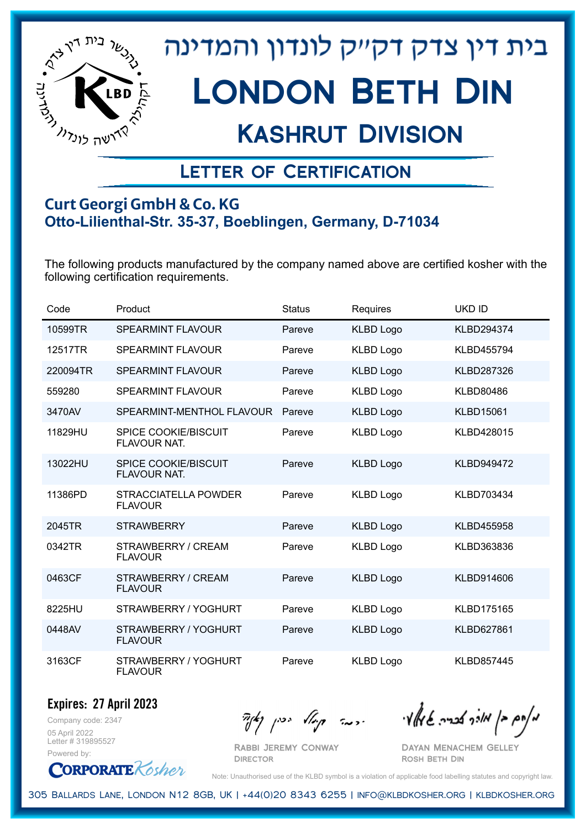

## Kashrut Division

### Letter of Certification

#### **Curt Georgi GmbH & Co. KG Otto-Lilienthal-Str. 35-37, Boeblingen, Germany, D-71034**

The following products manufactured by the company named above are certified kosher with the following certification requirements.

| Code     | Product                                            | <b>Status</b> | Requires         | <b>UKD ID</b>     |
|----------|----------------------------------------------------|---------------|------------------|-------------------|
| 10599TR  | <b>SPEARMINT FLAVOUR</b>                           | Pareve        | <b>KLBD Logo</b> | KLBD294374        |
| 12517TR  | <b>SPEARMINT FLAVOUR</b>                           | Pareve        | <b>KLBD Logo</b> | KLBD455794        |
| 220094TR | <b>SPEARMINT FLAVOUR</b>                           | Pareve        | <b>KLBD Logo</b> | <b>KLBD287326</b> |
| 559280   | <b>SPEARMINT FLAVOUR</b>                           | Pareve        | <b>KLBD Logo</b> | <b>KLBD80486</b>  |
| 3470AV   | SPEARMINT-MENTHOL FLAVOUR                          | Pareve        | <b>KLBD Logo</b> | <b>KLBD15061</b>  |
| 11829HU  | <b>SPICE COOKIE/BISCUIT</b><br><b>FLAVOUR NAT.</b> | Pareve        | <b>KLBD Logo</b> | KLBD428015        |
| 13022HU  | <b>SPICE COOKIE/BISCUIT</b><br>FLAVOUR NAT.        | Pareve        | <b>KLBD Logo</b> | <b>KLBD949472</b> |
| 11386PD  | <b>STRACCIATELLA POWDER</b><br><b>FLAVOUR</b>      | Pareve        | <b>KLBD Logo</b> | KLBD703434        |
| 2045TR   | <b>STRAWBERRY</b>                                  | Pareve        | <b>KLBD Logo</b> | <b>KLBD455958</b> |
| 0342TR   | STRAWBERRY / CREAM<br><b>FLAVOUR</b>               | Pareve        | <b>KLBD Logo</b> | KLBD363836        |
| 0463CF   | STRAWBERRY / CREAM<br><b>FLAVOUR</b>               | Pareve        | <b>KLBD Logo</b> | KLBD914606        |
| 8225HU   | STRAWBERRY / YOGHURT                               | Pareve        | <b>KLBD Logo</b> | <b>KLBD175165</b> |
| 0448AV   | STRAWBERRY / YOGHURT<br><b>FLAVOUR</b>             | Pareve        | <b>KLBD Logo</b> | <b>KLBD627861</b> |
| 3163CF   | STRAWBERRY / YOGHURT<br><b>FLAVOUR</b>             | Pareve        | <b>KLBD Logo</b> | <b>KLBD857445</b> |

Company code: 2347 **Expires: 27 April 2023**

05 April 2022 Letter # 319895527 Powered by:

Rabbi Jeremy Conway

מאוס בן מוכך אבריה שמאלי היה קיילא יכין קאין

Dayan Menachem Gelley Rosh Beth Din

**CORPORATE** Kosher

Note: Unauthorised use of the KLBD symbol is a violation of applicable food labelling statutes and copyright law.

305 Ballards Lane, London N12 8GB, UK | +44(0)20 8343 6255 | info@klbdkosher.org | klbdkosher.org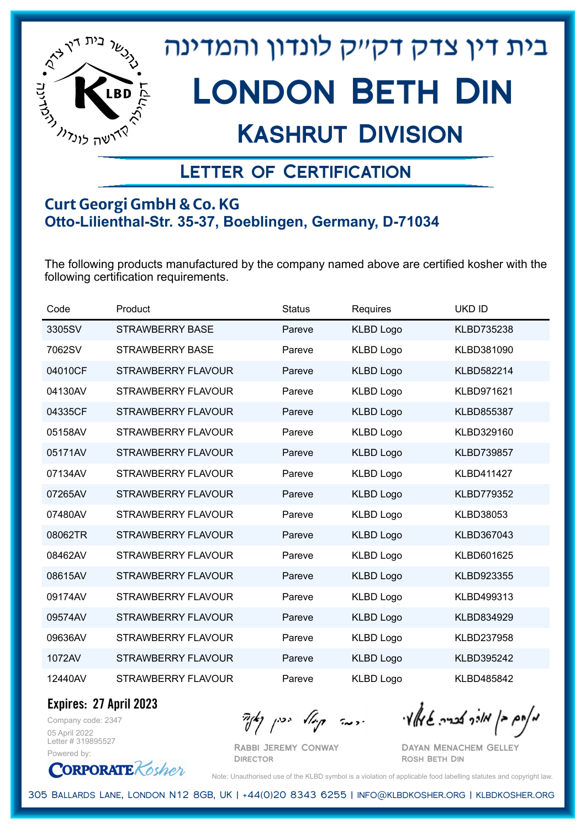

## Kashrut Division

### Letter of Certification

#### **Curt Georgi GmbH & Co. KG Otto-Lilienthal-Str. 35-37, Boeblingen, Germany, D-71034**

The following products manufactured by the company named above are certified kosher with the following certification requirements.

| Code    | Product                   | <b>Status</b> | Requires         | <b>UKD ID</b>     |
|---------|---------------------------|---------------|------------------|-------------------|
| 3305SV  | <b>STRAWBERRY BASE</b>    | Pareve        | <b>KLBD Logo</b> | KLBD735238        |
| 7062SV  | <b>STRAWBERRY BASE</b>    | Pareve        | <b>KLBD Logo</b> | KLBD381090        |
| 04010CF | <b>STRAWBERRY FLAVOUR</b> | Pareve        | <b>KLBD Logo</b> | KLBD582214        |
| 04130AV | <b>STRAWBERRY FLAVOUR</b> | Pareve        | <b>KLBD Logo</b> | KLBD971621        |
| 04335CF | STRAWBERRY FLAVOUR        | Pareve        | <b>KLBD Logo</b> | <b>KLBD855387</b> |
| 05158AV | <b>STRAWBERRY FLAVOUR</b> | Pareve        | <b>KLBD Logo</b> | KLBD329160        |
| 05171AV | <b>STRAWBERRY FLAVOUR</b> | Pareve        | <b>KLBD Logo</b> | <b>KLBD739857</b> |
| 07134AV | <b>STRAWBERRY FLAVOUR</b> | Pareve        | <b>KLBD Logo</b> | <b>KLBD411427</b> |
| 07265AV | <b>STRAWBERRY FLAVOUR</b> | Pareve        | <b>KLBD Logo</b> | <b>KLBD779352</b> |
| 07480AV | STRAWBERRY FLAVOUR        | Pareve        | <b>KLBD Logo</b> | KLBD38053         |
| 08062TR | STRAWBERRY FLAVOUR        | Pareve        | <b>KLBD Logo</b> | KLBD367043        |
| 08462AV | <b>STRAWBERRY FLAVOUR</b> | Pareve        | <b>KLBD Logo</b> | KLBD601625        |
| 08615AV | <b>STRAWBERRY FLAVOUR</b> | Pareve        | <b>KLBD Logo</b> | KLBD923355        |
| 09174AV | STRAWBERRY FLAVOUR        | Pareve        | <b>KLBD Logo</b> | KLBD499313        |
| 09574AV | STRAWBERRY FLAVOUR        | Pareve        | <b>KLBD Logo</b> | KLBD834929        |
| 09636AV | STRAWBERRY FLAVOUR        | Pareve        | <b>KLBD Logo</b> | KLBD237958        |
| 1072AV  | STRAWBERRY FLAVOUR        | Pareve        | <b>KLBD Logo</b> | KLBD395242        |
| 12440AV | <b>STRAWBERRY FLAVOUR</b> | Pareve        | <b>KLBD Logo</b> | KLBD485842        |

**Expires: 27 April 2023**

Company code: 2347 05 April 2022 Letter # 319895527 Powered by:

**CORPORATE** Kosher

 $\mathcal{H}_{\mathcal{C}}$   $\mathcal{H}_{\mathcal{C}}$   $\mathcal{H}_{\mathcal{C}}$   $\mathcal{H}_{\mathcal{C}}$   $\mathcal{H}_{\mathcal{C}}$   $\mathcal{H}_{\mathcal{C}}$   $\mathcal{H}_{\mathcal{C}}$   $\mathcal{H}_{\mathcal{C}}$   $\mathcal{H}_{\mathcal{C}}$   $\mathcal{H}_{\mathcal{C}}$   $\mathcal{H}_{\mathcal{C}}$   $\mathcal{H}_{\mathcal{C}}$ 

Rabbi Jeremy Conway **DIRECTOR** 

Dayan Menachem Gelley Rosh Beth Din

Note: Unauthorised use of the KLBD symbol is a violation of applicable food labelling statutes and copyright law.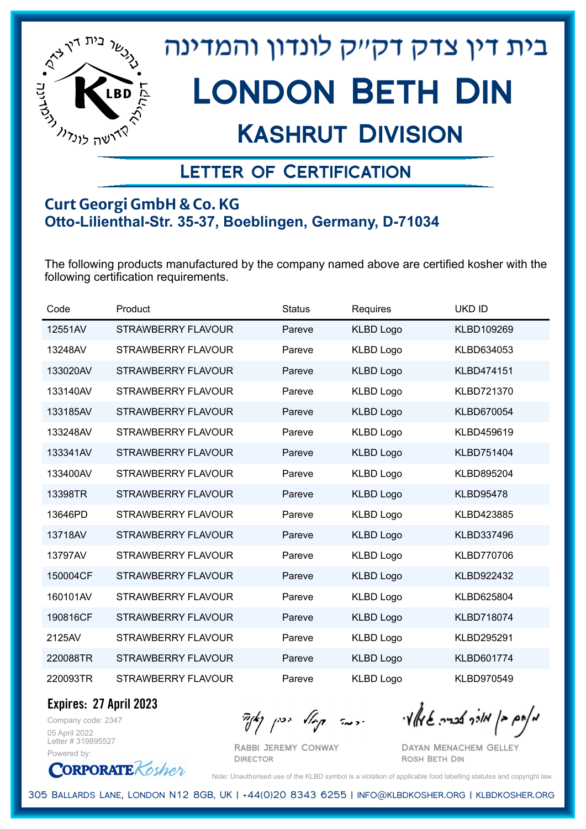

## Kashrut Division

### Letter of Certification

#### **Curt Georgi GmbH & Co. KG Otto-Lilienthal-Str. 35-37, Boeblingen, Germany, D-71034**

The following products manufactured by the company named above are certified kosher with the following certification requirements.

| Code     | Product                   | <b>Status</b> | Requires         | <b>UKD ID</b>     |
|----------|---------------------------|---------------|------------------|-------------------|
| 12551AV  | <b>STRAWBERRY FLAVOUR</b> | Pareve        | <b>KLBD Logo</b> | KLBD109269        |
| 13248AV  | <b>STRAWBERRY FLAVOUR</b> | Pareve        | <b>KLBD Logo</b> | KLBD634053        |
| 133020AV | <b>STRAWBERRY FLAVOUR</b> | Pareve        | <b>KLBD Logo</b> | KLBD474151        |
| 133140AV | <b>STRAWBERRY FLAVOUR</b> | Pareve        | <b>KLBD Logo</b> | <b>KLBD721370</b> |
| 133185AV | STRAWBERRY FLAVOUR        | Pareve        | <b>KLBD Logo</b> | KLBD670054        |
| 133248AV | <b>STRAWBERRY FLAVOUR</b> | Pareve        | <b>KLBD Logo</b> | KLBD459619        |
| 133341AV | STRAWBERRY FLAVOUR        | Pareve        | <b>KLBD Logo</b> | <b>KLBD751404</b> |
| 133400AV | <b>STRAWBERRY FLAVOUR</b> | Pareve        | <b>KLBD Logo</b> | KLBD895204        |
| 13398TR  | <b>STRAWBERRY FLAVOUR</b> | Pareve        | <b>KLBD Logo</b> | <b>KLBD95478</b>  |
| 13646PD  | <b>STRAWBERRY FLAVOUR</b> | Pareve        | <b>KLBD Logo</b> | KLBD423885        |
| 13718AV  | STRAWBERRY FLAVOUR        | Pareve        | <b>KLBD Logo</b> | KLBD337496        |
| 13797AV  | <b>STRAWBERRY FLAVOUR</b> | Pareve        | <b>KLBD Logo</b> | <b>KLBD770706</b> |
| 150004CF | <b>STRAWBERRY FLAVOUR</b> | Pareve        | <b>KLBD Logo</b> | <b>KLBD922432</b> |
| 160101AV | STRAWBERRY FLAVOUR        | Pareve        | <b>KLBD Logo</b> | KLBD625804        |
| 190816CF | STRAWBERRY FLAVOUR        | Pareve        | <b>KLBD Logo</b> | <b>KLBD718074</b> |
| 2125AV   | STRAWBERRY FLAVOUR        | Pareve        | <b>KLBD Logo</b> | KLBD295291        |
| 220088TR | <b>STRAWBERRY FLAVOUR</b> | Pareve        | <b>KLBD Logo</b> | <b>KLBD601774</b> |
| 220093TR | <b>STRAWBERRY FLAVOUR</b> | Pareve        | <b>KLBD Logo</b> | <b>KLBD970549</b> |

**Expires: 27 April 2023**

Company code: 2347 05 April 2022 Letter # 319895527 Powered by:

**CORPORATE** Kosher

Rabbi Jeremy Conway

מאחם בן מורך אבריה שמאלי היה קיילא יכין קאין

**DIRECTOR** 

Dayan Menachem Gelley Rosh Beth Din

Note: Unauthorised use of the KLBD symbol is a violation of applicable food labelling statutes and copyright law.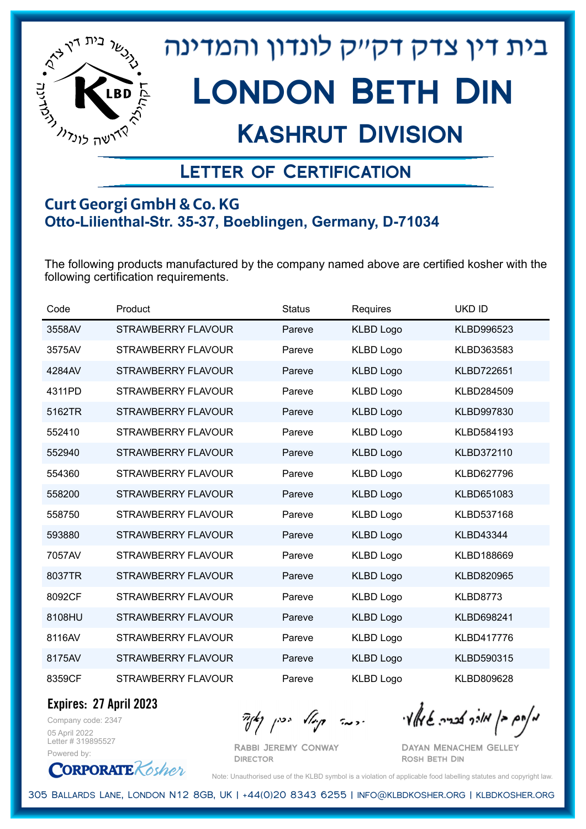

## Kashrut Division

### Letter of Certification

#### **Curt Georgi GmbH & Co. KG Otto-Lilienthal-Str. 35-37, Boeblingen, Germany, D-71034**

The following products manufactured by the company named above are certified kosher with the following certification requirements.

| Code   | Product                   | <b>Status</b> | Requires         | <b>UKD ID</b>     |
|--------|---------------------------|---------------|------------------|-------------------|
| 3558AV | <b>STRAWBERRY FLAVOUR</b> | Pareve        | <b>KLBD Logo</b> | KLBD996523        |
| 3575AV | <b>STRAWBERRY FLAVOUR</b> | Pareve        | <b>KLBD Logo</b> | KLBD363583        |
| 4284AV | <b>STRAWBERRY FLAVOUR</b> | Pareve        | <b>KLBD Logo</b> | <b>KLBD722651</b> |
| 4311PD | <b>STRAWBERRY FLAVOUR</b> | Pareve        | <b>KLBD Logo</b> | KLBD284509        |
| 5162TR | STRAWBERRY FLAVOUR        | Pareve        | <b>KLBD Logo</b> | KLBD997830        |
| 552410 | <b>STRAWBERRY FLAVOUR</b> | Pareve        | <b>KLBD Logo</b> | KLBD584193        |
| 552940 | STRAWBERRY FLAVOUR        | Pareve        | <b>KLBD Logo</b> | KLBD372110        |
| 554360 | <b>STRAWBERRY FLAVOUR</b> | Pareve        | <b>KLBD Logo</b> | KLBD627796        |
| 558200 | <b>STRAWBERRY FLAVOUR</b> | Pareve        | <b>KLBD Logo</b> | KLBD651083        |
| 558750 | <b>STRAWBERRY FLAVOUR</b> | Pareve        | <b>KLBD Logo</b> | KLBD537168        |
| 593880 | STRAWBERRY FLAVOUR        | Pareve        | <b>KLBD Logo</b> | <b>KLBD43344</b>  |
| 7057AV | STRAWBERRY FLAVOUR        | Pareve        | <b>KLBD Logo</b> | KLBD188669        |
| 8037TR | STRAWBERRY FLAVOUR        | Pareve        | <b>KLBD Logo</b> | KLBD820965        |
| 8092CF | STRAWBERRY FLAVOUR        | Pareve        | <b>KLBD Logo</b> | <b>KLBD8773</b>   |
| 8108HU | STRAWBERRY FLAVOUR        | Pareve        | <b>KLBD Logo</b> | KLBD698241        |
| 8116AV | STRAWBERRY FLAVOUR        | Pareve        | <b>KLBD Logo</b> | <b>KLBD417776</b> |
| 8175AV | STRAWBERRY FLAVOUR        | Pareve        | <b>KLBD Logo</b> | KLBD590315        |
| 8359CF | <b>STRAWBERRY FLAVOUR</b> | Pareve        | <b>KLBD Logo</b> | KLBD809628        |

**Expires: 27 April 2023**

Company code: 2347 05 April 2022 Letter # 319895527 Powered by:

**CORPORATE** Kosher

Rabbi Jeremy Conway **DIRECTOR** 

 $\mathcal{H}_{\mathcal{C}}$   $\mathcal{H}_{\mathcal{C}}$   $\mathcal{H}_{\mathcal{C}}$   $\mathcal{H}_{\mathcal{C}}$   $\mathcal{H}_{\mathcal{C}}$   $\mathcal{H}_{\mathcal{C}}$   $\mathcal{H}_{\mathcal{C}}$   $\mathcal{H}_{\mathcal{C}}$   $\mathcal{H}_{\mathcal{C}}$   $\mathcal{H}_{\mathcal{C}}$   $\mathcal{H}_{\mathcal{C}}$   $\mathcal{H}_{\mathcal{C}}$ 

Dayan Menachem Gelley Rosh Beth Din

Note: Unauthorised use of the KLBD symbol is a violation of applicable food labelling statutes and copyright law.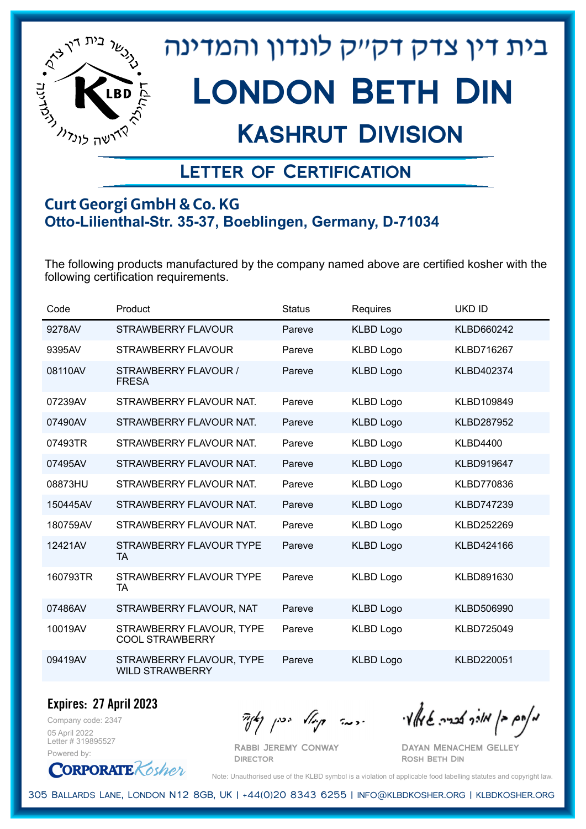

## Kashrut Division

### Letter of Certification

#### **Curt Georgi GmbH & Co. KG Otto-Lilienthal-Str. 35-37, Boeblingen, Germany, D-71034**

The following products manufactured by the company named above are certified kosher with the following certification requirements.

| Code     | Product                                            | <b>Status</b> | Requires         | <b>UKD ID</b>     |
|----------|----------------------------------------------------|---------------|------------------|-------------------|
| 9278AV   | STRAWBERRY FLAVOUR                                 | Pareve        | <b>KLBD Logo</b> | KLBD660242        |
| 9395AV   | <b>STRAWBERRY FLAVOUR</b>                          | Pareve        | <b>KLBD Logo</b> | <b>KLBD716267</b> |
| 08110AV  | STRAWBERRY FLAVOUR /<br><b>FRESA</b>               | Pareve        | <b>KLBD Logo</b> | KLBD402374        |
| 07239AV  | STRAWBERRY FLAVOUR NAT.                            | Pareve        | <b>KLBD Logo</b> | KLBD109849        |
| 07490AV  | STRAWBERRY FLAVOUR NAT.                            | Pareve        | <b>KLBD Logo</b> | <b>KLBD287952</b> |
| 07493TR  | STRAWBERRY FLAVOUR NAT.                            | Pareve        | <b>KLBD Logo</b> | <b>KLBD4400</b>   |
| 07495AV  | STRAWBERRY FLAVOUR NAT.                            | Pareve        | <b>KLBD Logo</b> | KLBD919647        |
| 08873HU  | STRAWBERRY FLAVOUR NAT.                            | Pareve        | <b>KLBD Logo</b> | <b>KLBD770836</b> |
| 150445AV | STRAWBERRY FLAVOUR NAT.                            | Pareve        | <b>KLBD Logo</b> | <b>KLBD747239</b> |
| 180759AV | STRAWBERRY FLAVOUR NAT.                            | Pareve        | <b>KLBD Logo</b> | KLBD252269        |
| 12421AV  | STRAWBERRY FLAVOUR TYPE<br><b>TA</b>               | Pareve        | <b>KLBD Logo</b> | KLBD424166        |
| 160793TR | STRAWBERRY FLAVOUR TYPE<br>TA                      | Pareve        | <b>KLBD Logo</b> | KLBD891630        |
| 07486AV  | STRAWBERRY FLAVOUR, NAT                            | Pareve        | <b>KLBD Logo</b> | KLBD506990        |
| 10019AV  | STRAWBERRY FLAVOUR, TYPE<br><b>COOL STRAWBERRY</b> | Pareve        | <b>KLBD Logo</b> | <b>KLBD725049</b> |
| 09419AV  | STRAWBERRY FLAVOUR, TYPE<br><b>WILD STRAWBERRY</b> | Pareve        | <b>KLBD Logo</b> | KLBD220051        |

**Expires: 27 April 2023**

Company code: 2347 05 April 2022 Letter # 319895527 Powered by:

Rabbi Jeremy Conway

**DIRECTOR** 

 $\frac{1}{2}$ אלה אברה שיאלי ווינדי שיאלי וואדו בין קיצו

Dayan Menachem Gelley Rosh Beth Din



Note: Unauthorised use of the KLBD symbol is a violation of applicable food labelling statutes and copyright law.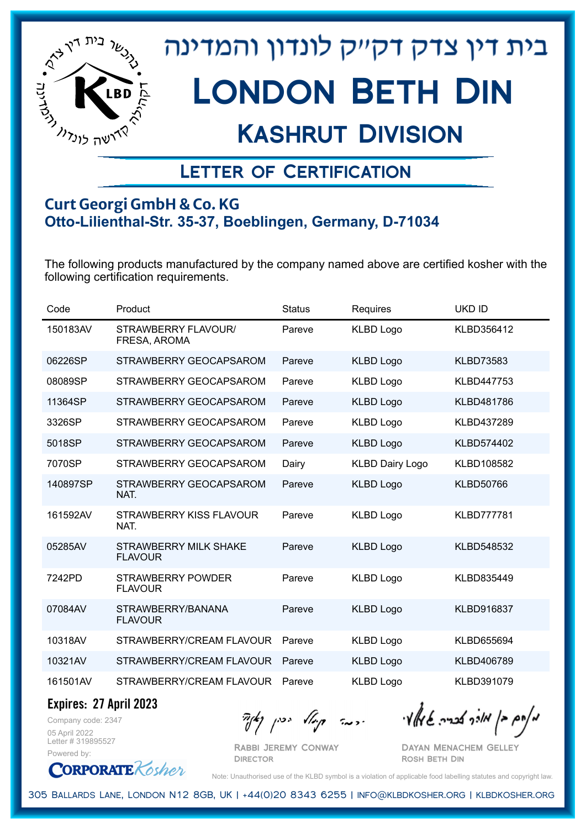

## Kashrut Division

### Letter of Certification

#### **Curt Georgi GmbH & Co. KG Otto-Lilienthal-Str. 35-37, Boeblingen, Germany, D-71034**

The following products manufactured by the company named above are certified kosher with the following certification requirements.

| Code     | Product                                        | <b>Status</b> | Requires               | <b>UKD ID</b>     |
|----------|------------------------------------------------|---------------|------------------------|-------------------|
| 150183AV | STRAWBERRY FLAVOUR/<br>FRESA, AROMA            | Pareve        | <b>KLBD Logo</b>       | KLBD356412        |
| 06226SP  | STRAWBERRY GEOCAPSAROM                         | Pareve        | <b>KLBD Logo</b>       | <b>KLBD73583</b>  |
| 08089SP  | STRAWBERRY GEOCAPSAROM                         | Pareve        | <b>KLBD Logo</b>       | KLBD447753        |
| 11364SP  | STRAWBERRY GEOCAPSAROM                         | Pareve        | <b>KLBD Logo</b>       | KLBD481786        |
| 3326SP   | STRAWBERRY GEOCAPSAROM                         | Pareve        | <b>KLBD Logo</b>       | KLBD437289        |
| 5018SP   | STRAWBERRY GEOCAPSAROM                         | Pareve        | <b>KLBD Logo</b>       | KLBD574402        |
| 7070SP   | STRAWBERRY GEOCAPSAROM                         | Dairy         | <b>KLBD Dairy Logo</b> | KLBD108582        |
| 140897SP | STRAWBERRY GEOCAPSAROM<br>NAT.                 | Pareve        | <b>KLBD Logo</b>       | <b>KLBD50766</b>  |
| 161592AV | STRAWBERRY KISS FLAVOUR<br>NAT.                | Pareve        | <b>KLBD Logo</b>       | <b>KLBD777781</b> |
| 05285AV  | <b>STRAWBERRY MILK SHAKE</b><br><b>FLAVOUR</b> | Pareve        | <b>KLBD Logo</b>       | KLBD548532        |
| 7242PD   | STRAWBERRY POWDER<br><b>FLAVOUR</b>            | Pareve        | <b>KLBD Logo</b>       | KLBD835449        |
| 07084AV  | STRAWBERRY/BANANA<br><b>FLAVOUR</b>            | Pareve        | <b>KLBD Logo</b>       | KLBD916837        |
| 10318AV  | STRAWBERRY/CREAM FLAVOUR                       | Pareve        | <b>KLBD Logo</b>       | KLBD655694        |
| 10321AV  | STRAWBERRY/CREAM FLAVOUR                       | Pareve        | <b>KLBD Logo</b>       | KLBD406789        |
| 161501AV | STRAWBERRY/CREAM FLAVOUR                       | Pareve        | <b>KLBD Logo</b>       | KLBD391079        |

**Expires: 27 April 2023**

**CORPORATE** Kosher

Company code: 2347 05 April 2022 Letter # 319895527 Powered by:

מאוס בן מוכך אבריה שמאלי היה קיילא יכין קאין

Rabbi Jeremy Conway **DIRECTOR** 

Dayan Menachem Gelley Rosh Beth Din

Note: Unauthorised use of the KLBD symbol is a violation of applicable food labelling statutes and copyright law.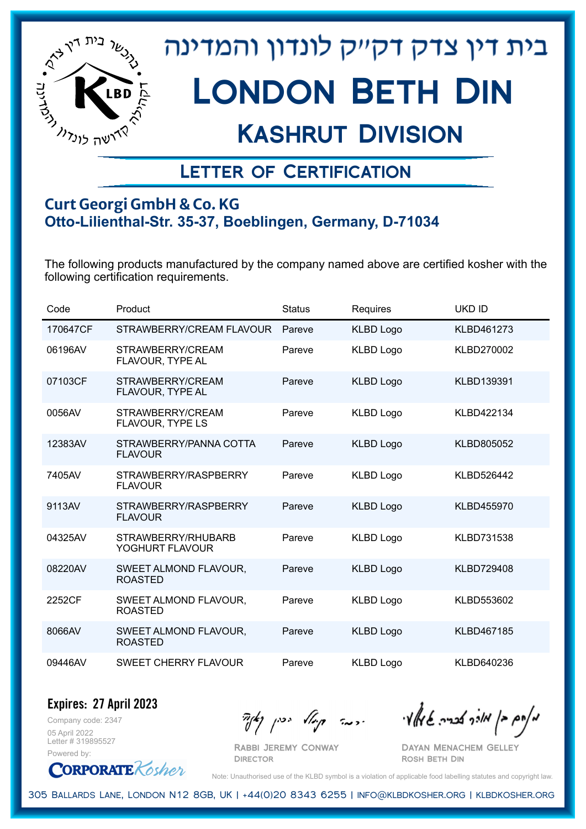

## Kashrut Division

### Letter of Certification

#### **Curt Georgi GmbH & Co. KG Otto-Lilienthal-Str. 35-37, Boeblingen, Germany, D-71034**

The following products manufactured by the company named above are certified kosher with the following certification requirements.

| Code     | Product                                  | <b>Status</b> | Requires         | <b>UKD ID</b>     |
|----------|------------------------------------------|---------------|------------------|-------------------|
| 170647CF | STRAWBERRY/CREAM FLAVOUR                 | Pareve        | <b>KLBD Logo</b> | KLBD461273        |
| 06196AV  | STRAWBERRY/CREAM<br>FLAVOUR, TYPE AL     | Pareve        | <b>KLBD Logo</b> | KLBD270002        |
| 07103CF  | STRAWBERRY/CREAM<br>FLAVOUR, TYPE AL     | Pareve        | <b>KLBD Logo</b> | KLBD139391        |
| 0056AV   | STRAWBERRY/CREAM<br>FLAVOUR, TYPE LS     | Pareve        | <b>KLBD Logo</b> | KLBD422134        |
| 12383AV  | STRAWBERRY/PANNA COTTA<br><b>FLAVOUR</b> | Pareve        | <b>KLBD Logo</b> | KLBD805052        |
| 7405AV   | STRAWBERRY/RASPBERRY<br><b>FLAVOUR</b>   | Pareve        | <b>KLBD Logo</b> | KLBD526442        |
| 9113AV   | STRAWBERRY/RASPBERRY<br><b>FLAVOUR</b>   | Pareve        | <b>KLBD Logo</b> | KLBD455970        |
| 04325AV  | STRAWBERRY/RHUBARB<br>YOGHURT FLAVOUR    | Pareve        | <b>KLBD Logo</b> | KLBD731538        |
| 08220AV  | SWEET ALMOND FLAVOUR,<br><b>ROASTED</b>  | Pareve        | <b>KLBD Logo</b> | <b>KLBD729408</b> |
| 2252CF   | SWEET ALMOND FLAVOUR,<br><b>ROASTED</b>  | Pareve        | <b>KLBD Logo</b> | KLBD553602        |
| 8066AV   | SWEET ALMOND FLAVOUR,<br><b>ROASTED</b>  | Pareve        | <b>KLBD Logo</b> | KLBD467185        |
| 09446AV  | SWEET CHERRY FLAVOUR                     | Pareve        | <b>KLBD Logo</b> | KLBD640236        |

Company code: 2347 **Expires: 27 April 2023**

05 April 2022 Letter # 319895527 Powered by:

Rabbi Jeremy Conway

מאוס בן מוכך אבריה שמאלי היה קיילא יכין קאין

Dayan Menachem Gelley Rosh Beth Din

**CORPORATE** Kosher

Note: Unauthorised use of the KLBD symbol is a violation of applicable food labelling statutes and copyright law.

305 Ballards Lane, London N12 8GB, UK | +44(0)20 8343 6255 | info@klbdkosher.org | klbdkosher.org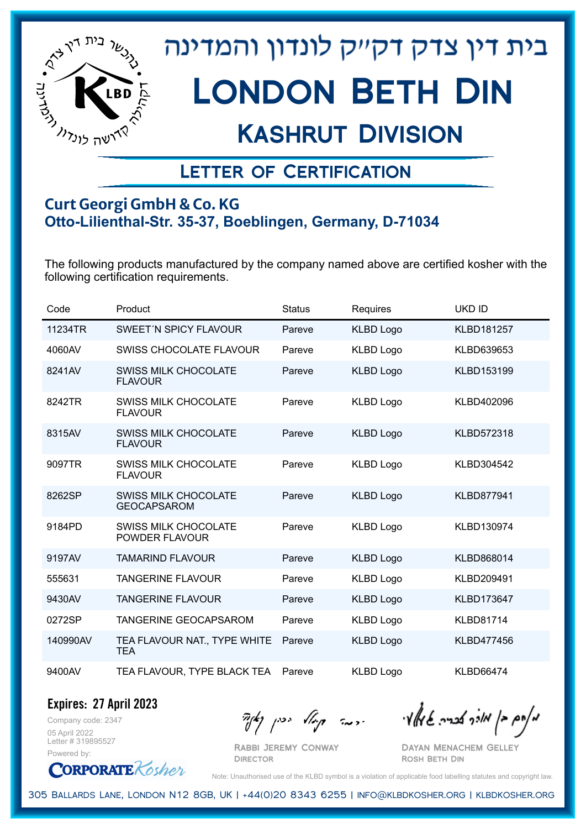

## Kashrut Division

### Letter of Certification

#### **Curt Georgi GmbH & Co. KG Otto-Lilienthal-Str. 35-37, Boeblingen, Germany, D-71034**

The following products manufactured by the company named above are certified kosher with the following certification requirements.

| Code     | Product                                           | <b>Status</b> | <b>Requires</b>  | <b>UKD ID</b>     |
|----------|---------------------------------------------------|---------------|------------------|-------------------|
| 11234TR  | SWEET'N SPICY FLAVOUR                             | Pareve        | <b>KLBD Logo</b> | <b>KLBD181257</b> |
| 4060AV   | SWISS CHOCOLATE FLAVOUR                           | Pareve        | <b>KLBD Logo</b> | KLBD639653        |
| 8241AV   | <b>SWISS MILK CHOCOLATE</b><br><b>FLAVOUR</b>     | Pareve        | <b>KLBD Logo</b> | <b>KLBD153199</b> |
| 8242TR   | <b>SWISS MILK CHOCOLATE</b><br><b>FLAVOUR</b>     | Pareve        | <b>KLBD Logo</b> | KLBD402096        |
| 8315AV   | <b>SWISS MILK CHOCOLATE</b><br><b>FLAVOUR</b>     | Pareve        | <b>KLBD Logo</b> | <b>KLBD572318</b> |
| 9097TR   | <b>SWISS MILK CHOCOLATE</b><br><b>FLAVOUR</b>     | Pareve        | <b>KLBD Logo</b> | KLBD304542        |
| 8262SP   | <b>SWISS MILK CHOCOLATE</b><br><b>GEOCAPSAROM</b> | Pareve        | <b>KLBD Logo</b> | <b>KLBD877941</b> |
| 9184PD   | <b>SWISS MILK CHOCOLATE</b><br>POWDER FLAVOUR     | Pareve        | <b>KLBD Logo</b> | KLBD130974        |
| 9197AV   | <b>TAMARIND FLAVOUR</b>                           | Pareve        | <b>KLBD Logo</b> | KLBD868014        |
| 555631   | <b>TANGERINE FLAVOUR</b>                          | Pareve        | <b>KLBD Logo</b> | KLBD209491        |
| 9430AV   | <b>TANGERINE FLAVOUR</b>                          | Pareve        | <b>KLBD Logo</b> | KLBD173647        |
| 0272SP   | <b>TANGERINE GEOCAPSAROM</b>                      | Pareve        | <b>KLBD Logo</b> | <b>KLBD81714</b>  |
| 140990AV | TEA FLAVOUR NAT., TYPE WHITE<br><b>TEA</b>        | Pareve        | <b>KLBD Logo</b> | KLBD477456        |
| 9400AV   | TEA FLAVOUR, TYPE BLACK TEA                       | Pareve        | <b>KLBD Logo</b> | <b>KLBD66474</b>  |

**Expires: 27 April 2023**

Company code: 2347 05 April 2022 Letter # 319895527 Powered by:

מאחם בן מורך אבריה שמאלי היה קיילא יכין קאין

Dayan Menachem Gelley Rosh Beth Din

**CORPORATE** Kosher Note: Unauthorised use of the KLBD symbol is a violation of applicable food labelling statutes and copyright law.

305 Ballards Lane, London N12 8GB, UK | +44(0)20 8343 6255 | info@klbdkosher.org | klbdkosher.org

Rabbi Jeremy Conway **DIRECTOR**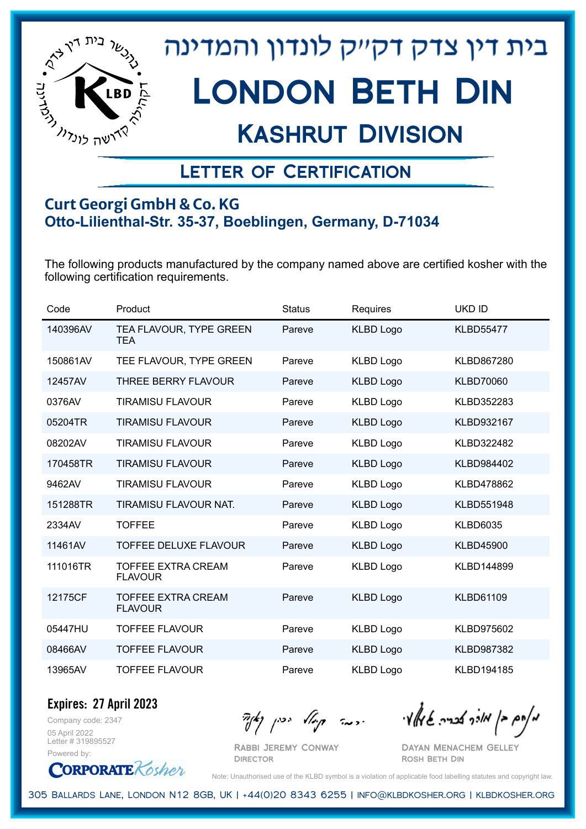

## Kashrut Division

### Letter of Certification

#### **Curt Georgi GmbH & Co. KG Otto-Lilienthal-Str. 35-37, Boeblingen, Germany, D-71034**

The following products manufactured by the company named above are certified kosher with the following certification requirements.

| Code     | Product                                     | <b>Status</b> | Requires         | <b>UKD ID</b>    |
|----------|---------------------------------------------|---------------|------------------|------------------|
| 140396AV | TEA FLAVOUR, TYPE GREEN<br><b>TEA</b>       | Pareve        | <b>KLBD Logo</b> | <b>KLBD55477</b> |
| 150861AV | TEE FLAVOUR, TYPE GREEN                     | Pareve        | <b>KLBD Logo</b> | KLBD867280       |
| 12457AV  | <b>THREE BERRY FLAVOUR</b>                  | Pareve        | <b>KLBD Logo</b> | <b>KLBD70060</b> |
| 0376AV   | <b>TIRAMISU FLAVOUR</b>                     | Pareve        | <b>KLBD Logo</b> | KLBD352283       |
| 05204TR  | <b>TIRAMISU FLAVOUR</b>                     | Pareve        | <b>KLBD Logo</b> | KLBD932167       |
| 08202AV  | <b>TIRAMISU FLAVOUR</b>                     | Pareve        | <b>KLBD Logo</b> | KLBD322482       |
| 170458TR | <b>TIRAMISU FLAVOUR</b>                     | Pareve        | <b>KLBD Logo</b> | KLBD984402       |
| 9462AV   | <b>TIRAMISU FLAVOUR</b>                     | Pareve        | <b>KLBD Logo</b> | KLBD478862       |
| 151288TR | TIRAMISU FLAVOUR NAT.                       | Pareve        | <b>KLBD Logo</b> | KLBD551948       |
| 2334AV   | <b>TOFFEE</b>                               | Pareve        | <b>KLBD Logo</b> | <b>KLBD6035</b>  |
| 11461AV  | <b>TOFFEE DELUXE FLAVOUR</b>                | Pareve        | <b>KLBD Logo</b> | <b>KLBD45900</b> |
| 111016TR | <b>TOFFEE EXTRA CREAM</b><br><b>FLAVOUR</b> | Pareve        | <b>KLBD Logo</b> | KLBD144899       |
| 12175CF  | <b>TOFFEE EXTRA CREAM</b><br><b>FLAVOUR</b> | Pareve        | <b>KLBD Logo</b> | <b>KLBD61109</b> |
| 05447HU  | <b>TOFFEE FLAVOUR</b>                       | Pareve        | <b>KLBD Logo</b> | KLBD975602       |
| 08466AV  | <b>TOFFEE FLAVOUR</b>                       | Pareve        | <b>KLBD Logo</b> | KLBD987382       |
| 13965AV  | <b>TOFFEE FLAVOUR</b>                       | Pareve        | <b>KLBD Logo</b> | KLBD194185       |

Company code: 2347 **Expires: 27 April 2023**

05 April 2022 Letter # 319895527 Powered by:

**CORPORATE** Kosher

Rabbi Jeremy Conway

**DIRECTOR** 

מאחם בן מורך אבריה שמאלי היה קיילא יכין קאין

Dayan Menachem Gelley Rosh Beth Din

Note: Unauthorised use of the KLBD symbol is a violation of applicable food labelling statutes and copyright law.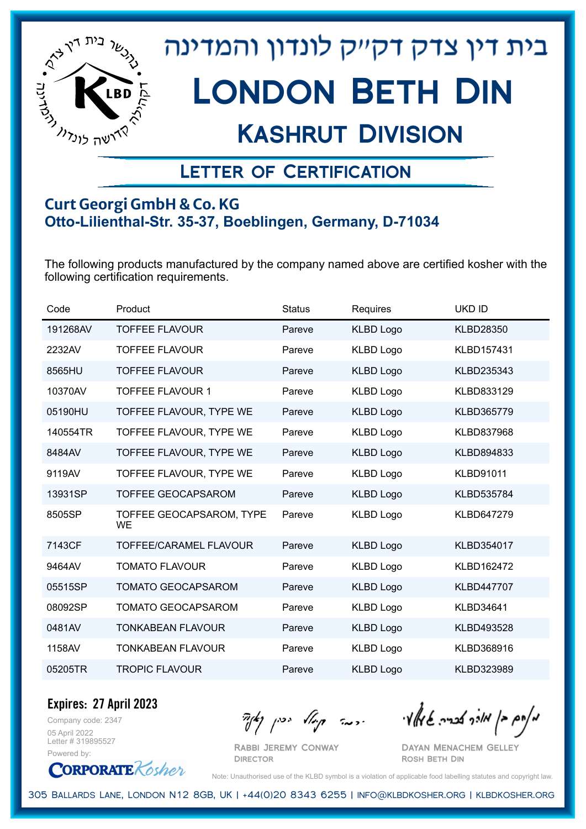

## Kashrut Division

### Letter of Certification

#### **Curt Georgi GmbH & Co. KG Otto-Lilienthal-Str. 35-37, Boeblingen, Germany, D-71034**

The following products manufactured by the company named above are certified kosher with the following certification requirements.

| Code     | Product                               | <b>Status</b> | Requires         | <b>UKD ID</b>     |
|----------|---------------------------------------|---------------|------------------|-------------------|
| 191268AV | <b>TOFFEE FLAVOUR</b>                 | Pareve        | <b>KLBD Logo</b> | <b>KLBD28350</b>  |
| 2232AV   | <b>TOFFEE FLAVOUR</b>                 | Pareve        | <b>KLBD Logo</b> | KLBD157431        |
| 8565HU   | <b>TOFFEE FLAVOUR</b>                 | Pareve        | <b>KLBD Logo</b> | KLBD235343        |
| 10370AV  | <b>TOFFEE FLAVOUR 1</b>               | Pareve        | <b>KLBD Logo</b> | KLBD833129        |
| 05190HU  | TOFFEE FLAVOUR, TYPE WE               | Pareve        | <b>KLBD Logo</b> | KLBD365779        |
| 140554TR | TOFFEE FLAVOUR, TYPE WE               | Pareve        | <b>KLBD Logo</b> | KLBD837968        |
| 8484AV   | TOFFEE FLAVOUR, TYPE WE               | Pareve        | <b>KLBD Logo</b> | KLBD894833        |
| 9119AV   | TOFFEE FLAVOUR, TYPE WE               | Pareve        | <b>KLBD Logo</b> | <b>KLBD91011</b>  |
| 13931SP  | <b>TOFFEE GEOCAPSAROM</b>             | Pareve        | <b>KLBD Logo</b> | KLBD535784        |
| 8505SP   | TOFFEE GEOCAPSAROM, TYPE<br><b>WE</b> | Pareve        | <b>KLBD Logo</b> | KLBD647279        |
| 7143CF   | TOFFEE/CARAMEL FLAVOUR                | Pareve        | <b>KLBD Logo</b> | KLBD354017        |
| 9464AV   | <b>TOMATO FLAVOUR</b>                 | Pareve        | <b>KLBD Logo</b> | KLBD162472        |
| 05515SP  | <b>TOMATO GEOCAPSAROM</b>             | Pareve        | <b>KLBD Logo</b> | <b>KLBD447707</b> |
| 08092SP  | <b>TOMATO GEOCAPSAROM</b>             | Pareve        | <b>KLBD Logo</b> | <b>KLBD34641</b>  |
| 0481AV   | <b>TONKABEAN FLAVOUR</b>              | Pareve        | <b>KLBD Logo</b> | KLBD493528        |
| 1158AV   | <b>TONKABEAN FLAVOUR</b>              | Pareve        | <b>KLBD Logo</b> | KLBD368916        |
| 05205TR  | <b>TROPIC FLAVOUR</b>                 | Pareve        | <b>KLBD Logo</b> | KLBD323989        |

Company code: 2347 **Expires: 27 April 2023**

05 April 2022 Letter # 319895527 Powered by:

**CORPORATE** Kosher

 $\frac{1}{2}$ אלוק אולך לבריה שיואלי ובריה קוואל יכין קאיר

Rabbi Jeremy Conway **DIRECTOR** 

Dayan Menachem Gelley Rosh Beth Din

Note: Unauthorised use of the KLBD symbol is a violation of applicable food labelling statutes and copyright law.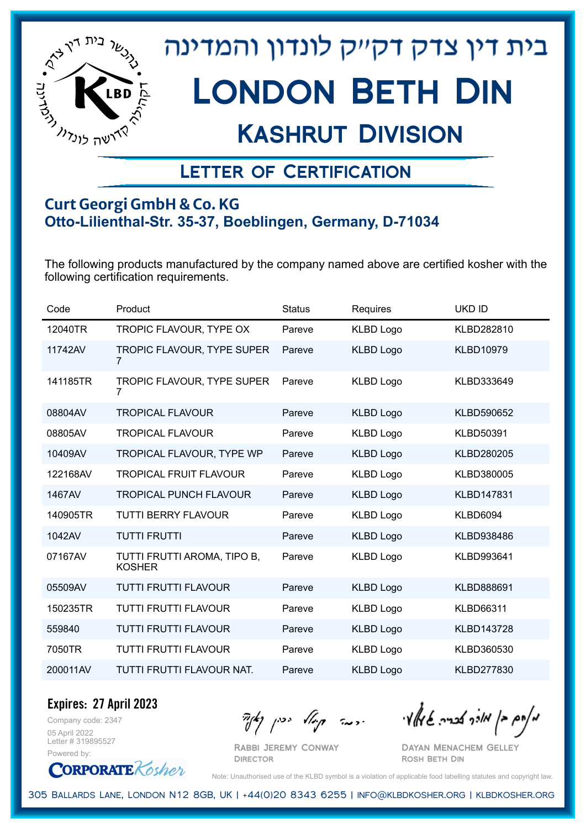

## Kashrut Division

### Letter of Certification

#### **Curt Georgi GmbH & Co. KG Otto-Lilienthal-Str. 35-37, Boeblingen, Germany, D-71034**

The following products manufactured by the company named above are certified kosher with the following certification requirements.

| Code     | Product                                      | <b>Status</b> | Requires         | <b>UKD ID</b>     |
|----------|----------------------------------------------|---------------|------------------|-------------------|
| 12040TR  | TROPIC FLAVOUR, TYPE OX                      | Pareve        | <b>KLBD Logo</b> | KLBD282810        |
| 11742AV  | TROPIC FLAVOUR, TYPE SUPER<br>$\overline{7}$ | Pareve        | <b>KLBD Logo</b> | <b>KLBD10979</b>  |
| 141185TR | TROPIC FLAVOUR, TYPE SUPER<br>7              | Pareve        | <b>KLBD Logo</b> | KLBD333649        |
| 08804AV  | <b>TROPICAL FLAVOUR</b>                      | Pareve        | <b>KLBD Logo</b> | KLBD590652        |
| 08805AV  | <b>TROPICAL FLAVOUR</b>                      | Pareve        | <b>KLBD Logo</b> | <b>KLBD50391</b>  |
| 10409AV  | TROPICAL FLAVOUR, TYPE WP                    | Pareve        | <b>KLBD Logo</b> | KLBD280205        |
| 122168AV | <b>TROPICAL FRUIT FLAVOUR</b>                | Pareve        | <b>KLBD Logo</b> | KLBD380005        |
| 1467AV   | <b>TROPICAL PUNCH FLAVOUR</b>                | Pareve        | <b>KLBD Logo</b> | KLBD147831        |
| 140905TR | <b>TUTTI BERRY FLAVOUR</b>                   | Pareve        | <b>KLBD Logo</b> | <b>KLBD6094</b>   |
| 1042AV   | <b>TUTTI FRUTTI</b>                          | Pareve        | <b>KLBD Logo</b> | KLBD938486        |
| 07167AV  | TUTTI FRUTTI AROMA, TIPO B,<br><b>KOSHER</b> | Pareve        | <b>KLBD Logo</b> | KLBD993641        |
| 05509AV  | <b>TUTTI FRUTTI FLAVOUR</b>                  | Pareve        | <b>KLBD Logo</b> | KLBD888691        |
| 150235TR | <b>TUTTI FRUTTI FLAVOUR</b>                  | Pareve        | <b>KLBD Logo</b> | <b>KLBD66311</b>  |
| 559840   | <b>TUTTI FRUTTI FLAVOUR</b>                  | Pareve        | <b>KLBD Logo</b> | <b>KLBD143728</b> |
| 7050TR   | <b>TUTTI FRUTTI FLAVOUR</b>                  | Pareve        | <b>KLBD Logo</b> | KLBD360530        |
| 200011AV | TUTTI FRUTTI FLAVOUR NAT.                    | Pareve        | <b>KLBD Logo</b> | KLBD277830        |

Company code: 2347 **Expires: 27 April 2023**

05 April 2022 Letter # 319895527 Powered by:

**CORPORATE** Kosher

Rabbi Jeremy Conway

 $\frac{1}{2}$ אלה אברה שיאלי ווינדי שיאלי וואדו בין קיצו

Dayan Menachem Gelley Rosh Beth Din

Note: Unauthorised use of the KLBD symbol is a violation of applicable food labelling statutes and copyright law.

305 Ballards Lane, London N12 8GB, UK | +44(0)20 8343 6255 | info@klbdkosher.org | klbdkosher.org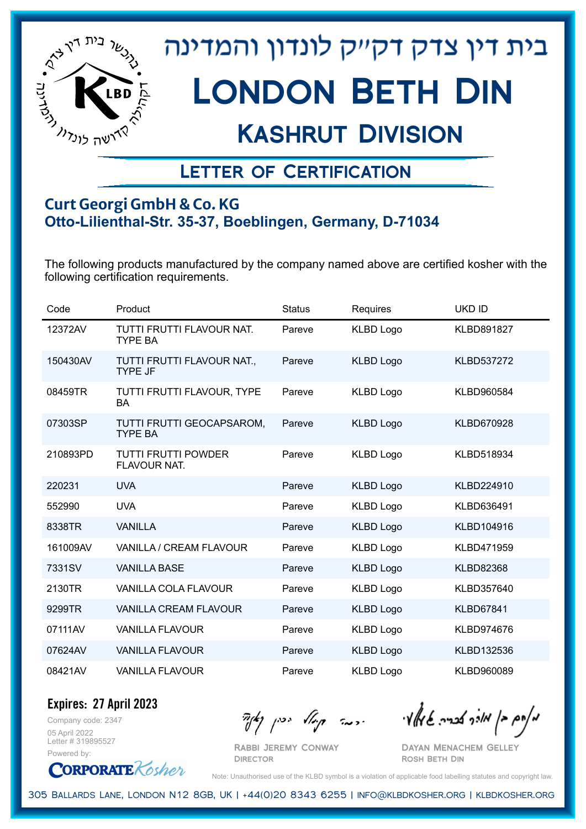

## Kashrut Division

### Letter of Certification

#### **Curt Georgi GmbH & Co. KG Otto-Lilienthal-Str. 35-37, Boeblingen, Germany, D-71034**

The following products manufactured by the company named above are certified kosher with the following certification requirements.

| Code     | Product                                      | <b>Status</b> | Requires         | <b>UKD ID</b>     |
|----------|----------------------------------------------|---------------|------------------|-------------------|
| 12372AV  | TUTTI FRUTTI FLAVOUR NAT.<br><b>TYPE BA</b>  | Pareve        | <b>KLBD Logo</b> | <b>KLBD891827</b> |
| 150430AV | TUTTI FRUTTI FLAVOUR NAT.,<br><b>TYPE JF</b> | Pareve        | <b>KLBD Logo</b> | <b>KLBD537272</b> |
| 08459TR  | TUTTI FRUTTI FLAVOUR, TYPE<br><b>BA</b>      | Pareve        | <b>KLBD Logo</b> | KLBD960584        |
| 07303SP  | TUTTI FRUTTI GEOCAPSAROM,<br><b>TYPE BA</b>  | Pareve        | <b>KLBD Logo</b> | KLBD670928        |
| 210893PD | TUTTI FRUTTI POWDER<br>FLAVOUR NAT.          | Pareve        | <b>KLBD Logo</b> | KLBD518934        |
| 220231   | <b>UVA</b>                                   | Pareve        | <b>KLBD Logo</b> | KLBD224910        |
| 552990   | <b>UVA</b>                                   | Pareve        | <b>KLBD Logo</b> | KLBD636491        |
| 8338TR   | <b>VANILLA</b>                               | Pareve        | <b>KLBD Logo</b> | KLBD104916        |
| 161009AV | VANILLA / CREAM FLAVOUR                      | Pareve        | <b>KLBD Logo</b> | KLBD471959        |
| 7331SV   | <b>VANILLA BASE</b>                          | Pareve        | <b>KLBD Logo</b> | <b>KLBD82368</b>  |
| 2130TR   | VANILLA COLA FLAVOUR                         | Pareve        | <b>KLBD Logo</b> | KLBD357640        |
| 9299TR   | <b>VANILLA CREAM FLAVOUR</b>                 | Pareve        | <b>KLBD Logo</b> | <b>KLBD67841</b>  |
| 07111AV  | <b>VANILLA FLAVOUR</b>                       | Pareve        | <b>KLBD Logo</b> | KLBD974676        |
| 07624AV  | <b>VANILLA FLAVOUR</b>                       | Pareve        | <b>KLBD Logo</b> | KLBD132536        |
| 08421AV  | <b>VANILLA FLAVOUR</b>                       | Pareve        | <b>KLBD Logo</b> | KLBD960089        |

Company code: 2347 **Expires: 27 April 2023**

05 April 2022 Letter # 319895527 Powered by:

**CORPORATE** Kosher

מאחם בן מורך אבריה שמאלי היה קיילא יכין קאין

Rabbi Jeremy Conway Dayan Menachem Gelley

Rosh Beth Din

Note: Unauthorised use of the KLBD symbol is a violation of applicable food labelling statutes and copyright law.

305 Ballards Lane, London N12 8GB, UK | +44(0)20 8343 6255 | info@klbdkosher.org | klbdkosher.org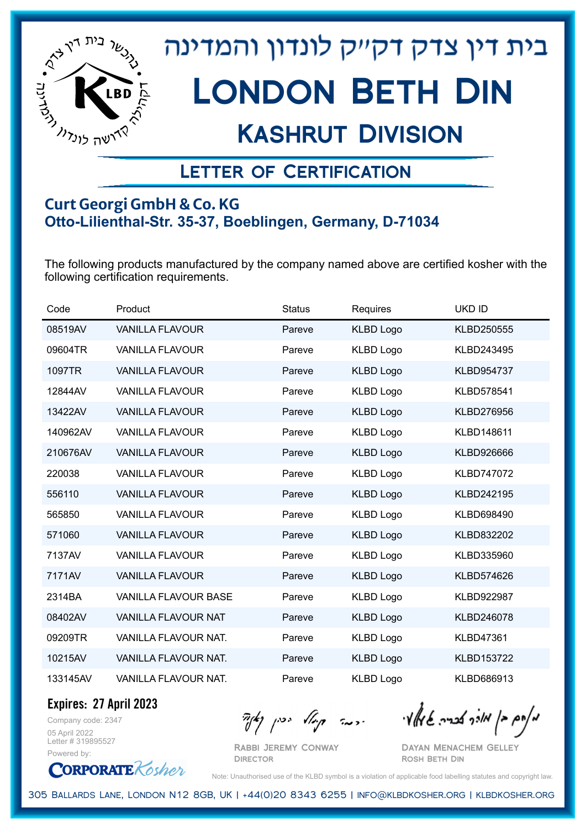

## Kashrut Division

### Letter of Certification

#### **Curt Georgi GmbH & Co. KG Otto-Lilienthal-Str. 35-37, Boeblingen, Germany, D-71034**

The following products manufactured by the company named above are certified kosher with the following certification requirements.

| Code     | Product                     | <b>Status</b> | Requires         | <b>UKD ID</b>     |
|----------|-----------------------------|---------------|------------------|-------------------|
| 08519AV  | <b>VANILLA FLAVOUR</b>      | Pareve        | <b>KLBD Logo</b> | KLBD250555        |
| 09604TR  | <b>VANILLA FLAVOUR</b>      | Pareve        | <b>KLBD Logo</b> | KLBD243495        |
| 1097TR   | <b>VANILLA FLAVOUR</b>      | Pareve        | <b>KLBD Logo</b> | <b>KLBD954737</b> |
| 12844AV  | <b>VANILLA FLAVOUR</b>      | Pareve        | <b>KLBD Logo</b> | KLBD578541        |
| 13422AV  | <b>VANILLA FLAVOUR</b>      | Pareve        | <b>KLBD Logo</b> | KLBD276956        |
| 140962AV | <b>VANILLA FLAVOUR</b>      | Pareve        | <b>KLBD Logo</b> | KLBD148611        |
| 210676AV | <b>VANILLA FLAVOUR</b>      | Pareve        | <b>KLBD Logo</b> | KLBD926666        |
| 220038   | <b>VANILLA FLAVOUR</b>      | Pareve        | <b>KLBD Logo</b> | <b>KLBD747072</b> |
| 556110   | <b>VANILLA FLAVOUR</b>      | Pareve        | <b>KLBD Logo</b> | KLBD242195        |
| 565850   | <b>VANILLA FLAVOUR</b>      | Pareve        | <b>KLBD Logo</b> | KLBD698490        |
| 571060   | <b>VANILLA FLAVOUR</b>      | Pareve        | <b>KLBD Logo</b> | KLBD832202        |
| 7137AV   | <b>VANILLA FLAVOUR</b>      | Pareve        | <b>KLBD Logo</b> | KLBD335960        |
| 7171AV   | <b>VANILLA FLAVOUR</b>      | Pareve        | <b>KLBD Logo</b> | KLBD574626        |
| 2314BA   | <b>VANILLA FLAVOUR BASE</b> | Pareve        | <b>KLBD Logo</b> | KLBD922987        |
| 08402AV  | <b>VANILLA FLAVOUR NAT</b>  | Pareve        | <b>KLBD Logo</b> | KLBD246078        |
| 09209TR  | VANILLA FLAVOUR NAT.        | Pareve        | <b>KLBD Logo</b> | <b>KLBD47361</b>  |
| 10215AV  | <b>VANILLA FLAVOUR NAT.</b> | Pareve        | <b>KLBD Logo</b> | KLBD153722        |
| 133145AV | <b>VANILLA FLAVOUR NAT.</b> | Pareve        | <b>KLBD Logo</b> | KLBD686913        |

**Expires: 27 April 2023**

Company code: 2347 05 April 2022 Letter # 319895527 Powered by:

**CORPORATE** Kosher

Rabbi Jeremy Conway **DIRECTOR** 

 $\mathcal{H}_{\mathcal{C}}$   $\mathcal{H}_{\mathcal{C}}$   $\mathcal{H}_{\mathcal{C}}$   $\mathcal{H}_{\mathcal{C}}$   $\mathcal{H}_{\mathcal{C}}$   $\mathcal{H}_{\mathcal{C}}$   $\mathcal{H}_{\mathcal{C}}$   $\mathcal{H}_{\mathcal{C}}$   $\mathcal{H}_{\mathcal{C}}$   $\mathcal{H}_{\mathcal{C}}$   $\mathcal{H}_{\mathcal{C}}$   $\mathcal{H}_{\mathcal{C}}$ 

Dayan Menachem Gelley Rosh Beth Din

Note: Unauthorised use of the KLBD symbol is a violation of applicable food labelling statutes and copyright law.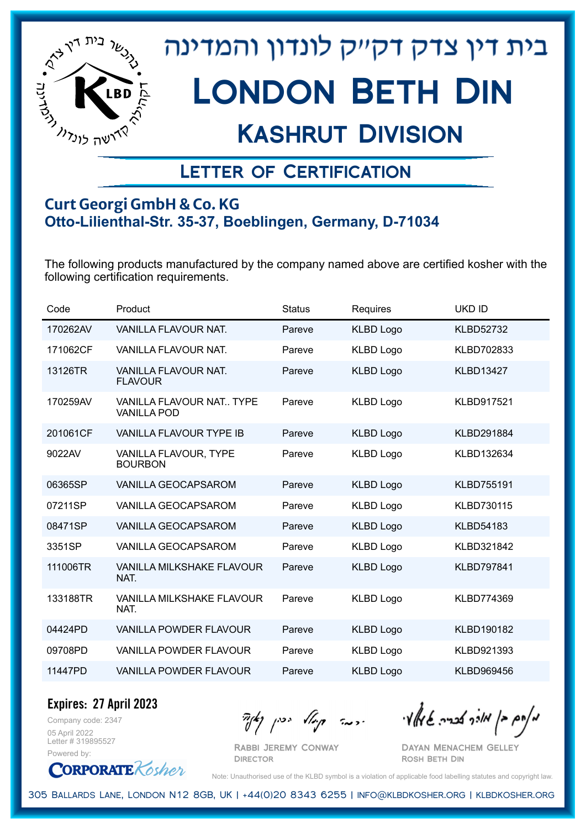

## Kashrut Division

### Letter of Certification

#### **Curt Georgi GmbH & Co. KG Otto-Lilienthal-Str. 35-37, Boeblingen, Germany, D-71034**

The following products manufactured by the company named above are certified kosher with the following certification requirements.

| Code     | Product                                               | <b>Status</b> | Requires         | <b>UKD ID</b>     |
|----------|-------------------------------------------------------|---------------|------------------|-------------------|
| 170262AV | <b>VANILLA FLAVOUR NAT.</b>                           | Pareve        | <b>KLBD Logo</b> | <b>KLBD52732</b>  |
| 171062CF | VANILLA FLAVOUR NAT.                                  | Pareve        | <b>KLBD Logo</b> | KLBD702833        |
| 13126TR  | VANILLA FLAVOUR NAT.<br><b>FLAVOUR</b>                | Pareve        | <b>KLBD Logo</b> | <b>KLBD13427</b>  |
| 170259AV | <b>VANILLA FLAVOUR NAT TYPE</b><br><b>VANILLA POD</b> | Pareve        | <b>KLBD Logo</b> | <b>KLBD917521</b> |
| 201061CF | <b>VANILLA FLAVOUR TYPE IB</b>                        | Pareve        | <b>KLBD Logo</b> | <b>KLBD291884</b> |
| 9022AV   | VANILLA FLAVOUR, TYPE<br><b>BOURBON</b>               | Pareve        | <b>KLBD Logo</b> | KLBD132634        |
| 06365SP  | VANILLA GEOCAPSAROM                                   | Pareve        | <b>KLBD Logo</b> | KLBD755191        |
| 07211SP  | VANILLA GEOCAPSAROM                                   | Pareve        | <b>KLBD Logo</b> | KLBD730115        |
| 08471SP  | VANILLA GEOCAPSAROM                                   | Pareve        | <b>KLBD Logo</b> | <b>KLBD54183</b>  |
| 3351SP   | VANILLA GEOCAPSAROM                                   | Pareve        | <b>KLBD Logo</b> | KLBD321842        |
| 111006TR | VANILLA MILKSHAKE FLAVOUR<br>NAT.                     | Pareve        | <b>KLBD Logo</b> | <b>KLBD797841</b> |
| 133188TR | <b>VANILLA MILKSHAKE FLAVOUR</b><br>NAT.              | Pareve        | <b>KLBD Logo</b> | KLBD774369        |
| 04424PD  | <b>VANILLA POWDER FLAVOUR</b>                         | Pareve        | <b>KLBD Logo</b> | KLBD190182        |
| 09708PD  | <b>VANILLA POWDER FLAVOUR</b>                         | Pareve        | <b>KLBD Logo</b> | KLBD921393        |
| 11447PD  | <b>VANILLA POWDER FLAVOUR</b>                         | Pareve        | <b>KLBD Logo</b> | KLBD969456        |

Company code: 2347 **Expires: 27 April 2023**

05 April 2022 Letter # 319895527 Powered by:

מאוס בן מוכך אבריה שמאלי היה קיילא יכין קאין

Rabbi Jeremy Conway Dayan Menachem Gelley Rosh Beth Din

**CORPORATE** Kosher

Note: Unauthorised use of the KLBD symbol is a violation of applicable food labelling statutes and copyright law.

305 Ballards Lane, London N12 8GB, UK | +44(0)20 8343 6255 | info@klbdkosher.org | klbdkosher.org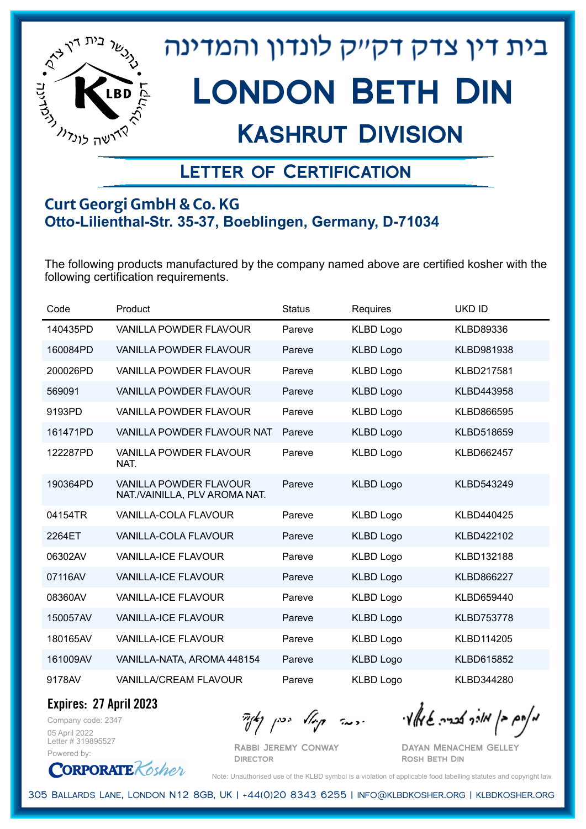

## Kashrut Division

### Letter of Certification

#### **Curt Georgi GmbH & Co. KG Otto-Lilienthal-Str. 35-37, Boeblingen, Germany, D-71034**

The following products manufactured by the company named above are certified kosher with the following certification requirements.

| Code     | Product                                                        | <b>Status</b> | Requires         | <b>UKD ID</b>     |
|----------|----------------------------------------------------------------|---------------|------------------|-------------------|
| 140435PD | VANILLA POWDER FLAVOUR                                         | Pareve        | <b>KLBD Logo</b> | KLBD89336         |
| 160084PD | <b>VANILLA POWDER FLAVOUR</b>                                  | Pareve        | <b>KLBD Logo</b> | KLBD981938        |
| 200026PD | <b>VANILLA POWDER FLAVOUR</b>                                  | Pareve        | <b>KLBD Logo</b> | KLBD217581        |
| 569091   | VANILLA POWDER FLAVOUR                                         | Pareve        | <b>KLBD Logo</b> | KLBD443958        |
| 9193PD   | VANILLA POWDER FLAVOUR                                         | Pareve        | <b>KLBD Logo</b> | KLBD866595        |
| 161471PD | <b>VANILLA POWDER FLAVOUR NAT</b>                              | Pareve        | <b>KLBD Logo</b> | KLBD518659        |
| 122287PD | <b>VANILLA POWDER FLAVOUR</b><br>NAT.                          | Pareve        | <b>KLBD Logo</b> | KLBD662457        |
| 190364PD | <b>VANILLA POWDER FLAVOUR</b><br>NAT./VAINILLA, PLV AROMA NAT. | Pareve        | <b>KLBD Logo</b> | KLBD543249        |
| 04154TR  | <b>VANILLA-COLA FLAVOUR</b>                                    | Pareve        | <b>KLBD Logo</b> | KLBD440425        |
| 2264ET   | VANILLA-COLA FLAVOUR                                           | Pareve        | <b>KLBD Logo</b> | KLBD422102        |
| 06302AV  | <b>VANILLA-ICE FLAVOUR</b>                                     | Pareve        | <b>KLBD Logo</b> | KLBD132188        |
| 07116AV  | <b>VANILLA-ICE FLAVOUR</b>                                     | Pareve        | <b>KLBD Logo</b> | <b>KLBD866227</b> |
| 08360AV  | <b>VANILLA-ICE FLAVOUR</b>                                     | Pareve        | <b>KLBD Logo</b> | KLBD659440        |
| 150057AV | <b>VANILLA-ICE FLAVOUR</b>                                     | Pareve        | <b>KLBD Logo</b> | <b>KLBD753778</b> |
| 180165AV | <b>VANILLA-ICE FLAVOUR</b>                                     | Pareve        | <b>KLBD Logo</b> | KLBD114205        |
| 161009AV | VANILLA-NATA, AROMA 448154                                     | Pareve        | <b>KLBD Logo</b> | KLBD615852        |
| 9178AV   | <b>VANILLA/CREAM FLAVOUR</b>                                   | Pareve        | <b>KLBD Logo</b> | KLBD344280        |

**Expires: 27 April 2023**

Company code: 2347 05 April 2022 Letter # 319895527 Powered by:

 $\mathcal{H}_{\mathcal{C}}$   $\mathcal{H}_{\mathcal{C}}$   $\mathcal{H}_{\mathcal{C}}$   $\mathcal{H}_{\mathcal{C}}$   $\mathcal{H}_{\mathcal{C}}$   $\mathcal{H}_{\mathcal{C}}$   $\mathcal{H}_{\mathcal{C}}$   $\mathcal{H}_{\mathcal{C}}$   $\mathcal{H}_{\mathcal{C}}$   $\mathcal{H}_{\mathcal{C}}$   $\mathcal{H}_{\mathcal{C}}$   $\mathcal{H}_{\mathcal{C}}$ 

Rabbi Jeremy Conway **DIRECTOR** 

Dayan Menachem Gelley Rosh Beth Din

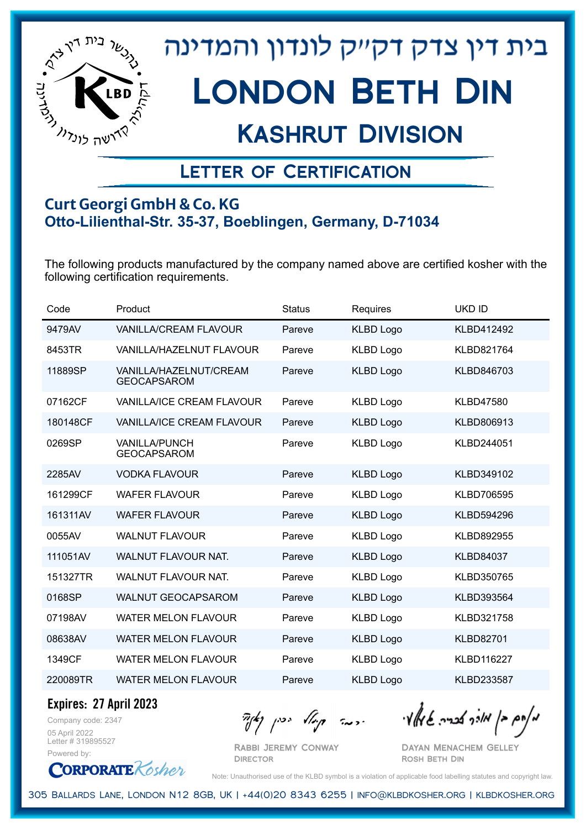

## Kashrut Division

### Letter of Certification

#### **Curt Georgi GmbH & Co. KG Otto-Lilienthal-Str. 35-37, Boeblingen, Germany, D-71034**

The following products manufactured by the company named above are certified kosher with the following certification requirements.

| Code     | Product                                      | <b>Status</b> | Requires         | <b>UKD ID</b>     |
|----------|----------------------------------------------|---------------|------------------|-------------------|
| 9479AV   | <b>VANILLA/CREAM FLAVOUR</b>                 | Pareve        | <b>KLBD Logo</b> | KLBD412492        |
| 8453TR   | VANILLA/HAZELNUT FLAVOUR                     | Pareve        | <b>KLBD Logo</b> | KLBD821764        |
| 11889SP  | VANILLA/HAZELNUT/CREAM<br><b>GEOCAPSAROM</b> | Pareve        | <b>KLBD Logo</b> | KLBD846703        |
| 07162CF  | VANILLA/ICE CREAM FLAVOUR                    | Pareve        | <b>KLBD Logo</b> | <b>KLBD47580</b>  |
| 180148CF | <b>VANILLA/ICE CREAM FLAVOUR</b>             | Pareve        | <b>KLBD Logo</b> | KLBD806913        |
| 0269SP   | <b>VANILLA/PUNCH</b><br><b>GEOCAPSAROM</b>   | Pareve        | <b>KLBD Logo</b> | KLBD244051        |
| 2285AV   | <b>VODKA FLAVOUR</b>                         | Pareve        | <b>KLBD Logo</b> | KLBD349102        |
| 161299CF | <b>WAFER FLAVOUR</b>                         | Pareve        | <b>KLBD Logo</b> | <b>KLBD706595</b> |
| 161311AV | <b>WAFER FLAVOUR</b>                         | Pareve        | <b>KLBD Logo</b> | KLBD594296        |
| 0055AV   | <b>WALNUT FLAVOUR</b>                        | Pareve        | <b>KLBD Logo</b> | KLBD892955        |
| 111051AV | WALNUT FLAVOUR NAT.                          | Pareve        | <b>KLBD Logo</b> | <b>KLBD84037</b>  |
| 151327TR | <b>WALNUT FLAVOUR NAT.</b>                   | Pareve        | <b>KLBD Logo</b> | KLBD350765        |
| 0168SP   | <b>WALNUT GEOCAPSAROM</b>                    | Pareve        | <b>KLBD Logo</b> | KLBD393564        |
| 07198AV  | <b>WATER MELON FLAVOUR</b>                   | Pareve        | <b>KLBD Logo</b> | KLBD321758        |
| 08638AV  | <b>WATER MELON FLAVOUR</b>                   | Pareve        | <b>KLBD Logo</b> | <b>KLBD82701</b>  |
| 1349CF   | <b>WATER MELON FLAVOUR</b>                   | Pareve        | <b>KLBD Logo</b> | <b>KLBD116227</b> |
| 220089TR | <b>WATER MELON FLAVOUR</b>                   | Pareve        | <b>KLBD Logo</b> | KLBD233587        |

**Expires: 27 April 2023**

Company code: 2347 05 April 2022 Letter # 319895527 Powered by:

**CORPORATE** Kosher

Rabbi Jeremy Conway **DIRECTOR** 

מאוס בן מוכך אבריה שמאלי היה קיילא יכין קאין

Dayan Menachem Gelley Rosh Beth Din

Note: Unauthorised use of the KLBD symbol is a violation of applicable food labelling statutes and copyright law.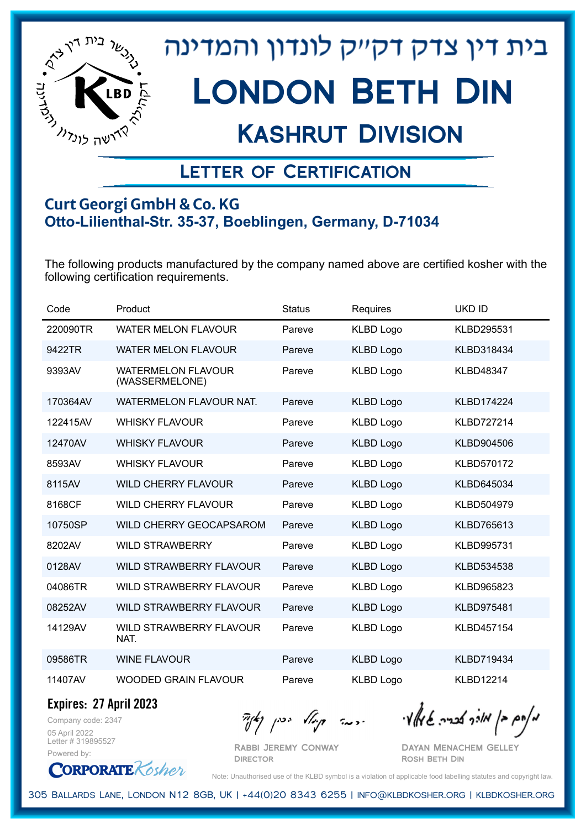

## Kashrut Division

### Letter of Certification

#### **Curt Georgi GmbH & Co. KG Otto-Lilienthal-Str. 35-37, Boeblingen, Germany, D-71034**

The following products manufactured by the company named above are certified kosher with the following certification requirements.

| Code     | Product                                     | <b>Status</b> | Requires         | <b>UKD ID</b>     |
|----------|---------------------------------------------|---------------|------------------|-------------------|
| 220090TR | WATER MELON FLAVOUR                         | Pareve        | <b>KLBD Logo</b> | KLBD295531        |
| 9422TR   | <b>WATER MELON FLAVOUR</b>                  | Pareve        | <b>KLBD Logo</b> | KLBD318434        |
| 9393AV   | <b>WATERMELON FLAVOUR</b><br>(WASSERMELONE) | Pareve        | <b>KLBD Logo</b> | <b>KLBD48347</b>  |
| 170364AV | <b>WATERMELON FLAVOUR NAT.</b>              | Pareve        | <b>KLBD Logo</b> | <b>KLBD174224</b> |
| 122415AV | <b>WHISKY FLAVOUR</b>                       | Pareve        | <b>KLBD Logo</b> | <b>KLBD727214</b> |
| 12470AV  | <b>WHISKY FLAVOUR</b>                       | Pareve        | <b>KLBD Logo</b> | <b>KLBD904506</b> |
| 8593AV   | <b>WHISKY FLAVOUR</b>                       | Pareve        | <b>KLBD Logo</b> | <b>KLBD570172</b> |
| 8115AV   | <b>WILD CHERRY FLAVOUR</b>                  | Pareve        | <b>KLBD Logo</b> | KLBD645034        |
| 8168CF   | <b>WILD CHERRY FLAVOUR</b>                  | Pareve        | <b>KLBD Logo</b> | KLBD504979        |
| 10750SP  | WILD CHERRY GEOCAPSAROM                     | Pareve        | <b>KLBD Logo</b> | KLBD765613        |
| 8202AV   | <b>WILD STRAWBERRY</b>                      | Pareve        | <b>KLBD Logo</b> | KLBD995731        |
| 0128AV   | <b>WILD STRAWBERRY FLAVOUR</b>              | Pareve        | <b>KLBD Logo</b> | KLBD534538        |
| 04086TR  | <b>WILD STRAWBERRY FLAVOUR</b>              | Pareve        | <b>KLBD Logo</b> | KLBD965823        |
| 08252AV  | WILD STRAWBERRY FLAVOUR                     | Pareve        | <b>KLBD Logo</b> | <b>KLBD975481</b> |
| 14129AV  | WILD STRAWBERRY FLAVOUR<br>NAT.             | Pareve        | <b>KLBD Logo</b> | <b>KLBD457154</b> |
| 09586TR  | <b>WINE FLAVOUR</b>                         | Pareve        | <b>KLBD Logo</b> | <b>KLBD719434</b> |
| 11407AV  | <b>WOODED GRAIN FLAVOUR</b>                 | Pareve        | <b>KLBD Logo</b> | <b>KLBD12214</b>  |

**Expires: 27 April 2023**

Company code: 2347 05 April 2022 Letter # 319895527 Powered by:

 $\mathcal{H}_{\mathcal{C}}$   $\mathcal{H}_{\mathcal{C}}$   $\mathcal{H}_{\mathcal{C}}$   $\mathcal{H}_{\mathcal{C}}$   $\mathcal{H}_{\mathcal{C}}$   $\mathcal{H}_{\mathcal{C}}$   $\mathcal{H}_{\mathcal{C}}$   $\mathcal{H}_{\mathcal{C}}$   $\mathcal{H}_{\mathcal{C}}$   $\mathcal{H}_{\mathcal{C}}$   $\mathcal{H}_{\mathcal{C}}$   $\mathcal{H}_{\mathcal{C}}$ 

Rabbi Jeremy Conway **DIRECTOR** 

Dayan Menachem Gelley Rosh Beth Din

**CORPORATE** Kosher Note: Unauthorised use of the KLBD symbol is a violation of applicable food labelling statutes and copyright law.